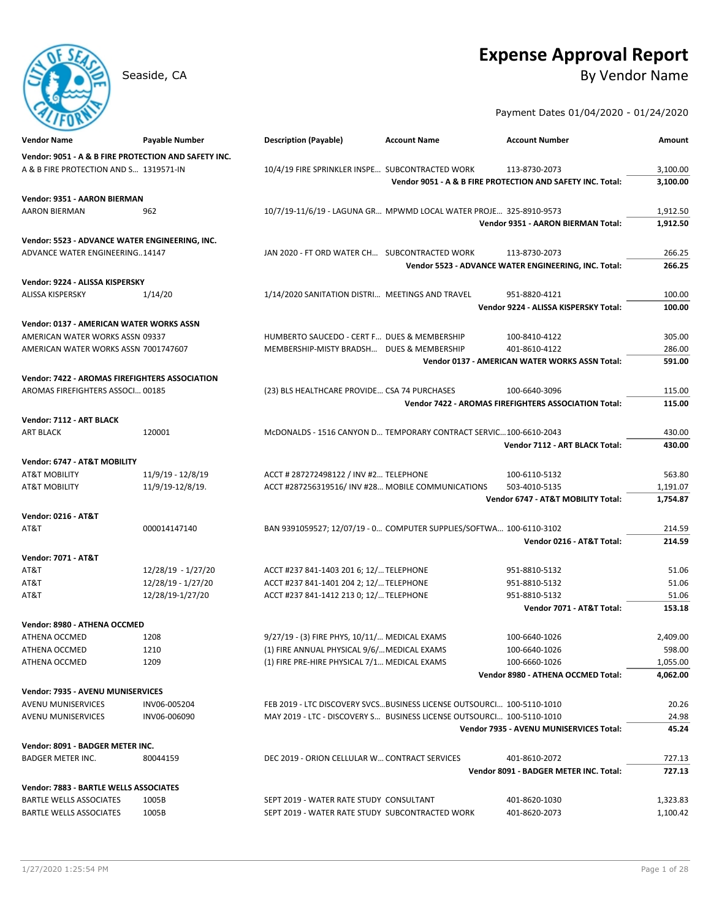# **Expense Approval Report**

Seaside, CA By Vendor Name

Payment Dates 01/04/2020 - 01/24/2020

| <b>Vendor Name</b>                                    | Payable Number     | <b>Description (Payable)</b>                                          | <b>Account Name</b> | <b>Account Number</b>                                      | Amount   |
|-------------------------------------------------------|--------------------|-----------------------------------------------------------------------|---------------------|------------------------------------------------------------|----------|
| Vendor: 9051 - A & B FIRE PROTECTION AND SAFETY INC.  |                    |                                                                       |                     |                                                            |          |
| A & B FIRE PROTECTION AND S 1319571-IN                |                    | 10/4/19 FIRE SPRINKLER INSPE SUBCONTRACTED WORK                       |                     | 113-8730-2073                                              | 3,100.00 |
|                                                       |                    |                                                                       |                     | Vendor 9051 - A & B FIRE PROTECTION AND SAFETY INC. Total: | 3,100.00 |
| Vendor: 9351 - AARON BIERMAN                          |                    |                                                                       |                     |                                                            |          |
| <b>AARON BIERMAN</b>                                  | 962                | 10/7/19-11/6/19 - LAGUNA GR MPWMD LOCAL WATER PROJE 325-8910-9573     |                     |                                                            | 1,912.50 |
|                                                       |                    |                                                                       |                     | Vendor 9351 - AARON BIERMAN Total:                         | 1,912.50 |
| Vendor: 5523 - ADVANCE WATER ENGINEERING, INC.        |                    |                                                                       |                     |                                                            |          |
| ADVANCE WATER ENGINEERING14147                        |                    | JAN 2020 - FT ORD WATER CH SUBCONTRACTED WORK                         |                     | 113-8730-2073                                              | 266.25   |
|                                                       |                    |                                                                       |                     | Vendor 5523 - ADVANCE WATER ENGINEERING, INC. Total:       | 266.25   |
| Vendor: 9224 - ALISSA KISPERSKY                       |                    |                                                                       |                     |                                                            |          |
| ALISSA KISPERSKY                                      | 1/14/20            | 1/14/2020 SANITATION DISTRI MEETINGS AND TRAVEL                       |                     | 951-8820-4121                                              | 100.00   |
|                                                       |                    |                                                                       |                     | Vendor 9224 - ALISSA KISPERSKY Total:                      | 100.00   |
| Vendor: 0137 - AMERICAN WATER WORKS ASSN              |                    |                                                                       |                     |                                                            |          |
| AMERICAN WATER WORKS ASSN 09337                       |                    | HUMBERTO SAUCEDO - CERT F DUES & MEMBERSHIP                           |                     | 100-8410-4122                                              | 305.00   |
| AMERICAN WATER WORKS ASSN 7001747607                  |                    | MEMBERSHIP-MISTY BRADSH DUES & MEMBERSHIP                             |                     | 401-8610-4122                                              | 286.00   |
|                                                       |                    |                                                                       |                     | <b>Vendor 0137 - AMERICAN WATER WORKS ASSN Total:</b>      | 591.00   |
| <b>Vendor: 7422 - AROMAS FIREFIGHTERS ASSOCIATION</b> |                    |                                                                       |                     |                                                            |          |
| AROMAS FIREFIGHTERS ASSOCI 00185                      |                    | (23) BLS HEALTHCARE PROVIDE CSA 74 PURCHASES                          |                     | 100-6640-3096                                              | 115.00   |
|                                                       |                    |                                                                       |                     | Vendor 7422 - AROMAS FIREFIGHTERS ASSOCIATION Total:       | 115.00   |
|                                                       |                    |                                                                       |                     |                                                            |          |
| Vendor: 7112 - ART BLACK<br><b>ART BLACK</b>          | 120001             | McDONALDS - 1516 CANYON D TEMPORARY CONTRACT SERVIC 100-6610-2043     |                     |                                                            | 430.00   |
|                                                       |                    |                                                                       |                     | Vendor 7112 - ART BLACK Total:                             | 430.00   |
|                                                       |                    |                                                                       |                     |                                                            |          |
| Vendor: 6747 - AT&T MOBILITY                          |                    |                                                                       |                     |                                                            |          |
| <b>AT&amp;T MOBILITY</b>                              | 11/9/19 - 12/8/19  | ACCT # 287272498122 / INV #2 TELEPHONE                                |                     | 100-6110-5132                                              | 563.80   |
| AT&T MOBILITY                                         | 11/9/19-12/8/19.   | ACCT #287256319516/ INV #28 MOBILE COMMUNICATIONS                     |                     | 503-4010-5135<br>Vendor 6747 - AT&T MOBILITY Total:        | 1,191.07 |
|                                                       |                    |                                                                       |                     |                                                            | 1,754.87 |
| <b>Vendor: 0216 - AT&amp;T</b>                        |                    |                                                                       |                     |                                                            |          |
| AT&T                                                  | 000014147140       | BAN 9391059527; 12/07/19 - 0 COMPUTER SUPPLIES/SOFTWA 100-6110-3102   |                     |                                                            | 214.59   |
|                                                       |                    |                                                                       |                     | Vendor 0216 - AT&T Total:                                  | 214.59   |
| <b>Vendor: 7071 - AT&amp;T</b>                        |                    |                                                                       |                     |                                                            |          |
| AT&T                                                  | 12/28/19 - 1/27/20 | ACCT #237 841-1403 201 6; 12/ TELEPHONE                               |                     | 951-8810-5132                                              | 51.06    |
| AT&T                                                  | 12/28/19 - 1/27/20 | ACCT #237 841-1401 204 2; 12/ TELEPHONE                               |                     | 951-8810-5132                                              | 51.06    |
| AT&T                                                  | 12/28/19-1/27/20   | ACCT #237 841-1412 213 0; 12/ TELEPHONE                               |                     | 951-8810-5132                                              | 51.06    |
|                                                       |                    |                                                                       |                     | Vendor 7071 - AT&T Total:                                  | 153.18   |
| Vendor: 8980 - ATHENA OCCMED                          |                    |                                                                       |                     |                                                            |          |
| ATHENA OCCMED                                         | 1208               | 9/27/19 - (3) FIRE PHYS, 10/11/ MEDICAL EXAMS                         |                     | 100-6640-1026                                              | 2,409.00 |
| ATHENA OCCMED                                         | 1210               | (1) FIRE ANNUAL PHYSICAL 9/6/ MEDICAL EXAMS                           |                     | 100-6640-1026                                              | 598.00   |
| ATHENA OCCMED                                         | 1209               | (1) FIRE PRE-HIRE PHYSICAL 7/1 MEDICAL EXAMS                          |                     | 100-6660-1026                                              | 1,055.00 |
|                                                       |                    |                                                                       |                     | Vendor 8980 - ATHENA OCCMED Total:                         | 4,062.00 |
| <b>Vendor: 7935 - AVENU MUNISERVICES</b>              |                    |                                                                       |                     |                                                            |          |
| AVENU MUNISERVICES                                    | INV06-005204       | FEB 2019 - LTC DISCOVERY SVCSBUSINESS LICENSE OUTSOURCI 100-5110-1010 |                     |                                                            | 20.26    |
| AVENU MUNISERVICES                                    | INV06-006090       | MAY 2019 - LTC - DISCOVERY S BUSINESS LICENSE OUTSOURCI 100-5110-1010 |                     |                                                            | 24.98    |
|                                                       |                    |                                                                       |                     | Vendor 7935 - AVENU MUNISERVICES Total:                    | 45.24    |
| Vendor: 8091 - BADGER METER INC.                      |                    |                                                                       |                     |                                                            |          |
| BADGER METER INC.                                     | 80044159           | DEC 2019 - ORION CELLULAR W CONTRACT SERVICES                         |                     | 401-8610-2072                                              | 727.13   |
|                                                       |                    |                                                                       |                     | Vendor 8091 - BADGER METER INC. Total:                     | 727.13   |
| <b>Vendor: 7883 - BARTLE WELLS ASSOCIATES</b>         |                    |                                                                       |                     |                                                            |          |
| BARTLE WELLS ASSOCIATES                               | 1005B              | SEPT 2019 - WATER RATE STUDY CONSULTANT                               |                     | 401-8620-1030                                              | 1,323.83 |
| <b>BARTLE WELLS ASSOCIATES</b>                        | 1005B              | SEPT 2019 - WATER RATE STUDY SUBCONTRACTED WORK                       |                     | 401-8620-2073                                              | 1,100.42 |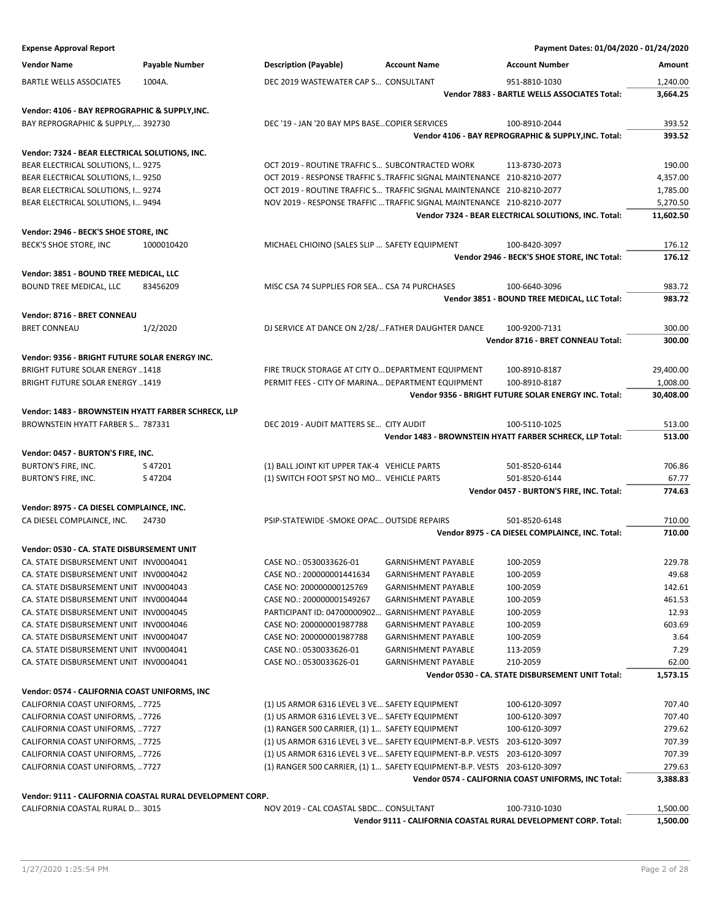| <b>Expense Approval Report</b>                                                   |                                                           |                                                      |                                                                         | Payment Dates: 01/04/2020 - 01/24/2020                           |                  |
|----------------------------------------------------------------------------------|-----------------------------------------------------------|------------------------------------------------------|-------------------------------------------------------------------------|------------------------------------------------------------------|------------------|
| <b>Vendor Name</b>                                                               | Payable Number                                            | <b>Description (Payable)</b>                         | <b>Account Name</b>                                                     | <b>Account Number</b>                                            | Amount           |
| <b>BARTLE WELLS ASSOCIATES</b>                                                   | 1004A.                                                    | DEC 2019 WASTEWATER CAP S CONSULTANT                 |                                                                         | 951-8810-1030                                                    | 1,240.00         |
|                                                                                  |                                                           |                                                      |                                                                         | Vendor 7883 - BARTLE WELLS ASSOCIATES Total:                     | 3,664.25         |
| Vendor: 4106 - BAY REPROGRAPHIC & SUPPLY, INC.                                   |                                                           |                                                      |                                                                         |                                                                  |                  |
| BAY REPROGRAPHIC & SUPPLY, 392730                                                |                                                           | DEC '19 - JAN '20 BAY MPS BASECOPIER SERVICES        |                                                                         | 100-8910-2044                                                    | 393.52           |
|                                                                                  |                                                           |                                                      |                                                                         | Vendor 4106 - BAY REPROGRAPHIC & SUPPLY, INC. Total:             | 393.52           |
| Vendor: 7324 - BEAR ELECTRICAL SOLUTIONS, INC.                                   |                                                           |                                                      |                                                                         |                                                                  |                  |
| BEAR ELECTRICAL SOLUTIONS, I 9275                                                |                                                           | OCT 2019 - ROUTINE TRAFFIC S SUBCONTRACTED WORK      |                                                                         | 113-8730-2073                                                    | 190.00           |
| BEAR ELECTRICAL SOLUTIONS, I 9250                                                |                                                           |                                                      | OCT 2019 - RESPONSE TRAFFIC STRAFFIC SIGNAL MAINTENANCE 210-8210-2077   |                                                                  | 4,357.00         |
| BEAR ELECTRICAL SOLUTIONS, I 9274                                                |                                                           |                                                      | OCT 2019 - ROUTINE TRAFFIC S TRAFFIC SIGNAL MAINTENANCE 210-8210-2077   |                                                                  | 1,785.00         |
| BEAR ELECTRICAL SOLUTIONS, I 9494                                                |                                                           |                                                      | NOV 2019 - RESPONSE TRAFFIC  TRAFFIC SIGNAL MAINTENANCE 210-8210-2077   |                                                                  | 5,270.50         |
|                                                                                  |                                                           |                                                      |                                                                         | Vendor 7324 - BEAR ELECTRICAL SOLUTIONS, INC. Total:             | 11,602.50        |
| Vendor: 2946 - BECK'S SHOE STORE, INC                                            |                                                           |                                                      |                                                                         |                                                                  |                  |
| BECK'S SHOE STORE, INC                                                           | 1000010420                                                | MICHAEL CHIOINO (SALES SLIP  SAFETY EQUIPMENT        |                                                                         | 100-8420-3097                                                    | 176.12           |
|                                                                                  |                                                           |                                                      |                                                                         | Vendor 2946 - BECK'S SHOE STORE, INC Total:                      | 176.12           |
| Vendor: 3851 - BOUND TREE MEDICAL, LLC                                           |                                                           |                                                      |                                                                         |                                                                  |                  |
| BOUND TREE MEDICAL, LLC                                                          | 83456209                                                  | MISC CSA 74 SUPPLIES FOR SEA CSA 74 PURCHASES        |                                                                         | 100-6640-3096                                                    | 983.72           |
|                                                                                  |                                                           |                                                      |                                                                         | Vendor 3851 - BOUND TREE MEDICAL, LLC Total:                     | 983.72           |
| Vendor: 8716 - BRET CONNEAU                                                      |                                                           |                                                      |                                                                         |                                                                  |                  |
| <b>BRET CONNEAU</b>                                                              | 1/2/2020                                                  | DJ SERVICE AT DANCE ON 2/28/ FATHER DAUGHTER DANCE   |                                                                         | 100-9200-7131                                                    | 300.00           |
|                                                                                  |                                                           |                                                      |                                                                         | Vendor 8716 - BRET CONNEAU Total:                                | 300.00           |
| Vendor: 9356 - BRIGHT FUTURE SOLAR ENERGY INC.                                   |                                                           |                                                      |                                                                         |                                                                  |                  |
| <b>BRIGHT FUTURE SOLAR ENERGY 1418</b>                                           |                                                           | FIRE TRUCK STORAGE AT CITY O DEPARTMENT EQUIPMENT    |                                                                         | 100-8910-8187                                                    | 29,400.00        |
| <b>BRIGHT FUTURE SOLAR ENERGY 1419</b>                                           |                                                           | PERMIT FEES - CITY OF MARINA DEPARTMENT EQUIPMENT    |                                                                         | 100-8910-8187                                                    | 1,008.00         |
|                                                                                  |                                                           |                                                      |                                                                         | Vendor 9356 - BRIGHT FUTURE SOLAR ENERGY INC. Total:             | 30,408.00        |
| Vendor: 1483 - BROWNSTEIN HYATT FARBER SCHRECK, LLP                              |                                                           |                                                      |                                                                         |                                                                  |                  |
| BROWNSTEIN HYATT FARBER S 787331                                                 |                                                           | DEC 2019 - AUDIT MATTERS SE CITY AUDIT               |                                                                         | 100-5110-1025                                                    | 513.00           |
|                                                                                  |                                                           |                                                      |                                                                         | Vendor 1483 - BROWNSTEIN HYATT FARBER SCHRECK, LLP Total:        | 513.00           |
| Vendor: 0457 - BURTON'S FIRE, INC.                                               |                                                           |                                                      |                                                                         |                                                                  |                  |
| <b>BURTON'S FIRE, INC.</b>                                                       | S47201                                                    | (1) BALL JOINT KIT UPPER TAK-4 VEHICLE PARTS         |                                                                         | 501-8520-6144                                                    | 706.86           |
| BURTON'S FIRE, INC.                                                              | S47204                                                    | (1) SWITCH FOOT SPST NO MO VEHICLE PARTS             |                                                                         | 501-8520-6144<br>Vendor 0457 - BURTON'S FIRE, INC. Total:        | 67.77<br>774.63  |
|                                                                                  |                                                           |                                                      |                                                                         |                                                                  |                  |
| Vendor: 8975 - CA DIESEL COMPLAINCE, INC.                                        |                                                           |                                                      |                                                                         |                                                                  |                  |
| CA DIESEL COMPLAINCE, INC.                                                       | 24730                                                     | PSIP-STATEWIDE - SMOKE OPAC OUTSIDE REPAIRS          |                                                                         | 501-8520-6148<br>Vendor 8975 - CA DIESEL COMPLAINCE, INC. Total: | 710.00<br>710.00 |
|                                                                                  |                                                           |                                                      |                                                                         |                                                                  |                  |
| Vendor: 0530 - CA. STATE DISBURSEMENT UNIT                                       |                                                           |                                                      |                                                                         |                                                                  |                  |
| CA. STATE DISBURSEMENT UNIT INV0004041                                           |                                                           | CASE NO.: 0530033626-01<br>CASE NO.: 200000001441634 | <b>GARNISHMENT PAYABLE</b>                                              | 100-2059                                                         | 229.78<br>49.68  |
| CA. STATE DISBURSEMENT UNIT INV0004042<br>CA. STATE DISBURSEMENT UNIT INV0004043 |                                                           | CASE NO: 200000000125769                             | <b>GARNISHMENT PAYABLE</b><br><b>GARNISHMENT PAYABLE</b>                | 100-2059<br>100-2059                                             | 142.61           |
| CA. STATE DISBURSEMENT UNIT INV0004044                                           |                                                           | CASE NO.: 200000001549267                            | <b>GARNISHMENT PAYABLE</b>                                              |                                                                  | 461.53           |
|                                                                                  |                                                           | PARTICIPANT ID: 04700000902 GARNISHMENT PAYABLE      |                                                                         | 100-2059                                                         |                  |
| CA. STATE DISBURSEMENT UNIT INV0004045                                           |                                                           |                                                      |                                                                         | 100-2059                                                         | 12.93            |
| CA. STATE DISBURSEMENT UNIT INV0004046                                           |                                                           | CASE NO: 200000001987788                             | <b>GARNISHMENT PAYABLE</b>                                              | 100-2059                                                         | 603.69           |
| CA. STATE DISBURSEMENT UNIT INV0004047                                           |                                                           | CASE NO: 200000001987788                             | <b>GARNISHMENT PAYABLE</b>                                              | 100-2059                                                         | 3.64             |
| CA. STATE DISBURSEMENT UNIT INV0004041                                           |                                                           | CASE NO.: 0530033626-01                              | <b>GARNISHMENT PAYABLE</b>                                              | 113-2059                                                         | 7.29             |
| CA. STATE DISBURSEMENT UNIT INV0004041                                           |                                                           | CASE NO.: 0530033626-01                              | <b>GARNISHMENT PAYABLE</b>                                              | 210-2059                                                         | 62.00            |
|                                                                                  |                                                           |                                                      |                                                                         | Vendor 0530 - CA. STATE DISBURSEMENT UNIT Total:                 | 1,573.15         |
| Vendor: 0574 - CALIFORNIA COAST UNIFORMS, INC                                    |                                                           |                                                      |                                                                         |                                                                  |                  |
| CALIFORNIA COAST UNIFORMS, 7725                                                  |                                                           | (1) US ARMOR 6316 LEVEL 3 VE SAFETY EQUIPMENT        |                                                                         | 100-6120-3097                                                    | 707.40           |
| CALIFORNIA COAST UNIFORMS, 7726                                                  |                                                           | (1) US ARMOR 6316 LEVEL 3 VE SAFETY EQUIPMENT        |                                                                         | 100-6120-3097                                                    | 707.40           |
| CALIFORNIA COAST UNIFORMS, 7727                                                  |                                                           | (1) RANGER 500 CARRIER, (1) 1 SAFETY EQUIPMENT       |                                                                         | 100-6120-3097                                                    | 279.62           |
| CALIFORNIA COAST UNIFORMS, 7725                                                  |                                                           |                                                      | (1) US ARMOR 6316 LEVEL 3 VE SAFETY EQUIPMENT-B.P. VESTS 203-6120-3097  |                                                                  | 707.39           |
| CALIFORNIA COAST UNIFORMS, 7726                                                  |                                                           |                                                      | (1) US ARMOR 6316 LEVEL 3 VE SAFETY EQUIPMENT-B.P. VESTS 203-6120-3097  |                                                                  | 707.39           |
| CALIFORNIA COAST UNIFORMS, 7727                                                  |                                                           |                                                      | (1) RANGER 500 CARRIER, (1) 1 SAFETY EQUIPMENT-B.P. VESTS 203-6120-3097 |                                                                  | 279.63           |
|                                                                                  |                                                           |                                                      |                                                                         | Vendor 0574 - CALIFORNIA COAST UNIFORMS, INC Total:              | 3,388.83         |
|                                                                                  | Vendor: 9111 - CALIFORNIA COASTAL RURAL DEVELOPMENT CORP. |                                                      |                                                                         |                                                                  |                  |
| CALIFORNIA COASTAL RURAL D 3015                                                  |                                                           | NOV 2019 - CAL COASTAL SBDC CONSULTANT               |                                                                         | 100-7310-1030                                                    | 1,500.00         |
|                                                                                  |                                                           |                                                      | Vendor 9111 - CALIFORNIA COASTAL RURAL DEVELOPMENT CORP. Total:         |                                                                  | 1,500.00         |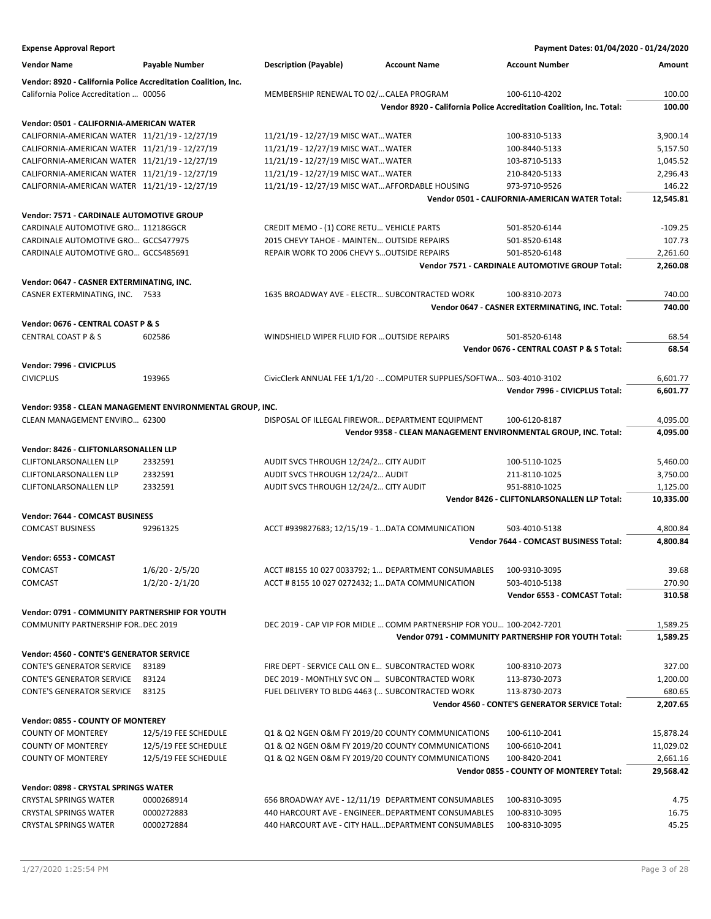| <b>Expense Approval Report</b>                                 |                                                           |                                                                       |                     | Payment Dates: 01/04/2020 - 01/24/2020                               |           |
|----------------------------------------------------------------|-----------------------------------------------------------|-----------------------------------------------------------------------|---------------------|----------------------------------------------------------------------|-----------|
| <b>Vendor Name</b>                                             | Payable Number                                            | <b>Description (Payable)</b>                                          | <b>Account Name</b> | <b>Account Number</b>                                                | Amount    |
|                                                                |                                                           |                                                                       |                     |                                                                      |           |
| Vendor: 8920 - California Police Accreditation Coalition, Inc. |                                                           |                                                                       |                     |                                                                      |           |
| California Police Accreditation  00056                         |                                                           | MEMBERSHIP RENEWAL TO 02/ CALEA PROGRAM                               |                     | 100-6110-4202                                                        | 100.00    |
|                                                                |                                                           |                                                                       |                     | Vendor 8920 - California Police Accreditation Coalition, Inc. Total: | 100.00    |
| Vendor: 0501 - CALIFORNIA-AMERICAN WATER                       |                                                           |                                                                       |                     |                                                                      |           |
| CALIFORNIA-AMERICAN WATER 11/21/19 - 12/27/19                  |                                                           | 11/21/19 - 12/27/19 MISC WAT WATER                                    |                     | 100-8310-5133                                                        | 3,900.14  |
| CALIFORNIA-AMERICAN WATER 11/21/19 - 12/27/19                  |                                                           | 11/21/19 - 12/27/19 MISC WAT WATER                                    |                     | 100-8440-5133                                                        | 5,157.50  |
| CALIFORNIA-AMERICAN WATER 11/21/19 - 12/27/19                  |                                                           | 11/21/19 - 12/27/19 MISC WAT WATER                                    |                     | 103-8710-5133                                                        | 1,045.52  |
| CALIFORNIA-AMERICAN WATER 11/21/19 - 12/27/19                  |                                                           | 11/21/19 - 12/27/19 MISC WAT WATER                                    |                     | 210-8420-5133                                                        | 2,296.43  |
| CALIFORNIA-AMERICAN WATER 11/21/19 - 12/27/19                  |                                                           | 11/21/19 - 12/27/19 MISC WAT AFFORDABLE HOUSING                       |                     | 973-9710-9526                                                        | 146.22    |
|                                                                |                                                           |                                                                       |                     | Vendor 0501 - CALIFORNIA-AMERICAN WATER Total:                       | 12,545.81 |
| Vendor: 7571 - CARDINALE AUTOMOTIVE GROUP                      |                                                           |                                                                       |                     |                                                                      |           |
| CARDINALE AUTOMOTIVE GRO 11218GGCR                             |                                                           | CREDIT MEMO - (1) CORE RETU VEHICLE PARTS                             |                     | 501-8520-6144                                                        | $-109.25$ |
| CARDINALE AUTOMOTIVE GRO GCCS477975                            |                                                           | 2015 CHEVY TAHOE - MAINTEN OUTSIDE REPAIRS                            |                     | 501-8520-6148                                                        | 107.73    |
| CARDINALE AUTOMOTIVE GRO GCCS485691                            |                                                           | REPAIR WORK TO 2006 CHEVY S OUTSIDE REPAIRS                           |                     | 501-8520-6148                                                        | 2,261.60  |
|                                                                |                                                           |                                                                       |                     | Vendor 7571 - CARDINALE AUTOMOTIVE GROUP Total:                      | 2,260.08  |
|                                                                |                                                           |                                                                       |                     |                                                                      |           |
| Vendor: 0647 - CASNER EXTERMINATING, INC.                      |                                                           |                                                                       |                     |                                                                      |           |
| CASNER EXTERMINATING, INC. 7533                                |                                                           | 1635 BROADWAY AVE - ELECTR SUBCONTRACTED WORK                         |                     | 100-8310-2073                                                        | 740.00    |
|                                                                |                                                           |                                                                       |                     | Vendor 0647 - CASNER EXTERMINATING, INC. Total:                      | 740.00    |
| Vendor: 0676 - CENTRAL COAST P & S                             |                                                           |                                                                       |                     |                                                                      |           |
| <b>CENTRAL COAST P &amp; S</b>                                 | 602586                                                    | WINDSHIELD WIPER FLUID FOR  OUTSIDE REPAIRS                           |                     | 501-8520-6148                                                        | 68.54     |
|                                                                |                                                           |                                                                       |                     | Vendor 0676 - CENTRAL COAST P & S Total:                             | 68.54     |
| Vendor: 7996 - CIVICPLUS                                       |                                                           |                                                                       |                     |                                                                      |           |
| <b>CIVICPLUS</b>                                               | 193965                                                    | CivicClerk ANNUAL FEE 1/1/20 - COMPUTER SUPPLIES/SOFTWA 503-4010-3102 |                     |                                                                      | 6,601.77  |
|                                                                |                                                           |                                                                       |                     | Vendor 7996 - CIVICPLUS Total:                                       | 6,601.77  |
|                                                                |                                                           |                                                                       |                     |                                                                      |           |
|                                                                | Vendor: 9358 - CLEAN MANAGEMENT ENVIRONMENTAL GROUP, INC. |                                                                       |                     |                                                                      |           |
| CLEAN MANAGEMENT ENVIRO 62300                                  |                                                           | DISPOSAL OF ILLEGAL FIREWOR DEPARTMENT EQUIPMENT                      |                     | 100-6120-8187                                                        | 4,095.00  |
|                                                                |                                                           |                                                                       |                     | Vendor 9358 - CLEAN MANAGEMENT ENVIRONMENTAL GROUP, INC. Total:      | 4,095.00  |
| Vendor: 8426 - CLIFTONLARSONALLEN LLP                          |                                                           |                                                                       |                     |                                                                      |           |
| <b>CLIFTONLARSONALLEN LLP</b>                                  | 2332591                                                   | AUDIT SVCS THROUGH 12/24/2 CITY AUDIT                                 |                     | 100-5110-1025                                                        | 5,460.00  |
| <b>CLIFTONLARSONALLEN LLP</b>                                  | 2332591                                                   | AUDIT SVCS THROUGH 12/24/2 AUDIT                                      |                     | 211-8110-1025                                                        | 3,750.00  |
| <b>CLIFTONLARSONALLEN LLP</b>                                  | 2332591                                                   | AUDIT SVCS THROUGH 12/24/2 CITY AUDIT                                 |                     | 951-8810-1025                                                        | 1,125.00  |
|                                                                |                                                           |                                                                       |                     | Vendor 8426 - CLIFTONLARSONALLEN LLP Total:                          | 10,335.00 |
| Vendor: 7644 - COMCAST BUSINESS                                |                                                           |                                                                       |                     |                                                                      |           |
| <b>COMCAST BUSINESS</b>                                        | 92961325                                                  | ACCT #939827683; 12/15/19 - 1 DATA COMMUNICATION                      |                     | 503-4010-5138                                                        | 4,800.84  |
|                                                                |                                                           |                                                                       |                     | <b>Vendor 7644 - COMCAST BUSINESS Total:</b>                         | 4,800.84  |
|                                                                |                                                           |                                                                       |                     |                                                                      |           |
| Vendor: 6553 - COMCAST                                         |                                                           |                                                                       |                     |                                                                      |           |
| COMCAST                                                        | $1/6/20 - 2/5/20$                                         | ACCT #8155 10 027 0033792; 1 DEPARTMENT CONSUMABLES                   |                     | 100-9310-3095                                                        | 39.68     |
| <b>COMCAST</b>                                                 | $1/2/20 - 2/1/20$                                         | ACCT # 8155 10 027 0272432; 1 DATA COMMUNICATION                      |                     | 503-4010-5138                                                        | 270.90    |
|                                                                |                                                           |                                                                       |                     | Vendor 6553 - COMCAST Total:                                         | 310.58    |
| Vendor: 0791 - COMMUNITY PARTNERSHIP FOR YOUTH                 |                                                           |                                                                       |                     |                                                                      |           |
| <b>COMMUNITY PARTNERSHIP FOR., DEC 2019</b>                    |                                                           | DEC 2019 - CAP VIP FOR MIDLE  COMM PARTNERSHIP FOR YOU 100-2042-7201  |                     |                                                                      | 1,589.25  |
|                                                                |                                                           |                                                                       |                     | Vendor 0791 - COMMUNITY PARTNERSHIP FOR YOUTH Total:                 | 1,589.25  |
| Vendor: 4560 - CONTE'S GENERATOR SERVICE                       |                                                           |                                                                       |                     |                                                                      |           |
| <b>CONTE'S GENERATOR SERVICE</b>                               | 83189                                                     | FIRE DEPT - SERVICE CALL ON E SUBCONTRACTED WORK                      |                     |                                                                      | 327.00    |
|                                                                |                                                           | DEC 2019 - MONTHLY SVC ON  SUBCONTRACTED WORK                         |                     | 100-8310-2073<br>113-8730-2073                                       |           |
| <b>CONTE'S GENERATOR SERVICE</b>                               | 83124                                                     |                                                                       |                     | 113-8730-2073                                                        | 1,200.00  |
| <b>CONTE'S GENERATOR SERVICE</b>                               | 83125                                                     | FUEL DELIVERY TO BLDG 4463 ( SUBCONTRACTED WORK                       |                     | <b>Vendor 4560 - CONTE'S GENERATOR SERVICE Total:</b>                | 680.65    |
|                                                                |                                                           |                                                                       |                     |                                                                      | 2,207.65  |
| Vendor: 0855 - COUNTY OF MONTEREY                              |                                                           |                                                                       |                     |                                                                      |           |
| <b>COUNTY OF MONTEREY</b>                                      | 12/5/19 FEE SCHEDULE                                      | Q1 & Q2 NGEN O&M FY 2019/20 COUNTY COMMUNICATIONS                     |                     | 100-6110-2041                                                        | 15,878.24 |
| <b>COUNTY OF MONTEREY</b>                                      | 12/5/19 FEE SCHEDULE                                      | Q1 & Q2 NGEN O&M FY 2019/20 COUNTY COMMUNICATIONS                     |                     | 100-6610-2041                                                        | 11,029.02 |
| <b>COUNTY OF MONTEREY</b>                                      | 12/5/19 FEE SCHEDULE                                      | Q1 & Q2 NGEN O&M FY 2019/20 COUNTY COMMUNICATIONS                     |                     | 100-8420-2041                                                        | 2,661.16  |
|                                                                |                                                           |                                                                       |                     | Vendor 0855 - COUNTY OF MONTEREY Total:                              | 29,568.42 |
| Vendor: 0898 - CRYSTAL SPRINGS WATER                           |                                                           |                                                                       |                     |                                                                      |           |
| <b>CRYSTAL SPRINGS WATER</b>                                   | 0000268914                                                | 656 BROADWAY AVE - 12/11/19 DEPARTMENT CONSUMABLES                    |                     | 100-8310-3095                                                        | 4.75      |
| <b>CRYSTAL SPRINGS WATER</b>                                   | 0000272883                                                | 440 HARCOURT AVE - ENGINEER DEPARTMENT CONSUMABLES                    |                     | 100-8310-3095                                                        | 16.75     |
| <b>CRYSTAL SPRINGS WATER</b>                                   | 0000272884                                                | 440 HARCOURT AVE - CITY HALL DEPARTMENT CONSUMABLES                   |                     | 100-8310-3095                                                        | 45.25     |
|                                                                |                                                           |                                                                       |                     |                                                                      |           |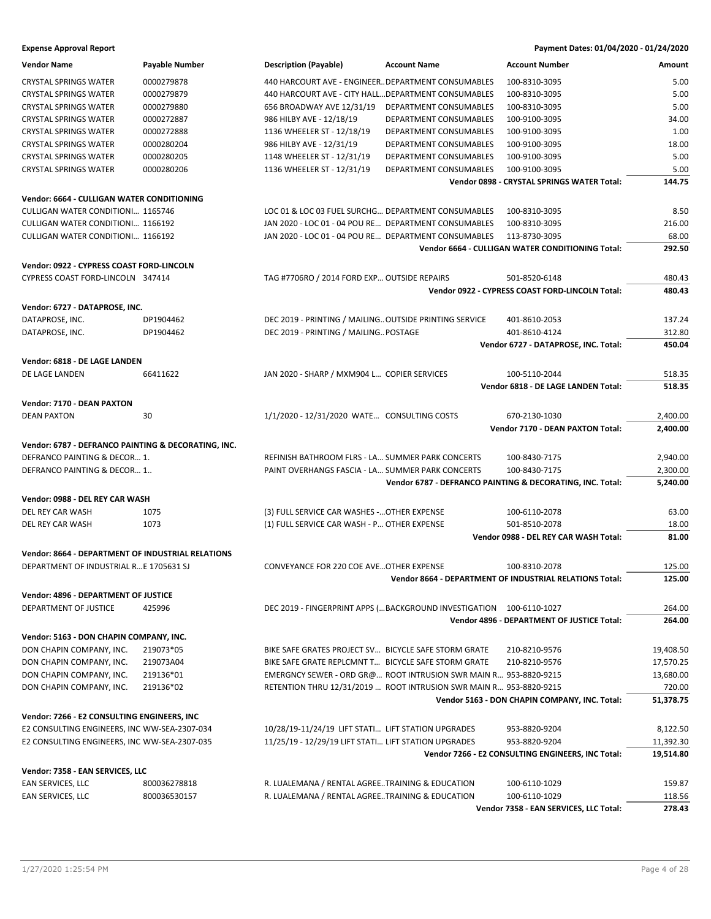| <b>Expense Approval Report</b> | Payment Dates: 01/04/2020 - 01/24/2020 |
|--------------------------------|----------------------------------------|
|--------------------------------|----------------------------------------|

| <b>Vendor Name</b>                                    | Payable Number | <b>Description (Payable)</b>                           | <b>Account Name</b>                                                | <b>Account Number</b>                                             | Amount               |
|-------------------------------------------------------|----------------|--------------------------------------------------------|--------------------------------------------------------------------|-------------------------------------------------------------------|----------------------|
| <b>CRYSTAL SPRINGS WATER</b>                          | 0000279878     | 440 HARCOURT AVE - ENGINEER DEPARTMENT CONSUMABLES     |                                                                    | 100-8310-3095                                                     | 5.00                 |
| <b>CRYSTAL SPRINGS WATER</b>                          | 0000279879     | 440 HARCOURT AVE - CITY HALL DEPARTMENT CONSUMABLES    |                                                                    | 100-8310-3095                                                     | 5.00                 |
| <b>CRYSTAL SPRINGS WATER</b>                          | 0000279880     | 656 BROADWAY AVE 12/31/19                              | DEPARTMENT CONSUMABLES                                             | 100-8310-3095                                                     | 5.00                 |
| <b>CRYSTAL SPRINGS WATER</b>                          | 0000272887     | 986 HILBY AVE - 12/18/19                               | DEPARTMENT CONSUMABLES                                             | 100-9100-3095                                                     | 34.00                |
| <b>CRYSTAL SPRINGS WATER</b>                          | 0000272888     | 1136 WHEELER ST - 12/18/19                             | DEPARTMENT CONSUMABLES                                             | 100-9100-3095                                                     | 1.00                 |
| <b>CRYSTAL SPRINGS WATER</b>                          | 0000280204     | 986 HILBY AVE - 12/31/19                               | DEPARTMENT CONSUMABLES                                             | 100-9100-3095                                                     | 18.00                |
| <b>CRYSTAL SPRINGS WATER</b>                          | 0000280205     | 1148 WHEELER ST - 12/31/19                             | DEPARTMENT CONSUMABLES                                             | 100-9100-3095                                                     | 5.00                 |
| <b>CRYSTAL SPRINGS WATER</b>                          | 0000280206     | 1136 WHEELER ST - 12/31/19                             | DEPARTMENT CONSUMABLES                                             | 100-9100-3095                                                     | 5.00                 |
|                                                       |                |                                                        |                                                                    | Vendor 0898 - CRYSTAL SPRINGS WATER Total:                        | 144.75               |
| Vendor: 6664 - CULLIGAN WATER CONDITIONING            |                |                                                        |                                                                    |                                                                   |                      |
| <b>CULLIGAN WATER CONDITIONI 1165746</b>              |                | LOC 01 & LOC 03 FUEL SURCHG DEPARTMENT CONSUMABLES     |                                                                    | 100-8310-3095                                                     | 8.50                 |
|                                                       |                | JAN 2020 - LOC 01 - 04 POU RE DEPARTMENT CONSUMABLES   |                                                                    |                                                                   |                      |
| CULLIGAN WATER CONDITIONI 1166192                     |                |                                                        |                                                                    | 100-8310-3095                                                     | 216.00               |
| <b>CULLIGAN WATER CONDITIONI 1166192</b>              |                | JAN 2020 - LOC 01 - 04 POU RE DEPARTMENT CONSUMABLES   |                                                                    | 113-8730-3095<br>Vendor 6664 - CULLIGAN WATER CONDITIONING Total: | 68.00<br>292.50      |
|                                                       |                |                                                        |                                                                    |                                                                   |                      |
| Vendor: 0922 - CYPRESS COAST FORD-LINCOLN             |                |                                                        |                                                                    |                                                                   |                      |
| CYPRESS COAST FORD-LINCOLN 347414                     |                | TAG #7706RO / 2014 FORD EXP OUTSIDE REPAIRS            |                                                                    | 501-8520-6148                                                     | 480.43               |
|                                                       |                |                                                        |                                                                    | Vendor 0922 - CYPRESS COAST FORD-LINCOLN Total:                   | 480.43               |
| Vendor: 6727 - DATAPROSE, INC.                        |                |                                                        |                                                                    |                                                                   |                      |
| DATAPROSE, INC.                                       | DP1904462      | DEC 2019 - PRINTING / MAILING OUTSIDE PRINTING SERVICE |                                                                    | 401-8610-2053                                                     | 137.24               |
| DATAPROSE, INC.                                       | DP1904462      | DEC 2019 - PRINTING / MAILING POSTAGE                  |                                                                    | 401-8610-4124                                                     | 312.80               |
|                                                       |                |                                                        |                                                                    | Vendor 6727 - DATAPROSE, INC. Total:                              | 450.04               |
| Vendor: 6818 - DE LAGE LANDEN                         |                |                                                        |                                                                    |                                                                   |                      |
| DE LAGE LANDEN                                        | 66411622       | JAN 2020 - SHARP / MXM904 L COPIER SERVICES            |                                                                    | 100-5110-2044                                                     | 518.35               |
|                                                       |                |                                                        |                                                                    | Vendor 6818 - DE LAGE LANDEN Total:                               | 518.35               |
|                                                       |                |                                                        |                                                                    |                                                                   |                      |
| Vendor: 7170 - DEAN PAXTON                            |                |                                                        |                                                                    |                                                                   |                      |
| <b>DEAN PAXTON</b>                                    | 30             | 1/1/2020 - 12/31/2020 WATE CONSULTING COSTS            |                                                                    | 670-2130-1030<br><b>Vendor 7170 - DEAN PAXTON Total:</b>          | 2,400.00<br>2,400.00 |
|                                                       |                |                                                        |                                                                    |                                                                   |                      |
| Vendor: 6787 - DEFRANCO PAINTING & DECORATING, INC.   |                |                                                        |                                                                    |                                                                   |                      |
| DEFRANCO PAINTING & DECOR 1.                          |                | REFINISH BATHROOM FLRS - LA SUMMER PARK CONCERTS       |                                                                    | 100-8430-7175                                                     | 2,940.00             |
| DEFRANCO PAINTING & DECOR 1                           |                | PAINT OVERHANGS FASCIA - LA SUMMER PARK CONCERTS       |                                                                    | 100-8430-7175                                                     | 2,300.00             |
|                                                       |                |                                                        |                                                                    | Vendor 6787 - DEFRANCO PAINTING & DECORATING, INC. Total:         | 5,240.00             |
| Vendor: 0988 - DEL REY CAR WASH                       |                |                                                        |                                                                    |                                                                   |                      |
| DEL REY CAR WASH                                      | 1075           | (3) FULL SERVICE CAR WASHES - OTHER EXPENSE            |                                                                    | 100-6110-2078                                                     | 63.00                |
| DEL REY CAR WASH                                      | 1073           | (1) FULL SERVICE CAR WASH - P OTHER EXPENSE            |                                                                    | 501-8510-2078                                                     | 18.00                |
|                                                       |                |                                                        |                                                                    | Vendor 0988 - DEL REY CAR WASH Total:                             | 81.00                |
| Vendor: 8664 - DEPARTMENT OF INDUSTRIAL RELATIONS     |                |                                                        |                                                                    |                                                                   |                      |
| DEPARTMENT OF INDUSTRIAL R E 1705631 SJ               |                | <b>CONVEYANCE FOR 220 COE AVE OTHER EXPENSE</b>        |                                                                    | 100-8310-2078                                                     | 125.00               |
|                                                       |                |                                                        |                                                                    | Vendor 8664 - DEPARTMENT OF INDUSTRIAL RELATIONS Total:           | 125.00               |
|                                                       |                |                                                        |                                                                    |                                                                   |                      |
| Vendor: 4896 - DEPARTMENT OF JUSTICE                  |                |                                                        |                                                                    |                                                                   |                      |
| DEPARTMENT OF JUSTICE                                 | 425996         |                                                        | DEC 2019 - FINGERPRINT APPS ( BACKGROUND INVESTIGATION             | 100-6110-1027                                                     | 264.00               |
|                                                       |                |                                                        |                                                                    | Vendor 4896 - DEPARTMENT OF JUSTICE Total:                        | 264.00               |
| Vendor: 5163 - DON CHAPIN COMPANY, INC.               |                |                                                        |                                                                    |                                                                   |                      |
| DON CHAPIN COMPANY, INC.                              | 219073*05      | BIKE SAFE GRATES PROJECT SV BICYCLE SAFE STORM GRATE   |                                                                    | 210-8210-9576                                                     | 19,408.50            |
| DON CHAPIN COMPANY, INC.                              | 219073A04      | BIKE SAFE GRATE REPLCMNT T BICYCLE SAFE STORM GRATE    |                                                                    | 210-8210-9576                                                     | 17,570.25            |
| DON CHAPIN COMPANY, INC.                              | 219136*01      |                                                        | EMERGNCY SEWER - ORD GR@ ROOT INTRUSION SWR MAIN R 953-8820-9215   |                                                                   | 13,680.00            |
| DON CHAPIN COMPANY, INC.                              | 219136*02      |                                                        | RETENTION THRU 12/31/2019  ROOT INTRUSION SWR MAIN R 953-8820-9215 |                                                                   | 720.00               |
|                                                       |                |                                                        |                                                                    | Vendor 5163 - DON CHAPIN COMPANY, INC. Total:                     | 51,378.75            |
| Vendor: 7266 - E2 CONSULTING ENGINEERS, INC           |                |                                                        |                                                                    |                                                                   |                      |
| E2 CONSULTING ENGINEERS, INC WW-SEA-2307-034          |                | 10/28/19-11/24/19 LIFT STATI LIFT STATION UPGRADES     |                                                                    | 953-8820-9204                                                     | 8,122.50             |
| E2 CONSULTING ENGINEERS, INC WW-SEA-2307-035          |                | 11/25/19 - 12/29/19 LIFT STATI LIFT STATION UPGRADES   |                                                                    | 953-8820-9204                                                     | 11,392.30            |
|                                                       |                |                                                        |                                                                    | Vendor 7266 - E2 CONSULTING ENGINEERS, INC Total:                 | 19,514.80            |
|                                                       |                |                                                        |                                                                    |                                                                   |                      |
| Vendor: 7358 - EAN SERVICES, LLC<br>EAN SERVICES, LLC | 800036278818   | R. LUALEMANA / RENTAL AGREETRAINING & EDUCATION        |                                                                    | 100-6110-1029                                                     | 159.87               |
| EAN SERVICES, LLC                                     | 800036530157   | R. LUALEMANA / RENTAL AGREETRAINING & EDUCATION        |                                                                    | 100-6110-1029                                                     | 118.56               |
|                                                       |                |                                                        |                                                                    | Vendor 7358 - EAN SERVICES, LLC Total:                            | 278.43               |
|                                                       |                |                                                        |                                                                    |                                                                   |                      |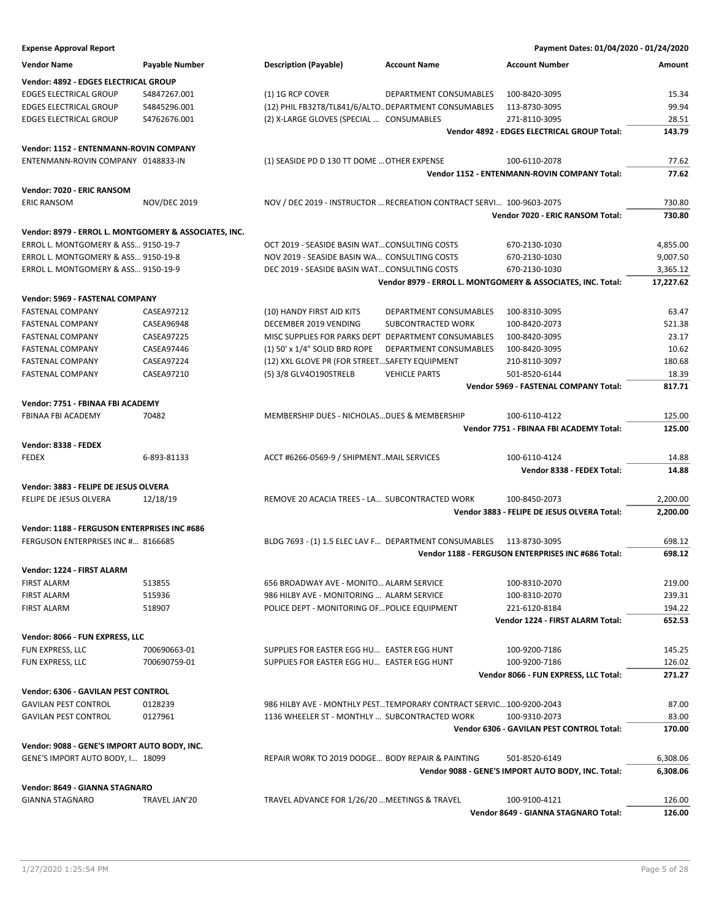| <b>Expense Approval Report</b>                        |                       |                                                      |                                                                      | Payment Dates: 01/04/2020 - 01/24/2020                      |                  |
|-------------------------------------------------------|-----------------------|------------------------------------------------------|----------------------------------------------------------------------|-------------------------------------------------------------|------------------|
| <b>Vendor Name</b>                                    | <b>Payable Number</b> | <b>Description (Payable)</b>                         | <b>Account Name</b>                                                  | <b>Account Number</b>                                       | Amount           |
| Vendor: 4892 - EDGES ELECTRICAL GROUP                 |                       |                                                      |                                                                      |                                                             |                  |
| <b>EDGES ELECTRICAL GROUP</b>                         | S4847267.001          | (1) 1G RCP COVER                                     | DEPARTMENT CONSUMABLES                                               | 100-8420-3095                                               | 15.34            |
| <b>EDGES ELECTRICAL GROUP</b>                         | S4845296.001          | (12) PHIL FB32T8/TL841/6/ALTO DEPARTMENT CONSUMABLES |                                                                      | 113-8730-3095                                               | 99.94            |
| <b>EDGES ELECTRICAL GROUP</b>                         | S4762676.001          | (2) X-LARGE GLOVES (SPECIAL  CONSUMABLES             |                                                                      | 271-8110-3095                                               | 28.51            |
|                                                       |                       |                                                      |                                                                      | Vendor 4892 - EDGES ELECTRICAL GROUP Total:                 | 143.79           |
| Vendor: 1152 - ENTENMANN-ROVIN COMPANY                |                       |                                                      |                                                                      |                                                             |                  |
| ENTENMANN-ROVIN COMPANY 0148833-IN                    |                       | (1) SEASIDE PD D 130 TT DOME  OTHER EXPENSE          |                                                                      | 100-6110-2078                                               | 77.62            |
|                                                       |                       |                                                      |                                                                      | Vendor 1152 - ENTENMANN-ROVIN COMPANY Total:                | 77.62            |
| Vendor: 7020 - ERIC RANSOM                            |                       |                                                      |                                                                      |                                                             |                  |
| <b>ERIC RANSOM</b>                                    | <b>NOV/DEC 2019</b>   |                                                      | NOV / DEC 2019 - INSTRUCTOR  RECREATION CONTRACT SERVI 100-9603-2075 | Vendor 7020 - ERIC RANSOM Total:                            | 730.80<br>730.80 |
| Vendor: 8979 - ERROL L. MONTGOMERY & ASSOCIATES, INC. |                       |                                                      |                                                                      |                                                             |                  |
| ERROL L. MONTGOMERY & ASS 9150-19-7                   |                       | OCT 2019 - SEASIDE BASIN WATCONSULTING COSTS         |                                                                      | 670-2130-1030                                               | 4,855.00         |
| ERROL L. MONTGOMERY & ASS 9150-19-8                   |                       | NOV 2019 - SEASIDE BASIN WA CONSULTING COSTS         |                                                                      | 670-2130-1030                                               | 9,007.50         |
| ERROL L. MONTGOMERY & ASS 9150-19-9                   |                       | DEC 2019 - SEASIDE BASIN WAT CONSULTING COSTS        |                                                                      | 670-2130-1030                                               | 3,365.12         |
|                                                       |                       |                                                      |                                                                      | Vendor 8979 - ERROL L. MONTGOMERY & ASSOCIATES, INC. Total: | 17,227.62        |
| Vendor: 5969 - FASTENAL COMPANY                       |                       |                                                      |                                                                      |                                                             |                  |
| <b>FASTENAL COMPANY</b>                               | CASEA97212            | (10) HANDY FIRST AID KITS                            | DEPARTMENT CONSUMABLES                                               | 100-8310-3095                                               | 63.47            |
| <b>FASTENAL COMPANY</b>                               | CASEA96948            | DECEMBER 2019 VENDING                                | SUBCONTRACTED WORK                                                   | 100-8420-2073                                               | 521.38           |
| <b>FASTENAL COMPANY</b>                               | CASEA97225            | MISC SUPPLIES FOR PARKS DEPT DEPARTMENT CONSUMABLES  |                                                                      | 100-8420-3095                                               | 23.17            |
| <b>FASTENAL COMPANY</b>                               | CASEA97446            | (1) 50' x 1/4" SOLID BRD ROPE                        | <b>DEPARTMENT CONSUMABLES</b>                                        | 100-8420-3095                                               | 10.62            |
| <b>FASTENAL COMPANY</b>                               | CASEA97224            | (12) XXL GLOVE PR (FOR STREETSAFETY EQUIPMENT        |                                                                      | 210-8110-3097                                               | 180.68           |
| <b>FASTENAL COMPANY</b>                               | CASEA97210            | (5) 3/8 GLV4O190STRELB                               | <b>VEHICLE PARTS</b>                                                 | 501-8520-6144                                               | 18.39            |
|                                                       |                       |                                                      |                                                                      | Vendor 5969 - FASTENAL COMPANY Total:                       | 817.71           |
| Vendor: 7751 - FBINAA FBI ACADEMY                     |                       |                                                      |                                                                      |                                                             |                  |
| FBINAA FBI ACADEMY                                    | 70482                 | MEMBERSHIP DUES - NICHOLAS DUES & MEMBERSHIP         |                                                                      | 100-6110-4122                                               | 125.00           |
|                                                       |                       |                                                      |                                                                      | Vendor 7751 - FBINAA FBI ACADEMY Total:                     | 125.00           |
| Vendor: 8338 - FEDEX                                  |                       |                                                      |                                                                      |                                                             |                  |
| <b>FEDEX</b>                                          | 6-893-81133           | ACCT #6266-0569-9 / SHIPMENTMAIL SERVICES            |                                                                      | 100-6110-4124<br>Vendor 8338 - FEDEX Total:                 | 14.88<br>14.88   |
| Vendor: 3883 - FELIPE DE JESUS OLVERA                 |                       |                                                      |                                                                      |                                                             |                  |
| FELIPE DE JESUS OLVERA                                | 12/18/19              | REMOVE 20 ACACIA TREES - LA SUBCONTRACTED WORK       |                                                                      | 100-8450-2073                                               | 2,200.00         |
|                                                       |                       |                                                      |                                                                      | Vendor 3883 - FELIPE DE JESUS OLVERA Total:                 | 2,200.00         |
| Vendor: 1188 - FERGUSON ENTERPRISES INC #686          |                       |                                                      |                                                                      |                                                             |                  |
| FERGUSON ENTERPRISES INC # 8166685                    |                       |                                                      | BLDG 7693 - (1) 1.5 ELEC LAV F DEPARTMENT CONSUMABLES 113-8730-3095  |                                                             | 698.12           |
|                                                       |                       |                                                      |                                                                      | Vendor 1188 - FERGUSON ENTERPRISES INC #686 Total:          | 698.12           |
| Vendor: 1224 - FIRST ALARM                            |                       |                                                      |                                                                      |                                                             |                  |
| <b>FIRST ALARM</b>                                    | 513855                | 656 BROADWAY AVE - MONITO ALARM SERVICE              |                                                                      | 100-8310-2070                                               | 219.00           |
| FIRST ALARM                                           | 515936                | 986 HILBY AVE - MONITORING  ALARM SERVICE            |                                                                      | 100-8310-2070                                               | 239.31           |
| <b>FIRST ALARM</b>                                    | 518907                | POLICE DEPT - MONITORING OF POLICE EQUIPMENT         |                                                                      | 221-6120-8184                                               | 194.22           |
|                                                       |                       |                                                      |                                                                      | Vendor 1224 - FIRST ALARM Total:                            | 652.53           |
| Vendor: 8066 - FUN EXPRESS, LLC                       |                       |                                                      |                                                                      |                                                             |                  |
| FUN EXPRESS, LLC                                      | 700690663-01          | SUPPLIES FOR EASTER EGG HU EASTER EGG HUNT           |                                                                      | 100-9200-7186                                               | 145.25           |
| FUN EXPRESS, LLC                                      | 700690759-01          | SUPPLIES FOR EASTER EGG HU EASTER EGG HUNT           |                                                                      | 100-9200-7186                                               | 126.02           |
|                                                       |                       |                                                      |                                                                      | Vendor 8066 - FUN EXPRESS, LLC Total:                       | 271.27           |
| Vendor: 6306 - GAVILAN PEST CONTROL                   |                       |                                                      |                                                                      |                                                             |                  |
| <b>GAVILAN PEST CONTROL</b>                           | 0128239               |                                                      | 986 HILBY AVE - MONTHLY PESTTEMPORARY CONTRACT SERVIC100-9200-2043   |                                                             | 87.00            |
| <b>GAVILAN PEST CONTROL</b>                           | 0127961               | 1136 WHEELER ST - MONTHLY  SUBCONTRACTED WORK        |                                                                      | 100-9310-2073                                               | 83.00            |
|                                                       |                       |                                                      |                                                                      | Vendor 6306 - GAVILAN PEST CONTROL Total:                   | 170.00           |
| Vendor: 9088 - GENE'S IMPORT AUTO BODY, INC.          |                       |                                                      |                                                                      |                                                             |                  |
| GENE'S IMPORT AUTO BODY, I 18099                      |                       | REPAIR WORK TO 2019 DODGE BODY REPAIR & PAINTING     |                                                                      | 501-8520-6149                                               | 6,308.06         |
|                                                       |                       |                                                      |                                                                      | Vendor 9088 - GENE'S IMPORT AUTO BODY, INC. Total:          | 6,308.06         |
| Vendor: 8649 - GIANNA STAGNARO                        |                       |                                                      |                                                                      |                                                             |                  |
| <b>GIANNA STAGNARO</b>                                | TRAVEL JAN'20         | TRAVEL ADVANCE FOR 1/26/20  MEETINGS & TRAVEL        |                                                                      | 100-9100-4121                                               | 126.00           |
|                                                       |                       |                                                      |                                                                      | Vendor 8649 - GIANNA STAGNARO Total:                        | 126.00           |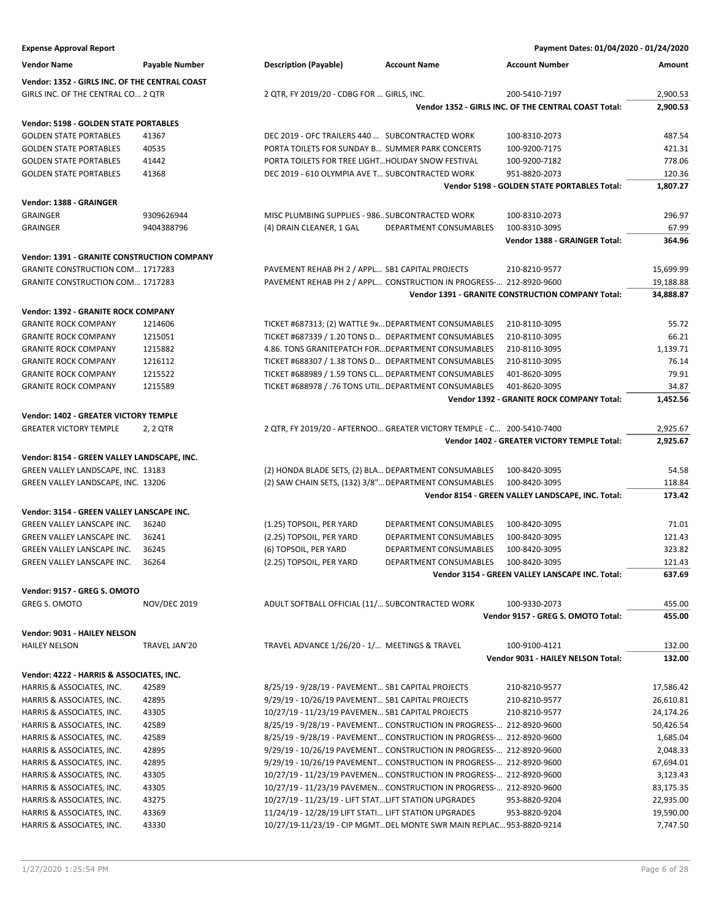| <b>Expense Approval Report</b>                     |                     |                                                      |                                                                       | Payment Dates: 01/04/2020 - 01/24/2020               |           |
|----------------------------------------------------|---------------------|------------------------------------------------------|-----------------------------------------------------------------------|------------------------------------------------------|-----------|
| <b>Vendor Name</b>                                 | Payable Number      | <b>Description (Payable)</b>                         | <b>Account Name</b>                                                   | <b>Account Number</b>                                | Amount    |
| Vendor: 1352 - GIRLS INC. OF THE CENTRAL COAST     |                     |                                                      |                                                                       |                                                      |           |
| GIRLS INC. OF THE CENTRAL CO 2 QTR                 |                     | 2 QTR, FY 2019/20 - CDBG FOR  GIRLS, INC.            |                                                                       | 200-5410-7197                                        | 2,900.53  |
|                                                    |                     |                                                      |                                                                       | Vendor 1352 - GIRLS INC. OF THE CENTRAL COAST Total: | 2,900.53  |
|                                                    |                     |                                                      |                                                                       |                                                      |           |
| Vendor: 5198 - GOLDEN STATE PORTABLES              |                     |                                                      |                                                                       |                                                      |           |
| <b>GOLDEN STATE PORTABLES</b>                      | 41367               | DEC 2019 - OFC TRAILERS 440  SUBCONTRACTED WORK      |                                                                       | 100-8310-2073                                        | 487.54    |
| <b>GOLDEN STATE PORTABLES</b>                      | 40535               | PORTA TOILETS FOR SUNDAY B SUMMER PARK CONCERTS      |                                                                       | 100-9200-7175                                        | 421.31    |
| <b>GOLDEN STATE PORTABLES</b>                      | 41442               | PORTA TOILETS FOR TREE LIGHT HOLIDAY SNOW FESTIVAL   |                                                                       | 100-9200-7182                                        | 778.06    |
| <b>GOLDEN STATE PORTABLES</b>                      | 41368               | DEC 2019 - 610 OLYMPIA AVE T SUBCONTRACTED WORK      |                                                                       | 951-8820-2073                                        | 120.36    |
|                                                    |                     |                                                      |                                                                       | Vendor 5198 - GOLDEN STATE PORTABLES Total:          | 1,807.27  |
| Vendor: 1388 - GRAINGER                            |                     |                                                      |                                                                       |                                                      |           |
| <b>GRAINGER</b>                                    | 9309626944          | MISC PLUMBING SUPPLIES - 986 SUBCONTRACTED WORK      |                                                                       | 100-8310-2073                                        | 296.97    |
| <b>GRAINGER</b>                                    | 9404388796          | (4) DRAIN CLEANER, 1 GAL                             | DEPARTMENT CONSUMABLES                                                | 100-8310-3095                                        | 67.99     |
|                                                    |                     |                                                      |                                                                       | Vendor 1388 - GRAINGER Total:                        | 364.96    |
| <b>Vendor: 1391 - GRANITE CONSTRUCTION COMPANY</b> |                     |                                                      |                                                                       |                                                      |           |
| <b>GRANITE CONSTRUCTION COM 1717283</b>            |                     | PAVEMENT REHAB PH 2 / APPL SB1 CAPITAL PROJECTS      |                                                                       | 210-8210-9577                                        | 15,699.99 |
| <b>GRANITE CONSTRUCTION COM 1717283</b>            |                     |                                                      | PAVEMENT REHAB PH 2 / APPL CONSTRUCTION IN PROGRESS- 212-8920-9600    |                                                      | 19,188.88 |
|                                                    |                     |                                                      |                                                                       | Vendor 1391 - GRANITE CONSTRUCTION COMPANY Total:    | 34,888.87 |
|                                                    |                     |                                                      |                                                                       |                                                      |           |
| Vendor: 1392 - GRANITE ROCK COMPANY                |                     |                                                      |                                                                       |                                                      |           |
| <b>GRANITE ROCK COMPANY</b>                        | 1214606             |                                                      | TICKET #687313; (2) WATTLE 9x DEPARTMENT CONSUMABLES                  | 210-8110-3095                                        | 55.72     |
| <b>GRANITE ROCK COMPANY</b>                        | 1215051             |                                                      | TICKET #687339 / 1.20 TONS D DEPARTMENT CONSUMABLES                   | 210-8110-3095                                        | 66.21     |
| <b>GRANITE ROCK COMPANY</b>                        | 1215882             |                                                      | 4.86. TONS GRANITEPATCH FOR DEPARTMENT CONSUMABLES                    | 210-8110-3095                                        | 1,139.71  |
| <b>GRANITE ROCK COMPANY</b>                        | 1216112             |                                                      | TICKET #688307 / 1.38 TONS D DEPARTMENT CONSUMABLES                   | 210-8110-3095                                        | 76.14     |
| <b>GRANITE ROCK COMPANY</b>                        | 1215522             |                                                      | TICKET #688989 / 1.59 TONS CL DEPARTMENT CONSUMABLES                  | 401-8620-3095                                        | 79.91     |
| <b>GRANITE ROCK COMPANY</b>                        | 1215589             |                                                      | TICKET #688978 / .76 TONS UTIL DEPARTMENT CONSUMABLES                 | 401-8620-3095                                        | 34.87     |
|                                                    |                     |                                                      |                                                                       | Vendor 1392 - GRANITE ROCK COMPANY Total:            | 1,452.56  |
| <b>Vendor: 1402 - GREATER VICTORY TEMPLE</b>       |                     |                                                      |                                                                       |                                                      |           |
| <b>GREATER VICTORY TEMPLE</b>                      | 2, 2 QTR            |                                                      | 2 QTR, FY 2019/20 - AFTERNOO GREATER VICTORY TEMPLE - C 200-5410-7400 |                                                      | 2,925.67  |
|                                                    |                     |                                                      |                                                                       | Vendor 1402 - GREATER VICTORY TEMPLE Total:          | 2,925.67  |
| Vendor: 8154 - GREEN VALLEY LANDSCAPE, INC.        |                     |                                                      |                                                                       |                                                      |           |
| GREEN VALLEY LANDSCAPE, INC. 13183                 |                     |                                                      | (2) HONDA BLADE SETS, (2) BLA DEPARTMENT CONSUMABLES                  | 100-8420-3095                                        | 54.58     |
| GREEN VALLEY LANDSCAPE, INC. 13206                 |                     |                                                      | (2) SAW CHAIN SETS, (132) 3/8" DEPARTMENT CONSUMABLES                 | 100-8420-3095                                        | 118.84    |
|                                                    |                     |                                                      |                                                                       | Vendor 8154 - GREEN VALLEY LANDSCAPE, INC. Total:    | 173.42    |
|                                                    |                     |                                                      |                                                                       |                                                      |           |
| Vendor: 3154 - GREEN VALLEY LANSCAPE INC.          |                     |                                                      |                                                                       |                                                      |           |
| GREEN VALLEY LANSCAPE INC.                         | 36240               | (1.25) TOPSOIL, PER YARD                             | DEPARTMENT CONSUMABLES                                                | 100-8420-3095                                        | 71.01     |
| GREEN VALLEY LANSCAPE INC.                         | 36241               | (2.25) TOPSOIL, PER YARD                             | DEPARTMENT CONSUMABLES                                                | 100-8420-3095                                        | 121.43    |
| <b>GREEN VALLEY LANSCAPE INC.</b>                  | 36245               | (6) TOPSOIL, PER YARD                                | <b>DEPARTMENT CONSUMABLES</b>                                         | 100-8420-3095                                        | 323.82    |
| GREEN VALLEY LANSCAPE INC.                         | 36264               | (2.25) TOPSOIL, PER YARD                             | DEPARTMENT CONSUMABLES                                                | 100-8420-3095                                        | 121.43    |
|                                                    |                     |                                                      |                                                                       | Vendor 3154 - GREEN VALLEY LANSCAPE INC. Total:      | 637.69    |
| Vendor: 9157 - GREG S. OMOTO                       |                     |                                                      |                                                                       |                                                      |           |
| <b>GREG S. OMOTO</b>                               | <b>NOV/DEC 2019</b> | ADULT SOFTBALL OFFICIAL (11/ SUBCONTRACTED WORK      |                                                                       | 100-9330-2073                                        | 455.00    |
|                                                    |                     |                                                      |                                                                       | Vendor 9157 - GREG S. OMOTO Total:                   | 455.00    |
| Vendor: 9031 - HAILEY NELSON                       |                     |                                                      |                                                                       |                                                      |           |
| <b>HAILEY NELSON</b>                               | TRAVEL JAN'20       | TRAVEL ADVANCE 1/26/20 - 1/ MEETINGS & TRAVEL        |                                                                       | 100-9100-4121                                        | 132.00    |
|                                                    |                     |                                                      |                                                                       | <b>Vendor 9031 - HAILEY NELSON Total:</b>            | 132.00    |
|                                                    |                     |                                                      |                                                                       |                                                      |           |
| Vendor: 4222 - HARRIS & ASSOCIATES, INC.           |                     |                                                      |                                                                       |                                                      |           |
| HARRIS & ASSOCIATES, INC.                          | 42589               | 8/25/19 - 9/28/19 - PAVEMENT SB1 CAPITAL PROJECTS    |                                                                       | 210-8210-9577                                        | 17,586.42 |
| HARRIS & ASSOCIATES, INC.                          | 42895               | 9/29/19 - 10/26/19 PAVEMENT SB1 CAPITAL PROJECTS     |                                                                       | 210-8210-9577                                        | 26,610.81 |
| HARRIS & ASSOCIATES, INC.                          | 43305               | 10/27/19 - 11/23/19 PAVEMEN SB1 CAPITAL PROJECTS     |                                                                       | 210-8210-9577                                        | 24,174.26 |
| HARRIS & ASSOCIATES, INC.                          | 42589               |                                                      | 8/25/19 - 9/28/19 - PAVEMENT CONSTRUCTION IN PROGRESS- 212-8920-9600  |                                                      | 50,426.54 |
| HARRIS & ASSOCIATES, INC.                          | 42589               |                                                      | 8/25/19 - 9/28/19 - PAVEMENT CONSTRUCTION IN PROGRESS- 212-8920-9600  |                                                      | 1,685.04  |
| HARRIS & ASSOCIATES, INC.                          | 42895               |                                                      | 9/29/19 - 10/26/19 PAVEMENT CONSTRUCTION IN PROGRESS- 212-8920-9600   |                                                      | 2,048.33  |
| HARRIS & ASSOCIATES, INC.                          | 42895               |                                                      | 9/29/19 - 10/26/19 PAVEMENT CONSTRUCTION IN PROGRESS- 212-8920-9600   |                                                      | 67,694.01 |
| HARRIS & ASSOCIATES, INC.                          | 43305               |                                                      | 10/27/19 - 11/23/19 PAVEMEN CONSTRUCTION IN PROGRESS- 212-8920-9600   |                                                      | 3,123.43  |
| HARRIS & ASSOCIATES, INC.                          | 43305               |                                                      | 10/27/19 - 11/23/19 PAVEMEN CONSTRUCTION IN PROGRESS- 212-8920-9600   |                                                      | 83,175.35 |
| HARRIS & ASSOCIATES, INC.                          | 43275               | 10/27/19 - 11/23/19 - LIFT STATLIFT STATION UPGRADES |                                                                       | 953-8820-9204                                        | 22,935.00 |
| HARRIS & ASSOCIATES, INC.                          | 43369               | 11/24/19 - 12/28/19 LIFT STATI LIFT STATION UPGRADES |                                                                       | 953-8820-9204                                        | 19,590.00 |
| HARRIS & ASSOCIATES, INC.                          | 43330               |                                                      | 10/27/19-11/23/19 - CIP MGMTDEL MONTE SWR MAIN REPLAC 953-8820-9214   |                                                      | 7,747.50  |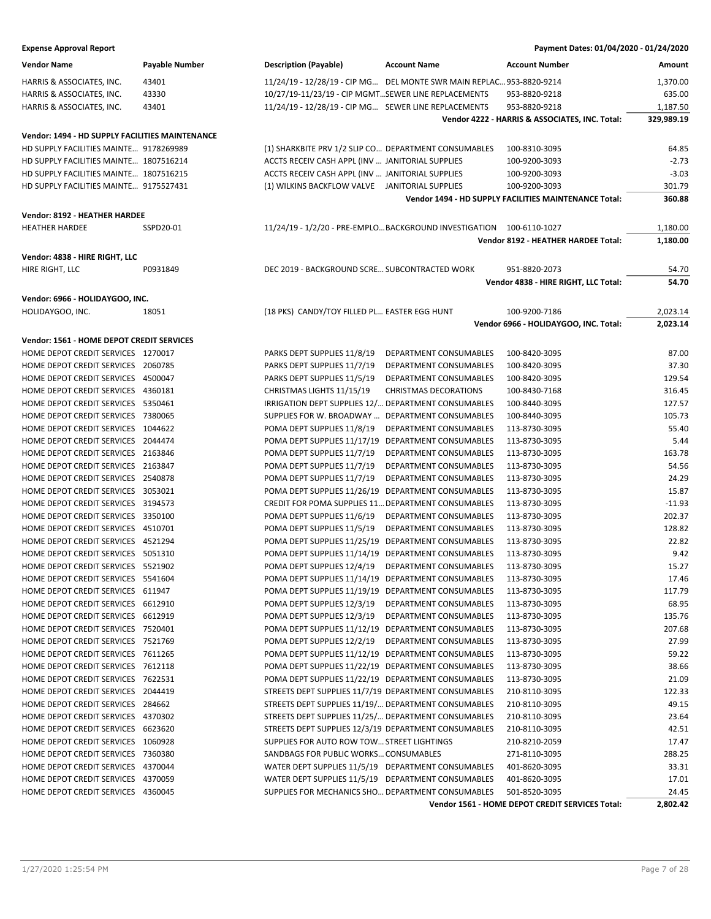| Payment Dates: 01/04/2020 - 01/24/2020 |
|----------------------------------------|
|                                        |

| <b>Vendor Name</b>                              | Payable Number | <b>Description (Payable)</b>                         | <b>Account Name</b>                                                  | <b>Account Number</b>                                        | Amount     |
|-------------------------------------------------|----------------|------------------------------------------------------|----------------------------------------------------------------------|--------------------------------------------------------------|------------|
| HARRIS & ASSOCIATES, INC.                       | 43401          |                                                      | 11/24/19 - 12/28/19 - CIP MG DEL MONTE SWR MAIN REPLAC 953-8820-9214 |                                                              | 1,370.00   |
| HARRIS & ASSOCIATES, INC.                       | 43330          | 10/27/19-11/23/19 - CIP MGMTSEWER LINE REPLACEMENTS  |                                                                      | 953-8820-9218                                                | 635.00     |
| HARRIS & ASSOCIATES, INC.                       | 43401          | 11/24/19 - 12/28/19 - CIP MG SEWER LINE REPLACEMENTS |                                                                      | 953-8820-9218                                                | 1,187.50   |
|                                                 |                |                                                      |                                                                      | Vendor 4222 - HARRIS & ASSOCIATES, INC. Total:               | 329,989.19 |
| Vendor: 1494 - HD SUPPLY FACILITIES MAINTENANCE |                |                                                      |                                                                      |                                                              |            |
| HD SUPPLY FACILITIES MAINTE 9178269989          |                | (1) SHARKBITE PRV 1/2 SLIP CO DEPARTMENT CONSUMABLES |                                                                      | 100-8310-3095                                                | 64.85      |
|                                                 |                |                                                      |                                                                      |                                                              |            |
| HD SUPPLY FACILITIES MAINTE 1807516214          |                | ACCTS RECEIV CASH APPL (INV  JANITORIAL SUPPLIES     |                                                                      | 100-9200-3093                                                | $-2.73$    |
| HD SUPPLY FACILITIES MAINTE 1807516215          |                | ACCTS RECEIV CASH APPL (INV  JANITORIAL SUPPLIES     |                                                                      | 100-9200-3093                                                | $-3.03$    |
| HD SUPPLY FACILITIES MAINTE 9175527431          |                | (1) WILKINS BACKFLOW VALVE JANITORIAL SUPPLIES       |                                                                      | 100-9200-3093                                                | 301.79     |
|                                                 |                |                                                      |                                                                      | <b>Vendor 1494 - HD SUPPLY FACILITIES MAINTENANCE Total:</b> | 360.88     |
| Vendor: 8192 - HEATHER HARDEE                   |                |                                                      |                                                                      |                                                              |            |
| <b>HEATHER HARDEE</b>                           | SSPD20-01      |                                                      | 11/24/19 - 1/2/20 - PRE-EMPLOBACKGROUND INVESTIGATION  100-6110-1027 |                                                              | 1,180.00   |
|                                                 |                |                                                      |                                                                      | Vendor 8192 - HEATHER HARDEE Total:                          | 1,180.00   |
| Vendor: 4838 - HIRE RIGHT, LLC                  |                |                                                      |                                                                      |                                                              |            |
| HIRE RIGHT, LLC                                 | P0931849       | DEC 2019 - BACKGROUND SCRE SUBCONTRACTED WORK        |                                                                      | 951-8820-2073                                                | 54.70      |
|                                                 |                |                                                      |                                                                      | Vendor 4838 - HIRE RIGHT, LLC Total:                         | 54.70      |
| Vendor: 6966 - HOLIDAYGOO, INC.                 |                |                                                      |                                                                      |                                                              |            |
| HOLIDAYGOO, INC.                                | 18051          | (18 PKS) CANDY/TOY FILLED PL EASTER EGG HUNT         |                                                                      | 100-9200-7186                                                | 2,023.14   |
|                                                 |                |                                                      |                                                                      | Vendor 6966 - HOLIDAYGOO, INC. Total:                        | 2,023.14   |
| Vendor: 1561 - HOME DEPOT CREDIT SERVICES       |                |                                                      |                                                                      |                                                              |            |
| HOME DEPOT CREDIT SERVICES 1270017              |                | PARKS DEPT SUPPLIES 11/8/19                          | DEPARTMENT CONSUMABLES                                               | 100-8420-3095                                                | 87.00      |
| HOME DEPOT CREDIT SERVICES 2060785              |                | PARKS DEPT SUPPLIES 11/7/19                          | DEPARTMENT CONSUMABLES                                               | 100-8420-3095                                                | 37.30      |
| HOME DEPOT CREDIT SERVICES 4500047              |                | PARKS DEPT SUPPLIES 11/5/19                          | DEPARTMENT CONSUMABLES                                               | 100-8420-3095                                                | 129.54     |
|                                                 |                |                                                      |                                                                      |                                                              |            |
| HOME DEPOT CREDIT SERVICES 4360181              |                | CHRISTMAS LIGHTS 11/15/19                            | <b>CHRISTMAS DECORATIONS</b>                                         | 100-8430-7168                                                | 316.45     |
| HOME DEPOT CREDIT SERVICES 5350461              |                | IRRIGATION DEPT SUPPLIES 12/ DEPARTMENT CONSUMABLES  |                                                                      | 100-8440-3095                                                | 127.57     |
| HOME DEPOT CREDIT SERVICES 7380065              |                | SUPPLIES FOR W. BROADWAY                             | DEPARTMENT CONSUMABLES                                               | 100-8440-3095                                                | 105.73     |
| HOME DEPOT CREDIT SERVICES 1044622              |                | POMA DEPT SUPPLIES 11/8/19                           | DEPARTMENT CONSUMABLES                                               | 113-8730-3095                                                | 55.40      |
| HOME DEPOT CREDIT SERVICES 2044474              |                | POMA DEPT SUPPLIES 11/17/19                          | DEPARTMENT CONSUMABLES                                               | 113-8730-3095                                                | 5.44       |
| HOME DEPOT CREDIT SERVICES 2163846              |                | POMA DEPT SUPPLIES 11/7/19                           | DEPARTMENT CONSUMABLES                                               | 113-8730-3095                                                | 163.78     |
| HOME DEPOT CREDIT SERVICES 2163847              |                | POMA DEPT SUPPLIES 11/7/19                           | DEPARTMENT CONSUMABLES                                               | 113-8730-3095                                                | 54.56      |
| HOME DEPOT CREDIT SERVICES 2540878              |                | POMA DEPT SUPPLIES 11/7/19                           | DEPARTMENT CONSUMABLES                                               | 113-8730-3095                                                | 24.29      |
| HOME DEPOT CREDIT SERVICES 3053021              |                | POMA DEPT SUPPLIES 11/26/19                          | DEPARTMENT CONSUMABLES                                               | 113-8730-3095                                                | 15.87      |
| HOME DEPOT CREDIT SERVICES 3194573              |                | CREDIT FOR POMA SUPPLIES 11 DEPARTMENT CONSUMABLES   |                                                                      | 113-8730-3095                                                | $-11.93$   |
| HOME DEPOT CREDIT SERVICES 3350100              |                | POMA DEPT SUPPLIES 11/6/19                           | DEPARTMENT CONSUMABLES                                               | 113-8730-3095                                                | 202.37     |
| HOME DEPOT CREDIT SERVICES 4510701              |                | POMA DEPT SUPPLIES 11/5/19                           | DEPARTMENT CONSUMABLES                                               | 113-8730-3095                                                | 128.82     |
| HOME DEPOT CREDIT SERVICES 4521294              |                | POMA DEPT SUPPLIES 11/25/19                          | DEPARTMENT CONSUMABLES                                               | 113-8730-3095                                                | 22.82      |
| HOME DEPOT CREDIT SERVICES 5051310              |                | POMA DEPT SUPPLIES 11/14/19                          | DEPARTMENT CONSUMABLES                                               | 113-8730-3095                                                | 9.42       |
| HOME DEPOT CREDIT SERVICES 5521902              |                | POMA DEPT SUPPLIES 12/4/19                           | DEPARTMENT CONSUMABLES                                               | 113-8730-3095                                                | 15.27      |
| HOME DEPOT CREDIT SERVICES 5541604              |                | POMA DEPT SUPPLIES 11/14/19                          | DEPARTMENT CONSUMABLES                                               | 113-8730-3095                                                | 17.46      |
| HOME DEPOT CREDIT SERVICES 611947               |                | POMA DEPT SUPPLIES 11/19/19 DEPARTMENT CONSUMABLES   |                                                                      | 113-8730-3095                                                | 117.79     |
| HOME DEPOT CREDIT SERVICES 6612910              |                | POMA DEPT SUPPLIES 12/3/19                           | DEPARTMENT CONSUMABLES                                               | 113-8730-3095                                                | 68.95      |
| HOME DEPOT CREDIT SERVICES 6612919              |                | POMA DEPT SUPPLIES 12/3/19                           | DEPARTMENT CONSUMABLES                                               | 113-8730-3095                                                | 135.76     |
| HOME DEPOT CREDIT SERVICES 7520401              |                | POMA DEPT SUPPLIES 11/12/19 DEPARTMENT CONSUMABLES   |                                                                      | 113-8730-3095                                                | 207.68     |
| HOME DEPOT CREDIT SERVICES 7521769              |                | POMA DEPT SUPPLIES 12/2/19                           | DEPARTMENT CONSUMABLES                                               | 113-8730-3095                                                | 27.99      |
| HOME DEPOT CREDIT SERVICES 7611265              |                | POMA DEPT SUPPLIES 11/12/19 DEPARTMENT CONSUMABLES   |                                                                      | 113-8730-3095                                                | 59.22      |
| HOME DEPOT CREDIT SERVICES 7612118              |                | POMA DEPT SUPPLIES 11/22/19 DEPARTMENT CONSUMABLES   |                                                                      | 113-8730-3095                                                | 38.66      |
| HOME DEPOT CREDIT SERVICES 7622531              |                | POMA DEPT SUPPLIES 11/22/19 DEPARTMENT CONSUMABLES   |                                                                      | 113-8730-3095                                                | 21.09      |
| HOME DEPOT CREDIT SERVICES 2044419              |                | STREETS DEPT SUPPLIES 11/7/19 DEPARTMENT CONSUMABLES |                                                                      | 210-8110-3095                                                | 122.33     |
| HOME DEPOT CREDIT SERVICES 284662               |                | STREETS DEPT SUPPLIES 11/19/ DEPARTMENT CONSUMABLES  |                                                                      | 210-8110-3095                                                | 49.15      |
| HOME DEPOT CREDIT SERVICES 4370302              |                | STREETS DEPT SUPPLIES 11/25/ DEPARTMENT CONSUMABLES  |                                                                      | 210-8110-3095                                                | 23.64      |
| HOME DEPOT CREDIT SERVICES 6623620              |                | STREETS DEPT SUPPLIES 12/3/19 DEPARTMENT CONSUMABLES |                                                                      | 210-8110-3095                                                | 42.51      |
| HOME DEPOT CREDIT SERVICES 1060928              |                | SUPPLIES FOR AUTO ROW TOW STREET LIGHTINGS           |                                                                      | 210-8210-2059                                                | 17.47      |
| HOME DEPOT CREDIT SERVICES 7360380              |                | SANDBAGS FOR PUBLIC WORKS CONSUMABLES                |                                                                      | 271-8110-3095                                                | 288.25     |
| HOME DEPOT CREDIT SERVICES 4370044              |                | WATER DEPT SUPPLIES 11/5/19 DEPARTMENT CONSUMABLES   |                                                                      | 401-8620-3095                                                | 33.31      |
| HOME DEPOT CREDIT SERVICES 4370059              |                | WATER DEPT SUPPLIES 11/5/19 DEPARTMENT CONSUMABLES   |                                                                      | 401-8620-3095                                                | 17.01      |
| HOME DEPOT CREDIT SERVICES 4360045              |                | SUPPLIES FOR MECHANICS SHO DEPARTMENT CONSUMABLES    |                                                                      | 501-8520-3095                                                | 24.45      |
|                                                 |                |                                                      |                                                                      | Vendor 1561 - HOME DEPOT CREDIT SERVICES Total:              | 2,802.42   |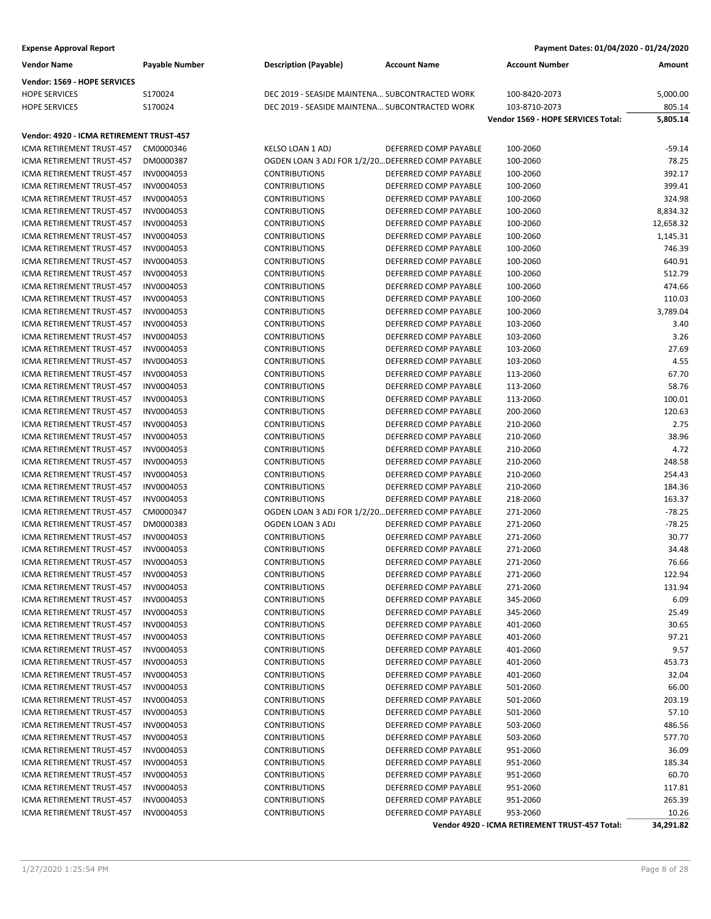| <b>Expense Approval Report</b>                                |                          |                                                   |                                                | Payment Dates: 01/04/2020 - 01/24/2020         |                    |
|---------------------------------------------------------------|--------------------------|---------------------------------------------------|------------------------------------------------|------------------------------------------------|--------------------|
| <b>Vendor Name</b>                                            | <b>Payable Number</b>    | <b>Description (Payable)</b>                      | <b>Account Name</b>                            | <b>Account Number</b>                          | Amount             |
| Vendor: 1569 - HOPE SERVICES                                  |                          |                                                   |                                                |                                                |                    |
| <b>HOPE SERVICES</b>                                          | S170024                  | DEC 2019 - SEASIDE MAINTENA SUBCONTRACTED WORK    |                                                | 100-8420-2073                                  | 5,000.00           |
| <b>HOPE SERVICES</b>                                          | S170024                  | DEC 2019 - SEASIDE MAINTENA SUBCONTRACTED WORK    |                                                | 103-8710-2073                                  | 805.14             |
|                                                               |                          |                                                   |                                                | Vendor 1569 - HOPE SERVICES Total:             | 5,805.14           |
|                                                               |                          |                                                   |                                                |                                                |                    |
| Vendor: 4920 - ICMA RETIREMENT TRUST-457                      |                          |                                                   |                                                |                                                |                    |
| ICMA RETIREMENT TRUST-457                                     | CM0000346                | KELSO LOAN 1 ADJ                                  | DEFERRED COMP PAYABLE                          | 100-2060                                       | $-59.14$           |
| ICMA RETIREMENT TRUST-457<br><b>ICMA RETIREMENT TRUST-457</b> | DM0000387                | OGDEN LOAN 3 ADJ FOR 1/2/20 DEFERRED COMP PAYABLE | DEFERRED COMP PAYABLE                          | 100-2060                                       | 78.25              |
|                                                               | INV0004053<br>INV0004053 | <b>CONTRIBUTIONS</b>                              | DEFERRED COMP PAYABLE                          | 100-2060                                       | 392.17<br>399.41   |
| ICMA RETIREMENT TRUST-457                                     |                          | <b>CONTRIBUTIONS</b>                              | DEFERRED COMP PAYABLE                          | 100-2060                                       |                    |
| ICMA RETIREMENT TRUST-457                                     | INV0004053               | <b>CONTRIBUTIONS</b>                              | DEFERRED COMP PAYABLE                          | 100-2060                                       | 324.98             |
| ICMA RETIREMENT TRUST-457<br>ICMA RETIREMENT TRUST-457        | INV0004053<br>INV0004053 | <b>CONTRIBUTIONS</b>                              | DEFERRED COMP PAYABLE                          | 100-2060<br>100-2060                           | 8,834.32           |
|                                                               |                          | <b>CONTRIBUTIONS</b>                              |                                                |                                                | 12,658.32          |
| ICMA RETIREMENT TRUST-457<br>ICMA RETIREMENT TRUST-457        | INV0004053<br>INV0004053 | <b>CONTRIBUTIONS</b><br><b>CONTRIBUTIONS</b>      | DEFERRED COMP PAYABLE<br>DEFERRED COMP PAYABLE | 100-2060<br>100-2060                           | 1,145.31<br>746.39 |
| <b>ICMA RETIREMENT TRUST-457</b>                              |                          |                                                   |                                                |                                                | 640.91             |
|                                                               | INV0004053               | <b>CONTRIBUTIONS</b><br><b>CONTRIBUTIONS</b>      | DEFERRED COMP PAYABLE<br>DEFERRED COMP PAYABLE | 100-2060                                       |                    |
| ICMA RETIREMENT TRUST-457                                     | INV0004053               |                                                   | DEFERRED COMP PAYABLE                          | 100-2060                                       | 512.79             |
| ICMA RETIREMENT TRUST-457                                     | INV0004053               | <b>CONTRIBUTIONS</b>                              |                                                | 100-2060                                       | 474.66             |
| ICMA RETIREMENT TRUST-457                                     | INV0004053               | <b>CONTRIBUTIONS</b>                              | DEFERRED COMP PAYABLE                          | 100-2060                                       | 110.03             |
| ICMA RETIREMENT TRUST-457                                     | INV0004053               | <b>CONTRIBUTIONS</b>                              | DEFERRED COMP PAYABLE                          | 100-2060                                       | 3,789.04           |
| <b>ICMA RETIREMENT TRUST-457</b>                              | INV0004053               | <b>CONTRIBUTIONS</b>                              | DEFERRED COMP PAYABLE                          | 103-2060                                       | 3.40               |
| ICMA RETIREMENT TRUST-457                                     | INV0004053               | <b>CONTRIBUTIONS</b>                              | DEFERRED COMP PAYABLE                          | 103-2060                                       | 3.26               |
| ICMA RETIREMENT TRUST-457                                     | INV0004053               | <b>CONTRIBUTIONS</b>                              | DEFERRED COMP PAYABLE                          | 103-2060                                       | 27.69              |
| ICMA RETIREMENT TRUST-457                                     | INV0004053               | <b>CONTRIBUTIONS</b>                              | DEFERRED COMP PAYABLE                          | 103-2060                                       | 4.55               |
| ICMA RETIREMENT TRUST-457                                     | INV0004053               | <b>CONTRIBUTIONS</b>                              | DEFERRED COMP PAYABLE                          | 113-2060                                       | 67.70              |
| ICMA RETIREMENT TRUST-457                                     | INV0004053               | <b>CONTRIBUTIONS</b>                              | DEFERRED COMP PAYABLE                          | 113-2060                                       | 58.76              |
| ICMA RETIREMENT TRUST-457                                     | INV0004053               | <b>CONTRIBUTIONS</b>                              | DEFERRED COMP PAYABLE                          | 113-2060                                       | 100.01             |
| ICMA RETIREMENT TRUST-457                                     | INV0004053               | <b>CONTRIBUTIONS</b>                              | DEFERRED COMP PAYABLE                          | 200-2060                                       | 120.63             |
| ICMA RETIREMENT TRUST-457                                     | INV0004053               | <b>CONTRIBUTIONS</b>                              | DEFERRED COMP PAYABLE                          | 210-2060                                       | 2.75               |
| ICMA RETIREMENT TRUST-457                                     | INV0004053               | <b>CONTRIBUTIONS</b>                              | DEFERRED COMP PAYABLE                          | 210-2060                                       | 38.96              |
| ICMA RETIREMENT TRUST-457                                     | INV0004053               | <b>CONTRIBUTIONS</b>                              | DEFERRED COMP PAYABLE                          | 210-2060                                       | 4.72               |
| ICMA RETIREMENT TRUST-457                                     | INV0004053               | <b>CONTRIBUTIONS</b>                              | DEFERRED COMP PAYABLE                          | 210-2060                                       | 248.58             |
| ICMA RETIREMENT TRUST-457                                     | INV0004053               | <b>CONTRIBUTIONS</b>                              | DEFERRED COMP PAYABLE                          | 210-2060                                       | 254.43             |
| ICMA RETIREMENT TRUST-457                                     | INV0004053               | <b>CONTRIBUTIONS</b>                              | DEFERRED COMP PAYABLE                          | 210-2060                                       | 184.36             |
| ICMA RETIREMENT TRUST-457                                     | INV0004053               | <b>CONTRIBUTIONS</b>                              | DEFERRED COMP PAYABLE                          | 218-2060                                       | 163.37             |
| ICMA RETIREMENT TRUST-457                                     | CM0000347                | OGDEN LOAN 3 ADJ FOR 1/2/20 DEFERRED COMP PAYABLE |                                                | 271-2060                                       | $-78.25$           |
| ICMA RETIREMENT TRUST-457                                     | DM0000383                | OGDEN LOAN 3 ADJ                                  | DEFERRED COMP PAYABLE                          | 271-2060                                       | $-78.25$           |
| ICMA RETIREMENT TRUST-457                                     | INV0004053               | <b>CONTRIBUTIONS</b>                              | DEFERRED COMP PAYABLE                          | 271-2060                                       | 30.77              |
| ICMA RETIREMENT TRUST-457                                     | INV0004053               | <b>CONTRIBUTIONS</b>                              | DEFERRED COMP PAYABLE                          | 271-2060                                       | 34.48              |
| ICMA RETIREMENT TRUST-457                                     | INV0004053               | <b>CONTRIBUTIONS</b>                              | DEFERRED COMP PAYABLE                          | 271-2060                                       | 76.66              |
| ICMA RETIREMENT TRUST-457                                     | INV0004053               | <b>CONTRIBUTIONS</b>                              | DEFERRED COMP PAYABLE                          | 271-2060                                       | 122.94             |
| ICMA RETIREMENT TRUST-457                                     | INV0004053               | <b>CONTRIBUTIONS</b>                              | DEFERRED COMP PAYABLE                          | 271-2060                                       | 131.94             |
| ICMA RETIREMENT TRUST-457                                     | INV0004053               | <b>CONTRIBUTIONS</b>                              | DEFERRED COMP PAYABLE                          | 345-2060                                       | 6.09               |
| ICMA RETIREMENT TRUST-457                                     | INV0004053               | <b>CONTRIBUTIONS</b>                              | DEFERRED COMP PAYABLE                          | 345-2060                                       | 25.49              |
| ICMA RETIREMENT TRUST-457                                     | INV0004053               | <b>CONTRIBUTIONS</b>                              | DEFERRED COMP PAYABLE                          | 401-2060                                       | 30.65              |
| ICMA RETIREMENT TRUST-457                                     | INV0004053               | <b>CONTRIBUTIONS</b>                              | DEFERRED COMP PAYABLE                          | 401-2060                                       | 97.21              |
| ICMA RETIREMENT TRUST-457                                     | INV0004053               | <b>CONTRIBUTIONS</b>                              | DEFERRED COMP PAYABLE                          | 401-2060                                       | 9.57               |
| ICMA RETIREMENT TRUST-457                                     | INV0004053               | <b>CONTRIBUTIONS</b>                              | DEFERRED COMP PAYABLE                          | 401-2060                                       | 453.73             |
| ICMA RETIREMENT TRUST-457                                     | INV0004053               | <b>CONTRIBUTIONS</b>                              | DEFERRED COMP PAYABLE                          | 401-2060                                       | 32.04              |
| ICMA RETIREMENT TRUST-457                                     | INV0004053               | <b>CONTRIBUTIONS</b>                              | DEFERRED COMP PAYABLE                          | 501-2060                                       | 66.00              |
| ICMA RETIREMENT TRUST-457                                     | INV0004053               | <b>CONTRIBUTIONS</b>                              | DEFERRED COMP PAYABLE                          | 501-2060                                       | 203.19             |
| ICMA RETIREMENT TRUST-457                                     | INV0004053               | <b>CONTRIBUTIONS</b>                              | DEFERRED COMP PAYABLE                          | 501-2060                                       | 57.10              |
| ICMA RETIREMENT TRUST-457                                     | INV0004053               | <b>CONTRIBUTIONS</b>                              | DEFERRED COMP PAYABLE                          | 503-2060                                       | 486.56             |
| ICMA RETIREMENT TRUST-457                                     | INV0004053               | <b>CONTRIBUTIONS</b>                              | DEFERRED COMP PAYABLE                          | 503-2060                                       | 577.70             |
| ICMA RETIREMENT TRUST-457                                     | INV0004053               | <b>CONTRIBUTIONS</b>                              | DEFERRED COMP PAYABLE                          | 951-2060                                       | 36.09              |
| ICMA RETIREMENT TRUST-457                                     | INV0004053               | <b>CONTRIBUTIONS</b>                              | DEFERRED COMP PAYABLE                          | 951-2060                                       | 185.34             |
| ICMA RETIREMENT TRUST-457                                     | INV0004053               | <b>CONTRIBUTIONS</b>                              | DEFERRED COMP PAYABLE                          | 951-2060                                       | 60.70              |
| ICMA RETIREMENT TRUST-457                                     | INV0004053               | <b>CONTRIBUTIONS</b>                              | DEFERRED COMP PAYABLE                          | 951-2060                                       | 117.81             |
| ICMA RETIREMENT TRUST-457                                     | INV0004053               | <b>CONTRIBUTIONS</b>                              | DEFERRED COMP PAYABLE                          | 951-2060                                       | 265.39             |
| ICMA RETIREMENT TRUST-457                                     | INV0004053               | <b>CONTRIBUTIONS</b>                              | DEFERRED COMP PAYABLE                          | 953-2060                                       | 10.26              |
|                                                               |                          |                                                   |                                                | Vendor 4920 - ICMA RETIREMENT TRUST-457 Total: | 34,291.82          |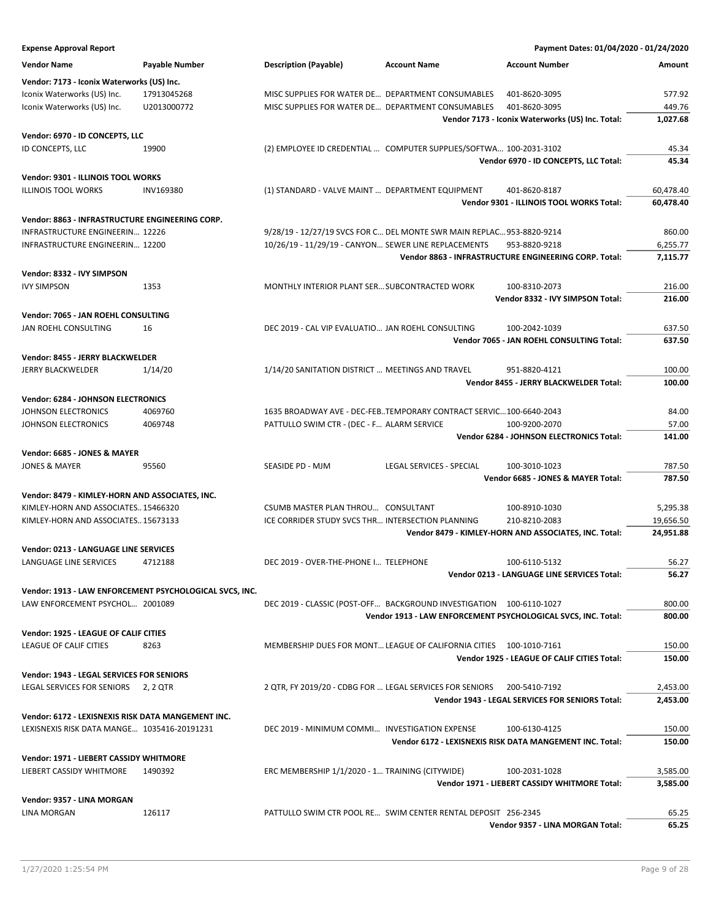| <b>Expense Approval Report</b>                     |                                                         |                                                                       |                          | Payment Dates: 01/04/2020 - 01/24/2020                        |                        |
|----------------------------------------------------|---------------------------------------------------------|-----------------------------------------------------------------------|--------------------------|---------------------------------------------------------------|------------------------|
| <b>Vendor Name</b>                                 | Payable Number                                          | <b>Description (Payable)</b>                                          | <b>Account Name</b>      | <b>Account Number</b>                                         | Amount                 |
| Vendor: 7173 - Iconix Waterworks (US) Inc.         |                                                         |                                                                       |                          |                                                               |                        |
| Iconix Waterworks (US) Inc.                        | 17913045268                                             | MISC SUPPLIES FOR WATER DE DEPARTMENT CONSUMABLES                     |                          | 401-8620-3095                                                 | 577.92                 |
| Iconix Waterworks (US) Inc.                        | U2013000772                                             | MISC SUPPLIES FOR WATER DE DEPARTMENT CONSUMABLES                     |                          | 401-8620-3095                                                 | 449.76                 |
|                                                    |                                                         |                                                                       |                          | Vendor 7173 - Iconix Waterworks (US) Inc. Total:              | 1,027.68               |
|                                                    |                                                         |                                                                       |                          |                                                               |                        |
| Vendor: 6970 - ID CONCEPTS, LLC                    |                                                         |                                                                       |                          |                                                               |                        |
| ID CONCEPTS, LLC                                   | 19900                                                   | (2) EMPLOYEE ID CREDENTIAL  COMPUTER SUPPLIES/SOFTWA 100-2031-3102    |                          |                                                               | 45.34                  |
|                                                    |                                                         |                                                                       |                          | Vendor 6970 - ID CONCEPTS, LLC Total:                         | 45.34                  |
| Vendor: 9301 - ILLINOIS TOOL WORKS                 |                                                         |                                                                       |                          |                                                               |                        |
| <b>ILLINOIS TOOL WORKS</b>                         | <b>INV169380</b>                                        | (1) STANDARD - VALVE MAINT  DEPARTMENT EQUIPMENT                      |                          | 401-8620-8187                                                 | 60,478.40              |
|                                                    |                                                         |                                                                       |                          | Vendor 9301 - ILLINOIS TOOL WORKS Total:                      | 60,478.40              |
| Vendor: 8863 - INFRASTRUCTURE ENGINEERING CORP.    |                                                         |                                                                       |                          |                                                               |                        |
| INFRASTRUCTURE ENGINEERIN 12226                    |                                                         | 9/28/19 - 12/27/19 SVCS FOR C DEL MONTE SWR MAIN REPLAC 953-8820-9214 |                          |                                                               | 860.00                 |
| INFRASTRUCTURE ENGINEERIN 12200                    |                                                         | 10/26/19 - 11/29/19 - CANYON SEWER LINE REPLACEMENTS                  |                          | 953-8820-9218                                                 | 6,255.77               |
|                                                    |                                                         |                                                                       |                          | Vendor 8863 - INFRASTRUCTURE ENGINEERING CORP. Total:         | 7,115.77               |
| Vendor: 8332 - IVY SIMPSON                         |                                                         |                                                                       |                          |                                                               |                        |
| <b>IVY SIMPSON</b>                                 | 1353                                                    | MONTHLY INTERIOR PLANT SER SUBCONTRACTED WORK                         |                          | 100-8310-2073                                                 | 216.00                 |
|                                                    |                                                         |                                                                       |                          | Vendor 8332 - IVY SIMPSON Total:                              | 216.00                 |
|                                                    |                                                         |                                                                       |                          |                                                               |                        |
| Vendor: 7065 - JAN ROEHL CONSULTING                |                                                         |                                                                       |                          |                                                               |                        |
| JAN ROEHL CONSULTING                               | 16                                                      | DEC 2019 - CAL VIP EVALUATIO JAN ROEHL CONSULTING                     |                          | 100-2042-1039                                                 | 637.50                 |
|                                                    |                                                         |                                                                       |                          | Vendor 7065 - JAN ROEHL CONSULTING Total:                     | 637.50                 |
| Vendor: 8455 - JERRY BLACKWELDER                   |                                                         |                                                                       |                          |                                                               |                        |
| <b>JERRY BLACKWELDER</b>                           | 1/14/20                                                 | 1/14/20 SANITATION DISTRICT  MEETINGS AND TRAVEL                      |                          | 951-8820-4121                                                 | 100.00                 |
|                                                    |                                                         |                                                                       |                          | Vendor 8455 - JERRY BLACKWELDER Total:                        | 100.00                 |
| <b>Vendor: 6284 - JOHNSON ELECTRONICS</b>          |                                                         |                                                                       |                          |                                                               |                        |
| JOHNSON ELECTRONICS                                | 4069760                                                 | 1635 BROADWAY AVE - DEC-FEB. TEMPORARY CONTRACT SERVIC 100-6640-2043  |                          |                                                               | 84.00                  |
| JOHNSON ELECTRONICS                                | 4069748                                                 | PATTULLO SWIM CTR - (DEC - F ALARM SERVICE                            |                          | 100-9200-2070                                                 | 57.00                  |
|                                                    |                                                         |                                                                       |                          | Vendor 6284 - JOHNSON ELECTRONICS Total:                      | 141.00                 |
| Vendor: 6685 - JONES & MAYER                       |                                                         |                                                                       |                          |                                                               |                        |
| <b>JONES &amp; MAYER</b>                           | 95560                                                   | SEASIDE PD - MJM                                                      | LEGAL SERVICES - SPECIAL | 100-3010-1023                                                 | 787.50                 |
|                                                    |                                                         |                                                                       |                          | Vendor 6685 - JONES & MAYER Total:                            | 787.50                 |
|                                                    |                                                         |                                                                       |                          |                                                               |                        |
| Vendor: 8479 - KIMLEY-HORN AND ASSOCIATES, INC.    |                                                         |                                                                       |                          |                                                               |                        |
| KIMLEY-HORN AND ASSOCIATES15466320                 |                                                         | CSUMB MASTER PLAN THROU CONSULTANT                                    |                          | 100-8910-1030                                                 | 5,295.38               |
| KIMLEY-HORN AND ASSOCIATES15673133                 |                                                         | ICE CORRIDER STUDY SVCS THR INTERSECTION PLANNING                     |                          | 210-8210-2083                                                 | 19,656.50<br>24,951.88 |
|                                                    |                                                         |                                                                       |                          | Vendor 8479 - KIMLEY-HORN AND ASSOCIATES, INC. Total:         |                        |
| Vendor: 0213 - LANGUAGE LINE SERVICES              |                                                         |                                                                       |                          |                                                               |                        |
| LANGUAGE LINE SERVICES                             | 4712188                                                 | DEC 2019 - OVER-THE-PHONE I TELEPHONE                                 |                          | 100-6110-5132                                                 | 56.27                  |
|                                                    |                                                         |                                                                       |                          | <b>Vendor 0213 - LANGUAGE LINE SERVICES Total:</b>            | 56.27                  |
|                                                    | Vendor: 1913 - LAW ENFORCEMENT PSYCHOLOGICAL SVCS, INC. |                                                                       |                          |                                                               |                        |
| LAW ENFORCEMENT PSYCHOL 2001089                    |                                                         | DEC 2019 - CLASSIC (POST-OFF BACKGROUND INVESTIGATION 100-6110-1027   |                          |                                                               | 800.00                 |
|                                                    |                                                         |                                                                       |                          | Vendor 1913 - LAW ENFORCEMENT PSYCHOLOGICAL SVCS, INC. Total: | 800.00                 |
| Vendor: 1925 - LEAGUE OF CALIF CITIES              |                                                         |                                                                       |                          |                                                               |                        |
| LEAGUE OF CALIF CITIES                             | 8263                                                    | MEMBERSHIP DUES FOR MONT LEAGUE OF CALIFORNIA CITIES 100-1010-7161    |                          |                                                               | 150.00                 |
|                                                    |                                                         |                                                                       |                          | Vendor 1925 - LEAGUE OF CALIF CITIES Total:                   | 150.00                 |
| Vendor: 1943 - LEGAL SERVICES FOR SENIORS          |                                                         |                                                                       |                          |                                                               |                        |
| LEGAL SERVICES FOR SENIORS 2, 2 QTR                |                                                         | 2 QTR, FY 2019/20 - CDBG FOR  LEGAL SERVICES FOR SENIORS              |                          | 200-5410-7192                                                 | 2,453.00               |
|                                                    |                                                         |                                                                       |                          | Vendor 1943 - LEGAL SERVICES FOR SENIORS Total:               | 2,453.00               |
|                                                    |                                                         |                                                                       |                          |                                                               |                        |
| Vendor: 6172 - LEXISNEXIS RISK DATA MANGEMENT INC. |                                                         |                                                                       |                          |                                                               |                        |
| LEXISNEXIS RISK DATA MANGE 1035416-20191231        |                                                         | DEC 2019 - MINIMUM COMMI INVESTIGATION EXPENSE                        |                          | 100-6130-4125                                                 | 150.00                 |
|                                                    |                                                         |                                                                       |                          | Vendor 6172 - LEXISNEXIS RISK DATA MANGEMENT INC. Total:      | 150.00                 |
| Vendor: 1971 - LIEBERT CASSIDY WHITMORE            |                                                         |                                                                       |                          |                                                               |                        |
| LIEBERT CASSIDY WHITMORE                           | 1490392                                                 | ERC MEMBERSHIP 1/1/2020 - 1 TRAINING (CITYWIDE)                       |                          | 100-2031-1028                                                 | 3,585.00               |
|                                                    |                                                         |                                                                       |                          | Vendor 1971 - LIEBERT CASSIDY WHITMORE Total:                 | 3,585.00               |
| Vendor: 9357 - LINA MORGAN                         |                                                         |                                                                       |                          |                                                               |                        |
| LINA MORGAN                                        | 126117                                                  | PATTULLO SWIM CTR POOL RE SWIM CENTER RENTAL DEPOSIT 256-2345         |                          |                                                               | 65.25                  |
|                                                    |                                                         |                                                                       |                          | Vendor 9357 - LINA MORGAN Total:                              | 65.25                  |
|                                                    |                                                         |                                                                       |                          |                                                               |                        |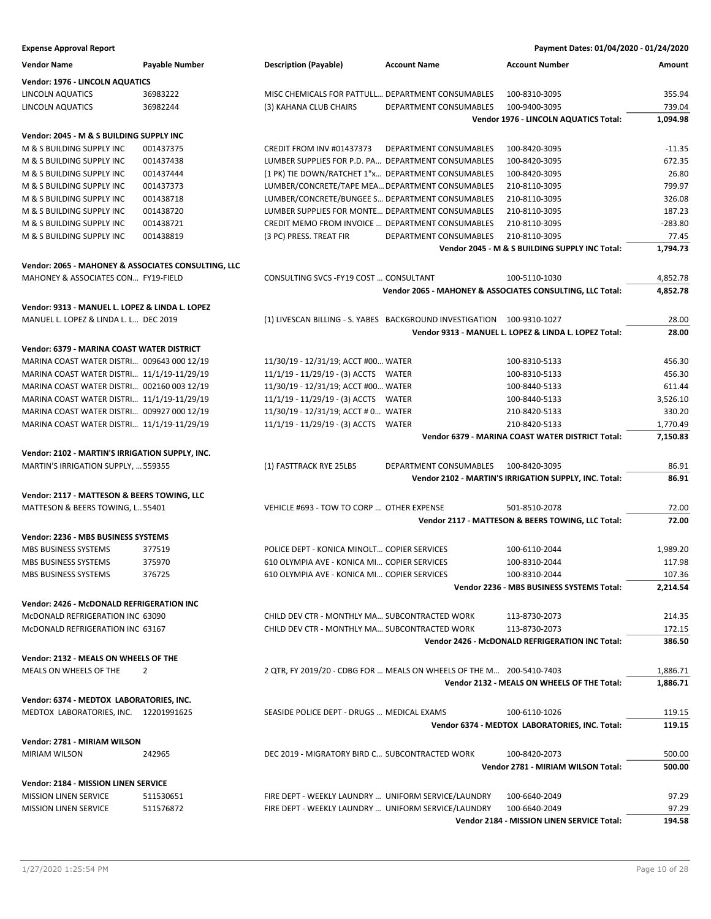| <b>Expense Approval Report</b>                      |                |                                                                        |                        | Payment Dates: 01/04/2020 - 01/24/2020                    |           |
|-----------------------------------------------------|----------------|------------------------------------------------------------------------|------------------------|-----------------------------------------------------------|-----------|
| Vendor Name                                         | Payable Number | <b>Description (Payable)</b>                                           | <b>Account Name</b>    | <b>Account Number</b>                                     | Amount    |
| Vendor: 1976 - LINCOLN AQUATICS                     |                |                                                                        |                        |                                                           |           |
| LINCOLN AQUATICS                                    | 36983222       | MISC CHEMICALS FOR PATTULL DEPARTMENT CONSUMABLES                      |                        | 100-8310-3095                                             | 355.94    |
| LINCOLN AQUATICS                                    | 36982244       | (3) KAHANA CLUB CHAIRS                                                 | DEPARTMENT CONSUMABLES | 100-9400-3095                                             | 739.04    |
|                                                     |                |                                                                        |                        | Vendor 1976 - LINCOLN AQUATICS Total:                     | 1,094.98  |
| Vendor: 2045 - M & S BUILDING SUPPLY INC            |                |                                                                        |                        |                                                           |           |
| M & S BUILDING SUPPLY INC                           | 001437375      | CREDIT FROM INV #01437373                                              | DEPARTMENT CONSUMABLES | 100-8420-3095                                             | $-11.35$  |
| M & S BUILDING SUPPLY INC                           | 001437438      | LUMBER SUPPLIES FOR P.D. PA DEPARTMENT CONSUMABLES                     |                        | 100-8420-3095                                             | 672.35    |
| M & S BUILDING SUPPLY INC                           | 001437444      | (1 PK) TIE DOWN/RATCHET 1"x DEPARTMENT CONSUMABLES                     |                        | 100-8420-3095                                             | 26.80     |
| M & S BUILDING SUPPLY INC                           | 001437373      | LUMBER/CONCRETE/TAPE MEA DEPARTMENT CONSUMABLES                        |                        | 210-8110-3095                                             | 799.97    |
| M & S BUILDING SUPPLY INC                           | 001438718      | LUMBER/CONCRETE/BUNGEE S DEPARTMENT CONSUMABLES                        |                        | 210-8110-3095                                             | 326.08    |
| M & S BUILDING SUPPLY INC                           | 001438720      | LUMBER SUPPLIES FOR MONTE DEPARTMENT CONSUMABLES                       |                        | 210-8110-3095                                             | 187.23    |
| M & S BUILDING SUPPLY INC                           | 001438721      | CREDIT MEMO FROM INVOICE  DEPARTMENT CONSUMABLES                       |                        | 210-8110-3095                                             | $-283.80$ |
| M & S BUILDING SUPPLY INC                           | 001438819      | (3 PC) PRESS. TREAT FIR                                                | DEPARTMENT CONSUMABLES | 210-8110-3095                                             | 77.45     |
|                                                     |                |                                                                        |                        | Vendor 2045 - M & S BUILDING SUPPLY INC Total:            | 1,794.73  |
| Vendor: 2065 - MAHONEY & ASSOCIATES CONSULTING, LLC |                |                                                                        |                        |                                                           |           |
| MAHONEY & ASSOCIATES CON FY19-FIELD                 |                | CONSULTING SVCS - FY19 COST  CONSULTANT                                |                        | 100-5110-1030                                             | 4,852.78  |
|                                                     |                |                                                                        |                        | Vendor 2065 - MAHONEY & ASSOCIATES CONSULTING, LLC Total: | 4,852.78  |
| Vendor: 9313 - MANUEL L. LOPEZ & LINDA L. LOPEZ     |                |                                                                        |                        |                                                           |           |
| MANUEL L. LOPEZ & LINDA L. L DEC 2019               |                | (1) LIVESCAN BILLING - S. YABES BACKGROUND INVESTIGATION 100-9310-1027 |                        |                                                           | 28.00     |
|                                                     |                |                                                                        |                        | Vendor 9313 - MANUEL L. LOPEZ & LINDA L. LOPEZ Total:     | 28.00     |
| Vendor: 6379 - MARINA COAST WATER DISTRICT          |                |                                                                        |                        |                                                           |           |
| MARINA COAST WATER DISTRI 009643 000 12/19          |                | 11/30/19 - 12/31/19; ACCT #00 WATER                                    |                        | 100-8310-5133                                             | 456.30    |
| MARINA COAST WATER DISTRI 11/1/19-11/29/19          |                | 11/1/19 - 11/29/19 - (3) ACCTS WATER                                   |                        | 100-8310-5133                                             | 456.30    |
| MARINA COAST WATER DISTRI 002160 003 12/19          |                | 11/30/19 - 12/31/19; ACCT #00 WATER                                    |                        | 100-8440-5133                                             | 611.44    |
| MARINA COAST WATER DISTRI 11/1/19-11/29/19          |                | 11/1/19 - 11/29/19 - (3) ACCTS WATER                                   |                        | 100-8440-5133                                             | 3,526.10  |
| MARINA COAST WATER DISTRI 009927 000 12/19          |                | 11/30/19 - 12/31/19; ACCT # 0 WATER                                    |                        | 210-8420-5133                                             | 330.20    |
| MARINA COAST WATER DISTRI 11/1/19-11/29/19          |                | 11/1/19 - 11/29/19 - (3) ACCTS WATER                                   |                        | 210-8420-5133                                             | 1,770.49  |
|                                                     |                |                                                                        |                        | Vendor 6379 - MARINA COAST WATER DISTRICT Total:          | 7,150.83  |
| Vendor: 2102 - MARTIN'S IRRIGATION SUPPLY, INC.     |                |                                                                        |                        |                                                           |           |
| MARTIN'S IRRIGATION SUPPLY,  559355                 |                | (1) FASTTRACK RYE 25LBS                                                | DEPARTMENT CONSUMABLES | 100-8420-3095                                             | 86.91     |
|                                                     |                |                                                                        |                        | Vendor 2102 - MARTIN'S IRRIGATION SUPPLY, INC. Total:     | 86.91     |
| Vendor: 2117 - MATTESON & BEERS TOWING, LLC         |                |                                                                        |                        |                                                           |           |
| MATTESON & BEERS TOWING, L55401                     |                | VEHICLE #693 - TOW TO CORP  OTHER EXPENSE                              |                        | 501-8510-2078                                             | 72.00     |
|                                                     |                |                                                                        |                        | Vendor 2117 - MATTESON & BEERS TOWING, LLC Total:         | 72.00     |
| Vendor: 2236 - MBS BUSINESS SYSTEMS                 |                |                                                                        |                        |                                                           |           |
| MBS BUSINESS SYSTEMS                                | 377519         | POLICE DEPT - KONICA MINOLT COPIER SERVICES                            |                        | 100-6110-2044                                             | 1,989.20  |
| MBS BUSINESS SYSTEMS                                | 375970         | 610 OLYMPIA AVE - KONICA MI COPIER SERVICES                            |                        | 100-8310-2044                                             | 117.98    |
| MBS BUSINESS SYSTEMS                                | 376725         | 610 OLYMPIA AVE - KONICA MI COPIER SERVICES                            |                        | 100-8310-2044                                             | 107.36    |
|                                                     |                |                                                                        |                        | Vendor 2236 - MBS BUSINESS SYSTEMS Total:                 | 2,214.54  |
| Vendor: 2426 - McDONALD REFRIGERATION INC           |                |                                                                        |                        |                                                           |           |
| McDONALD REFRIGERATION INC 63090                    |                | CHILD DEV CTR - MONTHLY MA SUBCONTRACTED WORK                          |                        | 113-8730-2073                                             | 214.35    |
| McDONALD REFRIGERATION INC 63167                    |                | CHILD DEV CTR - MONTHLY MA SUBCONTRACTED WORK                          |                        | 113-8730-2073                                             | 172.15    |
|                                                     |                |                                                                        |                        | Vendor 2426 - McDONALD REFRIGERATION INC Total:           | 386.50    |
| <b>Vendor: 2132 - MEALS ON WHEELS OF THE</b>        |                |                                                                        |                        |                                                           |           |
| MEALS ON WHEELS OF THE                              | 2              | 2 QTR, FY 2019/20 - CDBG FOR  MEALS ON WHEELS OF THE M 200-5410-7403   |                        |                                                           | 1,886.71  |
|                                                     |                |                                                                        |                        | Vendor 2132 - MEALS ON WHEELS OF THE Total:               | 1,886.71  |
| Vendor: 6374 - MEDTOX  LABORATORIES, INC.           |                |                                                                        |                        |                                                           |           |
| MEDTOX LABORATORIES, INC. 12201991625               |                | SEASIDE POLICE DEPT - DRUGS  MEDICAL EXAMS                             |                        | 100-6110-1026                                             | 119.15    |
|                                                     |                |                                                                        |                        | Vendor 6374 - MEDTOX LABORATORIES, INC. Total:            | 119.15    |
| Vendor: 2781 - MIRIAM WILSON                        |                |                                                                        |                        |                                                           |           |
| MIRIAM WILSON                                       | 242965         | DEC 2019 - MIGRATORY BIRD C SUBCONTRACTED WORK                         |                        | 100-8420-2073                                             | 500.00    |
|                                                     |                |                                                                        |                        | Vendor 2781 - MIRIAM WILSON Total:                        | 500.00    |
| Vendor: 2184 - MISSION LINEN SERVICE                |                |                                                                        |                        |                                                           |           |
| MISSION LINEN SERVICE                               | 511530651      | FIRE DEPT - WEEKLY LAUNDRY  UNIFORM SERVICE/LAUNDRY                    |                        | 100-6640-2049                                             | 97.29     |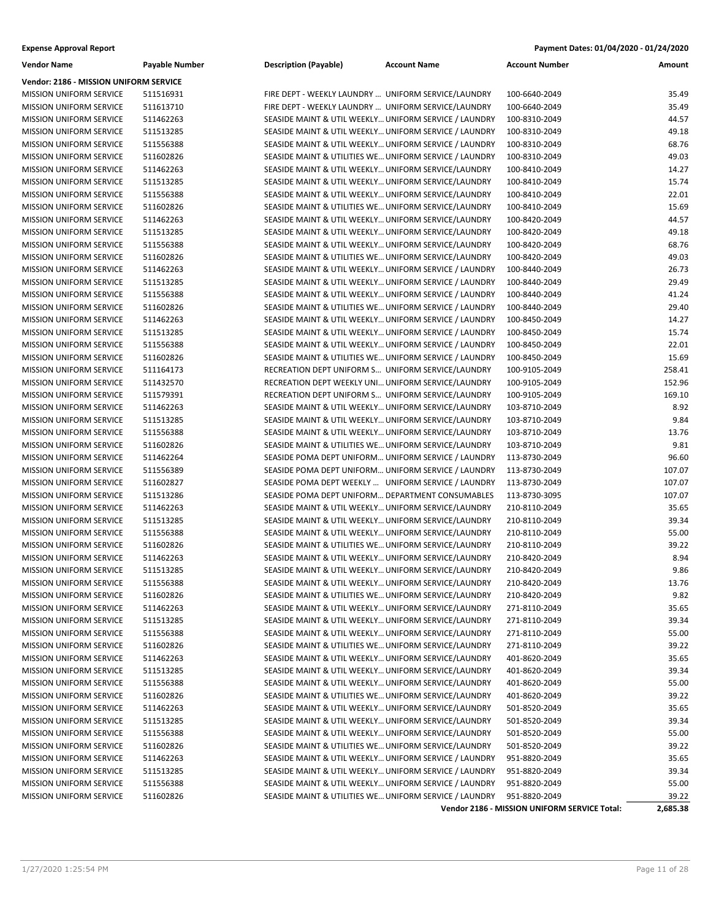| Payment Dates: 01/04/2020 - 01/24/2020 |
|----------------------------------------|
|                                        |

| Vendor: 2186 - MISSION UNIFORM SERVICE<br><b>MISSION UNIFORM SERVICE</b><br>511516931<br>FIRE DEPT - WEEKLY LAUNDRY  UNIFORM SERVICE/LAUNDRY<br>100-6640-2049<br>35.49<br>35.49<br><b>MISSION UNIFORM SERVICE</b><br>511613710<br>FIRE DEPT - WEEKLY LAUNDRY  UNIFORM SERVICE/LAUNDRY<br>100-6640-2049<br>44.57<br><b>MISSION UNIFORM SERVICE</b><br>511462263<br>SEASIDE MAINT & UTIL WEEKLY UNIFORM SERVICE / LAUNDRY<br>100-8310-2049<br>49.18<br><b>MISSION UNIFORM SERVICE</b><br>511513285<br>SEASIDE MAINT & UTIL WEEKLY UNIFORM SERVICE / LAUNDRY<br>100-8310-2049<br>68.76<br><b>MISSION UNIFORM SERVICE</b><br>511556388<br>SEASIDE MAINT & UTIL WEEKLY UNIFORM SERVICE / LAUNDRY<br>100-8310-2049<br>49.03<br><b>MISSION UNIFORM SERVICE</b><br>511602826<br>SEASIDE MAINT & UTILITIES WE UNIFORM SERVICE / LAUNDRY<br>100-8310-2049<br>14.27<br><b>MISSION UNIFORM SERVICE</b><br>511462263<br>SEASIDE MAINT & UTIL WEEKLY UNIFORM SERVICE/LAUNDRY<br>100-8410-2049<br>15.74<br><b>MISSION UNIFORM SERVICE</b><br>511513285<br>SEASIDE MAINT & UTIL WEEKLY UNIFORM SERVICE/LAUNDRY<br>100-8410-2049<br>SEASIDE MAINT & UTIL WEEKLY UNIFORM SERVICE/LAUNDRY<br>22.01<br><b>MISSION UNIFORM SERVICE</b><br>511556388<br>100-8410-2049<br>15.69<br>SEASIDE MAINT & UTILITIES WE UNIFORM SERVICE/LAUNDRY<br><b>MISSION UNIFORM SERVICE</b><br>511602826<br>100-8410-2049<br>44.57<br>MISSION UNIFORM SERVICE<br>511462263<br>SEASIDE MAINT & UTIL WEEKLY UNIFORM SERVICE/LAUNDRY<br>100-8420-2049<br>49.18<br><b>MISSION UNIFORM SERVICE</b><br>511513285<br>SEASIDE MAINT & UTIL WEEKLY UNIFORM SERVICE/LAUNDRY<br>100-8420-2049<br>68.76<br><b>MISSION UNIFORM SERVICE</b><br>511556388<br>SEASIDE MAINT & UTIL WEEKLY UNIFORM SERVICE/LAUNDRY<br>100-8420-2049<br>49.03<br><b>MISSION UNIFORM SERVICE</b><br>511602826<br>SEASIDE MAINT & UTILITIES WE UNIFORM SERVICE/LAUNDRY<br>100-8420-2049<br>26.73<br><b>MISSION UNIFORM SERVICE</b><br>511462263<br>SEASIDE MAINT & UTIL WEEKLY UNIFORM SERVICE / LAUNDRY<br>100-8440-2049<br>29.49<br><b>MISSION UNIFORM SERVICE</b><br>511513285<br>SEASIDE MAINT & UTIL WEEKLY UNIFORM SERVICE / LAUNDRY<br>100-8440-2049<br>41.24<br><b>MISSION UNIFORM SERVICE</b><br>511556388<br>SEASIDE MAINT & UTIL WEEKLY UNIFORM SERVICE / LAUNDRY<br>100-8440-2049<br>29.40<br><b>MISSION UNIFORM SERVICE</b><br>511602826<br>SEASIDE MAINT & UTILITIES WE UNIFORM SERVICE / LAUNDRY<br>100-8440-2049<br>14.27<br><b>MISSION UNIFORM SERVICE</b><br>511462263<br>SEASIDE MAINT & UTIL WEEKLY UNIFORM SERVICE / LAUNDRY<br>100-8450-2049<br>15.74<br>SEASIDE MAINT & UTIL WEEKLY UNIFORM SERVICE / LAUNDRY<br><b>MISSION UNIFORM SERVICE</b><br>511513285<br>100-8450-2049<br>22.01<br>MISSION UNIFORM SERVICE<br>511556388<br>SEASIDE MAINT & UTIL WEEKLY UNIFORM SERVICE / LAUNDRY<br>100-8450-2049<br>15.69<br><b>MISSION UNIFORM SERVICE</b><br>511602826<br>SEASIDE MAINT & UTILITIES WE UNIFORM SERVICE / LAUNDRY<br>100-8450-2049<br>258.41<br><b>MISSION UNIFORM SERVICE</b><br>511164173<br>RECREATION DEPT UNIFORM S UNIFORM SERVICE/LAUNDRY<br>100-9105-2049<br>152.96<br><b>MISSION UNIFORM SERVICE</b><br>511432570<br>RECREATION DEPT WEEKLY UNI UNIFORM SERVICE/LAUNDRY<br>100-9105-2049<br>169.10<br><b>MISSION UNIFORM SERVICE</b><br>511579391<br>RECREATION DEPT UNIFORM S UNIFORM SERVICE/LAUNDRY<br>100-9105-2049<br>8.92<br><b>MISSION UNIFORM SERVICE</b><br>511462263<br>SEASIDE MAINT & UTIL WEEKLY UNIFORM SERVICE/LAUNDRY<br>103-8710-2049<br>9.84<br><b>MISSION UNIFORM SERVICE</b><br>511513285<br>SEASIDE MAINT & UTIL WEEKLY UNIFORM SERVICE/LAUNDRY<br>103-8710-2049<br>13.76<br><b>MISSION UNIFORM SERVICE</b><br>511556388<br>SEASIDE MAINT & UTIL WEEKLY UNIFORM SERVICE/LAUNDRY<br>103-8710-2049<br>9.81<br><b>MISSION UNIFORM SERVICE</b><br>511602826<br>SEASIDE MAINT & UTILITIES WE UNIFORM SERVICE/LAUNDRY<br>103-8710-2049<br>96.60<br><b>MISSION UNIFORM SERVICE</b><br>511462264<br>SEASIDE POMA DEPT UNIFORM UNIFORM SERVICE / LAUNDRY<br>113-8730-2049<br><b>MISSION UNIFORM SERVICE</b><br>511556389<br>SEASIDE POMA DEPT UNIFORM UNIFORM SERVICE / LAUNDRY<br>113-8730-2049<br>107.07<br>107.07<br><b>MISSION UNIFORM SERVICE</b><br>511602827<br>SEASIDE POMA DEPT WEEKLY  UNIFORM SERVICE / LAUNDRY<br>113-8730-2049<br>107.07<br><b>MISSION UNIFORM SERVICE</b><br>511513286<br>SEASIDE POMA DEPT UNIFORM DEPARTMENT CONSUMABLES<br>113-8730-3095<br>35.65<br><b>MISSION UNIFORM SERVICE</b><br>511462263<br>SEASIDE MAINT & UTIL WEEKLY UNIFORM SERVICE/LAUNDRY<br>210-8110-2049<br>39.34<br><b>MISSION UNIFORM SERVICE</b><br>511513285<br>SEASIDE MAINT & UTIL WEEKLY UNIFORM SERVICE/LAUNDRY<br>210-8110-2049<br>55.00<br>MISSION UNIFORM SERVICE<br>511556388<br>SEASIDE MAINT & UTIL WEEKLY UNIFORM SERVICE/LAUNDRY<br>210-8110-2049<br>39.22<br><b>MISSION UNIFORM SERVICE</b><br>511602826<br>SEASIDE MAINT & UTILITIES WE UNIFORM SERVICE/LAUNDRY<br>210-8110-2049<br>8.94<br>SEASIDE MAINT & UTIL WEEKLY UNIFORM SERVICE/LAUNDRY<br><b>MISSION UNIFORM SERVICE</b><br>511462263<br>210-8420-2049<br>9.86<br><b>MISSION UNIFORM SERVICE</b><br>SEASIDE MAINT & UTIL WEEKLY UNIFORM SERVICE/LAUNDRY<br>210-8420-2049<br>511513285<br>13.76<br><b>MISSION UNIFORM SERVICE</b><br>511556388<br>SEASIDE MAINT & UTIL WEEKLY UNIFORM SERVICE/LAUNDRY<br>210-8420-2049<br>9.82<br>SEASIDE MAINT & UTILITIES WE UNIFORM SERVICE/LAUNDRY<br><b>MISSION UNIFORM SERVICE</b><br>511602826<br>210-8420-2049<br>SEASIDE MAINT & UTIL WEEKLY UNIFORM SERVICE/LAUNDRY<br>35.65<br><b>MISSION UNIFORM SERVICE</b><br>511462263<br>271-8110-2049<br>SEASIDE MAINT & UTIL WEEKLY UNIFORM SERVICE/LAUNDRY<br>39.34<br><b>MISSION UNIFORM SERVICE</b><br>511513285<br>271-8110-2049<br>SEASIDE MAINT & UTIL WEEKLY UNIFORM SERVICE/LAUNDRY<br>55.00<br><b>MISSION UNIFORM SERVICE</b><br>511556388<br>271-8110-2049<br>39.22<br><b>MISSION UNIFORM SERVICE</b><br>511602826<br>SEASIDE MAINT & UTILITIES WE UNIFORM SERVICE/LAUNDRY<br>271-8110-2049<br>SEASIDE MAINT & UTIL WEEKLY UNIFORM SERVICE/LAUNDRY<br>35.65<br><b>MISSION UNIFORM SERVICE</b><br>511462263<br>401-8620-2049<br>MISSION UNIFORM SERVICE<br>SEASIDE MAINT & UTIL WEEKLY UNIFORM SERVICE/LAUNDRY<br>401-8620-2049<br>39.34<br>511513285<br>SEASIDE MAINT & UTIL WEEKLY UNIFORM SERVICE/LAUNDRY<br>55.00<br><b>MISSION UNIFORM SERVICE</b><br>511556388<br>401-8620-2049<br>MISSION UNIFORM SERVICE<br>SEASIDE MAINT & UTILITIES WE UNIFORM SERVICE/LAUNDRY<br>401-8620-2049<br>39.22<br>511602826<br>35.65<br><b>MISSION UNIFORM SERVICE</b><br>511462263<br>SEASIDE MAINT & UTIL WEEKLY UNIFORM SERVICE/LAUNDRY<br>501-8520-2049<br>SEASIDE MAINT & UTIL WEEKLY UNIFORM SERVICE/LAUNDRY<br>39.34<br><b>MISSION UNIFORM SERVICE</b><br>511513285<br>501-8520-2049<br>MISSION UNIFORM SERVICE<br>SEASIDE MAINT & UTIL WEEKLY UNIFORM SERVICE/LAUNDRY<br>55.00<br>511556388<br>501-8520-2049<br>SEASIDE MAINT & UTILITIES WE UNIFORM SERVICE/LAUNDRY<br>MISSION UNIFORM SERVICE<br>39.22<br>511602826<br>501-8520-2049<br>SEASIDE MAINT & UTIL WEEKLY UNIFORM SERVICE / LAUNDRY<br>35.65<br><b>MISSION UNIFORM SERVICE</b><br>511462263<br>951-8820-2049<br>SEASIDE MAINT & UTIL WEEKLY UNIFORM SERVICE / LAUNDRY<br>39.34<br><b>MISSION UNIFORM SERVICE</b><br>511513285<br>951-8820-2049<br>SEASIDE MAINT & UTIL WEEKLY UNIFORM SERVICE / LAUNDRY<br>55.00<br><b>MISSION UNIFORM SERVICE</b><br>511556388<br>951-8820-2049<br>MISSION UNIFORM SERVICE<br>511602826<br>SEASIDE MAINT & UTILITIES WE UNIFORM SERVICE / LAUNDRY<br>951-8820-2049<br>39.22<br>Vendor 2186 - MISSION UNIFORM SERVICE Total:<br>2,685.38 | <b>Vendor Name</b> | <b>Payable Number</b> | <b>Description (Payable)</b> | <b>Account Name</b> | <b>Account Number</b> | Amount |
|--------------------------------------------------------------------------------------------------------------------------------------------------------------------------------------------------------------------------------------------------------------------------------------------------------------------------------------------------------------------------------------------------------------------------------------------------------------------------------------------------------------------------------------------------------------------------------------------------------------------------------------------------------------------------------------------------------------------------------------------------------------------------------------------------------------------------------------------------------------------------------------------------------------------------------------------------------------------------------------------------------------------------------------------------------------------------------------------------------------------------------------------------------------------------------------------------------------------------------------------------------------------------------------------------------------------------------------------------------------------------------------------------------------------------------------------------------------------------------------------------------------------------------------------------------------------------------------------------------------------------------------------------------------------------------------------------------------------------------------------------------------------------------------------------------------------------------------------------------------------------------------------------------------------------------------------------------------------------------------------------------------------------------------------------------------------------------------------------------------------------------------------------------------------------------------------------------------------------------------------------------------------------------------------------------------------------------------------------------------------------------------------------------------------------------------------------------------------------------------------------------------------------------------------------------------------------------------------------------------------------------------------------------------------------------------------------------------------------------------------------------------------------------------------------------------------------------------------------------------------------------------------------------------------------------------------------------------------------------------------------------------------------------------------------------------------------------------------------------------------------------------------------------------------------------------------------------------------------------------------------------------------------------------------------------------------------------------------------------------------------------------------------------------------------------------------------------------------------------------------------------------------------------------------------------------------------------------------------------------------------------------------------------------------------------------------------------------------------------------------------------------------------------------------------------------------------------------------------------------------------------------------------------------------------------------------------------------------------------------------------------------------------------------------------------------------------------------------------------------------------------------------------------------------------------------------------------------------------------------------------------------------------------------------------------------------------------------------------------------------------------------------------------------------------------------------------------------------------------------------------------------------------------------------------------------------------------------------------------------------------------------------------------------------------------------------------------------------------------------------------------------------------------------------------------------------------------------------------------------------------------------------------------------------------------------------------------------------------------------------------------------------------------------------------------------------------------------------------------------------------------------------------------------------------------------------------------------------------------------------------------------------------------------------------------------------------------------------------------------------------------------------------------------------------------------------------------------------------------------------------------------------------------------------------------------------------------------------------------------------------------------------------------------------------------------------------------------------------------------------------------------------------------------------------------------------------------------------------------------------------------------------------------------------------------------------------------------------------------------------------------------------------------------------------------------------------------------------------------------------------------------------------------------------------------------------------------------------------------------------------------------------------------------------------------------------------------------------------------------------------------------------------------------------------------------------------------------------------------------------------------------------------------------------------------------------------------------------------------------------------------------------------------------------------------------------------------------------------------------------------------------------------------------------------------------------------------------------------------------------------------------------------------------------------------------------------------------------------------------------------------------------------------------------------------------------------------------------------------------------------------------------------------------------------------------------------------------------------------------------------------------------------------------------------------------------------------------------------------------------------------------------------------------------------------------------------------------------------------------------------------------------------------------------------------------------------------------------------------------------------------------------------------------------------------|--------------------|-----------------------|------------------------------|---------------------|-----------------------|--------|
|                                                                                                                                                                                                                                                                                                                                                                                                                                                                                                                                                                                                                                                                                                                                                                                                                                                                                                                                                                                                                                                                                                                                                                                                                                                                                                                                                                                                                                                                                                                                                                                                                                                                                                                                                                                                                                                                                                                                                                                                                                                                                                                                                                                                                                                                                                                                                                                                                                                                                                                                                                                                                                                                                                                                                                                                                                                                                                                                                                                                                                                                                                                                                                                                                                                                                                                                                                                                                                                                                                                                                                                                                                                                                                                                                                                                                                                                                                                                                                                                                                                                                                                                                                                                                                                                                                                                                                                                                                                                                                                                                                                                                                                                                                                                                                                                                                                                                                                                                                                                                                                                                                                                                                                                                                                                                                                                                                                                                                                                                                                                                                                                                                                                                                                                                                                                                                                                                                                                                                                                                                                                                                                                                                                                                                                                                                                                                                                                                                                                                                                                                                                                                                                                                                                                                                                                                                                                                                                                                                                                                                                                                                                                                                                                                                                                                                                                                                                                                                                                                                                                                                                                                                                                                |                    |                       |                              |                     |                       |        |
|                                                                                                                                                                                                                                                                                                                                                                                                                                                                                                                                                                                                                                                                                                                                                                                                                                                                                                                                                                                                                                                                                                                                                                                                                                                                                                                                                                                                                                                                                                                                                                                                                                                                                                                                                                                                                                                                                                                                                                                                                                                                                                                                                                                                                                                                                                                                                                                                                                                                                                                                                                                                                                                                                                                                                                                                                                                                                                                                                                                                                                                                                                                                                                                                                                                                                                                                                                                                                                                                                                                                                                                                                                                                                                                                                                                                                                                                                                                                                                                                                                                                                                                                                                                                                                                                                                                                                                                                                                                                                                                                                                                                                                                                                                                                                                                                                                                                                                                                                                                                                                                                                                                                                                                                                                                                                                                                                                                                                                                                                                                                                                                                                                                                                                                                                                                                                                                                                                                                                                                                                                                                                                                                                                                                                                                                                                                                                                                                                                                                                                                                                                                                                                                                                                                                                                                                                                                                                                                                                                                                                                                                                                                                                                                                                                                                                                                                                                                                                                                                                                                                                                                                                                                                                |                    |                       |                              |                     |                       |        |
|                                                                                                                                                                                                                                                                                                                                                                                                                                                                                                                                                                                                                                                                                                                                                                                                                                                                                                                                                                                                                                                                                                                                                                                                                                                                                                                                                                                                                                                                                                                                                                                                                                                                                                                                                                                                                                                                                                                                                                                                                                                                                                                                                                                                                                                                                                                                                                                                                                                                                                                                                                                                                                                                                                                                                                                                                                                                                                                                                                                                                                                                                                                                                                                                                                                                                                                                                                                                                                                                                                                                                                                                                                                                                                                                                                                                                                                                                                                                                                                                                                                                                                                                                                                                                                                                                                                                                                                                                                                                                                                                                                                                                                                                                                                                                                                                                                                                                                                                                                                                                                                                                                                                                                                                                                                                                                                                                                                                                                                                                                                                                                                                                                                                                                                                                                                                                                                                                                                                                                                                                                                                                                                                                                                                                                                                                                                                                                                                                                                                                                                                                                                                                                                                                                                                                                                                                                                                                                                                                                                                                                                                                                                                                                                                                                                                                                                                                                                                                                                                                                                                                                                                                                                                                |                    |                       |                              |                     |                       |        |
|                                                                                                                                                                                                                                                                                                                                                                                                                                                                                                                                                                                                                                                                                                                                                                                                                                                                                                                                                                                                                                                                                                                                                                                                                                                                                                                                                                                                                                                                                                                                                                                                                                                                                                                                                                                                                                                                                                                                                                                                                                                                                                                                                                                                                                                                                                                                                                                                                                                                                                                                                                                                                                                                                                                                                                                                                                                                                                                                                                                                                                                                                                                                                                                                                                                                                                                                                                                                                                                                                                                                                                                                                                                                                                                                                                                                                                                                                                                                                                                                                                                                                                                                                                                                                                                                                                                                                                                                                                                                                                                                                                                                                                                                                                                                                                                                                                                                                                                                                                                                                                                                                                                                                                                                                                                                                                                                                                                                                                                                                                                                                                                                                                                                                                                                                                                                                                                                                                                                                                                                                                                                                                                                                                                                                                                                                                                                                                                                                                                                                                                                                                                                                                                                                                                                                                                                                                                                                                                                                                                                                                                                                                                                                                                                                                                                                                                                                                                                                                                                                                                                                                                                                                                                                |                    |                       |                              |                     |                       |        |
|                                                                                                                                                                                                                                                                                                                                                                                                                                                                                                                                                                                                                                                                                                                                                                                                                                                                                                                                                                                                                                                                                                                                                                                                                                                                                                                                                                                                                                                                                                                                                                                                                                                                                                                                                                                                                                                                                                                                                                                                                                                                                                                                                                                                                                                                                                                                                                                                                                                                                                                                                                                                                                                                                                                                                                                                                                                                                                                                                                                                                                                                                                                                                                                                                                                                                                                                                                                                                                                                                                                                                                                                                                                                                                                                                                                                                                                                                                                                                                                                                                                                                                                                                                                                                                                                                                                                                                                                                                                                                                                                                                                                                                                                                                                                                                                                                                                                                                                                                                                                                                                                                                                                                                                                                                                                                                                                                                                                                                                                                                                                                                                                                                                                                                                                                                                                                                                                                                                                                                                                                                                                                                                                                                                                                                                                                                                                                                                                                                                                                                                                                                                                                                                                                                                                                                                                                                                                                                                                                                                                                                                                                                                                                                                                                                                                                                                                                                                                                                                                                                                                                                                                                                                                                |                    |                       |                              |                     |                       |        |
|                                                                                                                                                                                                                                                                                                                                                                                                                                                                                                                                                                                                                                                                                                                                                                                                                                                                                                                                                                                                                                                                                                                                                                                                                                                                                                                                                                                                                                                                                                                                                                                                                                                                                                                                                                                                                                                                                                                                                                                                                                                                                                                                                                                                                                                                                                                                                                                                                                                                                                                                                                                                                                                                                                                                                                                                                                                                                                                                                                                                                                                                                                                                                                                                                                                                                                                                                                                                                                                                                                                                                                                                                                                                                                                                                                                                                                                                                                                                                                                                                                                                                                                                                                                                                                                                                                                                                                                                                                                                                                                                                                                                                                                                                                                                                                                                                                                                                                                                                                                                                                                                                                                                                                                                                                                                                                                                                                                                                                                                                                                                                                                                                                                                                                                                                                                                                                                                                                                                                                                                                                                                                                                                                                                                                                                                                                                                                                                                                                                                                                                                                                                                                                                                                                                                                                                                                                                                                                                                                                                                                                                                                                                                                                                                                                                                                                                                                                                                                                                                                                                                                                                                                                                                                |                    |                       |                              |                     |                       |        |
|                                                                                                                                                                                                                                                                                                                                                                                                                                                                                                                                                                                                                                                                                                                                                                                                                                                                                                                                                                                                                                                                                                                                                                                                                                                                                                                                                                                                                                                                                                                                                                                                                                                                                                                                                                                                                                                                                                                                                                                                                                                                                                                                                                                                                                                                                                                                                                                                                                                                                                                                                                                                                                                                                                                                                                                                                                                                                                                                                                                                                                                                                                                                                                                                                                                                                                                                                                                                                                                                                                                                                                                                                                                                                                                                                                                                                                                                                                                                                                                                                                                                                                                                                                                                                                                                                                                                                                                                                                                                                                                                                                                                                                                                                                                                                                                                                                                                                                                                                                                                                                                                                                                                                                                                                                                                                                                                                                                                                                                                                                                                                                                                                                                                                                                                                                                                                                                                                                                                                                                                                                                                                                                                                                                                                                                                                                                                                                                                                                                                                                                                                                                                                                                                                                                                                                                                                                                                                                                                                                                                                                                                                                                                                                                                                                                                                                                                                                                                                                                                                                                                                                                                                                                                                |                    |                       |                              |                     |                       |        |
|                                                                                                                                                                                                                                                                                                                                                                                                                                                                                                                                                                                                                                                                                                                                                                                                                                                                                                                                                                                                                                                                                                                                                                                                                                                                                                                                                                                                                                                                                                                                                                                                                                                                                                                                                                                                                                                                                                                                                                                                                                                                                                                                                                                                                                                                                                                                                                                                                                                                                                                                                                                                                                                                                                                                                                                                                                                                                                                                                                                                                                                                                                                                                                                                                                                                                                                                                                                                                                                                                                                                                                                                                                                                                                                                                                                                                                                                                                                                                                                                                                                                                                                                                                                                                                                                                                                                                                                                                                                                                                                                                                                                                                                                                                                                                                                                                                                                                                                                                                                                                                                                                                                                                                                                                                                                                                                                                                                                                                                                                                                                                                                                                                                                                                                                                                                                                                                                                                                                                                                                                                                                                                                                                                                                                                                                                                                                                                                                                                                                                                                                                                                                                                                                                                                                                                                                                                                                                                                                                                                                                                                                                                                                                                                                                                                                                                                                                                                                                                                                                                                                                                                                                                                                                |                    |                       |                              |                     |                       |        |
|                                                                                                                                                                                                                                                                                                                                                                                                                                                                                                                                                                                                                                                                                                                                                                                                                                                                                                                                                                                                                                                                                                                                                                                                                                                                                                                                                                                                                                                                                                                                                                                                                                                                                                                                                                                                                                                                                                                                                                                                                                                                                                                                                                                                                                                                                                                                                                                                                                                                                                                                                                                                                                                                                                                                                                                                                                                                                                                                                                                                                                                                                                                                                                                                                                                                                                                                                                                                                                                                                                                                                                                                                                                                                                                                                                                                                                                                                                                                                                                                                                                                                                                                                                                                                                                                                                                                                                                                                                                                                                                                                                                                                                                                                                                                                                                                                                                                                                                                                                                                                                                                                                                                                                                                                                                                                                                                                                                                                                                                                                                                                                                                                                                                                                                                                                                                                                                                                                                                                                                                                                                                                                                                                                                                                                                                                                                                                                                                                                                                                                                                                                                                                                                                                                                                                                                                                                                                                                                                                                                                                                                                                                                                                                                                                                                                                                                                                                                                                                                                                                                                                                                                                                                                                |                    |                       |                              |                     |                       |        |
|                                                                                                                                                                                                                                                                                                                                                                                                                                                                                                                                                                                                                                                                                                                                                                                                                                                                                                                                                                                                                                                                                                                                                                                                                                                                                                                                                                                                                                                                                                                                                                                                                                                                                                                                                                                                                                                                                                                                                                                                                                                                                                                                                                                                                                                                                                                                                                                                                                                                                                                                                                                                                                                                                                                                                                                                                                                                                                                                                                                                                                                                                                                                                                                                                                                                                                                                                                                                                                                                                                                                                                                                                                                                                                                                                                                                                                                                                                                                                                                                                                                                                                                                                                                                                                                                                                                                                                                                                                                                                                                                                                                                                                                                                                                                                                                                                                                                                                                                                                                                                                                                                                                                                                                                                                                                                                                                                                                                                                                                                                                                                                                                                                                                                                                                                                                                                                                                                                                                                                                                                                                                                                                                                                                                                                                                                                                                                                                                                                                                                                                                                                                                                                                                                                                                                                                                                                                                                                                                                                                                                                                                                                                                                                                                                                                                                                                                                                                                                                                                                                                                                                                                                                                                                |                    |                       |                              |                     |                       |        |
|                                                                                                                                                                                                                                                                                                                                                                                                                                                                                                                                                                                                                                                                                                                                                                                                                                                                                                                                                                                                                                                                                                                                                                                                                                                                                                                                                                                                                                                                                                                                                                                                                                                                                                                                                                                                                                                                                                                                                                                                                                                                                                                                                                                                                                                                                                                                                                                                                                                                                                                                                                                                                                                                                                                                                                                                                                                                                                                                                                                                                                                                                                                                                                                                                                                                                                                                                                                                                                                                                                                                                                                                                                                                                                                                                                                                                                                                                                                                                                                                                                                                                                                                                                                                                                                                                                                                                                                                                                                                                                                                                                                                                                                                                                                                                                                                                                                                                                                                                                                                                                                                                                                                                                                                                                                                                                                                                                                                                                                                                                                                                                                                                                                                                                                                                                                                                                                                                                                                                                                                                                                                                                                                                                                                                                                                                                                                                                                                                                                                                                                                                                                                                                                                                                                                                                                                                                                                                                                                                                                                                                                                                                                                                                                                                                                                                                                                                                                                                                                                                                                                                                                                                                                                                |                    |                       |                              |                     |                       |        |
|                                                                                                                                                                                                                                                                                                                                                                                                                                                                                                                                                                                                                                                                                                                                                                                                                                                                                                                                                                                                                                                                                                                                                                                                                                                                                                                                                                                                                                                                                                                                                                                                                                                                                                                                                                                                                                                                                                                                                                                                                                                                                                                                                                                                                                                                                                                                                                                                                                                                                                                                                                                                                                                                                                                                                                                                                                                                                                                                                                                                                                                                                                                                                                                                                                                                                                                                                                                                                                                                                                                                                                                                                                                                                                                                                                                                                                                                                                                                                                                                                                                                                                                                                                                                                                                                                                                                                                                                                                                                                                                                                                                                                                                                                                                                                                                                                                                                                                                                                                                                                                                                                                                                                                                                                                                                                                                                                                                                                                                                                                                                                                                                                                                                                                                                                                                                                                                                                                                                                                                                                                                                                                                                                                                                                                                                                                                                                                                                                                                                                                                                                                                                                                                                                                                                                                                                                                                                                                                                                                                                                                                                                                                                                                                                                                                                                                                                                                                                                                                                                                                                                                                                                                                                                |                    |                       |                              |                     |                       |        |
|                                                                                                                                                                                                                                                                                                                                                                                                                                                                                                                                                                                                                                                                                                                                                                                                                                                                                                                                                                                                                                                                                                                                                                                                                                                                                                                                                                                                                                                                                                                                                                                                                                                                                                                                                                                                                                                                                                                                                                                                                                                                                                                                                                                                                                                                                                                                                                                                                                                                                                                                                                                                                                                                                                                                                                                                                                                                                                                                                                                                                                                                                                                                                                                                                                                                                                                                                                                                                                                                                                                                                                                                                                                                                                                                                                                                                                                                                                                                                                                                                                                                                                                                                                                                                                                                                                                                                                                                                                                                                                                                                                                                                                                                                                                                                                                                                                                                                                                                                                                                                                                                                                                                                                                                                                                                                                                                                                                                                                                                                                                                                                                                                                                                                                                                                                                                                                                                                                                                                                                                                                                                                                                                                                                                                                                                                                                                                                                                                                                                                                                                                                                                                                                                                                                                                                                                                                                                                                                                                                                                                                                                                                                                                                                                                                                                                                                                                                                                                                                                                                                                                                                                                                                                                |                    |                       |                              |                     |                       |        |
|                                                                                                                                                                                                                                                                                                                                                                                                                                                                                                                                                                                                                                                                                                                                                                                                                                                                                                                                                                                                                                                                                                                                                                                                                                                                                                                                                                                                                                                                                                                                                                                                                                                                                                                                                                                                                                                                                                                                                                                                                                                                                                                                                                                                                                                                                                                                                                                                                                                                                                                                                                                                                                                                                                                                                                                                                                                                                                                                                                                                                                                                                                                                                                                                                                                                                                                                                                                                                                                                                                                                                                                                                                                                                                                                                                                                                                                                                                                                                                                                                                                                                                                                                                                                                                                                                                                                                                                                                                                                                                                                                                                                                                                                                                                                                                                                                                                                                                                                                                                                                                                                                                                                                                                                                                                                                                                                                                                                                                                                                                                                                                                                                                                                                                                                                                                                                                                                                                                                                                                                                                                                                                                                                                                                                                                                                                                                                                                                                                                                                                                                                                                                                                                                                                                                                                                                                                                                                                                                                                                                                                                                                                                                                                                                                                                                                                                                                                                                                                                                                                                                                                                                                                                                                |                    |                       |                              |                     |                       |        |
|                                                                                                                                                                                                                                                                                                                                                                                                                                                                                                                                                                                                                                                                                                                                                                                                                                                                                                                                                                                                                                                                                                                                                                                                                                                                                                                                                                                                                                                                                                                                                                                                                                                                                                                                                                                                                                                                                                                                                                                                                                                                                                                                                                                                                                                                                                                                                                                                                                                                                                                                                                                                                                                                                                                                                                                                                                                                                                                                                                                                                                                                                                                                                                                                                                                                                                                                                                                                                                                                                                                                                                                                                                                                                                                                                                                                                                                                                                                                                                                                                                                                                                                                                                                                                                                                                                                                                                                                                                                                                                                                                                                                                                                                                                                                                                                                                                                                                                                                                                                                                                                                                                                                                                                                                                                                                                                                                                                                                                                                                                                                                                                                                                                                                                                                                                                                                                                                                                                                                                                                                                                                                                                                                                                                                                                                                                                                                                                                                                                                                                                                                                                                                                                                                                                                                                                                                                                                                                                                                                                                                                                                                                                                                                                                                                                                                                                                                                                                                                                                                                                                                                                                                                                                                |                    |                       |                              |                     |                       |        |
|                                                                                                                                                                                                                                                                                                                                                                                                                                                                                                                                                                                                                                                                                                                                                                                                                                                                                                                                                                                                                                                                                                                                                                                                                                                                                                                                                                                                                                                                                                                                                                                                                                                                                                                                                                                                                                                                                                                                                                                                                                                                                                                                                                                                                                                                                                                                                                                                                                                                                                                                                                                                                                                                                                                                                                                                                                                                                                                                                                                                                                                                                                                                                                                                                                                                                                                                                                                                                                                                                                                                                                                                                                                                                                                                                                                                                                                                                                                                                                                                                                                                                                                                                                                                                                                                                                                                                                                                                                                                                                                                                                                                                                                                                                                                                                                                                                                                                                                                                                                                                                                                                                                                                                                                                                                                                                                                                                                                                                                                                                                                                                                                                                                                                                                                                                                                                                                                                                                                                                                                                                                                                                                                                                                                                                                                                                                                                                                                                                                                                                                                                                                                                                                                                                                                                                                                                                                                                                                                                                                                                                                                                                                                                                                                                                                                                                                                                                                                                                                                                                                                                                                                                                                                                |                    |                       |                              |                     |                       |        |
|                                                                                                                                                                                                                                                                                                                                                                                                                                                                                                                                                                                                                                                                                                                                                                                                                                                                                                                                                                                                                                                                                                                                                                                                                                                                                                                                                                                                                                                                                                                                                                                                                                                                                                                                                                                                                                                                                                                                                                                                                                                                                                                                                                                                                                                                                                                                                                                                                                                                                                                                                                                                                                                                                                                                                                                                                                                                                                                                                                                                                                                                                                                                                                                                                                                                                                                                                                                                                                                                                                                                                                                                                                                                                                                                                                                                                                                                                                                                                                                                                                                                                                                                                                                                                                                                                                                                                                                                                                                                                                                                                                                                                                                                                                                                                                                                                                                                                                                                                                                                                                                                                                                                                                                                                                                                                                                                                                                                                                                                                                                                                                                                                                                                                                                                                                                                                                                                                                                                                                                                                                                                                                                                                                                                                                                                                                                                                                                                                                                                                                                                                                                                                                                                                                                                                                                                                                                                                                                                                                                                                                                                                                                                                                                                                                                                                                                                                                                                                                                                                                                                                                                                                                                                                |                    |                       |                              |                     |                       |        |
|                                                                                                                                                                                                                                                                                                                                                                                                                                                                                                                                                                                                                                                                                                                                                                                                                                                                                                                                                                                                                                                                                                                                                                                                                                                                                                                                                                                                                                                                                                                                                                                                                                                                                                                                                                                                                                                                                                                                                                                                                                                                                                                                                                                                                                                                                                                                                                                                                                                                                                                                                                                                                                                                                                                                                                                                                                                                                                                                                                                                                                                                                                                                                                                                                                                                                                                                                                                                                                                                                                                                                                                                                                                                                                                                                                                                                                                                                                                                                                                                                                                                                                                                                                                                                                                                                                                                                                                                                                                                                                                                                                                                                                                                                                                                                                                                                                                                                                                                                                                                                                                                                                                                                                                                                                                                                                                                                                                                                                                                                                                                                                                                                                                                                                                                                                                                                                                                                                                                                                                                                                                                                                                                                                                                                                                                                                                                                                                                                                                                                                                                                                                                                                                                                                                                                                                                                                                                                                                                                                                                                                                                                                                                                                                                                                                                                                                                                                                                                                                                                                                                                                                                                                                                                |                    |                       |                              |                     |                       |        |
|                                                                                                                                                                                                                                                                                                                                                                                                                                                                                                                                                                                                                                                                                                                                                                                                                                                                                                                                                                                                                                                                                                                                                                                                                                                                                                                                                                                                                                                                                                                                                                                                                                                                                                                                                                                                                                                                                                                                                                                                                                                                                                                                                                                                                                                                                                                                                                                                                                                                                                                                                                                                                                                                                                                                                                                                                                                                                                                                                                                                                                                                                                                                                                                                                                                                                                                                                                                                                                                                                                                                                                                                                                                                                                                                                                                                                                                                                                                                                                                                                                                                                                                                                                                                                                                                                                                                                                                                                                                                                                                                                                                                                                                                                                                                                                                                                                                                                                                                                                                                                                                                                                                                                                                                                                                                                                                                                                                                                                                                                                                                                                                                                                                                                                                                                                                                                                                                                                                                                                                                                                                                                                                                                                                                                                                                                                                                                                                                                                                                                                                                                                                                                                                                                                                                                                                                                                                                                                                                                                                                                                                                                                                                                                                                                                                                                                                                                                                                                                                                                                                                                                                                                                                                                |                    |                       |                              |                     |                       |        |
|                                                                                                                                                                                                                                                                                                                                                                                                                                                                                                                                                                                                                                                                                                                                                                                                                                                                                                                                                                                                                                                                                                                                                                                                                                                                                                                                                                                                                                                                                                                                                                                                                                                                                                                                                                                                                                                                                                                                                                                                                                                                                                                                                                                                                                                                                                                                                                                                                                                                                                                                                                                                                                                                                                                                                                                                                                                                                                                                                                                                                                                                                                                                                                                                                                                                                                                                                                                                                                                                                                                                                                                                                                                                                                                                                                                                                                                                                                                                                                                                                                                                                                                                                                                                                                                                                                                                                                                                                                                                                                                                                                                                                                                                                                                                                                                                                                                                                                                                                                                                                                                                                                                                                                                                                                                                                                                                                                                                                                                                                                                                                                                                                                                                                                                                                                                                                                                                                                                                                                                                                                                                                                                                                                                                                                                                                                                                                                                                                                                                                                                                                                                                                                                                                                                                                                                                                                                                                                                                                                                                                                                                                                                                                                                                                                                                                                                                                                                                                                                                                                                                                                                                                                                                                |                    |                       |                              |                     |                       |        |
|                                                                                                                                                                                                                                                                                                                                                                                                                                                                                                                                                                                                                                                                                                                                                                                                                                                                                                                                                                                                                                                                                                                                                                                                                                                                                                                                                                                                                                                                                                                                                                                                                                                                                                                                                                                                                                                                                                                                                                                                                                                                                                                                                                                                                                                                                                                                                                                                                                                                                                                                                                                                                                                                                                                                                                                                                                                                                                                                                                                                                                                                                                                                                                                                                                                                                                                                                                                                                                                                                                                                                                                                                                                                                                                                                                                                                                                                                                                                                                                                                                                                                                                                                                                                                                                                                                                                                                                                                                                                                                                                                                                                                                                                                                                                                                                                                                                                                                                                                                                                                                                                                                                                                                                                                                                                                                                                                                                                                                                                                                                                                                                                                                                                                                                                                                                                                                                                                                                                                                                                                                                                                                                                                                                                                                                                                                                                                                                                                                                                                                                                                                                                                                                                                                                                                                                                                                                                                                                                                                                                                                                                                                                                                                                                                                                                                                                                                                                                                                                                                                                                                                                                                                                                                |                    |                       |                              |                     |                       |        |
|                                                                                                                                                                                                                                                                                                                                                                                                                                                                                                                                                                                                                                                                                                                                                                                                                                                                                                                                                                                                                                                                                                                                                                                                                                                                                                                                                                                                                                                                                                                                                                                                                                                                                                                                                                                                                                                                                                                                                                                                                                                                                                                                                                                                                                                                                                                                                                                                                                                                                                                                                                                                                                                                                                                                                                                                                                                                                                                                                                                                                                                                                                                                                                                                                                                                                                                                                                                                                                                                                                                                                                                                                                                                                                                                                                                                                                                                                                                                                                                                                                                                                                                                                                                                                                                                                                                                                                                                                                                                                                                                                                                                                                                                                                                                                                                                                                                                                                                                                                                                                                                                                                                                                                                                                                                                                                                                                                                                                                                                                                                                                                                                                                                                                                                                                                                                                                                                                                                                                                                                                                                                                                                                                                                                                                                                                                                                                                                                                                                                                                                                                                                                                                                                                                                                                                                                                                                                                                                                                                                                                                                                                                                                                                                                                                                                                                                                                                                                                                                                                                                                                                                                                                                                                |                    |                       |                              |                     |                       |        |
|                                                                                                                                                                                                                                                                                                                                                                                                                                                                                                                                                                                                                                                                                                                                                                                                                                                                                                                                                                                                                                                                                                                                                                                                                                                                                                                                                                                                                                                                                                                                                                                                                                                                                                                                                                                                                                                                                                                                                                                                                                                                                                                                                                                                                                                                                                                                                                                                                                                                                                                                                                                                                                                                                                                                                                                                                                                                                                                                                                                                                                                                                                                                                                                                                                                                                                                                                                                                                                                                                                                                                                                                                                                                                                                                                                                                                                                                                                                                                                                                                                                                                                                                                                                                                                                                                                                                                                                                                                                                                                                                                                                                                                                                                                                                                                                                                                                                                                                                                                                                                                                                                                                                                                                                                                                                                                                                                                                                                                                                                                                                                                                                                                                                                                                                                                                                                                                                                                                                                                                                                                                                                                                                                                                                                                                                                                                                                                                                                                                                                                                                                                                                                                                                                                                                                                                                                                                                                                                                                                                                                                                                                                                                                                                                                                                                                                                                                                                                                                                                                                                                                                                                                                                                                |                    |                       |                              |                     |                       |        |
|                                                                                                                                                                                                                                                                                                                                                                                                                                                                                                                                                                                                                                                                                                                                                                                                                                                                                                                                                                                                                                                                                                                                                                                                                                                                                                                                                                                                                                                                                                                                                                                                                                                                                                                                                                                                                                                                                                                                                                                                                                                                                                                                                                                                                                                                                                                                                                                                                                                                                                                                                                                                                                                                                                                                                                                                                                                                                                                                                                                                                                                                                                                                                                                                                                                                                                                                                                                                                                                                                                                                                                                                                                                                                                                                                                                                                                                                                                                                                                                                                                                                                                                                                                                                                                                                                                                                                                                                                                                                                                                                                                                                                                                                                                                                                                                                                                                                                                                                                                                                                                                                                                                                                                                                                                                                                                                                                                                                                                                                                                                                                                                                                                                                                                                                                                                                                                                                                                                                                                                                                                                                                                                                                                                                                                                                                                                                                                                                                                                                                                                                                                                                                                                                                                                                                                                                                                                                                                                                                                                                                                                                                                                                                                                                                                                                                                                                                                                                                                                                                                                                                                                                                                                                                |                    |                       |                              |                     |                       |        |
|                                                                                                                                                                                                                                                                                                                                                                                                                                                                                                                                                                                                                                                                                                                                                                                                                                                                                                                                                                                                                                                                                                                                                                                                                                                                                                                                                                                                                                                                                                                                                                                                                                                                                                                                                                                                                                                                                                                                                                                                                                                                                                                                                                                                                                                                                                                                                                                                                                                                                                                                                                                                                                                                                                                                                                                                                                                                                                                                                                                                                                                                                                                                                                                                                                                                                                                                                                                                                                                                                                                                                                                                                                                                                                                                                                                                                                                                                                                                                                                                                                                                                                                                                                                                                                                                                                                                                                                                                                                                                                                                                                                                                                                                                                                                                                                                                                                                                                                                                                                                                                                                                                                                                                                                                                                                                                                                                                                                                                                                                                                                                                                                                                                                                                                                                                                                                                                                                                                                                                                                                                                                                                                                                                                                                                                                                                                                                                                                                                                                                                                                                                                                                                                                                                                                                                                                                                                                                                                                                                                                                                                                                                                                                                                                                                                                                                                                                                                                                                                                                                                                                                                                                                                                                |                    |                       |                              |                     |                       |        |
|                                                                                                                                                                                                                                                                                                                                                                                                                                                                                                                                                                                                                                                                                                                                                                                                                                                                                                                                                                                                                                                                                                                                                                                                                                                                                                                                                                                                                                                                                                                                                                                                                                                                                                                                                                                                                                                                                                                                                                                                                                                                                                                                                                                                                                                                                                                                                                                                                                                                                                                                                                                                                                                                                                                                                                                                                                                                                                                                                                                                                                                                                                                                                                                                                                                                                                                                                                                                                                                                                                                                                                                                                                                                                                                                                                                                                                                                                                                                                                                                                                                                                                                                                                                                                                                                                                                                                                                                                                                                                                                                                                                                                                                                                                                                                                                                                                                                                                                                                                                                                                                                                                                                                                                                                                                                                                                                                                                                                                                                                                                                                                                                                                                                                                                                                                                                                                                                                                                                                                                                                                                                                                                                                                                                                                                                                                                                                                                                                                                                                                                                                                                                                                                                                                                                                                                                                                                                                                                                                                                                                                                                                                                                                                                                                                                                                                                                                                                                                                                                                                                                                                                                                                                                                |                    |                       |                              |                     |                       |        |
|                                                                                                                                                                                                                                                                                                                                                                                                                                                                                                                                                                                                                                                                                                                                                                                                                                                                                                                                                                                                                                                                                                                                                                                                                                                                                                                                                                                                                                                                                                                                                                                                                                                                                                                                                                                                                                                                                                                                                                                                                                                                                                                                                                                                                                                                                                                                                                                                                                                                                                                                                                                                                                                                                                                                                                                                                                                                                                                                                                                                                                                                                                                                                                                                                                                                                                                                                                                                                                                                                                                                                                                                                                                                                                                                                                                                                                                                                                                                                                                                                                                                                                                                                                                                                                                                                                                                                                                                                                                                                                                                                                                                                                                                                                                                                                                                                                                                                                                                                                                                                                                                                                                                                                                                                                                                                                                                                                                                                                                                                                                                                                                                                                                                                                                                                                                                                                                                                                                                                                                                                                                                                                                                                                                                                                                                                                                                                                                                                                                                                                                                                                                                                                                                                                                                                                                                                                                                                                                                                                                                                                                                                                                                                                                                                                                                                                                                                                                                                                                                                                                                                                                                                                                                                |                    |                       |                              |                     |                       |        |
|                                                                                                                                                                                                                                                                                                                                                                                                                                                                                                                                                                                                                                                                                                                                                                                                                                                                                                                                                                                                                                                                                                                                                                                                                                                                                                                                                                                                                                                                                                                                                                                                                                                                                                                                                                                                                                                                                                                                                                                                                                                                                                                                                                                                                                                                                                                                                                                                                                                                                                                                                                                                                                                                                                                                                                                                                                                                                                                                                                                                                                                                                                                                                                                                                                                                                                                                                                                                                                                                                                                                                                                                                                                                                                                                                                                                                                                                                                                                                                                                                                                                                                                                                                                                                                                                                                                                                                                                                                                                                                                                                                                                                                                                                                                                                                                                                                                                                                                                                                                                                                                                                                                                                                                                                                                                                                                                                                                                                                                                                                                                                                                                                                                                                                                                                                                                                                                                                                                                                                                                                                                                                                                                                                                                                                                                                                                                                                                                                                                                                                                                                                                                                                                                                                                                                                                                                                                                                                                                                                                                                                                                                                                                                                                                                                                                                                                                                                                                                                                                                                                                                                                                                                                                                |                    |                       |                              |                     |                       |        |
|                                                                                                                                                                                                                                                                                                                                                                                                                                                                                                                                                                                                                                                                                                                                                                                                                                                                                                                                                                                                                                                                                                                                                                                                                                                                                                                                                                                                                                                                                                                                                                                                                                                                                                                                                                                                                                                                                                                                                                                                                                                                                                                                                                                                                                                                                                                                                                                                                                                                                                                                                                                                                                                                                                                                                                                                                                                                                                                                                                                                                                                                                                                                                                                                                                                                                                                                                                                                                                                                                                                                                                                                                                                                                                                                                                                                                                                                                                                                                                                                                                                                                                                                                                                                                                                                                                                                                                                                                                                                                                                                                                                                                                                                                                                                                                                                                                                                                                                                                                                                                                                                                                                                                                                                                                                                                                                                                                                                                                                                                                                                                                                                                                                                                                                                                                                                                                                                                                                                                                                                                                                                                                                                                                                                                                                                                                                                                                                                                                                                                                                                                                                                                                                                                                                                                                                                                                                                                                                                                                                                                                                                                                                                                                                                                                                                                                                                                                                                                                                                                                                                                                                                                                                                                |                    |                       |                              |                     |                       |        |
|                                                                                                                                                                                                                                                                                                                                                                                                                                                                                                                                                                                                                                                                                                                                                                                                                                                                                                                                                                                                                                                                                                                                                                                                                                                                                                                                                                                                                                                                                                                                                                                                                                                                                                                                                                                                                                                                                                                                                                                                                                                                                                                                                                                                                                                                                                                                                                                                                                                                                                                                                                                                                                                                                                                                                                                                                                                                                                                                                                                                                                                                                                                                                                                                                                                                                                                                                                                                                                                                                                                                                                                                                                                                                                                                                                                                                                                                                                                                                                                                                                                                                                                                                                                                                                                                                                                                                                                                                                                                                                                                                                                                                                                                                                                                                                                                                                                                                                                                                                                                                                                                                                                                                                                                                                                                                                                                                                                                                                                                                                                                                                                                                                                                                                                                                                                                                                                                                                                                                                                                                                                                                                                                                                                                                                                                                                                                                                                                                                                                                                                                                                                                                                                                                                                                                                                                                                                                                                                                                                                                                                                                                                                                                                                                                                                                                                                                                                                                                                                                                                                                                                                                                                                                                |                    |                       |                              |                     |                       |        |
|                                                                                                                                                                                                                                                                                                                                                                                                                                                                                                                                                                                                                                                                                                                                                                                                                                                                                                                                                                                                                                                                                                                                                                                                                                                                                                                                                                                                                                                                                                                                                                                                                                                                                                                                                                                                                                                                                                                                                                                                                                                                                                                                                                                                                                                                                                                                                                                                                                                                                                                                                                                                                                                                                                                                                                                                                                                                                                                                                                                                                                                                                                                                                                                                                                                                                                                                                                                                                                                                                                                                                                                                                                                                                                                                                                                                                                                                                                                                                                                                                                                                                                                                                                                                                                                                                                                                                                                                                                                                                                                                                                                                                                                                                                                                                                                                                                                                                                                                                                                                                                                                                                                                                                                                                                                                                                                                                                                                                                                                                                                                                                                                                                                                                                                                                                                                                                                                                                                                                                                                                                                                                                                                                                                                                                                                                                                                                                                                                                                                                                                                                                                                                                                                                                                                                                                                                                                                                                                                                                                                                                                                                                                                                                                                                                                                                                                                                                                                                                                                                                                                                                                                                                                                                |                    |                       |                              |                     |                       |        |
|                                                                                                                                                                                                                                                                                                                                                                                                                                                                                                                                                                                                                                                                                                                                                                                                                                                                                                                                                                                                                                                                                                                                                                                                                                                                                                                                                                                                                                                                                                                                                                                                                                                                                                                                                                                                                                                                                                                                                                                                                                                                                                                                                                                                                                                                                                                                                                                                                                                                                                                                                                                                                                                                                                                                                                                                                                                                                                                                                                                                                                                                                                                                                                                                                                                                                                                                                                                                                                                                                                                                                                                                                                                                                                                                                                                                                                                                                                                                                                                                                                                                                                                                                                                                                                                                                                                                                                                                                                                                                                                                                                                                                                                                                                                                                                                                                                                                                                                                                                                                                                                                                                                                                                                                                                                                                                                                                                                                                                                                                                                                                                                                                                                                                                                                                                                                                                                                                                                                                                                                                                                                                                                                                                                                                                                                                                                                                                                                                                                                                                                                                                                                                                                                                                                                                                                                                                                                                                                                                                                                                                                                                                                                                                                                                                                                                                                                                                                                                                                                                                                                                                                                                                                                                |                    |                       |                              |                     |                       |        |
|                                                                                                                                                                                                                                                                                                                                                                                                                                                                                                                                                                                                                                                                                                                                                                                                                                                                                                                                                                                                                                                                                                                                                                                                                                                                                                                                                                                                                                                                                                                                                                                                                                                                                                                                                                                                                                                                                                                                                                                                                                                                                                                                                                                                                                                                                                                                                                                                                                                                                                                                                                                                                                                                                                                                                                                                                                                                                                                                                                                                                                                                                                                                                                                                                                                                                                                                                                                                                                                                                                                                                                                                                                                                                                                                                                                                                                                                                                                                                                                                                                                                                                                                                                                                                                                                                                                                                                                                                                                                                                                                                                                                                                                                                                                                                                                                                                                                                                                                                                                                                                                                                                                                                                                                                                                                                                                                                                                                                                                                                                                                                                                                                                                                                                                                                                                                                                                                                                                                                                                                                                                                                                                                                                                                                                                                                                                                                                                                                                                                                                                                                                                                                                                                                                                                                                                                                                                                                                                                                                                                                                                                                                                                                                                                                                                                                                                                                                                                                                                                                                                                                                                                                                                                                |                    |                       |                              |                     |                       |        |
|                                                                                                                                                                                                                                                                                                                                                                                                                                                                                                                                                                                                                                                                                                                                                                                                                                                                                                                                                                                                                                                                                                                                                                                                                                                                                                                                                                                                                                                                                                                                                                                                                                                                                                                                                                                                                                                                                                                                                                                                                                                                                                                                                                                                                                                                                                                                                                                                                                                                                                                                                                                                                                                                                                                                                                                                                                                                                                                                                                                                                                                                                                                                                                                                                                                                                                                                                                                                                                                                                                                                                                                                                                                                                                                                                                                                                                                                                                                                                                                                                                                                                                                                                                                                                                                                                                                                                                                                                                                                                                                                                                                                                                                                                                                                                                                                                                                                                                                                                                                                                                                                                                                                                                                                                                                                                                                                                                                                                                                                                                                                                                                                                                                                                                                                                                                                                                                                                                                                                                                                                                                                                                                                                                                                                                                                                                                                                                                                                                                                                                                                                                                                                                                                                                                                                                                                                                                                                                                                                                                                                                                                                                                                                                                                                                                                                                                                                                                                                                                                                                                                                                                                                                                                                |                    |                       |                              |                     |                       |        |
|                                                                                                                                                                                                                                                                                                                                                                                                                                                                                                                                                                                                                                                                                                                                                                                                                                                                                                                                                                                                                                                                                                                                                                                                                                                                                                                                                                                                                                                                                                                                                                                                                                                                                                                                                                                                                                                                                                                                                                                                                                                                                                                                                                                                                                                                                                                                                                                                                                                                                                                                                                                                                                                                                                                                                                                                                                                                                                                                                                                                                                                                                                                                                                                                                                                                                                                                                                                                                                                                                                                                                                                                                                                                                                                                                                                                                                                                                                                                                                                                                                                                                                                                                                                                                                                                                                                                                                                                                                                                                                                                                                                                                                                                                                                                                                                                                                                                                                                                                                                                                                                                                                                                                                                                                                                                                                                                                                                                                                                                                                                                                                                                                                                                                                                                                                                                                                                                                                                                                                                                                                                                                                                                                                                                                                                                                                                                                                                                                                                                                                                                                                                                                                                                                                                                                                                                                                                                                                                                                                                                                                                                                                                                                                                                                                                                                                                                                                                                                                                                                                                                                                                                                                                                                |                    |                       |                              |                     |                       |        |
|                                                                                                                                                                                                                                                                                                                                                                                                                                                                                                                                                                                                                                                                                                                                                                                                                                                                                                                                                                                                                                                                                                                                                                                                                                                                                                                                                                                                                                                                                                                                                                                                                                                                                                                                                                                                                                                                                                                                                                                                                                                                                                                                                                                                                                                                                                                                                                                                                                                                                                                                                                                                                                                                                                                                                                                                                                                                                                                                                                                                                                                                                                                                                                                                                                                                                                                                                                                                                                                                                                                                                                                                                                                                                                                                                                                                                                                                                                                                                                                                                                                                                                                                                                                                                                                                                                                                                                                                                                                                                                                                                                                                                                                                                                                                                                                                                                                                                                                                                                                                                                                                                                                                                                                                                                                                                                                                                                                                                                                                                                                                                                                                                                                                                                                                                                                                                                                                                                                                                                                                                                                                                                                                                                                                                                                                                                                                                                                                                                                                                                                                                                                                                                                                                                                                                                                                                                                                                                                                                                                                                                                                                                                                                                                                                                                                                                                                                                                                                                                                                                                                                                                                                                                                                |                    |                       |                              |                     |                       |        |
|                                                                                                                                                                                                                                                                                                                                                                                                                                                                                                                                                                                                                                                                                                                                                                                                                                                                                                                                                                                                                                                                                                                                                                                                                                                                                                                                                                                                                                                                                                                                                                                                                                                                                                                                                                                                                                                                                                                                                                                                                                                                                                                                                                                                                                                                                                                                                                                                                                                                                                                                                                                                                                                                                                                                                                                                                                                                                                                                                                                                                                                                                                                                                                                                                                                                                                                                                                                                                                                                                                                                                                                                                                                                                                                                                                                                                                                                                                                                                                                                                                                                                                                                                                                                                                                                                                                                                                                                                                                                                                                                                                                                                                                                                                                                                                                                                                                                                                                                                                                                                                                                                                                                                                                                                                                                                                                                                                                                                                                                                                                                                                                                                                                                                                                                                                                                                                                                                                                                                                                                                                                                                                                                                                                                                                                                                                                                                                                                                                                                                                                                                                                                                                                                                                                                                                                                                                                                                                                                                                                                                                                                                                                                                                                                                                                                                                                                                                                                                                                                                                                                                                                                                                                                                |                    |                       |                              |                     |                       |        |
|                                                                                                                                                                                                                                                                                                                                                                                                                                                                                                                                                                                                                                                                                                                                                                                                                                                                                                                                                                                                                                                                                                                                                                                                                                                                                                                                                                                                                                                                                                                                                                                                                                                                                                                                                                                                                                                                                                                                                                                                                                                                                                                                                                                                                                                                                                                                                                                                                                                                                                                                                                                                                                                                                                                                                                                                                                                                                                                                                                                                                                                                                                                                                                                                                                                                                                                                                                                                                                                                                                                                                                                                                                                                                                                                                                                                                                                                                                                                                                                                                                                                                                                                                                                                                                                                                                                                                                                                                                                                                                                                                                                                                                                                                                                                                                                                                                                                                                                                                                                                                                                                                                                                                                                                                                                                                                                                                                                                                                                                                                                                                                                                                                                                                                                                                                                                                                                                                                                                                                                                                                                                                                                                                                                                                                                                                                                                                                                                                                                                                                                                                                                                                                                                                                                                                                                                                                                                                                                                                                                                                                                                                                                                                                                                                                                                                                                                                                                                                                                                                                                                                                                                                                                                                |                    |                       |                              |                     |                       |        |
|                                                                                                                                                                                                                                                                                                                                                                                                                                                                                                                                                                                                                                                                                                                                                                                                                                                                                                                                                                                                                                                                                                                                                                                                                                                                                                                                                                                                                                                                                                                                                                                                                                                                                                                                                                                                                                                                                                                                                                                                                                                                                                                                                                                                                                                                                                                                                                                                                                                                                                                                                                                                                                                                                                                                                                                                                                                                                                                                                                                                                                                                                                                                                                                                                                                                                                                                                                                                                                                                                                                                                                                                                                                                                                                                                                                                                                                                                                                                                                                                                                                                                                                                                                                                                                                                                                                                                                                                                                                                                                                                                                                                                                                                                                                                                                                                                                                                                                                                                                                                                                                                                                                                                                                                                                                                                                                                                                                                                                                                                                                                                                                                                                                                                                                                                                                                                                                                                                                                                                                                                                                                                                                                                                                                                                                                                                                                                                                                                                                                                                                                                                                                                                                                                                                                                                                                                                                                                                                                                                                                                                                                                                                                                                                                                                                                                                                                                                                                                                                                                                                                                                                                                                                                                |                    |                       |                              |                     |                       |        |
|                                                                                                                                                                                                                                                                                                                                                                                                                                                                                                                                                                                                                                                                                                                                                                                                                                                                                                                                                                                                                                                                                                                                                                                                                                                                                                                                                                                                                                                                                                                                                                                                                                                                                                                                                                                                                                                                                                                                                                                                                                                                                                                                                                                                                                                                                                                                                                                                                                                                                                                                                                                                                                                                                                                                                                                                                                                                                                                                                                                                                                                                                                                                                                                                                                                                                                                                                                                                                                                                                                                                                                                                                                                                                                                                                                                                                                                                                                                                                                                                                                                                                                                                                                                                                                                                                                                                                                                                                                                                                                                                                                                                                                                                                                                                                                                                                                                                                                                                                                                                                                                                                                                                                                                                                                                                                                                                                                                                                                                                                                                                                                                                                                                                                                                                                                                                                                                                                                                                                                                                                                                                                                                                                                                                                                                                                                                                                                                                                                                                                                                                                                                                                                                                                                                                                                                                                                                                                                                                                                                                                                                                                                                                                                                                                                                                                                                                                                                                                                                                                                                                                                                                                                                                                |                    |                       |                              |                     |                       |        |
|                                                                                                                                                                                                                                                                                                                                                                                                                                                                                                                                                                                                                                                                                                                                                                                                                                                                                                                                                                                                                                                                                                                                                                                                                                                                                                                                                                                                                                                                                                                                                                                                                                                                                                                                                                                                                                                                                                                                                                                                                                                                                                                                                                                                                                                                                                                                                                                                                                                                                                                                                                                                                                                                                                                                                                                                                                                                                                                                                                                                                                                                                                                                                                                                                                                                                                                                                                                                                                                                                                                                                                                                                                                                                                                                                                                                                                                                                                                                                                                                                                                                                                                                                                                                                                                                                                                                                                                                                                                                                                                                                                                                                                                                                                                                                                                                                                                                                                                                                                                                                                                                                                                                                                                                                                                                                                                                                                                                                                                                                                                                                                                                                                                                                                                                                                                                                                                                                                                                                                                                                                                                                                                                                                                                                                                                                                                                                                                                                                                                                                                                                                                                                                                                                                                                                                                                                                                                                                                                                                                                                                                                                                                                                                                                                                                                                                                                                                                                                                                                                                                                                                                                                                                                                |                    |                       |                              |                     |                       |        |
|                                                                                                                                                                                                                                                                                                                                                                                                                                                                                                                                                                                                                                                                                                                                                                                                                                                                                                                                                                                                                                                                                                                                                                                                                                                                                                                                                                                                                                                                                                                                                                                                                                                                                                                                                                                                                                                                                                                                                                                                                                                                                                                                                                                                                                                                                                                                                                                                                                                                                                                                                                                                                                                                                                                                                                                                                                                                                                                                                                                                                                                                                                                                                                                                                                                                                                                                                                                                                                                                                                                                                                                                                                                                                                                                                                                                                                                                                                                                                                                                                                                                                                                                                                                                                                                                                                                                                                                                                                                                                                                                                                                                                                                                                                                                                                                                                                                                                                                                                                                                                                                                                                                                                                                                                                                                                                                                                                                                                                                                                                                                                                                                                                                                                                                                                                                                                                                                                                                                                                                                                                                                                                                                                                                                                                                                                                                                                                                                                                                                                                                                                                                                                                                                                                                                                                                                                                                                                                                                                                                                                                                                                                                                                                                                                                                                                                                                                                                                                                                                                                                                                                                                                                                                                |                    |                       |                              |                     |                       |        |
|                                                                                                                                                                                                                                                                                                                                                                                                                                                                                                                                                                                                                                                                                                                                                                                                                                                                                                                                                                                                                                                                                                                                                                                                                                                                                                                                                                                                                                                                                                                                                                                                                                                                                                                                                                                                                                                                                                                                                                                                                                                                                                                                                                                                                                                                                                                                                                                                                                                                                                                                                                                                                                                                                                                                                                                                                                                                                                                                                                                                                                                                                                                                                                                                                                                                                                                                                                                                                                                                                                                                                                                                                                                                                                                                                                                                                                                                                                                                                                                                                                                                                                                                                                                                                                                                                                                                                                                                                                                                                                                                                                                                                                                                                                                                                                                                                                                                                                                                                                                                                                                                                                                                                                                                                                                                                                                                                                                                                                                                                                                                                                                                                                                                                                                                                                                                                                                                                                                                                                                                                                                                                                                                                                                                                                                                                                                                                                                                                                                                                                                                                                                                                                                                                                                                                                                                                                                                                                                                                                                                                                                                                                                                                                                                                                                                                                                                                                                                                                                                                                                                                                                                                                                                                |                    |                       |                              |                     |                       |        |
|                                                                                                                                                                                                                                                                                                                                                                                                                                                                                                                                                                                                                                                                                                                                                                                                                                                                                                                                                                                                                                                                                                                                                                                                                                                                                                                                                                                                                                                                                                                                                                                                                                                                                                                                                                                                                                                                                                                                                                                                                                                                                                                                                                                                                                                                                                                                                                                                                                                                                                                                                                                                                                                                                                                                                                                                                                                                                                                                                                                                                                                                                                                                                                                                                                                                                                                                                                                                                                                                                                                                                                                                                                                                                                                                                                                                                                                                                                                                                                                                                                                                                                                                                                                                                                                                                                                                                                                                                                                                                                                                                                                                                                                                                                                                                                                                                                                                                                                                                                                                                                                                                                                                                                                                                                                                                                                                                                                                                                                                                                                                                                                                                                                                                                                                                                                                                                                                                                                                                                                                                                                                                                                                                                                                                                                                                                                                                                                                                                                                                                                                                                                                                                                                                                                                                                                                                                                                                                                                                                                                                                                                                                                                                                                                                                                                                                                                                                                                                                                                                                                                                                                                                                                                                |                    |                       |                              |                     |                       |        |
|                                                                                                                                                                                                                                                                                                                                                                                                                                                                                                                                                                                                                                                                                                                                                                                                                                                                                                                                                                                                                                                                                                                                                                                                                                                                                                                                                                                                                                                                                                                                                                                                                                                                                                                                                                                                                                                                                                                                                                                                                                                                                                                                                                                                                                                                                                                                                                                                                                                                                                                                                                                                                                                                                                                                                                                                                                                                                                                                                                                                                                                                                                                                                                                                                                                                                                                                                                                                                                                                                                                                                                                                                                                                                                                                                                                                                                                                                                                                                                                                                                                                                                                                                                                                                                                                                                                                                                                                                                                                                                                                                                                                                                                                                                                                                                                                                                                                                                                                                                                                                                                                                                                                                                                                                                                                                                                                                                                                                                                                                                                                                                                                                                                                                                                                                                                                                                                                                                                                                                                                                                                                                                                                                                                                                                                                                                                                                                                                                                                                                                                                                                                                                                                                                                                                                                                                                                                                                                                                                                                                                                                                                                                                                                                                                                                                                                                                                                                                                                                                                                                                                                                                                                                                                |                    |                       |                              |                     |                       |        |
|                                                                                                                                                                                                                                                                                                                                                                                                                                                                                                                                                                                                                                                                                                                                                                                                                                                                                                                                                                                                                                                                                                                                                                                                                                                                                                                                                                                                                                                                                                                                                                                                                                                                                                                                                                                                                                                                                                                                                                                                                                                                                                                                                                                                                                                                                                                                                                                                                                                                                                                                                                                                                                                                                                                                                                                                                                                                                                                                                                                                                                                                                                                                                                                                                                                                                                                                                                                                                                                                                                                                                                                                                                                                                                                                                                                                                                                                                                                                                                                                                                                                                                                                                                                                                                                                                                                                                                                                                                                                                                                                                                                                                                                                                                                                                                                                                                                                                                                                                                                                                                                                                                                                                                                                                                                                                                                                                                                                                                                                                                                                                                                                                                                                                                                                                                                                                                                                                                                                                                                                                                                                                                                                                                                                                                                                                                                                                                                                                                                                                                                                                                                                                                                                                                                                                                                                                                                                                                                                                                                                                                                                                                                                                                                                                                                                                                                                                                                                                                                                                                                                                                                                                                                                                |                    |                       |                              |                     |                       |        |
|                                                                                                                                                                                                                                                                                                                                                                                                                                                                                                                                                                                                                                                                                                                                                                                                                                                                                                                                                                                                                                                                                                                                                                                                                                                                                                                                                                                                                                                                                                                                                                                                                                                                                                                                                                                                                                                                                                                                                                                                                                                                                                                                                                                                                                                                                                                                                                                                                                                                                                                                                                                                                                                                                                                                                                                                                                                                                                                                                                                                                                                                                                                                                                                                                                                                                                                                                                                                                                                                                                                                                                                                                                                                                                                                                                                                                                                                                                                                                                                                                                                                                                                                                                                                                                                                                                                                                                                                                                                                                                                                                                                                                                                                                                                                                                                                                                                                                                                                                                                                                                                                                                                                                                                                                                                                                                                                                                                                                                                                                                                                                                                                                                                                                                                                                                                                                                                                                                                                                                                                                                                                                                                                                                                                                                                                                                                                                                                                                                                                                                                                                                                                                                                                                                                                                                                                                                                                                                                                                                                                                                                                                                                                                                                                                                                                                                                                                                                                                                                                                                                                                                                                                                                                                |                    |                       |                              |                     |                       |        |
|                                                                                                                                                                                                                                                                                                                                                                                                                                                                                                                                                                                                                                                                                                                                                                                                                                                                                                                                                                                                                                                                                                                                                                                                                                                                                                                                                                                                                                                                                                                                                                                                                                                                                                                                                                                                                                                                                                                                                                                                                                                                                                                                                                                                                                                                                                                                                                                                                                                                                                                                                                                                                                                                                                                                                                                                                                                                                                                                                                                                                                                                                                                                                                                                                                                                                                                                                                                                                                                                                                                                                                                                                                                                                                                                                                                                                                                                                                                                                                                                                                                                                                                                                                                                                                                                                                                                                                                                                                                                                                                                                                                                                                                                                                                                                                                                                                                                                                                                                                                                                                                                                                                                                                                                                                                                                                                                                                                                                                                                                                                                                                                                                                                                                                                                                                                                                                                                                                                                                                                                                                                                                                                                                                                                                                                                                                                                                                                                                                                                                                                                                                                                                                                                                                                                                                                                                                                                                                                                                                                                                                                                                                                                                                                                                                                                                                                                                                                                                                                                                                                                                                                                                                                                                |                    |                       |                              |                     |                       |        |
|                                                                                                                                                                                                                                                                                                                                                                                                                                                                                                                                                                                                                                                                                                                                                                                                                                                                                                                                                                                                                                                                                                                                                                                                                                                                                                                                                                                                                                                                                                                                                                                                                                                                                                                                                                                                                                                                                                                                                                                                                                                                                                                                                                                                                                                                                                                                                                                                                                                                                                                                                                                                                                                                                                                                                                                                                                                                                                                                                                                                                                                                                                                                                                                                                                                                                                                                                                                                                                                                                                                                                                                                                                                                                                                                                                                                                                                                                                                                                                                                                                                                                                                                                                                                                                                                                                                                                                                                                                                                                                                                                                                                                                                                                                                                                                                                                                                                                                                                                                                                                                                                                                                                                                                                                                                                                                                                                                                                                                                                                                                                                                                                                                                                                                                                                                                                                                                                                                                                                                                                                                                                                                                                                                                                                                                                                                                                                                                                                                                                                                                                                                                                                                                                                                                                                                                                                                                                                                                                                                                                                                                                                                                                                                                                                                                                                                                                                                                                                                                                                                                                                                                                                                                                                |                    |                       |                              |                     |                       |        |
|                                                                                                                                                                                                                                                                                                                                                                                                                                                                                                                                                                                                                                                                                                                                                                                                                                                                                                                                                                                                                                                                                                                                                                                                                                                                                                                                                                                                                                                                                                                                                                                                                                                                                                                                                                                                                                                                                                                                                                                                                                                                                                                                                                                                                                                                                                                                                                                                                                                                                                                                                                                                                                                                                                                                                                                                                                                                                                                                                                                                                                                                                                                                                                                                                                                                                                                                                                                                                                                                                                                                                                                                                                                                                                                                                                                                                                                                                                                                                                                                                                                                                                                                                                                                                                                                                                                                                                                                                                                                                                                                                                                                                                                                                                                                                                                                                                                                                                                                                                                                                                                                                                                                                                                                                                                                                                                                                                                                                                                                                                                                                                                                                                                                                                                                                                                                                                                                                                                                                                                                                                                                                                                                                                                                                                                                                                                                                                                                                                                                                                                                                                                                                                                                                                                                                                                                                                                                                                                                                                                                                                                                                                                                                                                                                                                                                                                                                                                                                                                                                                                                                                                                                                                                                |                    |                       |                              |                     |                       |        |
|                                                                                                                                                                                                                                                                                                                                                                                                                                                                                                                                                                                                                                                                                                                                                                                                                                                                                                                                                                                                                                                                                                                                                                                                                                                                                                                                                                                                                                                                                                                                                                                                                                                                                                                                                                                                                                                                                                                                                                                                                                                                                                                                                                                                                                                                                                                                                                                                                                                                                                                                                                                                                                                                                                                                                                                                                                                                                                                                                                                                                                                                                                                                                                                                                                                                                                                                                                                                                                                                                                                                                                                                                                                                                                                                                                                                                                                                                                                                                                                                                                                                                                                                                                                                                                                                                                                                                                                                                                                                                                                                                                                                                                                                                                                                                                                                                                                                                                                                                                                                                                                                                                                                                                                                                                                                                                                                                                                                                                                                                                                                                                                                                                                                                                                                                                                                                                                                                                                                                                                                                                                                                                                                                                                                                                                                                                                                                                                                                                                                                                                                                                                                                                                                                                                                                                                                                                                                                                                                                                                                                                                                                                                                                                                                                                                                                                                                                                                                                                                                                                                                                                                                                                                                                |                    |                       |                              |                     |                       |        |
|                                                                                                                                                                                                                                                                                                                                                                                                                                                                                                                                                                                                                                                                                                                                                                                                                                                                                                                                                                                                                                                                                                                                                                                                                                                                                                                                                                                                                                                                                                                                                                                                                                                                                                                                                                                                                                                                                                                                                                                                                                                                                                                                                                                                                                                                                                                                                                                                                                                                                                                                                                                                                                                                                                                                                                                                                                                                                                                                                                                                                                                                                                                                                                                                                                                                                                                                                                                                                                                                                                                                                                                                                                                                                                                                                                                                                                                                                                                                                                                                                                                                                                                                                                                                                                                                                                                                                                                                                                                                                                                                                                                                                                                                                                                                                                                                                                                                                                                                                                                                                                                                                                                                                                                                                                                                                                                                                                                                                                                                                                                                                                                                                                                                                                                                                                                                                                                                                                                                                                                                                                                                                                                                                                                                                                                                                                                                                                                                                                                                                                                                                                                                                                                                                                                                                                                                                                                                                                                                                                                                                                                                                                                                                                                                                                                                                                                                                                                                                                                                                                                                                                                                                                                                                |                    |                       |                              |                     |                       |        |
|                                                                                                                                                                                                                                                                                                                                                                                                                                                                                                                                                                                                                                                                                                                                                                                                                                                                                                                                                                                                                                                                                                                                                                                                                                                                                                                                                                                                                                                                                                                                                                                                                                                                                                                                                                                                                                                                                                                                                                                                                                                                                                                                                                                                                                                                                                                                                                                                                                                                                                                                                                                                                                                                                                                                                                                                                                                                                                                                                                                                                                                                                                                                                                                                                                                                                                                                                                                                                                                                                                                                                                                                                                                                                                                                                                                                                                                                                                                                                                                                                                                                                                                                                                                                                                                                                                                                                                                                                                                                                                                                                                                                                                                                                                                                                                                                                                                                                                                                                                                                                                                                                                                                                                                                                                                                                                                                                                                                                                                                                                                                                                                                                                                                                                                                                                                                                                                                                                                                                                                                                                                                                                                                                                                                                                                                                                                                                                                                                                                                                                                                                                                                                                                                                                                                                                                                                                                                                                                                                                                                                                                                                                                                                                                                                                                                                                                                                                                                                                                                                                                                                                                                                                                                                |                    |                       |                              |                     |                       |        |
|                                                                                                                                                                                                                                                                                                                                                                                                                                                                                                                                                                                                                                                                                                                                                                                                                                                                                                                                                                                                                                                                                                                                                                                                                                                                                                                                                                                                                                                                                                                                                                                                                                                                                                                                                                                                                                                                                                                                                                                                                                                                                                                                                                                                                                                                                                                                                                                                                                                                                                                                                                                                                                                                                                                                                                                                                                                                                                                                                                                                                                                                                                                                                                                                                                                                                                                                                                                                                                                                                                                                                                                                                                                                                                                                                                                                                                                                                                                                                                                                                                                                                                                                                                                                                                                                                                                                                                                                                                                                                                                                                                                                                                                                                                                                                                                                                                                                                                                                                                                                                                                                                                                                                                                                                                                                                                                                                                                                                                                                                                                                                                                                                                                                                                                                                                                                                                                                                                                                                                                                                                                                                                                                                                                                                                                                                                                                                                                                                                                                                                                                                                                                                                                                                                                                                                                                                                                                                                                                                                                                                                                                                                                                                                                                                                                                                                                                                                                                                                                                                                                                                                                                                                                                                |                    |                       |                              |                     |                       |        |
|                                                                                                                                                                                                                                                                                                                                                                                                                                                                                                                                                                                                                                                                                                                                                                                                                                                                                                                                                                                                                                                                                                                                                                                                                                                                                                                                                                                                                                                                                                                                                                                                                                                                                                                                                                                                                                                                                                                                                                                                                                                                                                                                                                                                                                                                                                                                                                                                                                                                                                                                                                                                                                                                                                                                                                                                                                                                                                                                                                                                                                                                                                                                                                                                                                                                                                                                                                                                                                                                                                                                                                                                                                                                                                                                                                                                                                                                                                                                                                                                                                                                                                                                                                                                                                                                                                                                                                                                                                                                                                                                                                                                                                                                                                                                                                                                                                                                                                                                                                                                                                                                                                                                                                                                                                                                                                                                                                                                                                                                                                                                                                                                                                                                                                                                                                                                                                                                                                                                                                                                                                                                                                                                                                                                                                                                                                                                                                                                                                                                                                                                                                                                                                                                                                                                                                                                                                                                                                                                                                                                                                                                                                                                                                                                                                                                                                                                                                                                                                                                                                                                                                                                                                                                                |                    |                       |                              |                     |                       |        |
|                                                                                                                                                                                                                                                                                                                                                                                                                                                                                                                                                                                                                                                                                                                                                                                                                                                                                                                                                                                                                                                                                                                                                                                                                                                                                                                                                                                                                                                                                                                                                                                                                                                                                                                                                                                                                                                                                                                                                                                                                                                                                                                                                                                                                                                                                                                                                                                                                                                                                                                                                                                                                                                                                                                                                                                                                                                                                                                                                                                                                                                                                                                                                                                                                                                                                                                                                                                                                                                                                                                                                                                                                                                                                                                                                                                                                                                                                                                                                                                                                                                                                                                                                                                                                                                                                                                                                                                                                                                                                                                                                                                                                                                                                                                                                                                                                                                                                                                                                                                                                                                                                                                                                                                                                                                                                                                                                                                                                                                                                                                                                                                                                                                                                                                                                                                                                                                                                                                                                                                                                                                                                                                                                                                                                                                                                                                                                                                                                                                                                                                                                                                                                                                                                                                                                                                                                                                                                                                                                                                                                                                                                                                                                                                                                                                                                                                                                                                                                                                                                                                                                                                                                                                                                |                    |                       |                              |                     |                       |        |
|                                                                                                                                                                                                                                                                                                                                                                                                                                                                                                                                                                                                                                                                                                                                                                                                                                                                                                                                                                                                                                                                                                                                                                                                                                                                                                                                                                                                                                                                                                                                                                                                                                                                                                                                                                                                                                                                                                                                                                                                                                                                                                                                                                                                                                                                                                                                                                                                                                                                                                                                                                                                                                                                                                                                                                                                                                                                                                                                                                                                                                                                                                                                                                                                                                                                                                                                                                                                                                                                                                                                                                                                                                                                                                                                                                                                                                                                                                                                                                                                                                                                                                                                                                                                                                                                                                                                                                                                                                                                                                                                                                                                                                                                                                                                                                                                                                                                                                                                                                                                                                                                                                                                                                                                                                                                                                                                                                                                                                                                                                                                                                                                                                                                                                                                                                                                                                                                                                                                                                                                                                                                                                                                                                                                                                                                                                                                                                                                                                                                                                                                                                                                                                                                                                                                                                                                                                                                                                                                                                                                                                                                                                                                                                                                                                                                                                                                                                                                                                                                                                                                                                                                                                                                                |                    |                       |                              |                     |                       |        |
|                                                                                                                                                                                                                                                                                                                                                                                                                                                                                                                                                                                                                                                                                                                                                                                                                                                                                                                                                                                                                                                                                                                                                                                                                                                                                                                                                                                                                                                                                                                                                                                                                                                                                                                                                                                                                                                                                                                                                                                                                                                                                                                                                                                                                                                                                                                                                                                                                                                                                                                                                                                                                                                                                                                                                                                                                                                                                                                                                                                                                                                                                                                                                                                                                                                                                                                                                                                                                                                                                                                                                                                                                                                                                                                                                                                                                                                                                                                                                                                                                                                                                                                                                                                                                                                                                                                                                                                                                                                                                                                                                                                                                                                                                                                                                                                                                                                                                                                                                                                                                                                                                                                                                                                                                                                                                                                                                                                                                                                                                                                                                                                                                                                                                                                                                                                                                                                                                                                                                                                                                                                                                                                                                                                                                                                                                                                                                                                                                                                                                                                                                                                                                                                                                                                                                                                                                                                                                                                                                                                                                                                                                                                                                                                                                                                                                                                                                                                                                                                                                                                                                                                                                                                                                |                    |                       |                              |                     |                       |        |
|                                                                                                                                                                                                                                                                                                                                                                                                                                                                                                                                                                                                                                                                                                                                                                                                                                                                                                                                                                                                                                                                                                                                                                                                                                                                                                                                                                                                                                                                                                                                                                                                                                                                                                                                                                                                                                                                                                                                                                                                                                                                                                                                                                                                                                                                                                                                                                                                                                                                                                                                                                                                                                                                                                                                                                                                                                                                                                                                                                                                                                                                                                                                                                                                                                                                                                                                                                                                                                                                                                                                                                                                                                                                                                                                                                                                                                                                                                                                                                                                                                                                                                                                                                                                                                                                                                                                                                                                                                                                                                                                                                                                                                                                                                                                                                                                                                                                                                                                                                                                                                                                                                                                                                                                                                                                                                                                                                                                                                                                                                                                                                                                                                                                                                                                                                                                                                                                                                                                                                                                                                                                                                                                                                                                                                                                                                                                                                                                                                                                                                                                                                                                                                                                                                                                                                                                                                                                                                                                                                                                                                                                                                                                                                                                                                                                                                                                                                                                                                                                                                                                                                                                                                                                                |                    |                       |                              |                     |                       |        |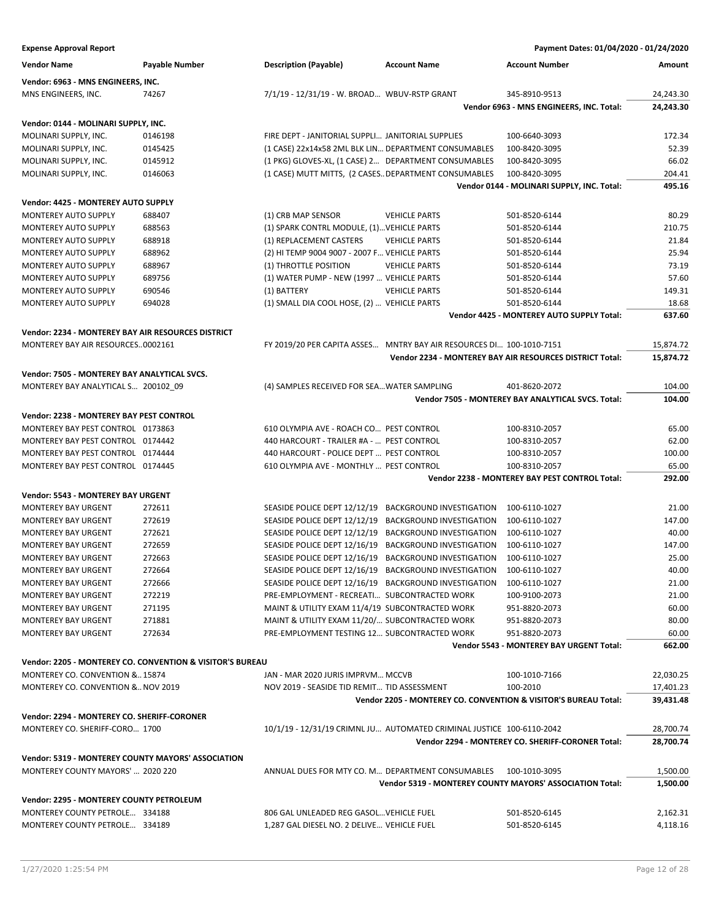| <b>Expense Approval Report</b>                     |                                                           |                                                       |                                                                       | Payment Dates: 01/04/2020 - 01/24/2020                   |           |
|----------------------------------------------------|-----------------------------------------------------------|-------------------------------------------------------|-----------------------------------------------------------------------|----------------------------------------------------------|-----------|
| <b>Vendor Name</b>                                 | Payable Number                                            | <b>Description (Payable)</b>                          | <b>Account Name</b>                                                   | <b>Account Number</b>                                    | Amount    |
| Vendor: 6963 - MNS ENGINEERS, INC.                 |                                                           |                                                       |                                                                       |                                                          |           |
| MNS ENGINEERS, INC.                                | 74267                                                     | 7/1/19 - 12/31/19 - W. BROAD WBUV-RSTP GRANT          |                                                                       | 345-8910-9513                                            | 24,243.30 |
|                                                    |                                                           |                                                       |                                                                       | Vendor 6963 - MNS ENGINEERS, INC. Total:                 | 24,243.30 |
| Vendor: 0144 - MOLINARI SUPPLY, INC.               |                                                           |                                                       |                                                                       |                                                          |           |
| MOLINARI SUPPLY, INC.                              | 0146198                                                   | FIRE DEPT - JANITORIAL SUPPLI JANITORIAL SUPPLIES     |                                                                       | 100-6640-3093                                            | 172.34    |
| MOLINARI SUPPLY, INC.                              | 0145425                                                   | (1 CASE) 22x14x58 2ML BLK LIN DEPARTMENT CONSUMABLES  |                                                                       | 100-8420-3095                                            | 52.39     |
| MOLINARI SUPPLY, INC.                              | 0145912                                                   | (1 PKG) GLOVES-XL, (1 CASE) 2 DEPARTMENT CONSUMABLES  |                                                                       | 100-8420-3095                                            | 66.02     |
| MOLINARI SUPPLY, INC.                              | 0146063                                                   | (1 CASE) MUTT MITTS, (2 CASES DEPARTMENT CONSUMABLES  |                                                                       | 100-8420-3095                                            | 204.41    |
|                                                    |                                                           |                                                       |                                                                       | Vendor 0144 - MOLINARI SUPPLY, INC. Total:               | 495.16    |
| <b>Vendor: 4425 - MONTEREY AUTO SUPPLY</b>         |                                                           |                                                       |                                                                       |                                                          |           |
| MONTEREY AUTO SUPPLY                               | 688407                                                    | (1) CRB MAP SENSOR                                    | <b>VEHICLE PARTS</b>                                                  | 501-8520-6144                                            | 80.29     |
| MONTEREY AUTO SUPPLY                               | 688563                                                    | (1) SPARK CONTRL MODULE, (1) VEHICLE PARTS            |                                                                       | 501-8520-6144                                            | 210.75    |
| MONTEREY AUTO SUPPLY                               | 688918                                                    | (1) REPLACEMENT CASTERS                               | <b>VEHICLE PARTS</b>                                                  | 501-8520-6144                                            | 21.84     |
| <b>MONTEREY AUTO SUPPLY</b>                        | 688962                                                    | (2) HI TEMP 9004 9007 - 2007 F VEHICLE PARTS          |                                                                       | 501-8520-6144                                            | 25.94     |
| MONTEREY AUTO SUPPLY                               | 688967                                                    | (1) THROTTLE POSITION                                 | <b>VEHICLE PARTS</b>                                                  | 501-8520-6144                                            | 73.19     |
| MONTEREY AUTO SUPPLY                               | 689756                                                    | (1) WATER PUMP - NEW (1997  VEHICLE PARTS             |                                                                       | 501-8520-6144                                            | 57.60     |
| MONTEREY AUTO SUPPLY                               | 690546                                                    | (1) BATTERY                                           | <b>VEHICLE PARTS</b>                                                  | 501-8520-6144                                            | 149.31    |
| <b>MONTEREY AUTO SUPPLY</b>                        | 694028                                                    | (1) SMALL DIA COOL HOSE, (2)  VEHICLE PARTS           |                                                                       | 501-8520-6144                                            | 18.68     |
|                                                    |                                                           |                                                       |                                                                       | <b>Vendor 4425 - MONTEREY AUTO SUPPLY Total:</b>         | 637.60    |
| Vendor: 2234 - MONTEREY BAY AIR RESOURCES DISTRICT |                                                           |                                                       |                                                                       |                                                          |           |
| MONTEREY BAY AIR RESOURCES0002161                  |                                                           |                                                       | FY 2019/20 PER CAPITA ASSES MNTRY BAY AIR RESOURCES DI 100-1010-7151  |                                                          | 15,874.72 |
|                                                    |                                                           |                                                       |                                                                       | Vendor 2234 - MONTEREY BAY AIR RESOURCES DISTRICT Total: | 15,874.72 |
| Vendor: 7505 - MONTEREY BAY ANALYTICAL SVCS.       |                                                           |                                                       |                                                                       |                                                          |           |
|                                                    |                                                           |                                                       |                                                                       | 401-8620-2072                                            | 104.00    |
| MONTEREY BAY ANALYTICAL S 200102_09                |                                                           | (4) SAMPLES RECEIVED FOR SEA WATER SAMPLING           |                                                                       | Vendor 7505 - MONTEREY BAY ANALYTICAL SVCS. Total:       | 104.00    |
|                                                    |                                                           |                                                       |                                                                       |                                                          |           |
| Vendor: 2238 - MONTEREY BAY PEST CONTROL           |                                                           |                                                       |                                                                       |                                                          |           |
| MONTEREY BAY PEST CONTROL 0173863                  |                                                           | 610 OLYMPIA AVE - ROACH CO PEST CONTROL               |                                                                       | 100-8310-2057                                            | 65.00     |
| MONTEREY BAY PEST CONTROL 0174442                  |                                                           | 440 HARCOURT - TRAILER #A -  PEST CONTROL             |                                                                       | 100-8310-2057                                            | 62.00     |
| MONTEREY BAY PEST CONTROL 0174444                  |                                                           | 440 HARCOURT - POLICE DEPT  PEST CONTROL              |                                                                       | 100-8310-2057                                            | 100.00    |
| MONTEREY BAY PEST CONTROL 0174445                  |                                                           | 610 OLYMPIA AVE - MONTHLY  PEST CONTROL               |                                                                       | 100-8310-2057                                            | 65.00     |
|                                                    |                                                           |                                                       |                                                                       | Vendor 2238 - MONTEREY BAY PEST CONTROL Total:           | 292.00    |
| <b>Vendor: 5543 - MONTEREY BAY URGENT</b>          |                                                           |                                                       |                                                                       |                                                          |           |
| <b>MONTEREY BAY URGENT</b>                         | 272611                                                    | SEASIDE POLICE DEPT 12/12/19                          | <b>BACKGROUND INVESTIGATION</b>                                       | 100-6110-1027                                            | 21.00     |
| MONTEREY BAY URGENT                                | 272619                                                    | SEASIDE POLICE DEPT 12/12/19                          | <b>BACKGROUND INVESTIGATION</b>                                       | 100-6110-1027                                            | 147.00    |
| <b>MONTEREY BAY URGENT</b>                         | 272621                                                    | SEASIDE POLICE DEPT 12/12/19                          | <b>BACKGROUND INVESTIGATION</b>                                       | 100-6110-1027                                            | 40.00     |
| <b>MONTEREY BAY URGENT</b>                         | 272659                                                    | SEASIDE POLICE DEPT 12/16/19                          | <b>BACKGROUND INVESTIGATION</b>                                       | 100-6110-1027                                            | 147.00    |
| MONTEREY BAY URGENT                                | 272663                                                    | SEASIDE POLICE DEPT 12/16/19                          | <b>BACKGROUND INVESTIGATION</b>                                       | 100-6110-1027                                            | 25.00     |
| <b>MONTEREY BAY URGENT</b>                         | 272664                                                    | SEASIDE POLICE DEPT 12/16/19 BACKGROUND INVESTIGATION |                                                                       | 100-6110-1027                                            | 40.00     |
| MONTEREY BAY URGENT                                | 272666                                                    | SEASIDE POLICE DEPT 12/16/19 BACKGROUND INVESTIGATION |                                                                       | 100-6110-1027                                            | 21.00     |
| <b>MONTEREY BAY URGENT</b>                         | 272219                                                    | PRE-EMPLOYMENT - RECREATI SUBCONTRACTED WORK          |                                                                       | 100-9100-2073                                            | 21.00     |
| <b>MONTEREY BAY URGENT</b>                         | 271195                                                    | MAINT & UTILITY EXAM 11/4/19 SUBCONTRACTED WORK       |                                                                       | 951-8820-2073                                            | 60.00     |
| MONTEREY BAY URGENT                                | 271881                                                    | MAINT & UTILITY EXAM 11/20/ SUBCONTRACTED WORK        |                                                                       | 951-8820-2073                                            | 80.00     |
| MONTEREY BAY URGENT                                | 272634                                                    | PRE-EMPLOYMENT TESTING 12 SUBCONTRACTED WORK          |                                                                       | 951-8820-2073                                            | 60.00     |
|                                                    |                                                           |                                                       |                                                                       | Vendor 5543 - MONTEREY BAY URGENT Total:                 | 662.00    |
|                                                    | Vendor: 2205 - MONTEREY CO. CONVENTION & VISITOR'S BUREAU |                                                       |                                                                       |                                                          |           |
| MONTEREY CO. CONVENTION &15874                     |                                                           | JAN - MAR 2020 JURIS IMPRVM MCCVB                     |                                                                       | 100-1010-7166                                            | 22,030.25 |
| MONTEREY CO. CONVENTION & NOV 2019                 |                                                           | NOV 2019 - SEASIDE TID REMIT TID ASSESSMENT           |                                                                       | 100-2010                                                 | 17,401.23 |
|                                                    |                                                           |                                                       | Vendor 2205 - MONTEREY CO. CONVENTION & VISITOR'S BUREAU Total:       |                                                          | 39,431.48 |
| Vendor: 2294 - MONTEREY CO. SHERIFF-CORONER        |                                                           |                                                       |                                                                       |                                                          |           |
| MONTEREY CO. SHERIFF-CORO 1700                     |                                                           |                                                       | 10/1/19 - 12/31/19 CRIMNL JU AUTOMATED CRIMINAL JUSTICE 100-6110-2042 |                                                          | 28,700.74 |
|                                                    |                                                           |                                                       |                                                                       | Vendor 2294 - MONTEREY CO. SHERIFF-CORONER Total:        | 28,700.74 |
| Vendor: 5319 - MONTEREY COUNTY MAYORS' ASSOCIATION |                                                           |                                                       |                                                                       |                                                          |           |
| MONTEREY COUNTY MAYORS'  2020 220                  |                                                           |                                                       | ANNUAL DUES FOR MTY CO. M DEPARTMENT CONSUMABLES 100-1010-3095        |                                                          | 1,500.00  |
|                                                    |                                                           |                                                       | Vendor 5319 - MONTEREY COUNTY MAYORS' ASSOCIATION Total:              |                                                          | 1,500.00  |
| Vendor: 2295 - MONTEREY COUNTY PETROLEUM           |                                                           |                                                       |                                                                       |                                                          |           |
| MONTEREY COUNTY PETROLE 334188                     |                                                           | 806 GAL UNLEADED REG GASOL VEHICLE FUEL               |                                                                       | 501-8520-6145                                            | 2,162.31  |
| MONTEREY COUNTY PETROLE 334189                     |                                                           | 1,287 GAL DIESEL NO. 2 DELIVE VEHICLE FUEL            |                                                                       | 501-8520-6145                                            | 4,118.16  |
|                                                    |                                                           |                                                       |                                                                       |                                                          |           |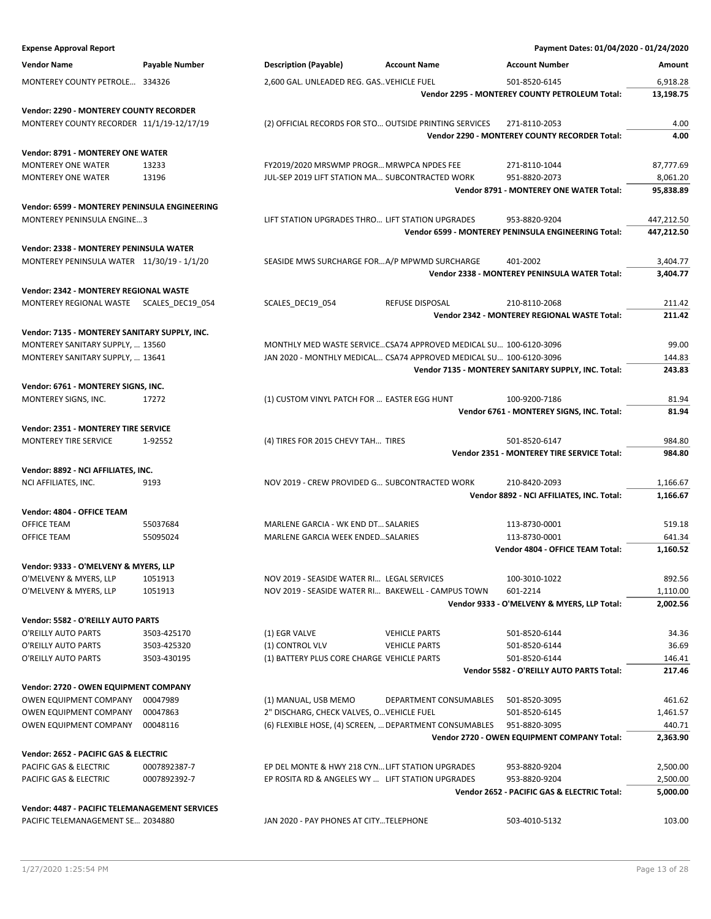| <b>Expense Approval Report</b>                                  |                       |                                                                    |                                                                  | Payment Dates: 01/04/2020 - 01/24/2020                      |                    |
|-----------------------------------------------------------------|-----------------------|--------------------------------------------------------------------|------------------------------------------------------------------|-------------------------------------------------------------|--------------------|
| <b>Vendor Name</b>                                              | <b>Payable Number</b> | <b>Description (Payable)</b>                                       | <b>Account Name</b>                                              | <b>Account Number</b>                                       | Amount             |
| MONTEREY COUNTY PETROLE 334326                                  |                       | 2,600 GAL. UNLEADED REG. GAS VEHICLE FUEL                          |                                                                  | 501-8520-6145                                               | 6,918.28           |
|                                                                 |                       |                                                                    |                                                                  | Vendor 2295 - MONTEREY COUNTY PETROLEUM Total:              | 13,198.75          |
| Vendor: 2290 - MONTEREY COUNTY RECORDER                         |                       |                                                                    |                                                                  |                                                             |                    |
| MONTEREY COUNTY RECORDER 11/1/19-12/17/19                       |                       |                                                                    | (2) OFFICIAL RECORDS FOR STO OUTSIDE PRINTING SERVICES           | 271-8110-2053                                               | 4.00               |
|                                                                 |                       |                                                                    |                                                                  | Vendor 2290 - MONTEREY COUNTY RECORDER Total:               | 4.00               |
| Vendor: 8791 - MONTEREY ONE WATER                               |                       |                                                                    |                                                                  |                                                             |                    |
| <b>MONTEREY ONE WATER</b>                                       | 13233                 | FY2019/2020 MRSWMP PROGR MRWPCA NPDES FEE                          |                                                                  | 271-8110-1044                                               | 87,777.69          |
| <b>MONTEREY ONE WATER</b>                                       | 13196                 | JUL-SEP 2019 LIFT STATION MA SUBCONTRACTED WORK                    |                                                                  | 951-8820-2073                                               | 8,061.20           |
|                                                                 |                       |                                                                    |                                                                  | Vendor 8791 - MONTEREY ONE WATER Total:                     | 95,838.89          |
| Vendor: 6599 - MONTEREY PENINSULA ENGINEERING                   |                       |                                                                    |                                                                  |                                                             |                    |
| <b>MONTEREY PENINSULA ENGINE3</b>                               |                       | LIFT STATION UPGRADES THRO LIFT STATION UPGRADES                   |                                                                  | 953-8820-9204                                               | 447,212.50         |
|                                                                 |                       |                                                                    |                                                                  | Vendor 6599 - MONTEREY PENINSULA ENGINEERING Total:         | 447,212.50         |
| Vendor: 2338 - MONTEREY PENINSULA WATER                         |                       |                                                                    |                                                                  |                                                             |                    |
| MONTEREY PENINSULA WATER 11/30/19 - 1/1/20                      |                       | SEASIDE MWS SURCHARGE FORA/P MPWMD SURCHARGE                       |                                                                  | 401-2002                                                    | 3,404.77           |
|                                                                 |                       |                                                                    |                                                                  | Vendor 2338 - MONTEREY PENINSULA WATER Total:               | 3,404.77           |
| Vendor: 2342 - MONTEREY REGIONAL WASTE                          |                       |                                                                    |                                                                  |                                                             |                    |
| MONTEREY REGIONAL WASTE SCALES DEC19 054                        |                       | SCALES_DEC19_054                                                   | <b>REFUSE DISPOSAL</b>                                           | 210-8110-2068                                               | 211.42             |
|                                                                 |                       |                                                                    |                                                                  | Vendor 2342 - MONTEREY REGIONAL WASTE Total:                | 211.42             |
| Vendor: 7135 - MONTEREY SANITARY SUPPLY, INC.                   |                       |                                                                    |                                                                  |                                                             |                    |
| MONTEREY SANITARY SUPPLY,  13560                                |                       |                                                                    | MONTHLY MED WASTE SERVICECSA74 APPROVED MEDICAL SU 100-6120-3096 |                                                             | 99.00              |
| MONTEREY SANITARY SUPPLY,  13641                                |                       | JAN 2020 - MONTHLY MEDICAL CSA74 APPROVED MEDICAL SU 100-6120-3096 |                                                                  |                                                             | 144.83             |
|                                                                 |                       |                                                                    |                                                                  | Vendor 7135 - MONTEREY SANITARY SUPPLY, INC. Total:         | 243.83             |
| Vendor: 6761 - MONTEREY SIGNS, INC.                             |                       |                                                                    |                                                                  |                                                             |                    |
| MONTEREY SIGNS, INC.                                            | 17272                 | (1) CUSTOM VINYL PATCH FOR  EASTER EGG HUNT                        |                                                                  | 100-9200-7186                                               | 81.94<br>81.94     |
|                                                                 |                       |                                                                    |                                                                  | Vendor 6761 - MONTEREY SIGNS, INC. Total:                   |                    |
| Vendor: 2351 - MONTEREY TIRE SERVICE                            |                       |                                                                    |                                                                  |                                                             |                    |
| MONTEREY TIRE SERVICE                                           | 1-92552               | (4) TIRES FOR 2015 CHEVY TAH TIRES                                 |                                                                  | 501-8520-6147<br>Vendor 2351 - MONTEREY TIRE SERVICE Total: | 984.80<br>984.80   |
|                                                                 |                       |                                                                    |                                                                  |                                                             |                    |
| Vendor: 8892 - NCI AFFILIATES, INC.<br>NCI AFFILIATES, INC.     | 9193                  | NOV 2019 - CREW PROVIDED G SUBCONTRACTED WORK                      |                                                                  | 210-8420-2093                                               | 1,166.67           |
|                                                                 |                       |                                                                    |                                                                  | Vendor 8892 - NCI AFFILIATES, INC. Total:                   | 1,166.67           |
| Vendor: 4804 - OFFICE TEAM                                      |                       |                                                                    |                                                                  |                                                             |                    |
| OFFICE TEAM                                                     | 55037684              | MARLENE GARCIA - WK END DT SALARIES                                |                                                                  | 113-8730-0001                                               | 519.18             |
| OFFICE TEAM                                                     | 55095024              | MARLENE GARCIA WEEK ENDEDSALARIES                                  |                                                                  | 113-8730-0001                                               | 641.34             |
|                                                                 |                       |                                                                    |                                                                  | Vendor 4804 - OFFICE TEAM Total:                            | 1,160.52           |
| Vendor: 9333 - O'MELVENY & MYERS, LLP                           |                       |                                                                    |                                                                  |                                                             |                    |
| O'MELVENY & MYERS, LLP                                          | 1051913               | NOV 2019 - SEASIDE WATER RI LEGAL SERVICES                         |                                                                  | 100-3010-1022                                               | 892.56             |
| O'MELVENY & MYERS, LLP                                          | 1051913               | NOV 2019 - SEASIDE WATER RI BAKEWELL - CAMPUS TOWN                 |                                                                  | 601-2214                                                    | 1,110.00           |
|                                                                 |                       |                                                                    |                                                                  | Vendor 9333 - O'MELVENY & MYERS, LLP Total:                 | 2,002.56           |
| Vendor: 5582 - O'REILLY AUTO PARTS                              |                       |                                                                    |                                                                  |                                                             |                    |
| O'REILLY AUTO PARTS                                             | 3503-425170           | (1) EGR VALVE                                                      | <b>VEHICLE PARTS</b>                                             | 501-8520-6144                                               | 34.36              |
| O'REILLY AUTO PARTS                                             | 3503-425320           | (1) CONTROL VLV                                                    | <b>VEHICLE PARTS</b>                                             | 501-8520-6144                                               | 36.69              |
| O'REILLY AUTO PARTS                                             | 3503-430195           | (1) BATTERY PLUS CORE CHARGE VEHICLE PARTS                         |                                                                  | 501-8520-6144                                               | 146.41             |
|                                                                 |                       |                                                                    |                                                                  | Vendor 5582 - O'REILLY AUTO PARTS Total:                    | 217.46             |
| Vendor: 2720 - OWEN EQUIPMENT COMPANY                           |                       |                                                                    |                                                                  |                                                             |                    |
| OWEN EQUIPMENT COMPANY                                          | 00047989              | (1) MANUAL, USB MEMO                                               | DEPARTMENT CONSUMABLES                                           | 501-8520-3095                                               | 461.62             |
| OWEN EQUIPMENT COMPANY<br>OWEN EQUIPMENT COMPANY                | 00047863<br>00048116  | 2" DISCHARG, CHECK VALVES, O VEHICLE FUEL                          | (6) FLEXIBLE HOSE, (4) SCREEN,  DEPARTMENT CONSUMABLES           | 501-8520-6145<br>951-8820-3095                              | 1,461.57<br>440.71 |
|                                                                 |                       |                                                                    |                                                                  | Vendor 2720 - OWEN EQUIPMENT COMPANY Total:                 | 2,363.90           |
|                                                                 |                       |                                                                    |                                                                  |                                                             |                    |
| Vendor: 2652 - PACIFIC GAS & ELECTRIC<br>PACIFIC GAS & ELECTRIC | 0007892387-7          | EP DEL MONTE & HWY 218 CYN LIFT STATION UPGRADES                   |                                                                  | 953-8820-9204                                               | 2,500.00           |
| PACIFIC GAS & ELECTRIC                                          | 0007892392-7          | EP ROSITA RD & ANGELES WY  LIFT STATION UPGRADES                   |                                                                  | 953-8820-9204                                               | 2,500.00           |
|                                                                 |                       |                                                                    |                                                                  | Vendor 2652 - PACIFIC GAS & ELECTRIC Total:                 | 5,000.00           |
| Vendor: 4487 - PACIFIC TELEMANAGEMENT SERVICES                  |                       |                                                                    |                                                                  |                                                             |                    |
| PACIFIC TELEMANAGEMENT SE 2034880                               |                       | JAN 2020 - PAY PHONES AT CITYTELEPHONE                             |                                                                  | 503-4010-5132                                               | 103.00             |
|                                                                 |                       |                                                                    |                                                                  |                                                             |                    |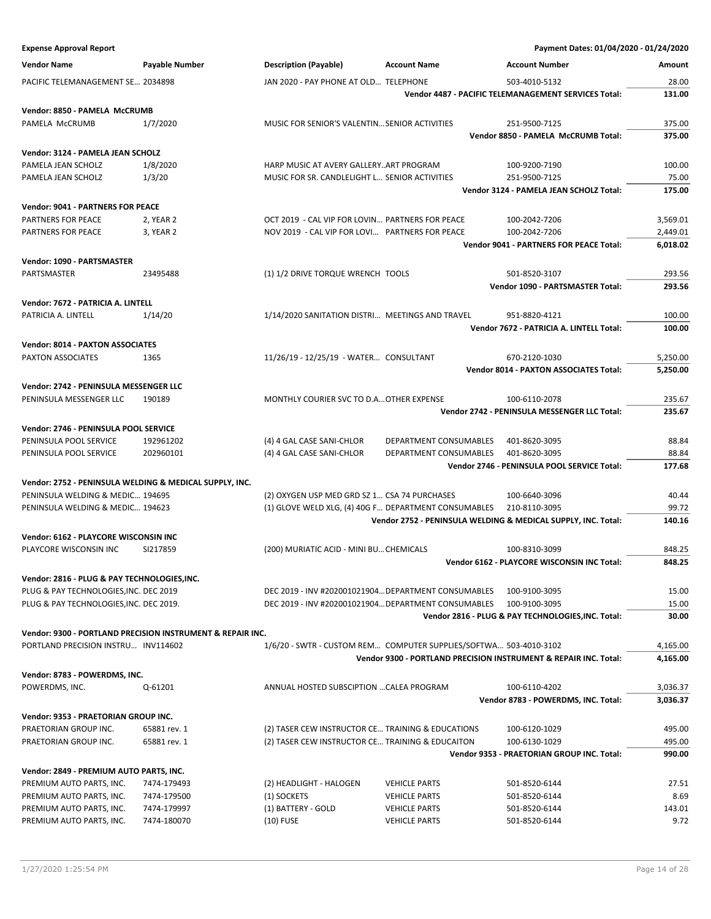| <b>Expense Approval Report</b>                                       |                                                            |                                                                                                      |                        | Payment Dates: 01/04/2020 - 01/24/2020                           |                 |
|----------------------------------------------------------------------|------------------------------------------------------------|------------------------------------------------------------------------------------------------------|------------------------|------------------------------------------------------------------|-----------------|
| <b>Vendor Name</b>                                                   | Payable Number                                             | <b>Description (Payable)</b>                                                                         | <b>Account Name</b>    | <b>Account Number</b>                                            | Amount          |
| PACIFIC TELEMANAGEMENT SE 2034898                                    |                                                            | JAN 2020 - PAY PHONE AT OLD TELEPHONE                                                                |                        | 503-4010-5132                                                    | 28.00           |
|                                                                      |                                                            |                                                                                                      |                        | Vendor 4487 - PACIFIC TELEMANAGEMENT SERVICES Total:             | 131.00          |
| Vendor: 8850 - PAMELA McCRUMB                                        |                                                            |                                                                                                      |                        |                                                                  |                 |
| PAMELA McCRUMB                                                       | 1/7/2020                                                   | MUSIC FOR SENIOR'S VALENTIN SENIOR ACTIVITIES                                                        |                        | 251-9500-7125                                                    | 375.00          |
|                                                                      |                                                            |                                                                                                      |                        | Vendor 8850 - PAMELA McCRUMB Total:                              | 375.00          |
| Vendor: 3124 - PAMELA JEAN SCHOLZ                                    |                                                            |                                                                                                      |                        |                                                                  |                 |
| PAMELA JEAN SCHOLZ                                                   | 1/8/2020                                                   | HARP MUSIC AT AVERY GALLERYART PROGRAM                                                               |                        | 100-9200-7190                                                    | 100.00          |
| PAMELA JEAN SCHOLZ                                                   | 1/3/20                                                     | MUSIC FOR SR. CANDLELIGHT L SENIOR ACTIVITIES                                                        |                        | 251-9500-7125                                                    | 75.00           |
|                                                                      |                                                            |                                                                                                      |                        | Vendor 3124 - PAMELA JEAN SCHOLZ Total:                          | 175.00          |
| Vendor: 9041 - PARTNERS FOR PEACE                                    |                                                            |                                                                                                      |                        |                                                                  |                 |
| <b>PARTNERS FOR PEACE</b>                                            | 2, YEAR 2                                                  | OCT 2019 - CAL VIP FOR LOVIN PARTNERS FOR PEACE                                                      |                        | 100-2042-7206                                                    | 3,569.01        |
| PARTNERS FOR PEACE                                                   | 3, YEAR 2                                                  | NOV 2019 - CAL VIP FOR LOVI PARTNERS FOR PEACE                                                       |                        | 100-2042-7206                                                    | 2,449.01        |
|                                                                      |                                                            |                                                                                                      |                        | <b>Vendor 9041 - PARTNERS FOR PEACE Total:</b>                   | 6,018.02        |
| Vendor: 1090 - PARTSMASTER                                           |                                                            |                                                                                                      |                        |                                                                  |                 |
| PARTSMASTER                                                          | 23495488                                                   | (1) 1/2 DRIVE TORQUE WRENCH TOOLS                                                                    |                        | 501-8520-3107                                                    | 293.56          |
|                                                                      |                                                            |                                                                                                      |                        | Vendor 1090 - PARTSMASTER Total:                                 | 293.56          |
| Vendor: 7672 - PATRICIA A. LINTELL                                   |                                                            |                                                                                                      |                        |                                                                  |                 |
| PATRICIA A. LINTELL                                                  | 1/14/20                                                    | 1/14/2020 SANITATION DISTRI MEETINGS AND TRAVEL                                                      |                        | 951-8820-4121                                                    | 100.00          |
|                                                                      |                                                            |                                                                                                      |                        | Vendor 7672 - PATRICIA A. LINTELL Total:                         | 100.00          |
| Vendor: 8014 - PAXTON ASSOCIATES                                     |                                                            |                                                                                                      |                        |                                                                  |                 |
| PAXTON ASSOCIATES                                                    | 1365                                                       | 11/26/19 - 12/25/19 - WATER CONSULTANT                                                               |                        | 670-2120-1030                                                    | 5,250.00        |
|                                                                      |                                                            |                                                                                                      |                        | Vendor 8014 - PAXTON ASSOCIATES Total:                           | 5,250.00        |
| Vendor: 2742 - PENINSULA MESSENGER LLC                               |                                                            |                                                                                                      |                        |                                                                  |                 |
| PENINSULA MESSENGER LLC                                              | 190189                                                     | MONTHLY COURIER SVC TO D.A OTHER EXPENSE                                                             |                        | 100-6110-2078                                                    | 235.67          |
|                                                                      |                                                            |                                                                                                      |                        | Vendor 2742 - PENINSULA MESSENGER LLC Total:                     | 235.67          |
| Vendor: 2746 - PENINSULA POOL SERVICE                                |                                                            |                                                                                                      |                        |                                                                  |                 |
| PENINSULA POOL SERVICE                                               | 192961202                                                  | (4) 4 GAL CASE SANI-CHLOR                                                                            | DEPARTMENT CONSUMABLES | 401-8620-3095                                                    | 88.84           |
| PENINSULA POOL SERVICE                                               | 202960101                                                  | (4) 4 GAL CASE SANI-CHLOR                                                                            | DEPARTMENT CONSUMABLES | 401-8620-3095<br>Vendor 2746 - PENINSULA POOL SERVICE Total:     | 88.84<br>177.68 |
|                                                                      |                                                            |                                                                                                      |                        |                                                                  |                 |
| Vendor: 2752 - PENINSULA WELDING & MEDICAL SUPPLY, INC.              |                                                            |                                                                                                      |                        |                                                                  |                 |
| PENINSULA WELDING & MEDIC 194695<br>PENINSULA WELDING & MEDIC 194623 |                                                            | (2) OXYGEN USP MED GRD SZ 1 CSA 74 PURCHASES<br>(1) GLOVE WELD XLG, (4) 40G F DEPARTMENT CONSUMABLES |                        | 100-6640-3096<br>210-8110-3095                                   | 40.44<br>99.72  |
|                                                                      |                                                            |                                                                                                      |                        | Vendor 2752 - PENINSULA WELDING & MEDICAL SUPPLY, INC. Total:    | 140.16          |
| Vendor: 6162 - PLAYCORE WISCONSIN INC                                |                                                            |                                                                                                      |                        |                                                                  |                 |
| PLAYCORE WISCONSIN INC                                               | SI217859                                                   | (200) MURIATIC ACID - MINI BU CHEMICALS                                                              |                        | 100-8310-3099                                                    | 848.25          |
|                                                                      |                                                            |                                                                                                      |                        | Vendor 6162 - PLAYCORE WISCONSIN INC Total:                      | 848.25          |
| Vendor: 2816 - PLUG & PAY TECHNOLOGIES, INC.                         |                                                            |                                                                                                      |                        |                                                                  |                 |
| PLUG & PAY TECHNOLOGIES, INC. DEC 2019                               |                                                            | DEC 2019 - INV #202001021904 DEPARTMENT CONSUMABLES                                                  |                        | 100-9100-3095                                                    | 15.00           |
| PLUG & PAY TECHNOLOGIES, INC. DEC 2019.                              |                                                            | DEC 2019 - INV #202001021904 DEPARTMENT CONSUMABLES                                                  |                        | 100-9100-3095                                                    | 15.00           |
|                                                                      |                                                            |                                                                                                      |                        | Vendor 2816 - PLUG & PAY TECHNOLOGIES, INC. Total:               | 30.00           |
|                                                                      | Vendor: 9300 - PORTLAND PRECISION INSTRUMENT & REPAIR INC. |                                                                                                      |                        |                                                                  |                 |
| PORTLAND PRECISION INSTRU INV114602                                  |                                                            | 1/6/20 - SWTR - CUSTOM REM COMPUTER SUPPLIES/SOFTWA 503-4010-3102                                    |                        |                                                                  | 4,165.00        |
|                                                                      |                                                            |                                                                                                      |                        | Vendor 9300 - PORTLAND PRECISION INSTRUMENT & REPAIR INC. Total: | 4,165.00        |
| Vendor: 8783 - POWERDMS, INC.                                        |                                                            |                                                                                                      |                        |                                                                  |                 |
| POWERDMS, INC.                                                       | Q-61201                                                    | ANNUAL HOSTED SUBSCIPTION  CALEA PROGRAM                                                             |                        | 100-6110-4202                                                    | 3,036.37        |
|                                                                      |                                                            |                                                                                                      |                        | Vendor 8783 - POWERDMS, INC. Total:                              | 3,036.37        |
| Vendor: 9353 - PRAETORIAN GROUP INC.                                 |                                                            |                                                                                                      |                        |                                                                  |                 |
| PRAETORIAN GROUP INC.                                                | 65881 rev. 1                                               | (2) TASER CEW INSTRUCTOR CE TRAINING & EDUCATIONS                                                    |                        | 100-6120-1029                                                    | 495.00          |
| PRAETORIAN GROUP INC.                                                | 65881 rev. 1                                               | (2) TASER CEW INSTRUCTOR CE TRAINING & EDUCAITON                                                     |                        | 100-6130-1029                                                    | 495.00          |
|                                                                      |                                                            |                                                                                                      |                        | Vendor 9353 - PRAETORIAN GROUP INC. Total:                       | 990.00          |
| Vendor: 2849 - PREMIUM AUTO PARTS, INC.                              |                                                            |                                                                                                      |                        |                                                                  |                 |
| PREMIUM AUTO PARTS, INC.                                             | 7474-179493                                                | (2) HEADLIGHT - HALOGEN                                                                              | <b>VEHICLE PARTS</b>   | 501-8520-6144                                                    | 27.51           |
| PREMIUM AUTO PARTS, INC.                                             | 7474-179500                                                | (1) SOCKETS                                                                                          | <b>VEHICLE PARTS</b>   | 501-8520-6144                                                    | 8.69            |
| PREMIUM AUTO PARTS, INC.                                             | 7474-179997                                                | (1) BATTERY - GOLD                                                                                   | <b>VEHICLE PARTS</b>   | 501-8520-6144                                                    | 143.01          |
| PREMIUM AUTO PARTS, INC.                                             | 7474-180070                                                | $(10)$ FUSE                                                                                          | <b>VEHICLE PARTS</b>   | 501-8520-6144                                                    | 9.72            |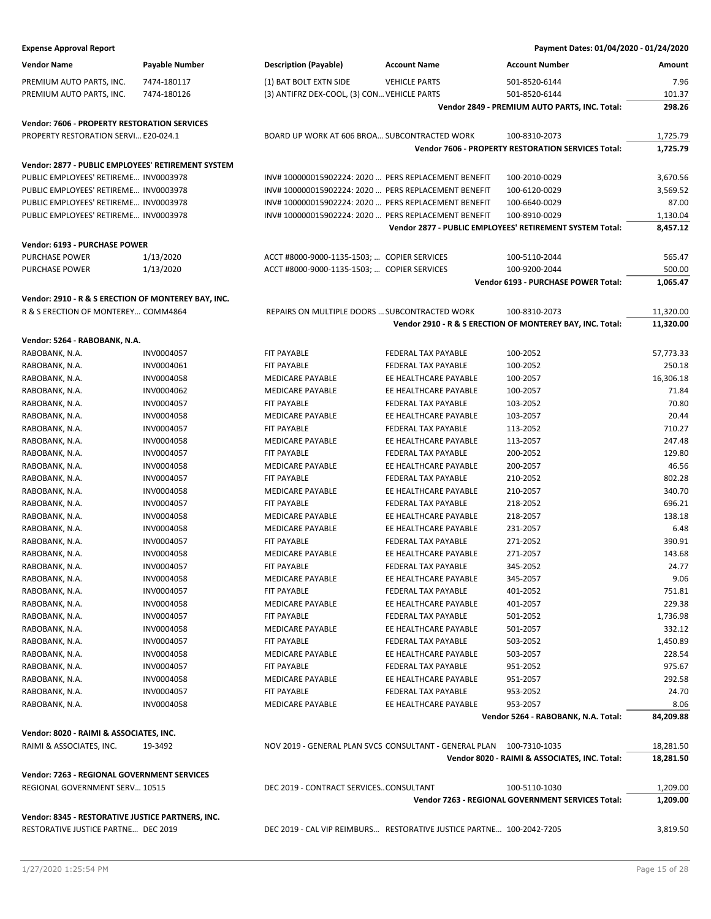| <b>Expense Approval Report</b>                      |                |                                                      |                                                                      | Payment Dates: 01/04/2020 - 01/24/2020                    |           |
|-----------------------------------------------------|----------------|------------------------------------------------------|----------------------------------------------------------------------|-----------------------------------------------------------|-----------|
| <b>Vendor Name</b>                                  | Payable Number | <b>Description (Payable)</b>                         | <b>Account Name</b>                                                  | <b>Account Number</b>                                     | Amount    |
| PREMIUM AUTO PARTS, INC.                            | 7474-180117    | (1) BAT BOLT EXTN SIDE                               | <b>VEHICLE PARTS</b>                                                 | 501-8520-6144                                             | 7.96      |
| PREMIUM AUTO PARTS, INC.                            | 7474-180126    | (3) ANTIFRZ DEX-COOL, (3) CON VEHICLE PARTS          |                                                                      | 501-8520-6144                                             | 101.37    |
|                                                     |                |                                                      |                                                                      | Vendor 2849 - PREMIUM AUTO PARTS, INC. Total:             | 298.26    |
| <b>Vendor: 7606 - PROPERTY RESTORATION SERVICES</b> |                |                                                      |                                                                      |                                                           |           |
| PROPERTY RESTORATION SERVI E20-024.1                |                | BOARD UP WORK AT 606 BROA SUBCONTRACTED WORK         |                                                                      | 100-8310-2073                                             | 1,725.79  |
|                                                     |                |                                                      |                                                                      | <b>Vendor 7606 - PROPERTY RESTORATION SERVICES Total:</b> | 1,725.79  |
| Vendor: 2877 - PUBLIC EMPLOYEES' RETIREMENT SYSTEM  |                |                                                      |                                                                      |                                                           |           |
| PUBLIC EMPLOYEES' RETIREME INV0003978               |                | INV# 100000015902224: 2020  PERS REPLACEMENT BENEFIT |                                                                      | 100-2010-0029                                             | 3,670.56  |
| PUBLIC EMPLOYEES' RETIREME INV0003978               |                | INV#100000015902224: 2020  PERS REPLACEMENT BENEFIT  |                                                                      | 100-6120-0029                                             | 3,569.52  |
| PUBLIC EMPLOYEES' RETIREME INV0003978               |                | INV#100000015902224: 2020  PERS REPLACEMENT BENEFIT  |                                                                      | 100-6640-0029                                             | 87.00     |
| PUBLIC EMPLOYEES' RETIREME INV0003978               |                | INV#100000015902224: 2020  PERS REPLACEMENT BENEFIT  |                                                                      | 100-8910-0029                                             | 1,130.04  |
|                                                     |                |                                                      |                                                                      | Vendor 2877 - PUBLIC EMPLOYEES' RETIREMENT SYSTEM Total:  | 8,457.12  |
| Vendor: 6193 - PURCHASE POWER                       |                |                                                      |                                                                      |                                                           |           |
| PURCHASE POWER                                      | 1/13/2020      | ACCT #8000-9000-1135-1503;  COPIER SERVICES          |                                                                      | 100-5110-2044                                             | 565.47    |
| PURCHASE POWER                                      | 1/13/2020      | ACCT #8000-9000-1135-1503;  COPIER SERVICES          |                                                                      | 100-9200-2044                                             | 500.00    |
|                                                     |                |                                                      |                                                                      | Vendor 6193 - PURCHASE POWER Total:                       | 1,065.47  |
| Vendor: 2910 - R & S ERECTION OF MONTEREY BAY, INC. |                |                                                      |                                                                      |                                                           |           |
| R & S ERECTION OF MONTEREY COMM4864                 |                | REPAIRS ON MULTIPLE DOORS  SUBCONTRACTED WORK        |                                                                      | 100-8310-2073                                             | 11,320.00 |
|                                                     |                |                                                      |                                                                      | Vendor 2910 - R & S ERECTION OF MONTEREY BAY, INC. Total: | 11,320.00 |
| Vendor: 5264 - RABOBANK, N.A.                       |                |                                                      |                                                                      |                                                           |           |
| RABOBANK, N.A.                                      | INV0004057     | <b>FIT PAYABLE</b>                                   | FEDERAL TAX PAYABLE                                                  | 100-2052                                                  | 57,773.33 |
| RABOBANK, N.A.                                      | INV0004061     | FIT PAYABLE                                          | FEDERAL TAX PAYABLE                                                  | 100-2052                                                  | 250.18    |
| RABOBANK, N.A.                                      | INV0004058     | <b>MEDICARE PAYABLE</b>                              | EE HEALTHCARE PAYABLE                                                | 100-2057                                                  | 16,306.18 |
| RABOBANK, N.A.                                      | INV0004062     | <b>MEDICARE PAYABLE</b>                              | EE HEALTHCARE PAYABLE                                                | 100-2057                                                  | 71.84     |
| RABOBANK, N.A.                                      | INV0004057     | FIT PAYABLE                                          | FEDERAL TAX PAYABLE                                                  | 103-2052                                                  | 70.80     |
| RABOBANK, N.A.                                      | INV0004058     | <b>MEDICARE PAYABLE</b>                              | EE HEALTHCARE PAYABLE                                                | 103-2057                                                  | 20.44     |
| RABOBANK, N.A.                                      | INV0004057     | <b>FIT PAYABLE</b>                                   | FEDERAL TAX PAYABLE                                                  | 113-2052                                                  | 710.27    |
| RABOBANK, N.A.                                      | INV0004058     | <b>MEDICARE PAYABLE</b>                              | EE HEALTHCARE PAYABLE                                                | 113-2057                                                  | 247.48    |
| RABOBANK, N.A.                                      | INV0004057     | <b>FIT PAYABLE</b>                                   | FEDERAL TAX PAYABLE                                                  | 200-2052                                                  | 129.80    |
| RABOBANK, N.A.                                      | INV0004058     | <b>MEDICARE PAYABLE</b>                              | EE HEALTHCARE PAYABLE                                                | 200-2057                                                  | 46.56     |
| RABOBANK, N.A.                                      | INV0004057     | <b>FIT PAYABLE</b>                                   | FEDERAL TAX PAYABLE                                                  | 210-2052                                                  | 802.28    |
| RABOBANK, N.A.                                      | INV0004058     | MEDICARE PAYABLE                                     | EE HEALTHCARE PAYABLE                                                | 210-2057                                                  | 340.70    |
| RABOBANK, N.A.                                      | INV0004057     | <b>FIT PAYABLE</b>                                   | <b>FEDERAL TAX PAYABLE</b>                                           | 218-2052                                                  | 696.21    |
| RABOBANK, N.A.                                      | INV0004058     | <b>MEDICARE PAYABLE</b>                              | EE HEALTHCARE PAYABLE                                                | 218-2057                                                  | 138.18    |
| RABOBANK, N.A.                                      | INV0004058     | <b>MEDICARE PAYABLE</b>                              | EE HEALTHCARE PAYABLE                                                | 231-2057                                                  | 6.48      |
| RABOBANK, N.A.                                      | INV0004057     | <b>FIT PAYABLE</b>                                   | FEDERAL TAX PAYABLE                                                  | 271-2052                                                  | 390.91    |
| RABOBANK, N.A.                                      | INV0004058     | <b>MEDICARE PAYABLE</b>                              | EE HEALTHCARE PAYABLE                                                | 271-2057                                                  | 143.68    |
| RABOBANK, N.A.                                      | INV0004057     | FIT PAYABLE                                          | FEDERAL TAX PAYABLE                                                  | 345-2052                                                  | 24.77     |
| RABOBANK, N.A.                                      | INV0004058     | MEDICARE PAYABLE                                     | EE HEALTHCARE PAYABLE                                                | 345-2057                                                  | 9.06      |
| RABOBANK, N.A.                                      | INV0004057     | FIT PAYABLE                                          | FEDERAL TAX PAYABLE                                                  | 401-2052                                                  | 751.81    |
| RABOBANK, N.A.                                      | INV0004058     | <b>MEDICARE PAYABLE</b>                              | EE HEALTHCARE PAYABLE                                                | 401-2057                                                  | 229.38    |
| RABOBANK, N.A.                                      | INV0004057     | FIT PAYABLE                                          | FEDERAL TAX PAYABLE                                                  | 501-2052                                                  | 1,736.98  |
| RABOBANK, N.A.                                      | INV0004058     | MEDICARE PAYABLE                                     | EE HEALTHCARE PAYABLE                                                | 501-2057                                                  | 332.12    |
| RABOBANK, N.A.                                      | INV0004057     | FIT PAYABLE                                          | FEDERAL TAX PAYABLE                                                  | 503-2052                                                  | 1,450.89  |
| RABOBANK, N.A.                                      | INV0004058     | MEDICARE PAYABLE                                     | EE HEALTHCARE PAYABLE                                                | 503-2057                                                  | 228.54    |
| RABOBANK, N.A.                                      | INV0004057     | FIT PAYABLE                                          | FEDERAL TAX PAYABLE                                                  | 951-2052                                                  | 975.67    |
| RABOBANK, N.A.                                      | INV0004058     | MEDICARE PAYABLE                                     | EE HEALTHCARE PAYABLE                                                | 951-2057                                                  | 292.58    |
| RABOBANK, N.A.                                      | INV0004057     | FIT PAYABLE<br><b>MEDICARE PAYABLE</b>               | FEDERAL TAX PAYABLE                                                  | 953-2052                                                  | 24.70     |
| RABOBANK, N.A.                                      | INV0004058     |                                                      | EE HEALTHCARE PAYABLE                                                | 953-2057                                                  | 8.06      |
|                                                     |                |                                                      |                                                                      | Vendor 5264 - RABOBANK, N.A. Total:                       | 84,209.88 |
| Vendor: 8020 - RAIMI & ASSOCIATES, INC.             |                |                                                      |                                                                      |                                                           |           |
| RAIMI & ASSOCIATES, INC.                            | 19-3492        |                                                      | NOV 2019 - GENERAL PLAN SVCS CONSULTANT - GENERAL PLAN               | 100-7310-1035                                             | 18,281.50 |
|                                                     |                |                                                      |                                                                      | Vendor 8020 - RAIMI & ASSOCIATES, INC. Total:             | 18,281.50 |
| Vendor: 7263 - REGIONAL GOVERNMENT SERVICES         |                |                                                      |                                                                      |                                                           |           |
| REGIONAL GOVERNMENT SERV 10515                      |                | DEC 2019 - CONTRACT SERVICESCONSULTANT               |                                                                      | 100-5110-1030                                             | 1,209.00  |
|                                                     |                |                                                      |                                                                      | Vendor 7263 - REGIONAL GOVERNMENT SERVICES Total:         | 1,209.00  |
| Vendor: 8345 - RESTORATIVE JUSTICE PARTNERS, INC.   |                |                                                      |                                                                      |                                                           |           |
| RESTORATIVE JUSTICE PARTNE DEC 2019                 |                |                                                      | DEC 2019 - CAL VIP REIMBURS RESTORATIVE JUSTICE PARTNE 100-2042-7205 |                                                           | 3,819.50  |
|                                                     |                |                                                      |                                                                      |                                                           |           |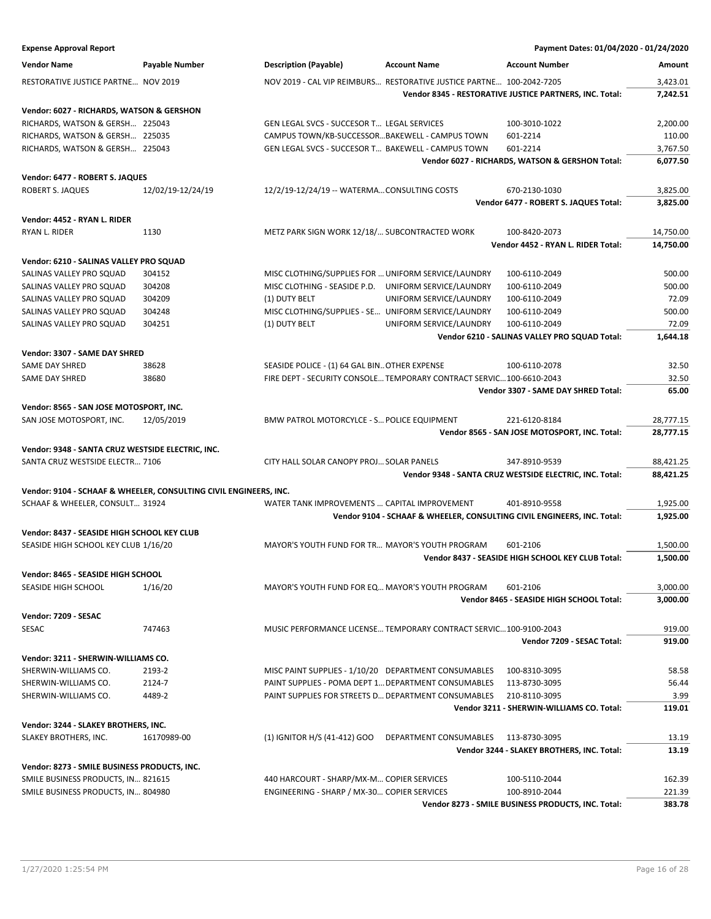| <b>Expense Approval Report</b>                                    |                       |                                                                      |                         | Payment Dates: 01/04/2020 - 01/24/2020                                  |                        |
|-------------------------------------------------------------------|-----------------------|----------------------------------------------------------------------|-------------------------|-------------------------------------------------------------------------|------------------------|
| <b>Vendor Name</b>                                                | <b>Payable Number</b> | <b>Description (Payable)</b>                                         | <b>Account Name</b>     | <b>Account Number</b>                                                   | Amount                 |
| RESTORATIVE JUSTICE PARTNE NOV 2019                               |                       | NOV 2019 - CAL VIP REIMBURS RESTORATIVE JUSTICE PARTNE 100-2042-7205 |                         |                                                                         | 3,423.01               |
|                                                                   |                       |                                                                      |                         | Vendor 8345 - RESTORATIVE JUSTICE PARTNERS, INC. Total:                 | 7,242.51               |
| Vendor: 6027 - RICHARDS, WATSON & GERSHON                         |                       |                                                                      |                         |                                                                         |                        |
| RICHARDS, WATSON & GERSH 225043                                   |                       | GEN LEGAL SVCS - SUCCESOR T LEGAL SERVICES                           |                         | 100-3010-1022                                                           | 2,200.00               |
| RICHARDS, WATSON & GERSH 225035                                   |                       | CAMPUS TOWN/KB-SUCCESSORBAKEWELL - CAMPUS TOWN                       |                         | 601-2214                                                                | 110.00                 |
| RICHARDS, WATSON & GERSH 225043                                   |                       | GEN LEGAL SVCS - SUCCESOR T BAKEWELL - CAMPUS TOWN                   |                         | 601-2214                                                                | 3,767.50               |
|                                                                   |                       |                                                                      |                         | Vendor 6027 - RICHARDS, WATSON & GERSHON Total:                         | 6,077.50               |
|                                                                   |                       |                                                                      |                         |                                                                         |                        |
| Vendor: 6477 - ROBERT S. JAQUES<br><b>ROBERT S. JAQUES</b>        | 12/02/19-12/24/19     | 12/2/19-12/24/19 -- WATERMA CONSULTING COSTS                         |                         | 670-2130-1030                                                           | 3,825.00               |
|                                                                   |                       |                                                                      |                         | Vendor 6477 - ROBERT S. JAQUES Total:                                   | 3,825.00               |
|                                                                   |                       |                                                                      |                         |                                                                         |                        |
| Vendor: 4452 - RYAN L. RIDER                                      |                       |                                                                      |                         |                                                                         |                        |
| RYAN L. RIDER                                                     | 1130                  | METZ PARK SIGN WORK 12/18/ SUBCONTRACTED WORK                        |                         | 100-8420-2073                                                           | 14,750.00              |
|                                                                   |                       |                                                                      |                         | Vendor 4452 - RYAN L. RIDER Total:                                      | 14,750.00              |
| Vendor: 6210 - SALINAS VALLEY PRO SQUAD                           |                       |                                                                      |                         |                                                                         |                        |
| SALINAS VALLEY PRO SQUAD                                          | 304152                | MISC CLOTHING/SUPPLIES FOR  UNIFORM SERVICE/LAUNDRY                  |                         | 100-6110-2049                                                           | 500.00                 |
| SALINAS VALLEY PRO SQUAD                                          | 304208                | MISC CLOTHING - SEASIDE P.D. UNIFORM SERVICE/LAUNDRY                 |                         | 100-6110-2049                                                           | 500.00                 |
| SALINAS VALLEY PRO SQUAD                                          | 304209                | (1) DUTY BELT                                                        | UNIFORM SERVICE/LAUNDRY | 100-6110-2049                                                           | 72.09                  |
| SALINAS VALLEY PRO SQUAD                                          | 304248                | MISC CLOTHING/SUPPLIES - SE UNIFORM SERVICE/LAUNDRY                  |                         | 100-6110-2049                                                           | 500.00                 |
| SALINAS VALLEY PRO SQUAD                                          | 304251                | (1) DUTY BELT                                                        | UNIFORM SERVICE/LAUNDRY | 100-6110-2049                                                           | 72.09                  |
|                                                                   |                       |                                                                      |                         | Vendor 6210 - SALINAS VALLEY PRO SQUAD Total:                           | 1.644.18               |
| Vendor: 3307 - SAME DAY SHRED                                     |                       |                                                                      |                         |                                                                         |                        |
| <b>SAME DAY SHRED</b>                                             | 38628                 | SEASIDE POLICE - (1) 64 GAL BIN OTHER EXPENSE                        |                         | 100-6110-2078                                                           | 32.50                  |
| SAME DAY SHRED                                                    | 38680                 | FIRE DEPT - SECURITY CONSOLE TEMPORARY CONTRACT SERVIC 100-6610-2043 |                         |                                                                         | 32.50                  |
|                                                                   |                       |                                                                      |                         | Vendor 3307 - SAME DAY SHRED Total:                                     | 65.00                  |
|                                                                   |                       |                                                                      |                         |                                                                         |                        |
| Vendor: 8565 - SAN JOSE MOTOSPORT, INC.                           |                       | BMW PATROL MOTORCYLCE - S POLICE EQUIPMENT                           |                         |                                                                         |                        |
| SAN JOSE MOTOSPORT, INC.                                          | 12/05/2019            |                                                                      |                         | 221-6120-8184<br>Vendor 8565 - SAN JOSE MOTOSPORT, INC. Total:          | 28,777.15<br>28,777.15 |
|                                                                   |                       |                                                                      |                         |                                                                         |                        |
| Vendor: 9348 - SANTA CRUZ WESTSIDE ELECTRIC, INC.                 |                       |                                                                      |                         |                                                                         |                        |
| SANTA CRUZ WESTSIDE ELECTR 7106                                   |                       | CITY HALL SOLAR CANOPY PROJ SOLAR PANELS                             |                         | 347-8910-9539                                                           | 88,421.25              |
|                                                                   |                       |                                                                      |                         | Vendor 9348 - SANTA CRUZ WESTSIDE ELECTRIC, INC. Total:                 | 88,421.25              |
| Vendor: 9104 - SCHAAF & WHEELER, CONSULTING CIVIL ENGINEERS, INC. |                       |                                                                      |                         |                                                                         |                        |
| SCHAAF & WHEELER, CONSULT 31924                                   |                       | WATER TANK IMPROVEMENTS  CAPITAL IMPROVEMENT                         |                         | 401-8910-9558                                                           | 1,925.00               |
|                                                                   |                       |                                                                      |                         | Vendor 9104 - SCHAAF & WHEELER, CONSULTING CIVIL ENGINEERS, INC. Total: | 1,925.00               |
| Vendor: 8437 - SEASIDE HIGH SCHOOL KEY CLUB                       |                       |                                                                      |                         |                                                                         |                        |
| SEASIDE HIGH SCHOOL KEY CLUB 1/16/20                              |                       | MAYOR'S YOUTH FUND FOR TR MAYOR'S YOUTH PROGRAM                      |                         | 601-2106                                                                | 1,500.00               |
|                                                                   |                       |                                                                      |                         | Vendor 8437 - SEASIDE HIGH SCHOOL KEY CLUB Total:                       | 1,500.00               |
|                                                                   |                       |                                                                      |                         |                                                                         |                        |
| Vendor: 8465 - SEASIDE HIGH SCHOOL<br>SEASIDE HIGH SCHOOL         | 1/16/20               | MAYOR'S YOUTH FUND FOR EQ MAYOR'S YOUTH PROGRAM                      |                         | 601-2106                                                                | 3,000.00               |
|                                                                   |                       |                                                                      |                         | Vendor 8465 - SEASIDE HIGH SCHOOL Total:                                | 3,000.00               |
|                                                                   |                       |                                                                      |                         |                                                                         |                        |
| Vendor: 7209 - SESAC                                              |                       |                                                                      |                         |                                                                         |                        |
| <b>SESAC</b>                                                      | 747463                | MUSIC PERFORMANCE LICENSE TEMPORARY CONTRACT SERVIC100-9100-2043     |                         |                                                                         | 919.00                 |
|                                                                   |                       |                                                                      |                         | Vendor 7209 - SESAC Total:                                              | 919.00                 |
| Vendor: 3211 - SHERWIN-WILLIAMS CO.                               |                       |                                                                      |                         |                                                                         |                        |
| SHERWIN-WILLIAMS CO.                                              | 2193-2                | MISC PAINT SUPPLIES - 1/10/20 DEPARTMENT CONSUMABLES                 |                         | 100-8310-3095                                                           | 58.58                  |
| SHERWIN-WILLIAMS CO.                                              | 2124-7                | PAINT SUPPLIES - POMA DEPT 1 DEPARTMENT CONSUMABLES                  |                         | 113-8730-3095                                                           | 56.44                  |
| SHERWIN-WILLIAMS CO.                                              | 4489-2                | PAINT SUPPLIES FOR STREETS D DEPARTMENT CONSUMABLES                  |                         | 210-8110-3095                                                           | 3.99                   |
|                                                                   |                       |                                                                      |                         | Vendor 3211 - SHERWIN-WILLIAMS CO. Total:                               | 119.01                 |
| Vendor: 3244 - SLAKEY BROTHERS, INC.                              |                       |                                                                      |                         |                                                                         |                        |
| SLAKEY BROTHERS, INC.                                             | 16170989-00           | (1) IGNITOR H/S (41-412) GOO                                         | DEPARTMENT CONSUMABLES  | 113-8730-3095                                                           | 13.19                  |
|                                                                   |                       |                                                                      |                         | Vendor 3244 - SLAKEY BROTHERS, INC. Total:                              | 13.19                  |
|                                                                   |                       |                                                                      |                         |                                                                         |                        |
| Vendor: 8273 - SMILE BUSINESS PRODUCTS, INC.                      |                       |                                                                      |                         |                                                                         |                        |
| SMILE BUSINESS PRODUCTS, IN 821615                                |                       | 440 HARCOURT - SHARP/MX-M COPIER SERVICES                            |                         | 100-5110-2044                                                           | 162.39                 |
| SMILE BUSINESS PRODUCTS, IN 804980                                |                       | ENGINEERING - SHARP / MX-30 COPIER SERVICES                          |                         | 100-8910-2044                                                           | 221.39                 |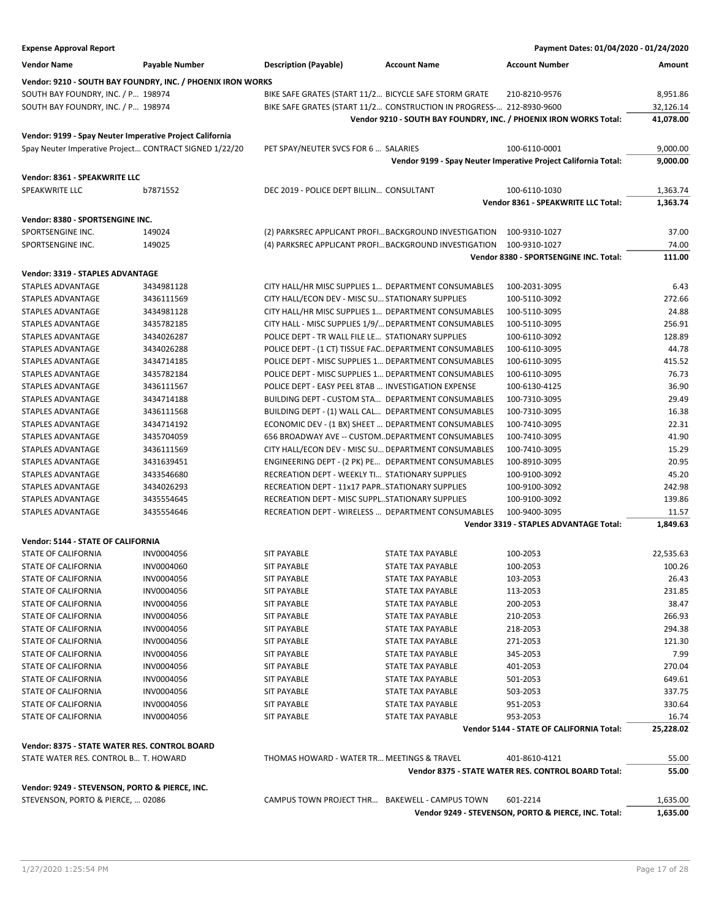| <b>Expense Approval Report</b>                           |                                                             |                                                          |                                                                      | Payment Dates: 01/04/2020 - 01/24/2020                            |                      |
|----------------------------------------------------------|-------------------------------------------------------------|----------------------------------------------------------|----------------------------------------------------------------------|-------------------------------------------------------------------|----------------------|
| <b>Vendor Name</b>                                       | Payable Number                                              | <b>Description (Payable)</b>                             | <b>Account Name</b>                                                  | <b>Account Number</b>                                             | Amount               |
|                                                          | Vendor: 9210 - SOUTH BAY FOUNDRY, INC. / PHOENIX IRON WORKS |                                                          |                                                                      |                                                                   |                      |
| SOUTH BAY FOUNDRY, INC. / P 198974                       |                                                             | BIKE SAFE GRATES (START 11/2 BICYCLE SAFE STORM GRATE    |                                                                      | 210-8210-9576                                                     | 8,951.86             |
| SOUTH BAY FOUNDRY, INC. / P 198974                       |                                                             |                                                          | BIKE SAFE GRATES (START 11/2 CONSTRUCTION IN PROGRESS- 212-8930-9600 |                                                                   | 32,126.14            |
|                                                          |                                                             |                                                          |                                                                      | Vendor 9210 - SOUTH BAY FOUNDRY, INC. / PHOENIX IRON WORKS Total: | 41,078.00            |
|                                                          |                                                             |                                                          |                                                                      |                                                                   |                      |
| Vendor: 9199 - Spay Neuter Imperative Project California |                                                             |                                                          |                                                                      |                                                                   |                      |
| Spay Neuter Imperative Project CONTRACT SIGNED 1/22/20   |                                                             | PET SPAY/NEUTER SVCS FOR 6  SALARIES                     |                                                                      | 100-6110-0001                                                     | 9,000.00             |
|                                                          |                                                             |                                                          |                                                                      | Vendor 9199 - Spay Neuter Imperative Project California Total:    | 9,000.00             |
| Vendor: 8361 - SPEAKWRITE LLC                            |                                                             |                                                          |                                                                      |                                                                   |                      |
| SPEAKWRITE LLC                                           | b7871552                                                    | DEC 2019 - POLICE DEPT BILLIN CONSULTANT                 |                                                                      | 100-6110-1030                                                     | 1,363.74             |
|                                                          |                                                             |                                                          |                                                                      | Vendor 8361 - SPEAKWRITE LLC Total:                               | 1,363.74             |
|                                                          |                                                             |                                                          |                                                                      |                                                                   |                      |
| Vendor: 8380 - SPORTSENGINE INC.<br>SPORTSENGINE INC.    | 149024                                                      |                                                          |                                                                      |                                                                   | 37.00                |
|                                                          |                                                             | (2) PARKSREC APPLICANT PROFI BACKGROUND INVESTIGATION    |                                                                      | 100-9310-1027                                                     |                      |
| SPORTSENGINE INC.                                        | 149025                                                      |                                                          | (4) PARKSREC APPLICANT PROFIBACKGROUND INVESTIGATION                 | 100-9310-1027                                                     | 74.00                |
|                                                          |                                                             |                                                          |                                                                      | Vendor 8380 - SPORTSENGINE INC. Total:                            | 111.00               |
| <b>Vendor: 3319 - STAPLES ADVANTAGE</b>                  |                                                             |                                                          |                                                                      |                                                                   |                      |
| STAPLES ADVANTAGE                                        | 3434981128                                                  | CITY HALL/HR MISC SUPPLIES 1 DEPARTMENT CONSUMABLES      |                                                                      | 100-2031-3095                                                     | 6.43                 |
| <b>STAPLES ADVANTAGE</b>                                 | 3436111569                                                  | CITY HALL/ECON DEV - MISC SU STATIONARY SUPPLIES         |                                                                      | 100-5110-3092                                                     | 272.66               |
| STAPLES ADVANTAGE                                        | 3434981128                                                  | CITY HALL/HR MISC SUPPLIES 1 DEPARTMENT CONSUMABLES      |                                                                      | 100-5110-3095                                                     | 24.88                |
| STAPLES ADVANTAGE                                        | 3435782185                                                  | CITY HALL - MISC SUPPLIES 1/9/ DEPARTMENT CONSUMABLES    |                                                                      | 100-5110-3095                                                     | 256.91               |
| <b>STAPLES ADVANTAGE</b>                                 | 3434026287                                                  | POLICE DEPT - TR WALL FILE LE STATIONARY SUPPLIES        |                                                                      | 100-6110-3092                                                     | 128.89               |
| STAPLES ADVANTAGE                                        | 3434026288                                                  | POLICE DEPT - (1 CT) TISSUE FAC DEPARTMENT CONSUMABLES   |                                                                      | 100-6110-3095                                                     | 44.78                |
| <b>STAPLES ADVANTAGE</b>                                 | 3434714185                                                  | POLICE DEPT - MISC SUPPLIES 1 DEPARTMENT CONSUMABLES     |                                                                      | 100-6110-3095                                                     | 415.52               |
| STAPLES ADVANTAGE                                        | 3435782184                                                  | POLICE DEPT - MISC SUPPLIES 1 DEPARTMENT CONSUMABLES     |                                                                      | 100-6110-3095                                                     | 76.73                |
| STAPLES ADVANTAGE                                        | 3436111567                                                  | POLICE DEPT - EASY PEEL 8TAB  INVESTIGATION EXPENSE      |                                                                      | 100-6130-4125                                                     | 36.90                |
| <b>STAPLES ADVANTAGE</b>                                 | 3434714188                                                  | <b>BUILDING DEPT - CUSTOM STA DEPARTMENT CONSUMABLES</b> |                                                                      | 100-7310-3095                                                     | 29.49                |
| STAPLES ADVANTAGE                                        | 3436111568                                                  | BUILDING DEPT - (1) WALL CAL DEPARTMENT CONSUMABLES      |                                                                      | 100-7310-3095                                                     | 16.38                |
| <b>STAPLES ADVANTAGE</b>                                 | 3434714192                                                  | ECONOMIC DEV - (1 BX) SHEET  DEPARTMENT CONSUMABLES      |                                                                      | 100-7410-3095                                                     | 22.31                |
| STAPLES ADVANTAGE                                        | 3435704059                                                  | 656 BROADWAY AVE -- CUSTOMDEPARTMENT CONSUMABLES         |                                                                      | 100-7410-3095                                                     | 41.90                |
| STAPLES ADVANTAGE                                        | 3436111569                                                  | CITY HALL/ECON DEV - MISC SU DEPARTMENT CONSUMABLES      |                                                                      | 100-7410-3095                                                     | 15.29                |
| STAPLES ADVANTAGE                                        | 3431639451                                                  | ENGINEERING DEPT - (2 PK) PE DEPARTMENT CONSUMABLES      |                                                                      | 100-8910-3095                                                     | 20.95                |
| STAPLES ADVANTAGE                                        | 3433546680                                                  | RECREATION DEPT - WEEKLY TI STATIONARY SUPPLIES          |                                                                      | 100-9100-3092                                                     | 45.20                |
| <b>STAPLES ADVANTAGE</b>                                 | 3434026293                                                  | RECREATION DEPT - 11x17 PAPRSTATIONARY SUPPLIES          |                                                                      | 100-9100-3092                                                     | 242.98               |
| STAPLES ADVANTAGE                                        | 3435554645                                                  | RECREATION DEPT - MISC SUPPLSTATIONARY SUPPLIES          |                                                                      | 100-9100-3092                                                     | 139.86               |
| STAPLES ADVANTAGE                                        | 3435554646                                                  | RECREATION DEPT - WIRELESS  DEPARTMENT CONSUMABLES       |                                                                      | 100-9400-3095                                                     | 11.57                |
|                                                          |                                                             |                                                          |                                                                      | Vendor 3319 - STAPLES ADVANTAGE Total:                            | 1,849.63             |
|                                                          |                                                             |                                                          |                                                                      |                                                                   |                      |
| Vendor: 5144 - STATE OF CALIFORNIA                       |                                                             |                                                          |                                                                      |                                                                   |                      |
| STATE OF CALIFORNIA                                      | INV0004056                                                  | <b>SIT PAYABLE</b>                                       | <b>STATE TAX PAYABLE</b>                                             | 100-2053                                                          | 22,535.63            |
| STATE OF CALIFORNIA                                      | INV0004060                                                  | SIT PAYABLE                                              | STATE TAX PAYABLE                                                    | 100-2053                                                          | 100.26               |
| STATE OF CALIFORNIA                                      | INV0004056                                                  | <b>SIT PAYABLE</b>                                       | STATE TAX PAYABLE                                                    | 103-2053                                                          | 26.43                |
| STATE OF CALIFORNIA                                      | INV0004056                                                  | <b>SIT PAYABLE</b>                                       | STATE TAX PAYABLE                                                    | 113-2053                                                          | 231.85               |
| STATE OF CALIFORNIA                                      | INV0004056                                                  | <b>SIT PAYABLE</b>                                       | STATE TAX PAYABLE                                                    | 200-2053                                                          | 38.47                |
| STATE OF CALIFORNIA                                      | INV0004056                                                  | <b>SIT PAYABLE</b>                                       | STATE TAX PAYABLE                                                    | 210-2053                                                          | 266.93               |
| <b>STATE OF CALIFORNIA</b>                               | INV0004056                                                  | <b>SIT PAYABLE</b>                                       | STATE TAX PAYABLE                                                    | 218-2053                                                          | 294.38               |
| STATE OF CALIFORNIA                                      | INV0004056                                                  | <b>SIT PAYABLE</b>                                       | <b>STATE TAX PAYABLE</b>                                             | 271-2053                                                          | 121.30               |
| STATE OF CALIFORNIA                                      | INV0004056                                                  | <b>SIT PAYABLE</b>                                       | STATE TAX PAYABLE                                                    | 345-2053                                                          | 7.99                 |
| STATE OF CALIFORNIA                                      | INV0004056                                                  | <b>SIT PAYABLE</b>                                       | <b>STATE TAX PAYABLE</b>                                             | 401-2053                                                          | 270.04               |
| STATE OF CALIFORNIA                                      | INV0004056                                                  | <b>SIT PAYABLE</b>                                       | STATE TAX PAYABLE                                                    | 501-2053                                                          | 649.61               |
| STATE OF CALIFORNIA                                      | INV0004056                                                  | <b>SIT PAYABLE</b>                                       | STATE TAX PAYABLE                                                    | 503-2053                                                          | 337.75               |
| STATE OF CALIFORNIA                                      | INV0004056                                                  | <b>SIT PAYABLE</b>                                       | STATE TAX PAYABLE                                                    | 951-2053                                                          | 330.64               |
| STATE OF CALIFORNIA                                      | INV0004056                                                  | <b>SIT PAYABLE</b>                                       | STATE TAX PAYABLE                                                    | 953-2053                                                          | 16.74                |
|                                                          |                                                             |                                                          |                                                                      | Vendor 5144 - STATE OF CALIFORNIA Total:                          | 25,228.02            |
| Vendor: 8375 - STATE WATER RES. CONTROL BOARD            |                                                             |                                                          |                                                                      |                                                                   |                      |
| STATE WATER RES. CONTROL B T. HOWARD                     |                                                             | THOMAS HOWARD - WATER TR MEETINGS & TRAVEL               |                                                                      | 401-8610-4121                                                     | 55.00                |
|                                                          |                                                             |                                                          |                                                                      | Vendor 8375 - STATE WATER RES. CONTROL BOARD Total:               | 55.00                |
|                                                          |                                                             |                                                          |                                                                      |                                                                   |                      |
| Vendor: 9249 - STEVENSON, PORTO & PIERCE, INC.           |                                                             | CAMPUS TOWN PROJECT THR BAKEWELL - CAMPUS TOWN           |                                                                      | 601-2214                                                          |                      |
| STEVENSON, PORTO & PIERCE,  02086                        |                                                             |                                                          |                                                                      | Vendor 9249 - STEVENSON, PORTO & PIERCE, INC. Total:              | 1,635.00<br>1,635.00 |
|                                                          |                                                             |                                                          |                                                                      |                                                                   |                      |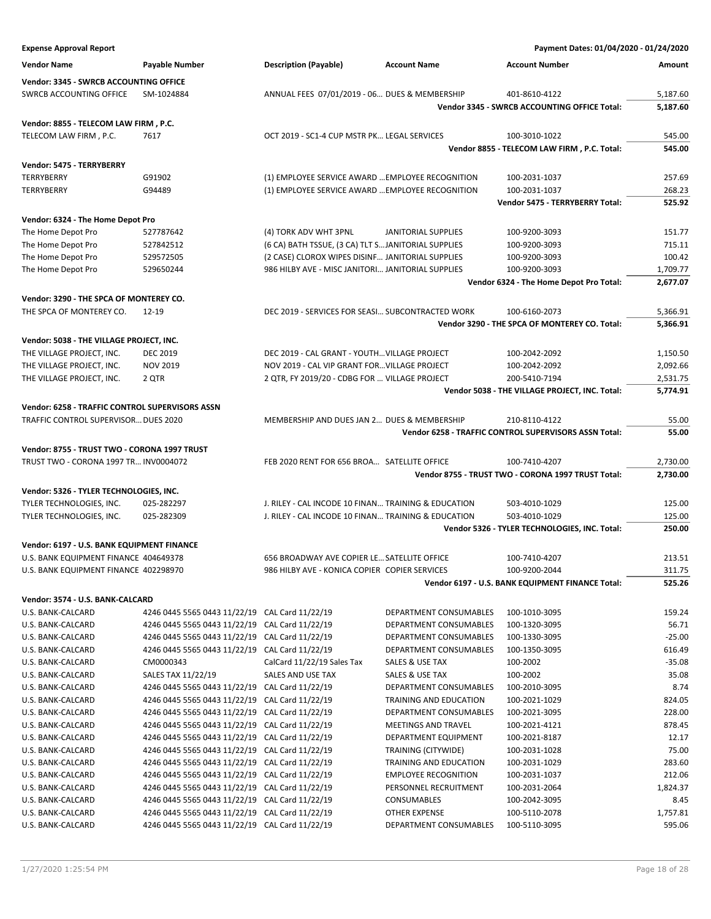| <b>Expense Approval Report</b>                                                          |                                                                                                  |                                                     |                                         | Payment Dates: 01/04/2020 - 01/24/2020                |                    |
|-----------------------------------------------------------------------------------------|--------------------------------------------------------------------------------------------------|-----------------------------------------------------|-----------------------------------------|-------------------------------------------------------|--------------------|
| <b>Vendor Name</b>                                                                      | <b>Payable Number</b>                                                                            | <b>Description (Payable)</b>                        | <b>Account Name</b>                     | <b>Account Number</b>                                 | Amount             |
| Vendor: 3345 - SWRCB ACCOUNTING OFFICE                                                  |                                                                                                  |                                                     |                                         |                                                       |                    |
| <b>SWRCB ACCOUNTING OFFICE</b>                                                          | SM-1024884                                                                                       | ANNUAL FEES 07/01/2019 - 06 DUES & MEMBERSHIP       |                                         | 401-8610-4122                                         | 5,187.60           |
|                                                                                         |                                                                                                  |                                                     |                                         | Vendor 3345 - SWRCB ACCOUNTING OFFICE Total:          | 5,187.60           |
| Vendor: 8855 - TELECOM LAW FIRM, P.C.                                                   |                                                                                                  |                                                     |                                         |                                                       |                    |
| TELECOM LAW FIRM, P.C.                                                                  | 7617                                                                                             | OCT 2019 - SC1-4 CUP MSTR PK LEGAL SERVICES         |                                         | 100-3010-1022                                         | 545.00             |
|                                                                                         |                                                                                                  |                                                     |                                         | Vendor 8855 - TELECOM LAW FIRM, P.C. Total:           | 545.00             |
| Vendor: 5475 - TERRYBERRY                                                               |                                                                                                  |                                                     |                                         |                                                       |                    |
| <b>TERRYBERRY</b>                                                                       | G91902                                                                                           | (1) EMPLOYEE SERVICE AWARD  EMPLOYEE RECOGNITION    |                                         | 100-2031-1037                                         | 257.69             |
| TERRYBERRY                                                                              | G94489                                                                                           | (1) EMPLOYEE SERVICE AWARD  EMPLOYEE RECOGNITION    |                                         | 100-2031-1037                                         | 268.23             |
|                                                                                         |                                                                                                  |                                                     |                                         | Vendor 5475 - TERRYBERRY Total:                       | 525.92             |
| Vendor: 6324 - The Home Depot Pro                                                       |                                                                                                  |                                                     |                                         |                                                       |                    |
| The Home Depot Pro                                                                      | 527787642                                                                                        | (4) TORK ADV WHT 3PNL                               | JANITORIAL SUPPLIES                     | 100-9200-3093                                         | 151.77             |
| The Home Depot Pro                                                                      | 527842512                                                                                        | (6 CA) BATH TSSUE, (3 CA) TLT SJANITORIAL SUPPLIES  |                                         | 100-9200-3093                                         | 715.11             |
| The Home Depot Pro                                                                      | 529572505                                                                                        | (2 CASE) CLOROX WIPES DISINF JANITORIAL SUPPLIES    |                                         | 100-9200-3093                                         | 100.42             |
| The Home Depot Pro                                                                      | 529650244                                                                                        | 986 HILBY AVE - MISC JANITORI JANITORIAL SUPPLIES   |                                         | 100-9200-3093                                         | 1,709.77           |
|                                                                                         |                                                                                                  |                                                     |                                         | Vendor 6324 - The Home Depot Pro Total:               | 2,677.07           |
| Vendor: 3290 - THE SPCA OF MONTEREY CO.                                                 |                                                                                                  |                                                     |                                         |                                                       |                    |
| THE SPCA OF MONTEREY CO.                                                                | $12 - 19$                                                                                        | DEC 2019 - SERVICES FOR SEASI SUBCONTRACTED WORK    |                                         | 100-6160-2073                                         | 5,366.91           |
|                                                                                         |                                                                                                  |                                                     |                                         | Vendor 3290 - THE SPCA OF MONTEREY CO. Total:         | 5,366.91           |
| Vendor: 5038 - THE VILLAGE PROJECT, INC.                                                |                                                                                                  |                                                     |                                         |                                                       |                    |
| THE VILLAGE PROJECT, INC.                                                               | <b>DEC 2019</b>                                                                                  | DEC 2019 - CAL GRANT - YOUTH VILLAGE PROJECT        |                                         | 100-2042-2092                                         | 1,150.50           |
| THE VILLAGE PROJECT, INC.                                                               | <b>NOV 2019</b>                                                                                  | NOV 2019 - CAL VIP GRANT FOR VILLAGE PROJECT        |                                         | 100-2042-2092                                         | 2,092.66           |
| THE VILLAGE PROJECT, INC.                                                               | 2 QTR                                                                                            | 2 QTR, FY 2019/20 - CDBG FOR  VILLAGE PROJECT       |                                         | 200-5410-7194                                         | 2,531.75           |
|                                                                                         |                                                                                                  |                                                     |                                         | Vendor 5038 - THE VILLAGE PROJECT, INC. Total:        | 5,774.91           |
|                                                                                         |                                                                                                  |                                                     |                                         |                                                       |                    |
| Vendor: 6258 - TRAFFIC CONTROL SUPERVISORS ASSN<br>TRAFFIC CONTROL SUPERVISOR DUES 2020 |                                                                                                  | MEMBERSHIP AND DUES JAN 2 DUES & MEMBERSHIP         |                                         | 210-8110-4122                                         | 55.00              |
|                                                                                         |                                                                                                  |                                                     |                                         | Vendor 6258 - TRAFFIC CONTROL SUPERVISORS ASSN Total: | 55.00              |
|                                                                                         |                                                                                                  |                                                     |                                         |                                                       |                    |
| Vendor: 8755 - TRUST TWO - CORONA 1997 TRUST                                            |                                                                                                  |                                                     |                                         |                                                       |                    |
| TRUST TWO - CORONA 1997 TR INV0004072                                                   |                                                                                                  | FEB 2020 RENT FOR 656 BROA SATELLITE OFFICE         |                                         | 100-7410-4207                                         | 2,730.00           |
|                                                                                         |                                                                                                  |                                                     |                                         | Vendor 8755 - TRUST TWO - CORONA 1997 TRUST Total:    | 2,730.00           |
| Vendor: 5326 - TYLER TECHNOLOGIES, INC.                                                 |                                                                                                  |                                                     |                                         |                                                       |                    |
| TYLER TECHNOLOGIES, INC.                                                                | 025-282297                                                                                       | J. RILEY - CAL INCODE 10 FINAN TRAINING & EDUCATION |                                         | 503-4010-1029                                         | 125.00             |
| TYLER TECHNOLOGIES, INC.                                                                | 025-282309                                                                                       | J. RILEY - CAL INCODE 10 FINAN TRAINING & EDUCATION |                                         | 503-4010-1029                                         | 125.00             |
|                                                                                         |                                                                                                  |                                                     |                                         | Vendor 5326 - TYLER TECHNOLOGIES, INC. Total:         | 250.00             |
| Vendor: 6197 - U.S. BANK EQUIPMENT FINANCE                                              |                                                                                                  |                                                     |                                         |                                                       |                    |
| U.S. BANK EQUIPMENT FINANCE 404649378                                                   |                                                                                                  | 656 BROADWAY AVE COPIER LE SATELLITE OFFICE         |                                         | 100-7410-4207                                         | 213.51             |
| U.S. BANK EQUIPMENT FINANCE 402298970                                                   |                                                                                                  | 986 HILBY AVE - KONICA COPIER COPIER SERVICES       |                                         | 100-9200-2044                                         | 311.75             |
|                                                                                         |                                                                                                  |                                                     |                                         | Vendor 6197 - U.S. BANK EQUIPMENT FINANCE Total:      | 525.26             |
| Vendor: 3574 - U.S. BANK-CALCARD                                                        |                                                                                                  |                                                     |                                         |                                                       |                    |
| U.S. BANK-CALCARD                                                                       | 4246 0445 5565 0443 11/22/19 CAL Card 11/22/19                                                   |                                                     | DEPARTMENT CONSUMABLES                  | 100-1010-3095                                         | 159.24             |
| U.S. BANK-CALCARD                                                                       | 4246 0445 5565 0443 11/22/19 CAL Card 11/22/19                                                   |                                                     | DEPARTMENT CONSUMABLES                  | 100-1320-3095                                         | 56.71              |
| U.S. BANK-CALCARD                                                                       | 4246 0445 5565 0443 11/22/19 CAL Card 11/22/19                                                   |                                                     | DEPARTMENT CONSUMABLES                  | 100-1330-3095                                         | $-25.00$           |
| U.S. BANK-CALCARD                                                                       | 4246 0445 5565 0443 11/22/19 CAL Card 11/22/19                                                   |                                                     | DEPARTMENT CONSUMABLES                  | 100-1350-3095                                         | 616.49             |
| U.S. BANK-CALCARD                                                                       | CM0000343                                                                                        | CalCard 11/22/19 Sales Tax                          | SALES & USE TAX                         | 100-2002                                              | $-35.08$           |
| U.S. BANK-CALCARD                                                                       | SALES TAX 11/22/19                                                                               | SALES AND USE TAX                                   | SALES & USE TAX                         | 100-2002                                              | 35.08              |
| U.S. BANK-CALCARD                                                                       | 4246 0445 5565 0443 11/22/19 CAL Card 11/22/19                                                   |                                                     | DEPARTMENT CONSUMABLES                  | 100-2010-3095                                         | 8.74               |
| U.S. BANK-CALCARD                                                                       | 4246 0445 5565 0443 11/22/19 CAL Card 11/22/19                                                   |                                                     | TRAINING AND EDUCATION                  | 100-2021-1029                                         | 824.05             |
| U.S. BANK-CALCARD                                                                       | 4246 0445 5565 0443 11/22/19 CAL Card 11/22/19                                                   |                                                     | DEPARTMENT CONSUMABLES                  | 100-2021-3095                                         | 228.00             |
| U.S. BANK-CALCARD                                                                       | 4246 0445 5565 0443 11/22/19 CAL Card 11/22/19                                                   |                                                     | MEETINGS AND TRAVEL                     | 100-2021-4121                                         | 878.45             |
| U.S. BANK-CALCARD                                                                       | 4246 0445 5565 0443 11/22/19 CAL Card 11/22/19                                                   |                                                     | DEPARTMENT EQUIPMENT                    | 100-2021-8187                                         | 12.17              |
| U.S. BANK-CALCARD                                                                       | 4246 0445 5565 0443 11/22/19 CAL Card 11/22/19                                                   |                                                     | TRAINING (CITYWIDE)                     | 100-2031-1028                                         | 75.00              |
| U.S. BANK-CALCARD                                                                       | 4246 0445 5565 0443 11/22/19 CAL Card 11/22/19                                                   |                                                     | TRAINING AND EDUCATION                  | 100-2031-1029                                         | 283.60             |
| U.S. BANK-CALCARD                                                                       | 4246 0445 5565 0443 11/22/19 CAL Card 11/22/19                                                   |                                                     | <b>EMPLOYEE RECOGNITION</b>             | 100-2031-1037                                         | 212.06             |
| U.S. BANK-CALCARD                                                                       | 4246 0445 5565 0443 11/22/19 CAL Card 11/22/19                                                   |                                                     | PERSONNEL RECRUITMENT                   | 100-2031-2064                                         | 1,824.37           |
| U.S. BANK-CALCARD                                                                       | 4246 0445 5565 0443 11/22/19 CAL Card 11/22/19                                                   |                                                     | CONSUMABLES                             | 100-2042-3095                                         | 8.45               |
| U.S. BANK-CALCARD                                                                       | 4246 0445 5565 0443 11/22/19 CAL Card 11/22/19<br>4246 0445 5565 0443 11/22/19 CAL Card 11/22/19 |                                                     | OTHER EXPENSE<br>DEPARTMENT CONSUMABLES | 100-5110-2078                                         | 1,757.81<br>595.06 |
| U.S. BANK-CALCARD                                                                       |                                                                                                  |                                                     |                                         | 100-5110-3095                                         |                    |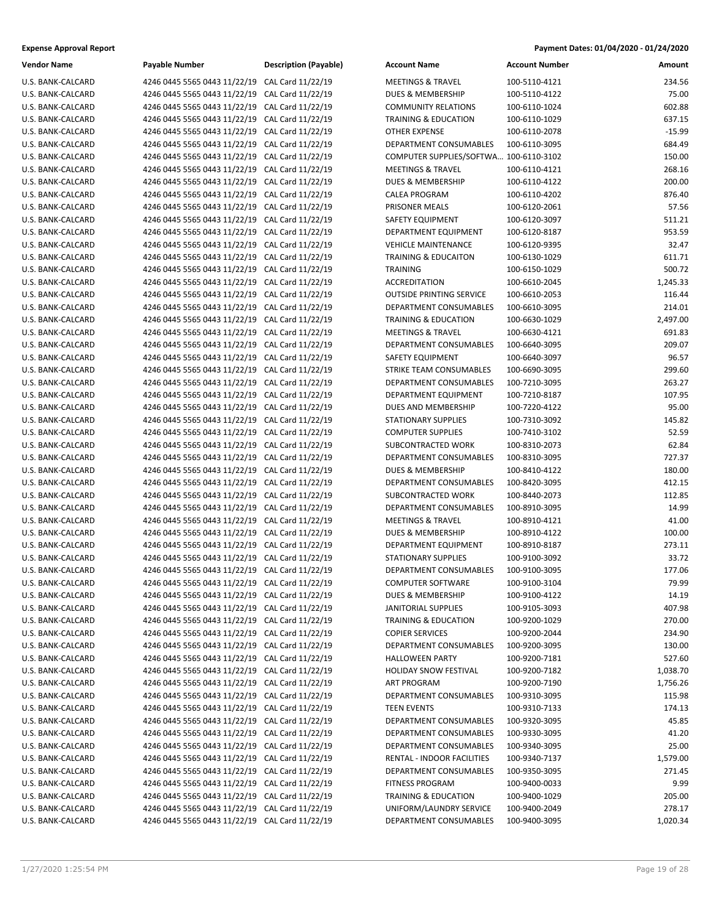| <b>Vendor Name</b>       | Payable Number                                 | <b>Description (Payable)</b> | <b>Account Name</b>             | <b>Account Number</b> | Amount   |
|--------------------------|------------------------------------------------|------------------------------|---------------------------------|-----------------------|----------|
| U.S. BANK-CALCARD        | 4246 0445 5565 0443 11/22/19 CAL Card 11/22/19 |                              | <b>MEETINGS &amp; TRAVEL</b>    | 100-5110-4121         | 234.56   |
| U.S. BANK-CALCARD        | 4246 0445 5565 0443 11/22/19 CAL Card 11/22/19 |                              | <b>DUES &amp; MEMBERSHIP</b>    | 100-5110-4122         | 75.00    |
| U.S. BANK-CALCARD        | 4246 0445 5565 0443 11/22/19 CAL Card 11/22/19 |                              | <b>COMMUNITY RELATIONS</b>      | 100-6110-1024         | 602.88   |
| U.S. BANK-CALCARD        | 4246 0445 5565 0443 11/22/19 CAL Card 11/22/19 |                              | <b>TRAINING &amp; EDUCATION</b> | 100-6110-1029         | 637.15   |
| U.S. BANK-CALCARD        | 4246 0445 5565 0443 11/22/19 CAL Card 11/22/19 |                              | <b>OTHER EXPENSE</b>            | 100-6110-2078         | $-15.99$ |
| U.S. BANK-CALCARD        | 4246 0445 5565 0443 11/22/19 CAL Card 11/22/19 |                              | DEPARTMENT CONSUMABLES          | 100-6110-3095         | 684.49   |
| U.S. BANK-CALCARD        | 4246 0445 5565 0443 11/22/19 CAL Card 11/22/19 |                              | COMPUTER SUPPLIES/SOFTWA        | 100-6110-3102         | 150.00   |
| U.S. BANK-CALCARD        | 4246 0445 5565 0443 11/22/19 CAL Card 11/22/19 |                              | <b>MEETINGS &amp; TRAVEL</b>    | 100-6110-4121         | 268.16   |
| U.S. BANK-CALCARD        | 4246 0445 5565 0443 11/22/19 CAL Card 11/22/19 |                              | DUES & MEMBERSHIP               | 100-6110-4122         | 200.00   |
| U.S. BANK-CALCARD        | 4246 0445 5565 0443 11/22/19 CAL Card 11/22/19 |                              | <b>CALEA PROGRAM</b>            | 100-6110-4202         | 876.40   |
| U.S. BANK-CALCARD        | 4246 0445 5565 0443 11/22/19 CAL Card 11/22/19 |                              | PRISONER MEALS                  | 100-6120-2061         | 57.56    |
| U.S. BANK-CALCARD        | 4246 0445 5565 0443 11/22/19 CAL Card 11/22/19 |                              | SAFETY EQUIPMENT                | 100-6120-3097         | 511.21   |
| U.S. BANK-CALCARD        | 4246 0445 5565 0443 11/22/19 CAL Card 11/22/19 |                              | DEPARTMENT EQUIPMENT            | 100-6120-8187         | 953.59   |
| U.S. BANK-CALCARD        | 4246 0445 5565 0443 11/22/19 CAL Card 11/22/19 |                              | <b>VEHICLE MAINTENANCE</b>      | 100-6120-9395         | 32.47    |
| U.S. BANK-CALCARD        | 4246 0445 5565 0443 11/22/19 CAL Card 11/22/19 |                              | TRAINING & EDUCAITON            | 100-6130-1029         | 611.71   |
| U.S. BANK-CALCARD        | 4246 0445 5565 0443 11/22/19 CAL Card 11/22/19 |                              | <b>TRAINING</b>                 | 100-6150-1029         | 500.72   |
| U.S. BANK-CALCARD        | 4246 0445 5565 0443 11/22/19 CAL Card 11/22/19 |                              | <b>ACCREDITATION</b>            | 100-6610-2045         | 1,245.33 |
| U.S. BANK-CALCARD        | 4246 0445 5565 0443 11/22/19 CAL Card 11/22/19 |                              | <b>OUTSIDE PRINTING SERVICE</b> | 100-6610-2053         | 116.44   |
| U.S. BANK-CALCARD        | 4246 0445 5565 0443 11/22/19 CAL Card 11/22/19 |                              | DEPARTMENT CONSUMABLES          | 100-6610-3095         | 214.01   |
| U.S. BANK-CALCARD        | 4246 0445 5565 0443 11/22/19 CAL Card 11/22/19 |                              | TRAINING & EDUCATION            | 100-6630-1029         | 2,497.00 |
| U.S. BANK-CALCARD        | 4246 0445 5565 0443 11/22/19 CAL Card 11/22/19 |                              | <b>MEETINGS &amp; TRAVEL</b>    | 100-6630-4121         | 691.83   |
| U.S. BANK-CALCARD        | 4246 0445 5565 0443 11/22/19 CAL Card 11/22/19 |                              | <b>DEPARTMENT CONSUMABLES</b>   | 100-6640-3095         | 209.07   |
| U.S. BANK-CALCARD        | 4246 0445 5565 0443 11/22/19 CAL Card 11/22/19 |                              | SAFETY EQUIPMENT                | 100-6640-3097         | 96.57    |
| U.S. BANK-CALCARD        | 4246 0445 5565 0443 11/22/19 CAL Card 11/22/19 |                              | STRIKE TEAM CONSUMABLES         | 100-6690-3095         | 299.60   |
| U.S. BANK-CALCARD        | 4246 0445 5565 0443 11/22/19 CAL Card 11/22/19 |                              | DEPARTMENT CONSUMABLES          | 100-7210-3095         | 263.27   |
| U.S. BANK-CALCARD        | 4246 0445 5565 0443 11/22/19 CAL Card 11/22/19 |                              | DEPARTMENT EQUIPMENT            | 100-7210-8187         | 107.95   |
| U.S. BANK-CALCARD        | 4246 0445 5565 0443 11/22/19 CAL Card 11/22/19 |                              | DUES AND MEMBERSHIP             | 100-7220-4122         | 95.00    |
| U.S. BANK-CALCARD        | 4246 0445 5565 0443 11/22/19 CAL Card 11/22/19 |                              | <b>STATIONARY SUPPLIES</b>      | 100-7310-3092         | 145.82   |
| U.S. BANK-CALCARD        | 4246 0445 5565 0443 11/22/19 CAL Card 11/22/19 |                              | <b>COMPUTER SUPPLIES</b>        | 100-7410-3102         | 52.59    |
| U.S. BANK-CALCARD        | 4246 0445 5565 0443 11/22/19 CAL Card 11/22/19 |                              | SUBCONTRACTED WORK              | 100-8310-2073         | 62.84    |
| U.S. BANK-CALCARD        | 4246 0445 5565 0443 11/22/19 CAL Card 11/22/19 |                              | DEPARTMENT CONSUMABLES          | 100-8310-3095         | 727.37   |
| U.S. BANK-CALCARD        | 4246 0445 5565 0443 11/22/19 CAL Card 11/22/19 |                              | <b>DUES &amp; MEMBERSHIP</b>    | 100-8410-4122         | 180.00   |
| U.S. BANK-CALCARD        | 4246 0445 5565 0443 11/22/19 CAL Card 11/22/19 |                              | DEPARTMENT CONSUMABLES          | 100-8420-3095         | 412.15   |
| U.S. BANK-CALCARD        | 4246 0445 5565 0443 11/22/19 CAL Card 11/22/19 |                              | SUBCONTRACTED WORK              | 100-8440-2073         | 112.85   |
| U.S. BANK-CALCARD        | 4246 0445 5565 0443 11/22/19 CAL Card 11/22/19 |                              | <b>DEPARTMENT CONSUMABLES</b>   | 100-8910-3095         | 14.99    |
| U.S. BANK-CALCARD        | 4246 0445 5565 0443 11/22/19 CAL Card 11/22/19 |                              | <b>MEETINGS &amp; TRAVEL</b>    | 100-8910-4121         | 41.00    |
| U.S. BANK-CALCARD        | 4246 0445 5565 0443 11/22/19 CAL Card 11/22/19 |                              | <b>DUES &amp; MEMBERSHIP</b>    | 100-8910-4122         | 100.00   |
| U.S. BANK-CALCARD        | 4246 0445 5565 0443 11/22/19 CAL Card 11/22/19 |                              | DEPARTMENT EQUIPMENT            | 100-8910-8187         | 273.11   |
| U.S. BANK-CALCARD        | 4246 0445 5565 0443 11/22/19 CAL Card 11/22/19 |                              | <b>STATIONARY SUPPLIES</b>      | 100-9100-3092         | 33.72    |
| <b>U.S. BANK-CALCARD</b> | 4246 0445 5565 0443 11/22/19 CAL Card 11/22/19 |                              | DEPARTMENT CONSUMABLES          | 100-9100-3095         | 177.06   |
| U.S. BANK-CALCARD        | 4246 0445 5565 0443 11/22/19 CAL Card 11/22/19 |                              | <b>COMPUTER SOFTWARE</b>        | 100-9100-3104         | 79.99    |
| U.S. BANK-CALCARD        | 4246 0445 5565 0443 11/22/19 CAL Card 11/22/19 |                              | <b>DUES &amp; MEMBERSHIP</b>    | 100-9100-4122         | 14.19    |
| U.S. BANK-CALCARD        | 4246 0445 5565 0443 11/22/19 CAL Card 11/22/19 |                              | <b>JANITORIAL SUPPLIES</b>      | 100-9105-3093         | 407.98   |
| U.S. BANK-CALCARD        | 4246 0445 5565 0443 11/22/19 CAL Card 11/22/19 |                              | TRAINING & EDUCATION            | 100-9200-1029         | 270.00   |
| U.S. BANK-CALCARD        | 4246 0445 5565 0443 11/22/19 CAL Card 11/22/19 |                              | <b>COPIER SERVICES</b>          | 100-9200-2044         | 234.90   |
| U.S. BANK-CALCARD        | 4246 0445 5565 0443 11/22/19 CAL Card 11/22/19 |                              | DEPARTMENT CONSUMABLES          | 100-9200-3095         | 130.00   |
| U.S. BANK-CALCARD        | 4246 0445 5565 0443 11/22/19 CAL Card 11/22/19 |                              | <b>HALLOWEEN PARTY</b>          | 100-9200-7181         | 527.60   |
| U.S. BANK-CALCARD        | 4246 0445 5565 0443 11/22/19 CAL Card 11/22/19 |                              | HOLIDAY SNOW FESTIVAL           | 100-9200-7182         | 1,038.70 |
| U.S. BANK-CALCARD        | 4246 0445 5565 0443 11/22/19 CAL Card 11/22/19 |                              | ART PROGRAM                     | 100-9200-7190         | 1,756.26 |
| U.S. BANK-CALCARD        | 4246 0445 5565 0443 11/22/19 CAL Card 11/22/19 |                              | DEPARTMENT CONSUMABLES          | 100-9310-3095         | 115.98   |
| U.S. BANK-CALCARD        | 4246 0445 5565 0443 11/22/19 CAL Card 11/22/19 |                              | <b>TEEN EVENTS</b>              | 100-9310-7133         | 174.13   |
| U.S. BANK-CALCARD        | 4246 0445 5565 0443 11/22/19 CAL Card 11/22/19 |                              | DEPARTMENT CONSUMABLES          | 100-9320-3095         | 45.85    |
| U.S. BANK-CALCARD        | 4246 0445 5565 0443 11/22/19 CAL Card 11/22/19 |                              | DEPARTMENT CONSUMABLES          | 100-9330-3095         | 41.20    |
| U.S. BANK-CALCARD        | 4246 0445 5565 0443 11/22/19 CAL Card 11/22/19 |                              | DEPARTMENT CONSUMABLES          | 100-9340-3095         | 25.00    |
| U.S. BANK-CALCARD        | 4246 0445 5565 0443 11/22/19 CAL Card 11/22/19 |                              | RENTAL - INDOOR FACILITIES      | 100-9340-7137         | 1,579.00 |
| U.S. BANK-CALCARD        | 4246 0445 5565 0443 11/22/19 CAL Card 11/22/19 |                              | DEPARTMENT CONSUMABLES          | 100-9350-3095         | 271.45   |
| U.S. BANK-CALCARD        | 4246 0445 5565 0443 11/22/19 CAL Card 11/22/19 |                              | <b>FITNESS PROGRAM</b>          | 100-9400-0033         | 9.99     |
| U.S. BANK-CALCARD        | 4246 0445 5565 0443 11/22/19 CAL Card 11/22/19 |                              | <b>TRAINING &amp; EDUCATION</b> | 100-9400-1029         | 205.00   |
| U.S. BANK-CALCARD        | 4246 0445 5565 0443 11/22/19 CAL Card 11/22/19 |                              | UNIFORM/LAUNDRY SERVICE         | 100-9400-2049         | 278.17   |
| U.S. BANK-CALCARD        | 4246 0445 5565 0443 11/22/19 CAL Card 11/22/19 |                              | DEPARTMENT CONSUMABLES          | 100-9400-3095         | 1,020.34 |
|                          |                                                |                              |                                 |                       |          |

### **Expense Approval Report Payment Dates: 01/04/2020 - 01/24/2020**

| <b>Account Name</b>                      | Account Number                 | Amount          |
|------------------------------------------|--------------------------------|-----------------|
| <b>MEETINGS &amp; TRAVEL</b>             | 100-5110-4121                  | 234.56          |
| DUES & MEMBERSHIP                        | 100-5110-4122                  | 75.00           |
| <b>COMMUNITY RELATIONS</b>               | 100-6110-1024                  | 602.88          |
| TRAINING & EDUCATION                     | 100-6110-1029                  | 637.15          |
| <b>OTHER EXPENSE</b>                     | 100-6110-2078                  | $-15.99$        |
| DEPARTMENT CONSUMABLES                   | 100-6110-3095                  | 684.49          |
| COMPUTER SUPPLIES/SOFTWA 100-6110-3102   |                                | 150.00          |
| <b>MEETINGS &amp; TRAVEL</b>             | 100-6110-4121                  | 268.16          |
| <b>DUES &amp; MEMBERSHIP</b>             | 100-6110-4122                  | 200.00          |
| <b>CALEA PROGRAM</b>                     | 100-6110-4202                  | 876.40          |
| PRISONER MEALS                           | 100-6120-2061                  | 57.56           |
| SAFETY EQUIPMENT                         | 100-6120-3097                  | 511.21          |
| DEPARTMENT EQUIPMENT                     | 100-6120-8187                  | 953.59          |
| <b>VEHICLE MAINTENANCE</b>               | 100-6120-9395                  | 32.47           |
| <b>TRAINING &amp; EDUCAITON</b>          | 100-6130-1029                  | 611.71          |
| TRAINING                                 | 100-6150-1029                  | 500.72          |
| <b>ACCREDITATION</b>                     | 100-6610-2045                  | 1,245.33        |
| <b>OUTSIDE PRINTING SERVICE</b>          | 100-6610-2053                  | 116.44          |
| DEPARTMENT CONSUMABLES                   | 100-6610-3095                  | 214.01          |
| <b>TRAINING &amp; EDUCATION</b>          | 100-6630-1029                  | 2,497.00        |
| <b>MEETINGS &amp; TRAVEL</b>             | 100-6630-4121                  | 691.83          |
| <b>DEPARTMENT CONSUMABLES</b>            | 100-6640-3095                  | 209.07          |
| SAFETY EQUIPMENT                         | 100-6640-3097                  | 96.57           |
| STRIKE TEAM CONSUMABLES                  | 100-6690-3095                  | 299.60          |
| DEPARTMENT CONSUMABLES                   | 100-7210-3095                  | 263.27          |
| DEPARTMENT EQUIPMENT                     | 100-7210-8187                  | 107.95          |
| <b>DUES AND MEMBERSHIP</b>               | 100-7220-4122                  | 95.00           |
| <b>STATIONARY SUPPLIES</b>               | 100-7310-3092                  | 145.82          |
| <b>COMPUTER SUPPLIES</b>                 | 100-7410-3102                  | 52.59           |
| SUBCONTRACTED WORK                       | 100-8310-2073                  | 62.84           |
| DEPARTMENT CONSUMABLES                   | 100-8310-3095                  | 727.37          |
| <b>DUES &amp; MEMBERSHIP</b>             | 100-8410-4122                  | 180.00          |
| DEPARTMENT CONSUMABLES                   | 100-8420-3095                  | 412.15          |
| SUBCONTRACTED WORK                       | 100-8440-2073                  | 112.85          |
| DEPARTMENT CONSUMABLES                   | 100-8910-3095                  | 14.99           |
| <b>MEETINGS &amp; TRAVEL</b>             | 100-8910-4121                  | 41.00           |
| <b>DUES &amp; MEMBERSHIP</b>             | 100-8910-4122                  | 100.00          |
| DEPARTMENT EQUIPMENT                     | 100-8910-8187                  | 273.11          |
| <b>STATIONARY SUPPLIES</b>               | 100-9100-3092                  | 33.72           |
| DEPARTMENT CONSUMABLES                   | 100-9100-3095                  | 177.06          |
| <b>COMPUTER SOFTWARE</b>                 | 100-9100-3104<br>100-9100-4122 | 79.99           |
| DUES & MEMBERSHIP<br>JANITORIAL SUPPLIES | 100-9105-3093                  | 14.19<br>407.98 |
| <b>TRAINING &amp; EDUCATION</b>          | 100-9200-1029                  | 270.00          |
| <b>COPIER SERVICES</b>                   | 100-9200-2044                  | 234.90          |
| DEPARTMENT CONSUMABLES                   | 100-9200-3095                  | 130.00          |
| <b>HALLOWEEN PARTY</b>                   | 100-9200-7181                  | 527.60          |
| <b>HOLIDAY SNOW FESTIVAL</b>             | 100-9200-7182                  | 1,038.70        |
| <b>ART PROGRAM</b>                       | 100-9200-7190                  | 1,756.26        |
| <b>DEPARTMENT CONSUMABLES</b>            | 100-9310-3095                  | 115.98          |
| <b>TEEN EVENTS</b>                       | 100-9310-7133                  | 174.13          |
| DEPARTMENT CONSUMABLES                   | 100-9320-3095                  | 45.85           |
| DEPARTMENT CONSUMABLES                   | 100-9330-3095                  | 41.20           |
| DEPARTMENT CONSUMABLES                   | 100-9340-3095                  | 25.00           |
| RENTAL - INDOOR FACILITIES               | 100-9340-7137                  | 1,579.00        |
| DEPARTMENT CONSUMABLES                   | 100-9350-3095                  | 271.45          |
| <b>FITNESS PROGRAM</b>                   | 100-9400-0033                  | 9.99            |
| <b>TRAINING &amp; EDUCATION</b>          | 100-9400-1029                  | 205.00          |
| UNIFORM/LAUNDRY SERVICE                  | 100-9400-2049                  | 278.17          |
| DEPARTMENT CONSUMABLES                   | 100-9400-3095                  | 1,020.34        |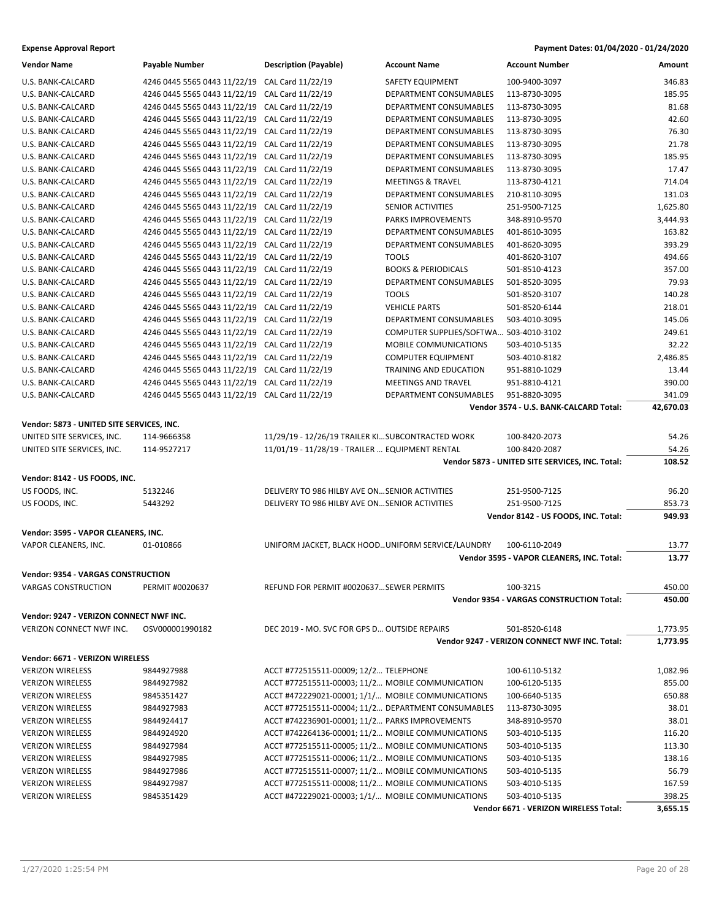### **Expense Approval Report Payment Dates: 01/04/2020 - 01/24/2020**

| <b>Vendor Name</b>                                                      | <b>Payable Number</b>                          | <b>Description (Payable)</b>                       | <b>Account Name</b>                    | <b>Account Number</b>                           | Amount    |
|-------------------------------------------------------------------------|------------------------------------------------|----------------------------------------------------|----------------------------------------|-------------------------------------------------|-----------|
| U.S. BANK-CALCARD                                                       | 4246 0445 5565 0443 11/22/19 CAL Card 11/22/19 |                                                    | SAFETY EQUIPMENT                       | 100-9400-3097                                   | 346.83    |
| U.S. BANK-CALCARD                                                       | 4246 0445 5565 0443 11/22/19                   | CAL Card 11/22/19                                  | DEPARTMENT CONSUMABLES                 | 113-8730-3095                                   | 185.95    |
| U.S. BANK-CALCARD                                                       | 4246 0445 5565 0443 11/22/19                   | CAL Card 11/22/19                                  | DEPARTMENT CONSUMABLES                 | 113-8730-3095                                   | 81.68     |
| U.S. BANK-CALCARD                                                       | 4246 0445 5565 0443 11/22/19                   | CAL Card 11/22/19                                  | DEPARTMENT CONSUMABLES                 | 113-8730-3095                                   | 42.60     |
| U.S. BANK-CALCARD                                                       | 4246 0445 5565 0443 11/22/19 CAL Card 11/22/19 |                                                    | <b>DEPARTMENT CONSUMABLES</b>          | 113-8730-3095                                   | 76.30     |
| U.S. BANK-CALCARD                                                       | 4246 0445 5565 0443 11/22/19 CAL Card 11/22/19 |                                                    | DEPARTMENT CONSUMABLES                 | 113-8730-3095                                   | 21.78     |
| U.S. BANK-CALCARD                                                       | 4246 0445 5565 0443 11/22/19 CAL Card 11/22/19 |                                                    | DEPARTMENT CONSUMABLES                 | 113-8730-3095                                   | 185.95    |
| U.S. BANK-CALCARD                                                       | 4246 0445 5565 0443 11/22/19                   | CAL Card 11/22/19                                  | DEPARTMENT CONSUMABLES                 | 113-8730-3095                                   | 17.47     |
| U.S. BANK-CALCARD                                                       | 4246 0445 5565 0443 11/22/19                   | CAL Card 11/22/19                                  | <b>MEETINGS &amp; TRAVEL</b>           | 113-8730-4121                                   | 714.04    |
| U.S. BANK-CALCARD                                                       | 4246 0445 5565 0443 11/22/19 CAL Card 11/22/19 |                                                    | DEPARTMENT CONSUMABLES                 | 210-8110-3095                                   | 131.03    |
| U.S. BANK-CALCARD                                                       | 4246 0445 5565 0443 11/22/19 CAL Card 11/22/19 |                                                    | SENIOR ACTIVITIES                      | 251-9500-7125                                   | 1,625.80  |
| U.S. BANK-CALCARD                                                       | 4246 0445 5565 0443 11/22/19 CAL Card 11/22/19 |                                                    | PARKS IMPROVEMENTS                     | 348-8910-9570                                   | 3,444.93  |
| U.S. BANK-CALCARD                                                       | 4246 0445 5565 0443 11/22/19 CAL Card 11/22/19 |                                                    | DEPARTMENT CONSUMABLES                 | 401-8610-3095                                   | 163.82    |
| U.S. BANK-CALCARD                                                       | 4246 0445 5565 0443 11/22/19                   | CAL Card 11/22/19                                  | DEPARTMENT CONSUMABLES                 | 401-8620-3095                                   | 393.29    |
| U.S. BANK-CALCARD                                                       | 4246 0445 5565 0443 11/22/19 CAL Card 11/22/19 |                                                    | <b>TOOLS</b>                           | 401-8620-3107                                   | 494.66    |
| U.S. BANK-CALCARD                                                       | 4246 0445 5565 0443 11/22/19 CAL Card 11/22/19 |                                                    | <b>BOOKS &amp; PERIODICALS</b>         | 501-8510-4123                                   | 357.00    |
| U.S. BANK-CALCARD                                                       | 4246 0445 5565 0443 11/22/19 CAL Card 11/22/19 |                                                    | DEPARTMENT CONSUMABLES                 | 501-8520-3095                                   | 79.93     |
| U.S. BANK-CALCARD                                                       | 4246 0445 5565 0443 11/22/19 CAL Card 11/22/19 |                                                    | <b>TOOLS</b>                           | 501-8520-3107                                   | 140.28    |
| U.S. BANK-CALCARD                                                       | 4246 0445 5565 0443 11/22/19                   | CAL Card 11/22/19                                  | <b>VEHICLE PARTS</b>                   | 501-8520-6144                                   | 218.01    |
| U.S. BANK-CALCARD                                                       | 4246 0445 5565 0443 11/22/19 CAL Card 11/22/19 |                                                    | DEPARTMENT CONSUMABLES                 | 503-4010-3095                                   | 145.06    |
| U.S. BANK-CALCARD                                                       | 4246 0445 5565 0443 11/22/19 CAL Card 11/22/19 |                                                    | COMPUTER SUPPLIES/SOFTWA 503-4010-3102 |                                                 | 249.61    |
| U.S. BANK-CALCARD                                                       | 4246 0445 5565 0443 11/22/19 CAL Card 11/22/19 |                                                    | MOBILE COMMUNICATIONS                  | 503-4010-5135                                   | 32.22     |
| U.S. BANK-CALCARD                                                       | 4246 0445 5565 0443 11/22/19 CAL Card 11/22/19 |                                                    | <b>COMPUTER EQUIPMENT</b>              | 503-4010-8182                                   | 2,486.85  |
| U.S. BANK-CALCARD                                                       | 4246 0445 5565 0443 11/22/19                   | CAL Card 11/22/19                                  | TRAINING AND EDUCATION                 | 951-8810-1029                                   | 13.44     |
| U.S. BANK-CALCARD                                                       | 4246 0445 5565 0443 11/22/19 CAL Card 11/22/19 |                                                    | <b>MEETINGS AND TRAVEL</b>             | 951-8810-4121                                   | 390.00    |
| U.S. BANK-CALCARD                                                       | 4246 0445 5565 0443 11/22/19 CAL Card 11/22/19 |                                                    | DEPARTMENT CONSUMABLES                 | 951-8820-3095                                   | 341.09    |
|                                                                         |                                                |                                                    |                                        | Vendor 3574 - U.S. BANK-CALCARD Total:          | 42,670.03 |
|                                                                         |                                                |                                                    |                                        |                                                 |           |
| Vendor: 5873 - UNITED SITE SERVICES, INC.<br>UNITED SITE SERVICES, INC. | 114-9666358                                    | 11/29/19 - 12/26/19 TRAILER KISUBCONTRACTED WORK   |                                        | 100-8420-2073                                   | 54.26     |
| UNITED SITE SERVICES, INC.                                              | 114-9527217                                    | 11/01/19 - 11/28/19 - TRAILER  EQUIPMENT RENTAL    |                                        | 100-8420-2087                                   | 54.26     |
|                                                                         |                                                |                                                    |                                        | Vendor 5873 - UNITED SITE SERVICES, INC. Total: | 108.52    |
|                                                                         |                                                |                                                    |                                        |                                                 |           |
| Vendor: 8142 - US FOODS, INC.                                           |                                                |                                                    |                                        |                                                 |           |
| US FOODS, INC.                                                          | 5132246                                        | DELIVERY TO 986 HILBY AVE ONSENIOR ACTIVITIES      |                                        | 251-9500-7125                                   | 96.20     |
| US FOODS, INC.                                                          | 5443292                                        | DELIVERY TO 986 HILBY AVE ONSENIOR ACTIVITIES      |                                        | 251-9500-7125                                   | 853.73    |
|                                                                         |                                                |                                                    |                                        | Vendor 8142 - US FOODS, INC. Total:             | 949.93    |
| Vendor: 3595 - VAPOR CLEANERS, INC.                                     |                                                |                                                    |                                        |                                                 |           |
| VAPOR CLEANERS, INC.                                                    | 01-010866                                      | UNIFORM JACKET, BLACK HOOD UNIFORM SERVICE/LAUNDRY |                                        | 100-6110-2049                                   | 13.77     |
|                                                                         |                                                |                                                    |                                        | Vendor 3595 - VAPOR CLEANERS, INC. Total:       | 13.77     |
| <b>Vendor: 9354 - VARGAS CONSTRUCTION</b>                               |                                                |                                                    |                                        |                                                 |           |
| <b>VARGAS CONSTRUCTION</b>                                              | PERMIT #0020637                                | REFUND FOR PERMIT #0020637SEWER PERMITS            |                                        | 100-3215                                        | 450.00    |
|                                                                         |                                                |                                                    |                                        | Vendor 9354 - VARGAS CONSTRUCTION Total:        | 450.00    |
| Vendor: 9247 - VERIZON CONNECT NWF INC.                                 |                                                |                                                    |                                        |                                                 |           |
| <b>VERIZON CONNECT NWF INC.</b>                                         | OSV000001990182                                | DEC 2019 - MO. SVC FOR GPS D OUTSIDE REPAIRS       |                                        | 501-8520-6148                                   | 1,773.95  |
|                                                                         |                                                |                                                    |                                        | Vendor 9247 - VERIZON CONNECT NWF INC. Total:   | 1,773.95  |
| Vendor: 6671 - VERIZON WIRELESS                                         |                                                |                                                    |                                        |                                                 |           |
| <b>VERIZON WIRELESS</b>                                                 | 9844927988                                     | ACCT #772515511-00009; 12/2 TELEPHONE              |                                        | 100-6110-5132                                   | 1,082.96  |
| <b>VERIZON WIRELESS</b>                                                 | 9844927982                                     | ACCT #772515511-00003; 11/2 MOBILE COMMUNICATION   |                                        | 100-6120-5135                                   | 855.00    |
| <b>VERIZON WIRELESS</b>                                                 | 9845351427                                     | ACCT #472229021-00001; 1/1/ MOBILE COMMUNICATIONS  |                                        | 100-6640-5135                                   | 650.88    |
| <b>VERIZON WIRELESS</b>                                                 | 9844927983                                     | ACCT #772515511-00004; 11/2 DEPARTMENT CONSUMABLES |                                        | 113-8730-3095                                   | 38.01     |
| <b>VERIZON WIRELESS</b>                                                 | 9844924417                                     | ACCT #742236901-00001; 11/2 PARKS IMPROVEMENTS     |                                        | 348-8910-9570                                   | 38.01     |
| <b>VERIZON WIRELESS</b>                                                 | 9844924920                                     | ACCT #742264136-00001; 11/2 MOBILE COMMUNICATIONS  |                                        | 503-4010-5135                                   | 116.20    |
| <b>VERIZON WIRELESS</b>                                                 | 9844927984                                     | ACCT #772515511-00005; 11/2 MOBILE COMMUNICATIONS  |                                        | 503-4010-5135                                   | 113.30    |
| <b>VERIZON WIRELESS</b>                                                 | 9844927985                                     | ACCT #772515511-00006; 11/2 MOBILE COMMUNICATIONS  |                                        | 503-4010-5135                                   | 138.16    |
| <b>VERIZON WIRELESS</b>                                                 | 9844927986                                     | ACCT #772515511-00007; 11/2 MOBILE COMMUNICATIONS  |                                        | 503-4010-5135                                   | 56.79     |
| <b>VERIZON WIRELESS</b>                                                 | 9844927987                                     | ACCT #772515511-00008; 11/2 MOBILE COMMUNICATIONS  |                                        | 503-4010-5135                                   | 167.59    |
| <b>VERIZON WIRELESS</b>                                                 | 9845351429                                     | ACCT #472229021-00003; 1/1/ MOBILE COMMUNICATIONS  |                                        | 503-4010-5135                                   | 398.25    |
|                                                                         |                                                |                                                    |                                        | Vendor 6671 - VERIZON WIRELESS Total:           | 3,655.15  |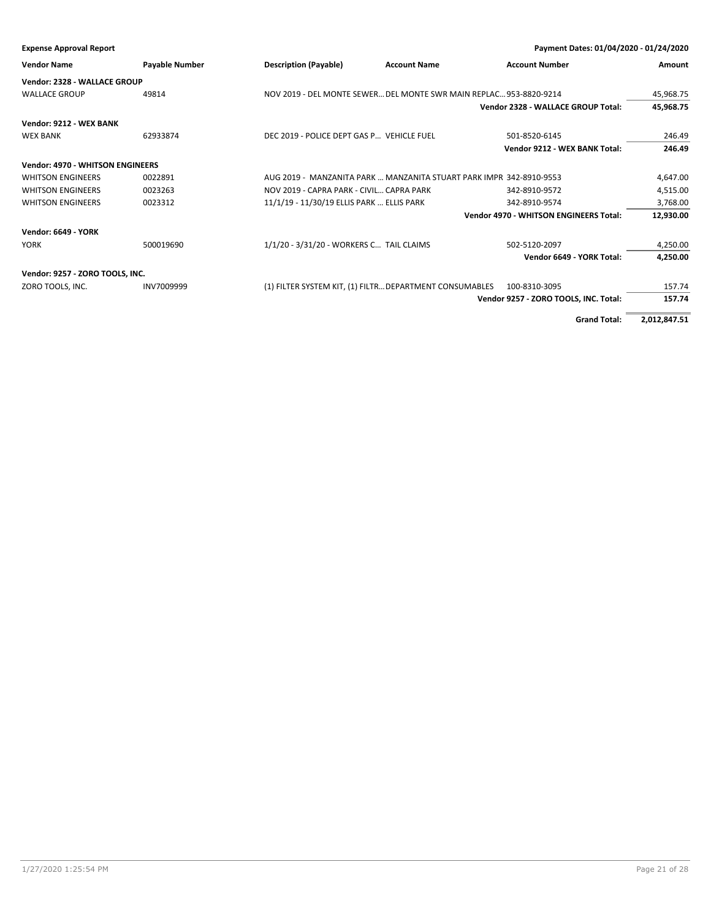| <b>Expense Approval Report</b>          |                       |                                                                     | Payment Dates: 01/04/2020 - 01/24/2020        |           |
|-----------------------------------------|-----------------------|---------------------------------------------------------------------|-----------------------------------------------|-----------|
| <b>Vendor Name</b>                      | <b>Payable Number</b> | <b>Description (Payable)</b><br><b>Account Name</b>                 | <b>Account Number</b>                         | Amount    |
| Vendor: 2328 - WALLACE GROUP            |                       |                                                                     |                                               |           |
| <b>WALLACE GROUP</b>                    | 49814                 | NOV 2019 - DEL MONTE SEWER DEL MONTE SWR MAIN REPLAC 953-8820-9214  |                                               | 45,968.75 |
|                                         |                       |                                                                     | Vendor 2328 - WALLACE GROUP Total:            | 45,968.75 |
| Vendor: 9212 - WEX BANK                 |                       |                                                                     |                                               |           |
| <b>WEX BANK</b>                         | 62933874              | DEC 2019 - POLICE DEPT GAS P VEHICLE FUEL                           | 501-8520-6145                                 | 246.49    |
|                                         |                       |                                                                     | Vendor 9212 - WEX BANK Total:                 | 246.49    |
| <b>Vendor: 4970 - WHITSON ENGINEERS</b> |                       |                                                                     |                                               |           |
| <b>WHITSON ENGINEERS</b>                | 0022891               | AUG 2019 - MANZANITA PARK  MANZANITA STUART PARK IMPR 342-8910-9553 |                                               | 4,647.00  |
| <b>WHITSON ENGINEERS</b>                | 0023263               | NOV 2019 - CAPRA PARK - CIVIL CAPRA PARK                            | 342-8910-9572                                 | 4,515.00  |
| <b>WHITSON ENGINEERS</b>                | 0023312               | 11/1/19 - 11/30/19 ELLIS PARK  ELLIS PARK                           | 342-8910-9574                                 | 3,768.00  |
|                                         |                       |                                                                     | <b>Vendor 4970 - WHITSON ENGINEERS Total:</b> | 12,930.00 |
| <b>Vendor: 6649 - YORK</b>              |                       |                                                                     |                                               |           |
| <b>YORK</b>                             | 500019690             | 1/1/20 - 3/31/20 - WORKERS C TAIL CLAIMS                            | 502-5120-2097                                 | 4,250.00  |
|                                         |                       |                                                                     | Vendor 6649 - YORK Total:                     | 4,250.00  |
| Vendor: 9257 - ZORO TOOLS, INC.         |                       |                                                                     |                                               |           |
| ZORO TOOLS, INC.                        | INV7009999            | (1) FILTER SYSTEM KIT, (1) FILTR DEPARTMENT CONSUMABLES             | 100-8310-3095                                 | 157.74    |
|                                         |                       |                                                                     | Vendor 9257 - ZORO TOOLS, INC. Total:         | 157.74    |
|                                         |                       |                                                                     |                                               |           |

**Grand Total: 2,012,847.51**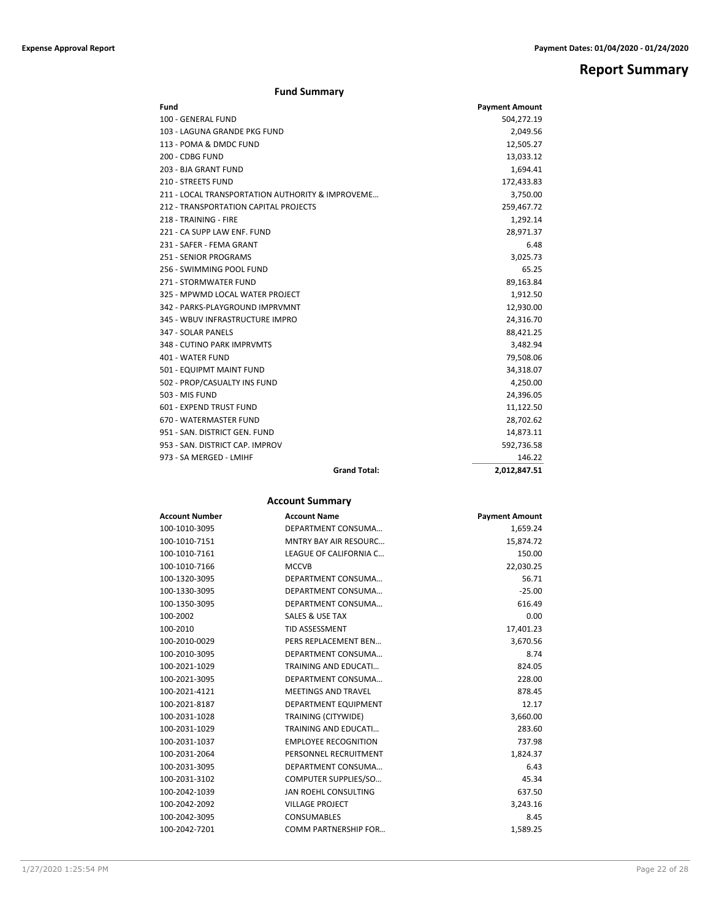# **Report Summary**

### **Fund Summary**

| Fund                                             | <b>Payment Amount</b> |
|--------------------------------------------------|-----------------------|
| 100 - GENERAL FUND                               | 504,272.19            |
| 103 - LAGUNA GRANDE PKG FUND                     | 2,049.56              |
| 113 - POMA & DMDC FUND                           | 12,505.27             |
| 200 - CDBG FUND                                  | 13,033.12             |
| 203 - BJA GRANT FUND                             | 1,694.41              |
| 210 - STREETS FUND                               | 172,433.83            |
| 211 - LOCAL TRANSPORTATION AUTHORITY & IMPROVEME | 3,750.00              |
| 212 - TRANSPORTATION CAPITAL PROJECTS            | 259,467.72            |
| 218 - TRAINING - FIRE                            | 1,292.14              |
| 221 - CA SUPP LAW ENF. FUND                      | 28,971.37             |
| 231 - SAFER - FEMA GRANT                         | 6.48                  |
| <b>251 - SENIOR PROGRAMS</b>                     | 3,025.73              |
| 256 - SWIMMING POOL FUND                         | 65.25                 |
| 271 - STORMWATER FUND                            | 89,163.84             |
| 325 - MPWMD LOCAL WATER PROJECT                  | 1,912.50              |
| 342 - PARKS-PLAYGROUND IMPRVMNT                  | 12,930.00             |
| 345 - WBUV INFRASTRUCTURE IMPRO                  | 24,316.70             |
| 347 - SOLAR PANELS                               | 88,421.25             |
| 348 - CUTINO PARK IMPRVMTS                       | 3,482.94              |
| 401 - WATER FUND                                 | 79,508.06             |
| 501 - EQUIPMT MAINT FUND                         | 34,318.07             |
| 502 - PROP/CASUALTY INS FUND                     | 4,250.00              |
| 503 - MIS FUND                                   | 24,396.05             |
| 601 - EXPEND TRUST FUND                          | 11,122.50             |
| 670 - WATERMASTER FUND                           | 28,702.62             |
| 951 - SAN, DISTRICT GEN, FUND                    | 14,873.11             |
| 953 - SAN. DISTRICT CAP. IMPROV                  | 592,736.58            |
| 973 - SA MERGED - LMIHF                          | 146.22                |
| <b>Grand Total:</b>                              | 2,012,847.51          |

### **Account Summary**

| Account Number | <b>Account Name</b>          | <b>Payment Amount</b> |
|----------------|------------------------------|-----------------------|
| 100-1010-3095  | DEPARTMENT CONSUMA           | 1,659.24              |
| 100-1010-7151  | <b>MNTRY BAY AIR RESOURC</b> | 15,874.72             |
| 100-1010-7161  | LEAGUE OF CALIFORNIA C       | 150.00                |
| 100-1010-7166  | <b>MCCVB</b>                 | 22,030.25             |
| 100-1320-3095  | DEPARTMENT CONSUMA           | 56.71                 |
| 100-1330-3095  | DEPARTMENT CONSUMA           | $-25.00$              |
| 100-1350-3095  | DEPARTMENT CONSUMA           | 616.49                |
| 100-2002       | SALES & USE TAX              | 0.00                  |
| 100-2010       | <b>TID ASSESSMENT</b>        | 17,401.23             |
| 100-2010-0029  | PERS REPLACEMENT BEN         | 3,670.56              |
| 100-2010-3095  | DEPARTMENT CONSUMA           | 8.74                  |
| 100-2021-1029  | TRAINING AND EDUCATI         | 824.05                |
| 100-2021-3095  | DEPARTMENT CONSUMA           | 228.00                |
| 100-2021-4121  | <b>MEETINGS AND TRAVEL</b>   | 878.45                |
| 100-2021-8187  | DEPARTMENT EQUIPMENT         | 12.17                 |
| 100-2031-1028  | TRAINING (CITYWIDE)          | 3,660.00              |
| 100-2031-1029  | <b>TRAINING AND EDUCATI</b>  | 283.60                |
| 100-2031-1037  | <b>EMPLOYEE RECOGNITION</b>  | 737.98                |
| 100-2031-2064  | PERSONNEL RECRUITMENT        | 1,824.37              |
| 100-2031-3095  | DEPARTMENT CONSUMA           | 6.43                  |
| 100-2031-3102  | COMPUTER SUPPLIES/SO         | 45.34                 |
| 100-2042-1039  | JAN ROEHL CONSULTING         | 637.50                |
| 100-2042-2092  | <b>VILLAGE PROJECT</b>       | 3,243.16              |
| 100-2042-3095  | <b>CONSUMABLES</b>           | 8.45                  |
| 100-2042-7201  | COMM PARTNERSHIP FOR         | 1.589.25              |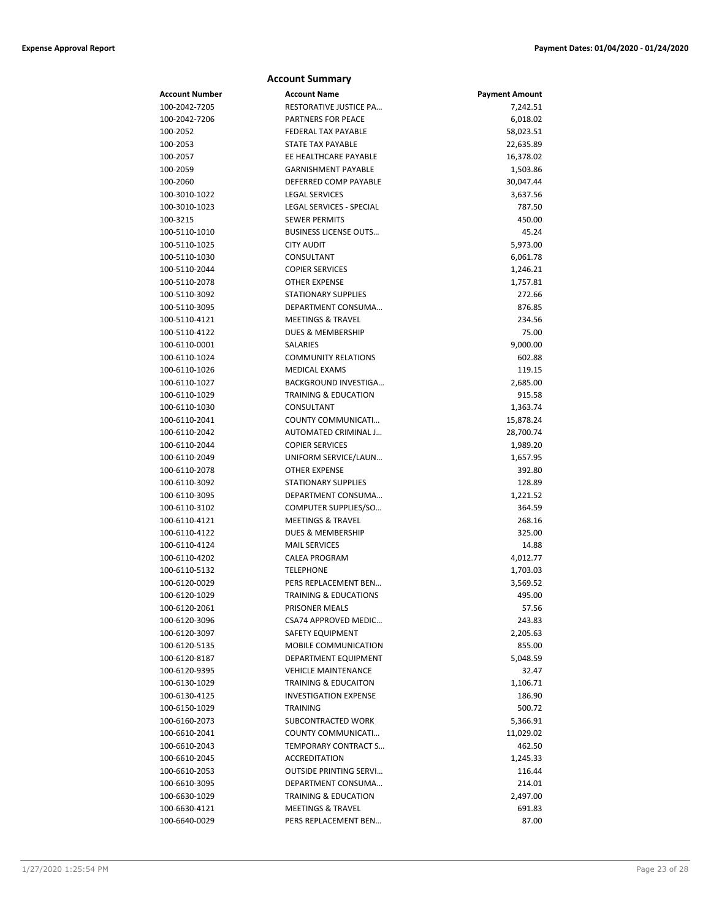| <b>Account Summary</b>         |                                  |                        |  |
|--------------------------------|----------------------------------|------------------------|--|
| <b>Account Number</b>          | <b>Account Name</b>              | <b>Payment Amount</b>  |  |
| 100-2042-7205                  | RESTORATIVE JUSTICE PA           | 7,242.51               |  |
| 100-2042-7206                  | PARTNERS FOR PEACE               | 6,018.02               |  |
| 100-2052                       | <b>FEDERAL TAX PAYABLE</b>       | 58,023.51              |  |
| 100-2053                       | STATE TAX PAYABLE                | 22,635.89              |  |
| 100-2057                       | EE HEALTHCARE PAYABLE            | 16,378.02              |  |
| 100-2059                       | <b>GARNISHMENT PAYABLE</b>       | 1,503.86               |  |
| 100-2060                       | DEFERRED COMP PAYABLE            | 30,047.44              |  |
| 100-3010-1022                  | <b>LEGAL SERVICES</b>            | 3,637.56               |  |
| 100-3010-1023                  | LEGAL SERVICES - SPECIAL         | 787.50                 |  |
| 100-3215                       | <b>SEWER PERMITS</b>             | 450.00                 |  |
| 100-5110-1010                  | <b>BUSINESS LICENSE OUTS</b>     | 45.24                  |  |
| 100-5110-1025                  | <b>CITY AUDIT</b>                | 5,973.00               |  |
| 100-5110-1030                  | CONSULTANT                       | 6,061.78               |  |
| 100-5110-2044                  | <b>COPIER SERVICES</b>           | 1,246.21               |  |
| 100-5110-2078                  | <b>OTHER EXPENSE</b>             | 1,757.81               |  |
| 100-5110-3092                  | <b>STATIONARY SUPPLIES</b>       | 272.66                 |  |
| 100-5110-3095                  | DEPARTMENT CONSUMA               | 876.85                 |  |
| 100-5110-4121                  | <b>MEETINGS &amp; TRAVEL</b>     | 234.56                 |  |
| 100-5110-4122                  | <b>DUES &amp; MEMBERSHIP</b>     | 75.00                  |  |
| 100-6110-0001                  | <b>SALARIES</b>                  | 9,000.00               |  |
| 100-6110-1024                  | <b>COMMUNITY RELATIONS</b>       | 602.88                 |  |
| 100-6110-1026                  | <b>MEDICAL EXAMS</b>             | 119.15                 |  |
| 100-6110-1027                  | BACKGROUND INVESTIGA             | 2,685.00               |  |
| 100-6110-1029                  | <b>TRAINING &amp; EDUCATION</b>  | 915.58                 |  |
| 100-6110-1030<br>100-6110-2041 | CONSULTANT<br>COUNTY COMMUNICATI | 1,363.74               |  |
| 100-6110-2042                  | AUTOMATED CRIMINAL J             | 15,878.24<br>28,700.74 |  |
| 100-6110-2044                  | <b>COPIER SERVICES</b>           | 1,989.20               |  |
| 100-6110-2049                  | UNIFORM SERVICE/LAUN             | 1,657.95               |  |
| 100-6110-2078                  | <b>OTHER EXPENSE</b>             | 392.80                 |  |
| 100-6110-3092                  | <b>STATIONARY SUPPLIES</b>       | 128.89                 |  |
| 100-6110-3095                  | DEPARTMENT CONSUMA               | 1,221.52               |  |
| 100-6110-3102                  | COMPUTER SUPPLIES/SO             | 364.59                 |  |
| 100-6110-4121                  | <b>MEETINGS &amp; TRAVEL</b>     | 268.16                 |  |
| 100-6110-4122                  | DUES & MEMBERSHIP                | 325.00                 |  |
| 100-6110-4124                  | <b>MAIL SERVICES</b>             | 14.88                  |  |
| 100-6110-4202                  | <b>CALEA PROGRAM</b>             | 4,012.77               |  |
| 100-6110-5132                  | TELEPHONE                        | 1,703.03               |  |
| 100-6120-0029                  | PERS REPLACEMENT BEN             | 3,569.52               |  |
| 100-6120-1029                  | TRAINING & EDUCATIONS            | 495.00                 |  |
| 100-6120-2061                  | PRISONER MEALS                   | 57.56                  |  |
| 100-6120-3096                  | CSA74 APPROVED MEDIC             | 243.83                 |  |
| 100-6120-3097                  | SAFETY EQUIPMENT                 | 2,205.63               |  |
| 100-6120-5135                  | MOBILE COMMUNICATION             | 855.00                 |  |
| 100-6120-8187                  | DEPARTMENT EQUIPMENT             | 5,048.59               |  |
| 100-6120-9395                  | <b>VEHICLE MAINTENANCE</b>       | 32.47                  |  |
| 100-6130-1029                  | <b>TRAINING &amp; EDUCAITON</b>  | 1,106.71               |  |
| 100-6130-4125                  | <b>INVESTIGATION EXPENSE</b>     | 186.90                 |  |
| 100-6150-1029                  | TRAINING                         | 500.72                 |  |
| 100-6160-2073                  | <b>SUBCONTRACTED WORK</b>        | 5,366.91               |  |
| 100-6610-2041                  | COUNTY COMMUNICATI               | 11,029.02              |  |
| 100-6610-2043                  | TEMPORARY CONTRACT S             | 462.50                 |  |
| 100-6610-2045                  | <b>ACCREDITATION</b>             | 1,245.33               |  |
| 100-6610-2053                  | <b>OUTSIDE PRINTING SERVI</b>    | 116.44                 |  |
| 100-6610-3095                  | DEPARTMENT CONSUMA               | 214.01                 |  |
| 100-6630-1029                  | <b>TRAINING &amp; EDUCATION</b>  | 2,497.00               |  |
| 100-6630-4121                  | <b>MEETINGS &amp; TRAVEL</b>     | 691.83                 |  |
| 100-6640-0029                  | PERS REPLACEMENT BEN             | 87.00                  |  |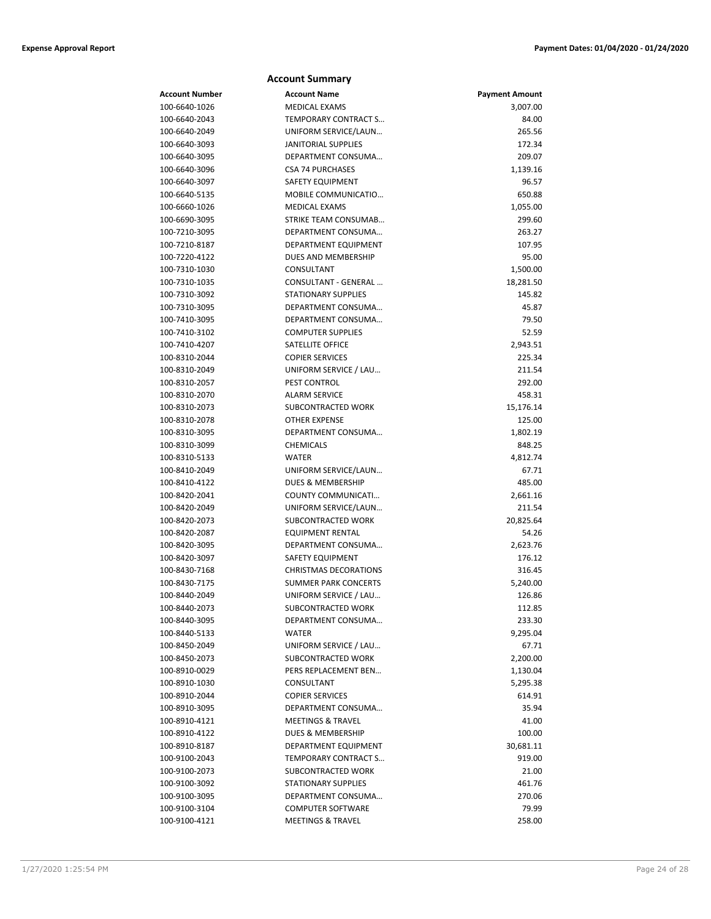#### **Account Summary Account Number Account Name Payment Amount** 100-6640-1026 MEDICAL EXAMS 3,007.00 100-6640-2043 TEMPORARY CONTRACT S… 84.00 100-6640-2049 UNIFORM SERVICE/LAUN… 265.56 100-6640-3093 JANITORIAL SUPPLIES 172.34 100-6640-3095 DEPARTMENT CONSUMA… 209.07 100-6640-3096 CSA 74 PURCHASES 1,139.16 100-6640-3097 SAFETY EQUIPMENT 96.57 100-6640-5135 MOBILE COMMUNICATIO… 650.88 100-6660-1026 MEDICAL EXAMS 1,055.00 100-6690-3095 STRIKE TEAM CONSUMAB… 299.60 100-7210-3095 DEPARTMENT CONSUMA… 263.27 100-7210-8187 DEPARTMENT EQUIPMENT 107.95 100-7220-4122 DUES AND MEMBERSHIP 95.00 100-7310-1030 CONSULTANT 1,500.00 100-7310-1035 CONSULTANT - GENERAL ... 18,281.50 100-7310-3092 STATIONARY SUPPLIES 145.82 100-7310-3095 DEPARTMENT CONSUMA… 45.87 100-7410-3095 DEPARTMENT CONSUMA… 79.50 100-7410-3102 COMPUTER SUPPLIES 52.59 100-7410-4207 SATELLITE OFFICE 2,943.51 100-8310-2044 COPIER SERVICES 225.34 100-8310-2049 UNIFORM SERVICE / LAU… 211.54 100-8310-2057 PEST CONTROL 292.00 100-8310-2070 ALARM SERVICE 458.31 100-8310-2073 SUBCONTRACTED WORK 15,176.14 100-8310-2078 OTHER EXPENSE 125.00 100-8310-3095 DEPARTMENT CONSUMA… 1,802.19 100-8310-3099 CHEMICALS 848.25 100-8310-5133 WATER 4,812.74 100-8410-2049 UNIFORM SERVICE/LAUN… 67.71 100-8410-4122 DUES & MEMBERSHIP 485.00 100-8420-2041 COUNTY COMMUNICATI… 2,661.16 100-8420-2049 UNIFORM SERVICE/LAUN… 211.54 100-8420-2073 SUBCONTRACTED WORK 20,825.64 100-8420-2087 EQUIPMENT RENTAL 54.26 100-8420-3095 DEPARTMENT CONSUMA… 2,623.76 100-8420-3097 SAFETY EQUIPMENT 176.12 100-8430-7168 CHRISTMAS DECORATIONS 316.45 100-8430-7175 SUMMER PARK CONCERTS 5,240.00 100-8440-2049 UNIFORM SERVICE / LAU… 126.86 100-8440-2073 SUBCONTRACTED WORK 112.85 100-8440-3095 DEPARTMENT CONSUMA… 233.30 100-8440-5133 WATER 9,295.04 100-8450-2049 UNIFORM SERVICE / LAU… 67.71 100-8450-2073 SUBCONTRACTED WORK 2,200.00 100-8910-0029 PERS REPLACEMENT BEN… 1,130.04 100-8910-1030 CONSULTANT 5,295.38 100-8910-2044 COPIER SERVICES 614.91 100-8910-3095 DEPARTMENT CONSUMA… 35.94 100-8910-4121 MEETINGS & TRAVEL 41.00 100-8910-4122 DUES & MEMBERSHIP 100.00 100-8910-8187 DEPARTMENT EQUIPMENT 30,681.11 100-9100-2043 TEMPORARY CONTRACT S… 919.00 100-9100-2073 SUBCONTRACTED WORK 21.00 100-9100-3092 STATIONARY SUPPLIES 461.76 100-9100-3095 DEPARTMENT CONSUMA… 270.06 100-9100-3104 COMPUTER SOFTWARE 79.99 100-9100-4121 MEETINGS & TRAVEL 258.00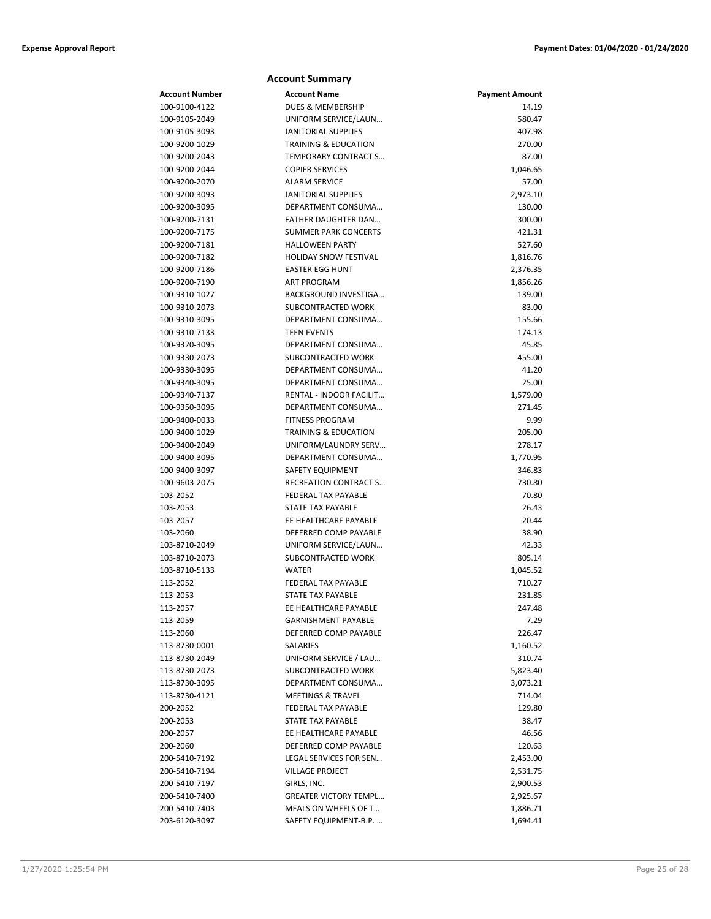#### **Account Summary Account Number Account Name Payment Amount** 100-9100-4122 DUES & MEMBERSHIP 14.19 100-9105-2049 UNIFORM SERVICE/LAUN… 580.47 100-9105-3093 JANITORIAL SUPPLIES 407.98 100-9200-1029 TRAINING & EDUCATION 270.00 100-9200-2043 TEMPORARY CONTRACT S… 87.00 100-9200-2044 COPIER SERVICES 1,046.65 100-9200-2070 ALARM SERVICE 57.00 100-9200-3093 JANITORIAL SUPPLIES 2,973.10 100-9200-3095 DEPARTMENT CONSUMA… 130.00 100-9200-7131 FATHER DAUGHTER DAN… 300.00 100-9200-7175 SUMMER PARK CONCERTS 421.31 100-9200-7181 HALLOWEEN PARTY 527.60 100-9200-7182 **HOLIDAY SNOW FESTIVAL** 1,816.76 100-9200-7186 EASTER EGG HUNT 2,376.35 100-9200-7190 ART PROGRAM 1,856.26 100-9310-1027 BACKGROUND INVESTIGA… 139.00 100-9310-2073 SUBCONTRACTED WORK 83.00 100-9310-3095 DEPARTMENT CONSUMA… 155.66 100-9310-7133 TEEN EVENTS 174.13 100-9320-3095 DEPARTMENT CONSUMA… 45.85 100-9330-2073 SUBCONTRACTED WORK 455.00 100-9330-3095 DEPARTMENT CONSUMA… 41.20 100-9340-3095 DEPARTMENT CONSUMA… 25.00 100-9340-7137 RENTAL - INDOOR FACILIT… 1,579.00 100-9350-3095 DEPARTMENT CONSUMA… 271.45 100-9400-0033 FITNESS PROGRAM 9.99 100-9400-1029 TRAINING & EDUCATION 205.00 100-9400-2049 UNIFORM/LAUNDRY SERV… 278.17 100-9400-3095 DEPARTMENT CONSUMA… 1,770.95 100-9400-3097 SAFETY EQUIPMENT 346.83 100-9603-2075 RECREATION CONTRACT S… 730.80 103-2052 FEDERAL TAX PAYABLE 70.80 103-2053 STATE TAX PAYABLE 26.43 103-2057 EE HEALTHCARE PAYABLE 20.44 103-2060 DEFERRED COMP PAYABLE 38.90 103-8710-2049 UNIFORM SERVICE/LAUN… 42.33 103-8710-2073 SUBCONTRACTED WORK 805.14 103-8710-5133 WATER 1,045.52 113-2052 FEDERAL TAX PAYABLE 710.27 113-2053 STATE TAX PAYABLE 231.85 113-2057 EE HEALTHCARE PAYABLE 247.48 113-2059 GARNISHMENT PAYABLE 7.29 113-2060 DEFERRED COMP PAYABLE 226.47 113-8730-0001 SALARIES 1,160.52 113-8730-2049 UNIFORM SERVICE / LAU… 310.74 113-8730-2073 SUBCONTRACTED WORK 5,823.40 113-8730-3095 DEPARTMENT CONSUMA… 3,073.21 113-8730-4121 MEETINGS & TRAVEL 714.04 200-2052 FEDERAL TAX PAYABLE 129.80 200-2053 STATE TAX PAYABLE 38.47 200-2057 EE HEALTHCARE PAYABLE 46.56 200-2060 DEFERRED COMP PAYABLE 120.63 200-5410-7192 LEGAL SERVICES FOR SEN… 2,453.00 200-5410-7194 VILLAGE PROJECT 2,531.75 200-5410-7197 GIRLS, INC. 2,900.53 200-5410-7400 GREATER VICTORY TEMPL… 2,925.67 200-5410-7403 MEALS ON WHEELS OF T... 200-5410-7403 1,886.71 203-6120-3097 SAFETY EQUIPMENT-B.P. ... 203-6120-3097 1,694.41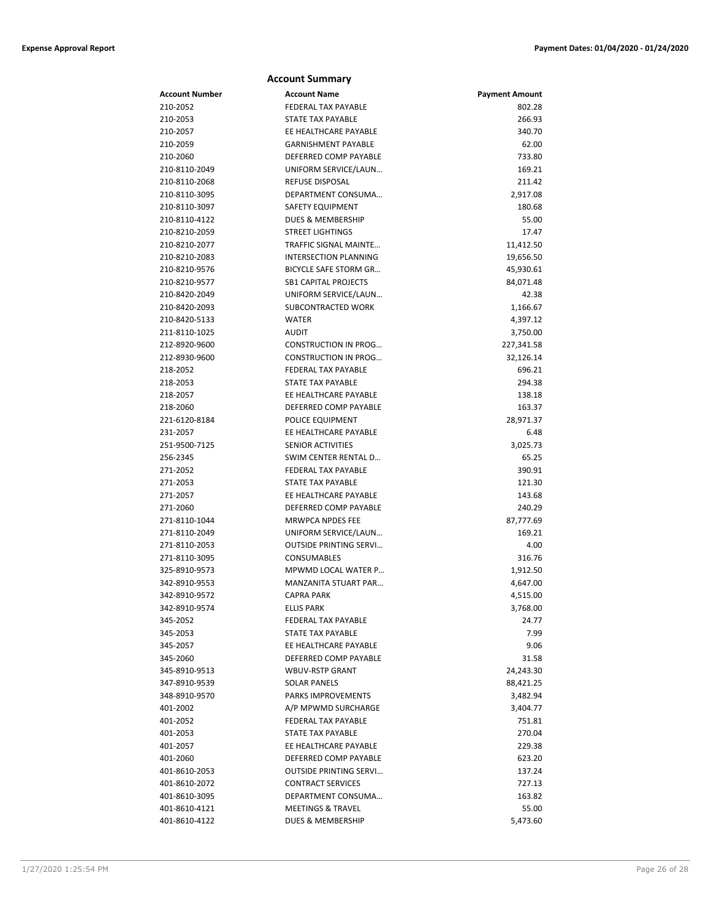|                                | <b>Account Summary</b>                             |                       |
|--------------------------------|----------------------------------------------------|-----------------------|
| Account Number                 | <b>Account Name</b>                                | <b>Payment Amount</b> |
| 210-2052                       | FEDERAL TAX PAYABLE                                | 802.28                |
| 210-2053                       | STATE TAX PAYABLE                                  | 266.93                |
| 210-2057                       | EE HEALTHCARE PAYABLE                              | 340.70                |
| 210-2059                       | <b>GARNISHMENT PAYABLE</b>                         | 62.00                 |
| 210-2060                       | DEFERRED COMP PAYABLE                              | 733.80                |
| 210-8110-2049                  | UNIFORM SERVICE/LAUN                               | 169.21                |
| 210-8110-2068                  | REFUSE DISPOSAL                                    | 211.42                |
| 210-8110-3095                  | DEPARTMENT CONSUMA                                 | 2,917.08              |
| 210-8110-3097                  | SAFETY EQUIPMENT                                   | 180.68                |
| 210-8110-4122                  | DUES & MEMBERSHIP                                  | 55.00                 |
| 210-8210-2059                  | <b>STREET LIGHTINGS</b>                            | 17.47                 |
| 210-8210-2077                  | TRAFFIC SIGNAL MAINTE                              | 11,412.50             |
| 210-8210-2083                  | <b>INTERSECTION PLANNING</b>                       | 19,656.50             |
| 210-8210-9576                  | BICYCLE SAFE STORM GR                              | 45,930.61             |
| 210-8210-9577                  | <b>SB1 CAPITAL PROJECTS</b>                        | 84,071.48             |
| 210-8420-2049                  | UNIFORM SERVICE/LAUN                               | 42.38                 |
| 210-8420-2093                  | SUBCONTRACTED WORK                                 | 1,166.67              |
| 210-8420-5133                  | <b>WATER</b>                                       | 4,397.12              |
| 211-8110-1025                  | <b>AUDIT</b>                                       | 3,750.00              |
| 212-8920-9600                  | <b>CONSTRUCTION IN PROG</b>                        | 227,341.58            |
| 212-8930-9600                  | <b>CONSTRUCTION IN PROG</b>                        | 32,126.14             |
| 218-2052                       | FEDERAL TAX PAYABLE                                | 696.21                |
| 218-2053                       | STATE TAX PAYABLE                                  | 294.38                |
| 218-2057                       | EE HEALTHCARE PAYABLE                              | 138.18                |
| 218-2060                       | DEFERRED COMP PAYABLE                              | 163.37                |
| 221-6120-8184                  | POLICE EQUIPMENT                                   | 28,971.37             |
| 231-2057                       | EE HEALTHCARE PAYABLE                              | 6.48                  |
| 251-9500-7125                  | <b>SENIOR ACTIVITIES</b>                           | 3,025.73              |
| 256-2345                       | SWIM CENTER RENTAL D                               | 65.25                 |
| 271-2052                       | FEDERAL TAX PAYABLE                                | 390.91                |
| 271-2053                       | STATE TAX PAYABLE                                  | 121.30                |
| 271-2057                       | EE HEALTHCARE PAYABLE                              | 143.68                |
| 271-2060                       | DEFERRED COMP PAYABLE                              | 240.29                |
| 271-8110-1044                  | <b>MRWPCA NPDES FEE</b>                            | 87,777.69             |
| 271-8110-2049                  | UNIFORM SERVICE/LAUN                               | 169.21                |
| 271-8110-2053                  | <b>OUTSIDE PRINTING SERVI</b>                      | 4.00                  |
| 271-8110-3095                  | <b>CONSUMABLES</b>                                 | 316.76                |
| 325-8910-9573                  | MPWMD LOCAL WATER P<br><b>MANZANITA STUART PAR</b> | 1,912.50              |
| 342-8910-9553                  |                                                    | 4,647.00              |
| 342-8910-9572<br>342-8910-9574 | CAPRA PARK<br><b>ELLIS PARK</b>                    | 4,515.00              |
| 345-2052                       | FEDERAL TAX PAYABLE                                | 3,768.00<br>24.77     |
| 345-2053                       | STATE TAX PAYABLE                                  | 7.99                  |
| 345-2057                       | EE HEALTHCARE PAYABLE                              | 9.06                  |
| 345-2060                       | DEFERRED COMP PAYABLE                              | 31.58                 |
| 345-8910-9513                  | <b>WBUV-RSTP GRANT</b>                             | 24,243.30             |
| 347-8910-9539                  | <b>SOLAR PANELS</b>                                | 88,421.25             |
| 348-8910-9570                  | PARKS IMPROVEMENTS                                 | 3,482.94              |
| 401-2002                       | A/P MPWMD SURCHARGE                                | 3,404.77              |
| 401-2052                       | <b>FEDERAL TAX PAYABLE</b>                         | 751.81                |
| 401-2053                       | STATE TAX PAYABLE                                  | 270.04                |
| 401-2057                       | EE HEALTHCARE PAYABLE                              | 229.38                |
| 401-2060                       | DEFERRED COMP PAYABLE                              | 623.20                |
| 401-8610-2053                  | <b>OUTSIDE PRINTING SERVI</b>                      | 137.24                |
| 401-8610-2072                  | <b>CONTRACT SERVICES</b>                           | 727.13                |
| 401-8610-3095                  | DEPARTMENT CONSUMA                                 | 163.82                |
| 401-8610-4121                  | <b>MEETINGS &amp; TRAVEL</b>                       | 55.00                 |
| 401-8610-4122                  | DUES & MEMBERSHIP                                  | 5,473.60              |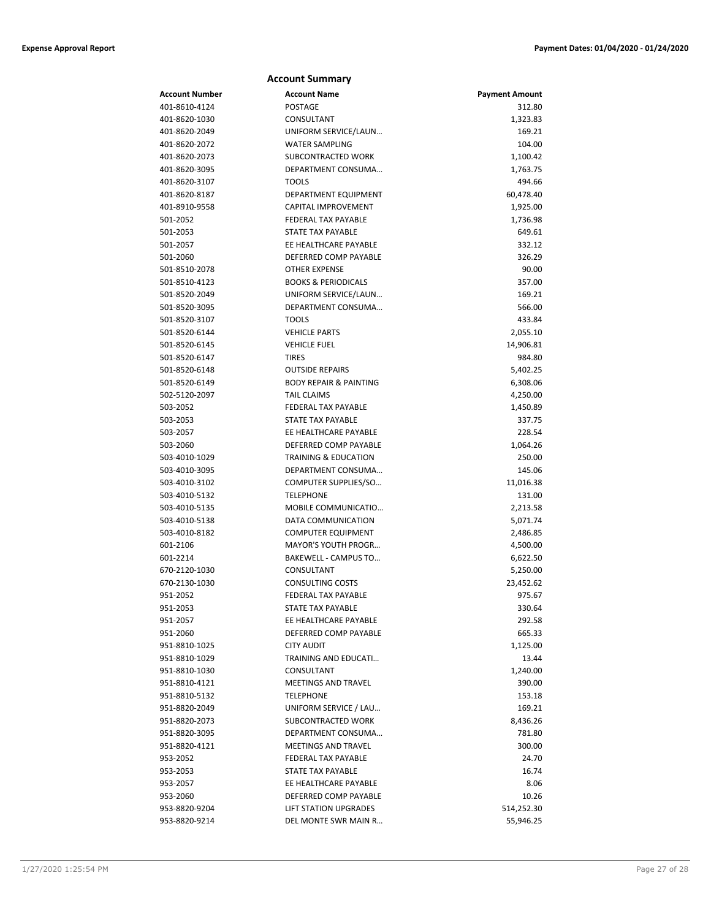|                                | <b>Account Summary</b>             |                       |
|--------------------------------|------------------------------------|-----------------------|
| Account Number                 | <b>Account Name</b>                | <b>Payment Amount</b> |
| 401-8610-4124                  | <b>POSTAGE</b>                     | 312.80                |
| 401-8620-1030                  | CONSULTANT                         | 1,323.83              |
| 401-8620-2049                  | UNIFORM SERVICE/LAUN               | 169.21                |
| 401-8620-2072                  | <b>WATER SAMPLING</b>              | 104.00                |
| 401-8620-2073                  | SUBCONTRACTED WORK                 | 1,100.42              |
| 401-8620-3095                  | DEPARTMENT CONSUMA                 | 1,763.75              |
| 401-8620-3107                  | <b>TOOLS</b>                       | 494.66                |
| 401-8620-8187                  | DEPARTMENT EQUIPMENT               | 60,478.40             |
| 401-8910-9558                  | CAPITAL IMPROVEMENT                | 1,925.00              |
| 501-2052                       | <b>FEDERAL TAX PAYABLE</b>         | 1,736.98              |
| 501-2053                       | <b>STATE TAX PAYABLE</b>           | 649.61                |
| 501-2057                       | EE HEALTHCARE PAYABLE              | 332.12                |
| 501-2060                       | DEFERRED COMP PAYABLE              | 326.29                |
| 501-8510-2078                  | <b>OTHER EXPENSE</b>               | 90.00                 |
| 501-8510-4123                  | <b>BOOKS &amp; PERIODICALS</b>     | 357.00                |
| 501-8520-2049                  | UNIFORM SERVICE/LAUN               | 169.21                |
| 501-8520-3095                  | DEPARTMENT CONSUMA                 | 566.00                |
| 501-8520-3107                  | <b>TOOLS</b>                       | 433.84                |
| 501-8520-6144                  | <b>VEHICLE PARTS</b>               | 2,055.10              |
| 501-8520-6145                  | <b>VEHICLE FUEL</b>                | 14,906.81             |
| 501-8520-6147                  | <b>TIRES</b>                       | 984.80                |
| 501-8520-6148                  | <b>OUTSIDE REPAIRS</b>             | 5,402.25              |
| 501-8520-6149                  | <b>BODY REPAIR &amp; PAINTING</b>  | 6,308.06              |
| 502-5120-2097                  | <b>TAIL CLAIMS</b>                 | 4,250.00              |
| 503-2052                       | FEDERAL TAX PAYABLE                | 1,450.89              |
| 503-2053                       | <b>STATE TAX PAYABLE</b>           | 337.75                |
| 503-2057                       | EE HEALTHCARE PAYABLE              | 228.54                |
| 503-2060                       | DEFERRED COMP PAYABLE              | 1,064.26              |
| 503-4010-1029                  | <b>TRAINING &amp; EDUCATION</b>    | 250.00                |
| 503-4010-3095                  | DEPARTMENT CONSUMA                 | 145.06                |
| 503-4010-3102                  | COMPUTER SUPPLIES/SO               | 11,016.38             |
| 503-4010-5132                  | <b>TELEPHONE</b>                   | 131.00                |
| 503-4010-5135                  | MOBILE COMMUNICATIO                | 2,213.58              |
| 503-4010-5138                  | DATA COMMUNICATION                 | 5,071.74              |
| 503-4010-8182                  | <b>COMPUTER EQUIPMENT</b>          | 2,486.85              |
| 601-2106                       | <b>MAYOR'S YOUTH PROGR</b>         | 4,500.00              |
| 601-2214                       | BAKEWELL - CAMPUS TO               | 6,622.50              |
| 670-2120-1030                  | CONSULTANT                         | 5,250.00              |
| 670-2130-1030                  | <b>CONSULTING COSTS</b>            | 23,452.62             |
| 951-2052                       | FEDERAL TAX PAYABLE                | 975.67                |
| 951-2053                       | STATE TAX PAYABLE                  | 330.64                |
| 951-2057                       | EE HEALTHCARE PAYABLE              | 292.58                |
| 951-2060                       | DEFERRED COMP PAYABLE              | 665.33                |
| 951-8810-1025<br>951-8810-1029 | <b>CITY AUDIT</b>                  | 1,125.00              |
|                                | TRAINING AND EDUCATI<br>CONSULTANT | 13.44                 |
| 951-8810-1030<br>951-8810-4121 | MEETINGS AND TRAVEL                | 1,240.00<br>390.00    |
| 951-8810-5132                  | <b>TELEPHONE</b>                   |                       |
| 951-8820-2049                  | UNIFORM SERVICE / LAU              | 153.18<br>169.21      |
| 951-8820-2073                  | SUBCONTRACTED WORK                 | 8,436.26              |
| 951-8820-3095                  | DEPARTMENT CONSUMA                 | 781.80                |
| 951-8820-4121                  | MEETINGS AND TRAVEL                | 300.00                |
| 953-2052                       | FEDERAL TAX PAYABLE                | 24.70                 |
| 953-2053                       | STATE TAX PAYABLE                  | 16.74                 |
| 953-2057                       | EE HEALTHCARE PAYABLE              | 8.06                  |
| 953-2060                       | DEFERRED COMP PAYABLE              | 10.26                 |
| 953-8820-9204                  | <b>LIFT STATION UPGRADES</b>       | 514,252.30            |
| 953-8820-9214                  | DEL MONTE SWR MAIN R               | 55,946.25             |
|                                |                                    |                       |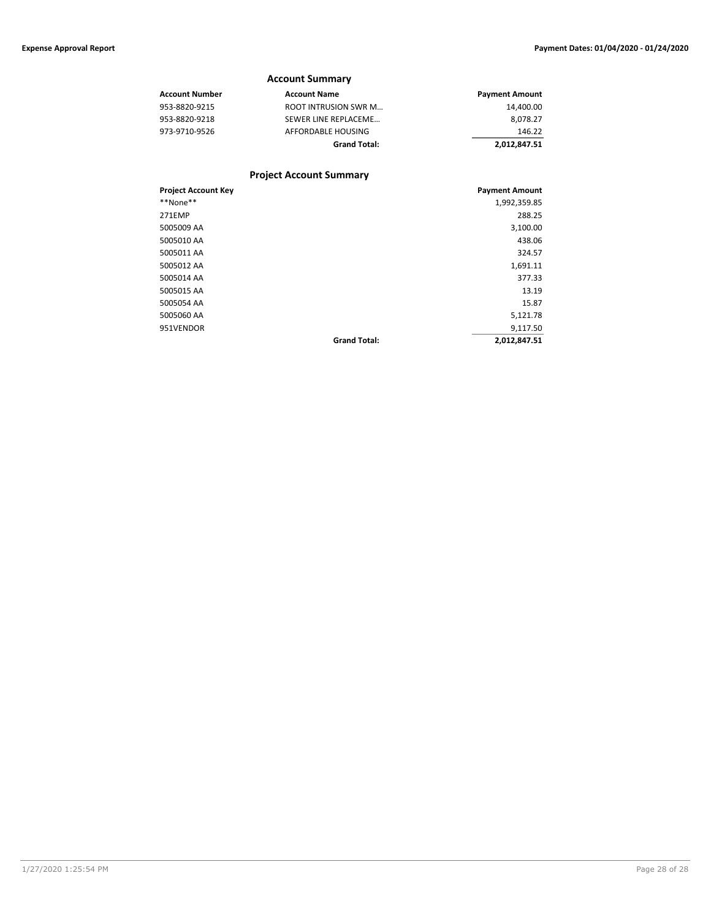5005012 AA

|                            | <b>Account Summary</b>         |                       |
|----------------------------|--------------------------------|-----------------------|
| <b>Account Number</b>      | <b>Account Name</b>            | <b>Payment Amount</b> |
| 953-8820-9215              | <b>ROOT INTRUSION SWR M</b>    | 14,400.00             |
| 953-8820-9218              | SEWER LINE REPLACEME           | 8,078.27              |
| 973-9710-9526              | AFFORDABLE HOUSING             | 146.22                |
|                            | <b>Grand Total:</b>            | 2,012,847.51          |
|                            | <b>Project Account Summary</b> |                       |
| <b>Project Account Key</b> |                                | <b>Payment Amount</b> |
| **None**                   |                                | 1,992,359.85          |
| 271EMP                     |                                | 288.25                |

5005009 AA 3,100.00 5005010 AA 438.06 5005011 AA 324.57

5005014 AA 377.33 5005015 AA 13.19 5005054 AA 15.87 5005060 AA 5,121.78 951VENDOR 9,117.50

**Grand Total: 2,012,847.51**

1/27/2020 1:25:54 PM Page 28 of 28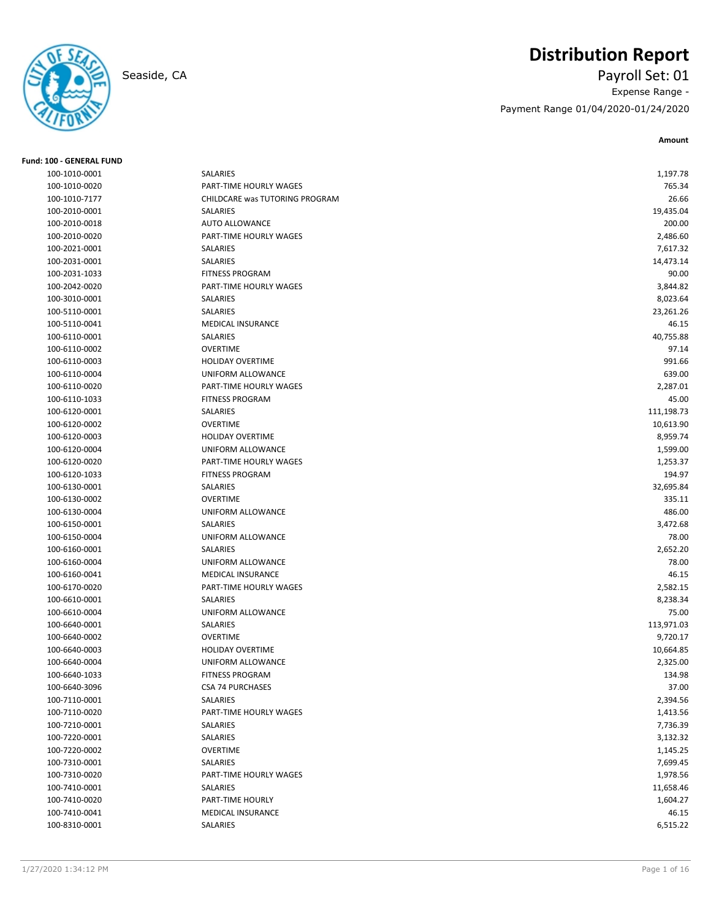# **Distribution Report**

Seaside, CA Payroll Set: 01 Expense Range - Payment Range 01/04/2020-01/24/2020

| <b>Fund: 100 - GENERAL FUND</b> |                                |                   |
|---------------------------------|--------------------------------|-------------------|
| 100-1010-0001                   | SALARIES                       | 1,197.78          |
| 100-1010-0020                   | PART-TIME HOURLY WAGES         | 765.34            |
| 100-1010-7177                   | CHILDCARE was TUTORING PROGRAM | 26.66             |
| 100-2010-0001                   | SALARIES                       | 19,435.04         |
| 100-2010-0018                   | <b>AUTO ALLOWANCE</b>          | 200.00            |
| 100-2010-0020                   | PART-TIME HOURLY WAGES         | 2,486.60          |
| 100-2021-0001                   | SALARIES                       | 7,617.32          |
| 100-2031-0001                   | SALARIES                       | 14,473.14         |
| 100-2031-1033                   | <b>FITNESS PROGRAM</b>         | 90.00             |
| 100-2042-0020                   | PART-TIME HOURLY WAGES         | 3,844.82          |
| 100-3010-0001                   | SALARIES                       | 8,023.64          |
| 100-5110-0001                   | SALARIES                       | 23,261.26         |
| 100-5110-0041                   | <b>MEDICAL INSURANCE</b>       | 46.15             |
| 100-6110-0001                   | SALARIES                       | 40,755.88         |
| 100-6110-0002                   | <b>OVERTIME</b>                | 97.14             |
| 100-6110-0003                   | <b>HOLIDAY OVERTIME</b>        | 991.66            |
| 100-6110-0004                   | UNIFORM ALLOWANCE              | 639.00            |
| 100-6110-0020                   | PART-TIME HOURLY WAGES         | 2,287.01          |
| 100-6110-1033                   | <b>FITNESS PROGRAM</b>         | 45.00             |
| 100-6120-0001                   | SALARIES                       | 111,198.73        |
| 100-6120-0002                   | <b>OVERTIME</b>                | 10,613.90         |
| 100-6120-0003                   | <b>HOLIDAY OVERTIME</b>        | 8,959.74          |
| 100-6120-0004                   | UNIFORM ALLOWANCE              | 1,599.00          |
| 100-6120-0020                   | PART-TIME HOURLY WAGES         | 1,253.37          |
| 100-6120-1033                   | <b>FITNESS PROGRAM</b>         | 194.97            |
| 100-6130-0001                   | SALARIES                       | 32,695.84         |
| 100-6130-0002                   | <b>OVERTIME</b>                | 335.11            |
| 100-6130-0004                   | UNIFORM ALLOWANCE              | 486.00            |
| 100-6150-0001                   | SALARIES                       | 3,472.68          |
| 100-6150-0004                   | UNIFORM ALLOWANCE              | 78.00             |
| 100-6160-0001                   | SALARIES                       |                   |
| 100-6160-0004                   | UNIFORM ALLOWANCE              | 2,652.20<br>78.00 |
|                                 | MEDICAL INSURANCE              | 46.15             |
| 100-6160-0041                   |                                |                   |
| 100-6170-0020                   | PART-TIME HOURLY WAGES         | 2,582.15          |
| 100-6610-0001                   | SALARIES                       | 8,238.34          |
| 100-6610-0004                   | UNIFORM ALLOWANCE              | 75.00             |
| 100-6640-0001                   | SALARIES                       | 113,971.03        |
| 100-6640-0002                   | <b>OVERTIME</b>                | 9,720.17          |
| 100-6640-0003                   | <b>HOLIDAY OVERTIME</b>        | 10,664.85         |
| 100-6640-0004                   | UNIFORM ALLOWANCE              | 2,325.00          |
| 100-6640-1033                   | <b>FITNESS PROGRAM</b>         | 134.98            |
| 100-6640-3096                   | <b>CSA 74 PURCHASES</b>        | 37.00             |
| 100-7110-0001                   | SALARIES                       | 2,394.56          |
| 100-7110-0020                   | PART-TIME HOURLY WAGES         | 1,413.56          |
| 100-7210-0001                   | SALARIES                       | 7,736.39          |
| 100-7220-0001                   | SALARIES                       | 3,132.32          |
| 100-7220-0002                   | <b>OVERTIME</b>                | 1,145.25          |
| 100-7310-0001                   | SALARIES                       | 7,699.45          |
| 100-7310-0020                   | PART-TIME HOURLY WAGES         | 1,978.56          |
| 100-7410-0001                   | SALARIES                       | 11,658.46         |
| 100-7410-0020                   | PART-TIME HOURLY               | 1,604.27          |
| 100-7410-0041                   | MEDICAL INSURANCE              | 46.15             |
| 100-8310-0001                   | SALARIES                       | 6,515.22          |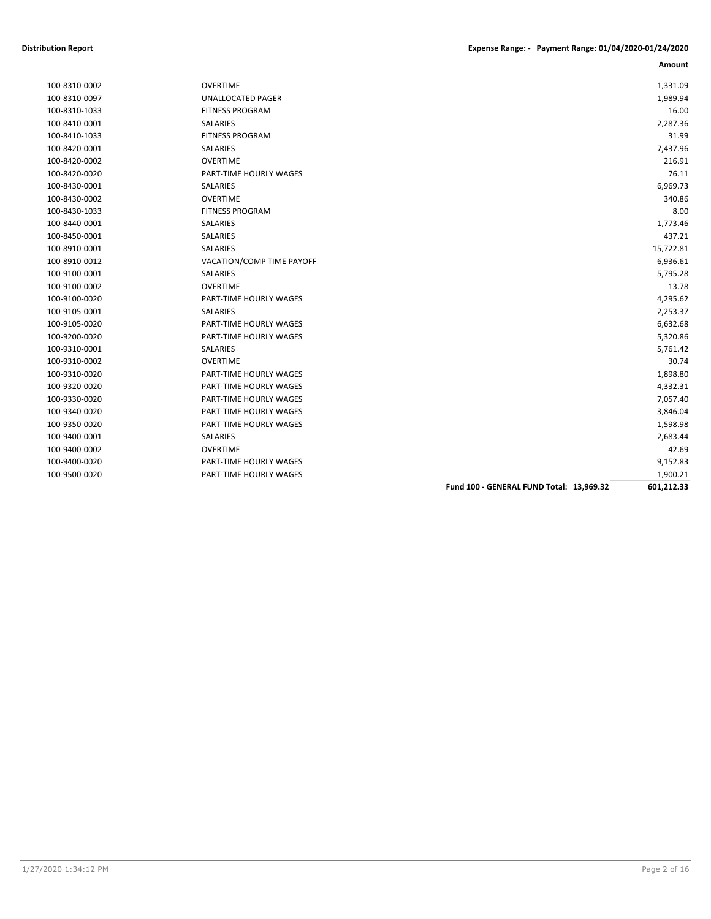| 100-8310-0002 |
|---------------|
| 100-8310-0097 |
| 100-8310-1033 |
| 100-8410-0001 |
| 100-8410-1033 |
| 100-8420-0001 |
| 100-8420-0002 |
| 100-8420-0020 |
| 100-8430-0001 |
| 100-8430-0002 |
| 100-8430-1033 |
| 100-8440-0001 |
| 100-8450-0001 |
| 100-8910-0001 |
| 100-8910-0012 |
| 100-9100-0001 |
| 100-9100-0002 |
| 100-9100-0020 |
| 100-9105-0001 |
| 100-9105-0020 |
| 100-9200-0020 |
| 100-9310-0001 |
| 100-9310-0002 |
| 100-9310-0020 |
| 100-9320-0020 |
| 100-9330-0020 |
| 100-9340-0020 |
| 100-9350-0020 |
| 100-9400-0001 |
| 100-9400-0002 |
| 100-9400-0020 |
| 100.0500.00   |

| 100-9400-0002<br>100-9400-0020 | <b>OVERTIME</b><br>PART-TIME HOURLY WAGES | 42.69<br>9,152.83 |
|--------------------------------|-------------------------------------------|-------------------|
| 100-9400-0001                  | SALARIES                                  | 2,683.44          |
| 100-9350-0020                  | PART-TIME HOURLY WAGES                    | 1,598.98          |
| 100-9340-0020                  | PART-TIME HOURLY WAGES                    | 3,846.04          |
| 100-9330-0020                  | PART-TIME HOURLY WAGES                    | 7,057.40          |
| 100-9320-0020                  | PART-TIME HOURLY WAGES                    | 4,332.31          |
| 100-9310-0020                  | PART-TIME HOURLY WAGES                    | 1,898.80          |
| 100-9310-0002                  | <b>OVERTIME</b>                           | 30.74             |
| 100-9310-0001                  | <b>SALARIES</b>                           | 5,761.42          |
| 100-9200-0020                  | PART-TIME HOURLY WAGES                    | 5,320.86          |
| 100-9105-0020                  | PART-TIME HOURLY WAGES                    | 6,632.68          |
| 100-9105-0001                  | SALARIES                                  | 2,253.37          |
| 100-9100-0020                  | PART-TIME HOURLY WAGES                    | 4,295.62          |
| 100-9100-0002                  | <b>OVERTIME</b>                           | 13.78             |
| 100-9100-0001                  | SALARIES                                  | 5,795.28          |
| 100-8910-0012                  | VACATION/COMP TIME PAYOFF                 | 6,936.61          |
| 100-8910-0001                  | SALARIES                                  | 15,722.81         |
| 100-8450-0001                  | SALARIES                                  | 437.21            |
| 100-8440-0001                  | <b>SALARIES</b>                           | 1,773.46          |
| 100-8430-1033                  | <b>FITNESS PROGRAM</b>                    | 8.00              |
| 100-8430-0002                  | <b>OVERTIME</b>                           | 340.86            |
| 100-8430-0001                  | <b>SALARIES</b>                           | 6,969.73          |
| 100-8420-0020                  | PART-TIME HOURLY WAGES                    | 76.11             |
| 100-8420-0002                  | <b>OVERTIME</b>                           | 216.91            |
| 100-8420-0001                  | SALARIES                                  | 7,437.96          |
| 100-8410-1033                  | <b>FITNESS PROGRAM</b>                    | 31.99             |
| 100-8410-0001                  | SALARIES                                  | 2,287.36          |
| 100-8310-1033                  | <b>FITNESS PROGRAM</b>                    | 16.00             |
| 100-8310-0097                  | <b>UNALLOCATED PAGER</b>                  | 1,989.94          |
| 100-8310-0002                  | <b>OVERTIME</b>                           | 1,331.09          |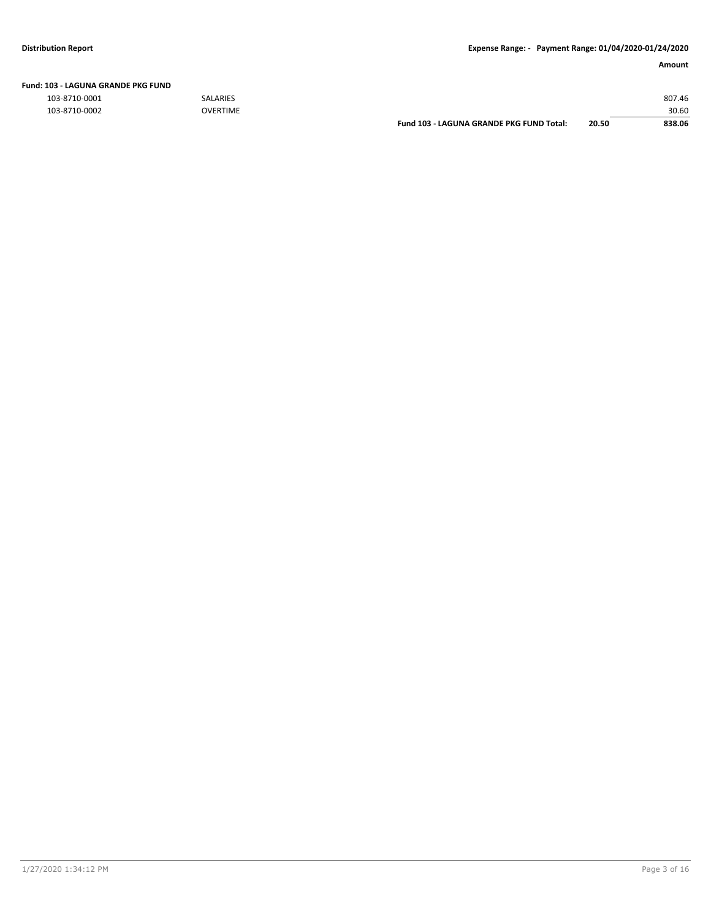| Fund: 103 - LAGUNA GRANDE PKG FUND |  |  |  |  |  |  |
|------------------------------------|--|--|--|--|--|--|
|------------------------------------|--|--|--|--|--|--|

|               |                 | <b>Fund 103 - LAGUNA GRANDE PKG FUND Total:</b> | 20.50 | 838.06 |
|---------------|-----------------|-------------------------------------------------|-------|--------|
| 103-8710-0002 | <b>OVERTIME</b> |                                                 |       | 30.60  |
| 103-8710-0001 | <b>SALARIES</b> |                                                 |       | 807.46 |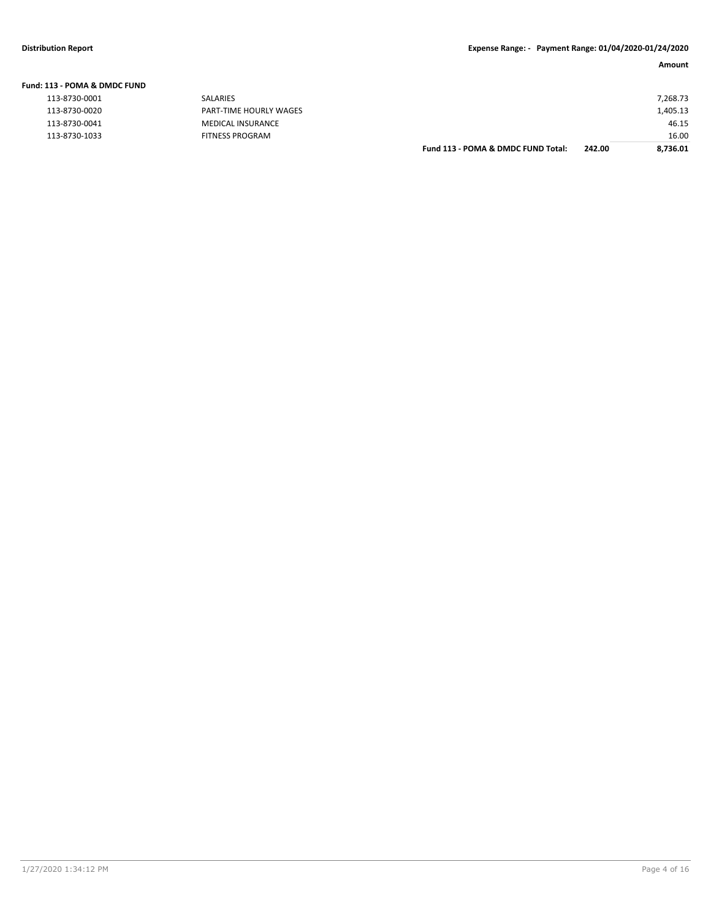| Fund: 113 - POMA & DMDC FUND |                        |                                    |        |          |
|------------------------------|------------------------|------------------------------------|--------|----------|
| 113-8730-0001                | SALARIES               |                                    |        | 7,268.73 |
| 113-8730-0020                | PART-TIME HOURLY WAGES |                                    |        | L,405.13 |
| 113-8730-0041                | MEDICAL INSURANCE      |                                    |        | 46.15    |
| 113-8730-1033                | FITNESS PROGRAM        |                                    |        | 16.00    |
|                              |                        | Fund 113 - POMA & DMDC FUND Total: | 242.00 | 8,736.01 |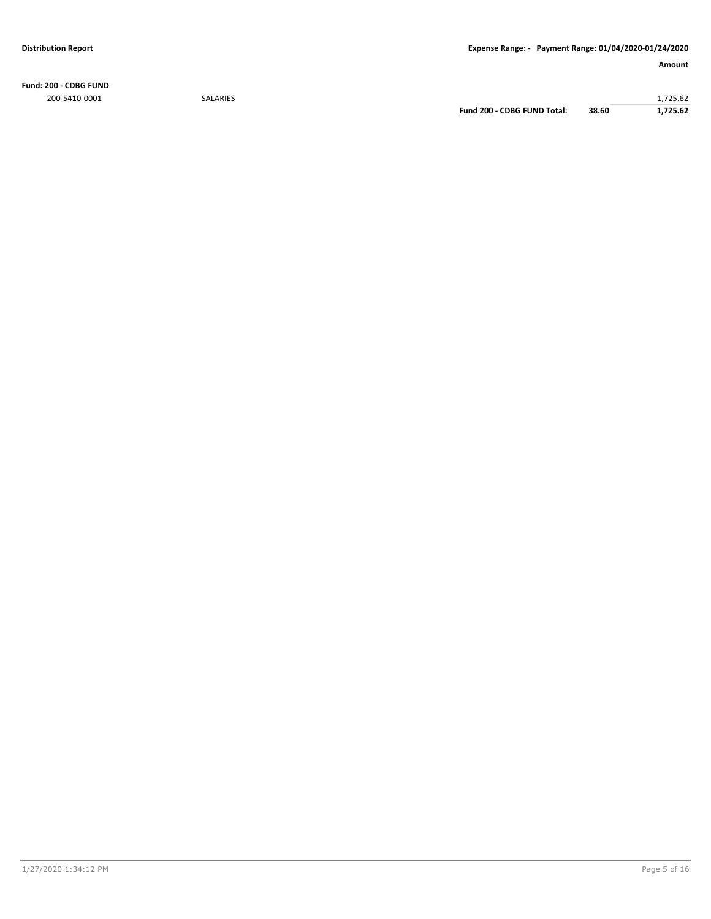**Fund: 200 - CDBG FUND** 200-5410-0001 SALARIES 1,725.62

**Fund 200 - CDBG FUND Total: 38.60 1,725.62**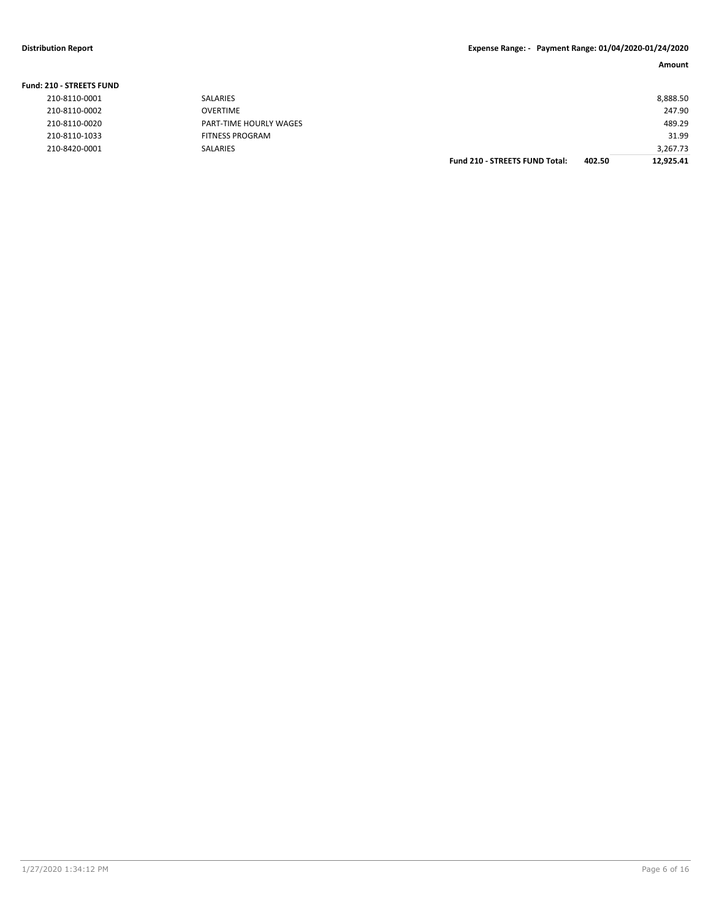| <b>Fund: 210 - STREETS FUND</b> |                        |                                       |        |           |
|---------------------------------|------------------------|---------------------------------------|--------|-----------|
| 210-8110-0001                   | <b>SALARIES</b>        |                                       |        | 8,888.50  |
| 210-8110-0002                   | <b>OVERTIME</b>        |                                       |        | 247.90    |
| 210-8110-0020                   | PART-TIME HOURLY WAGES |                                       |        | 489.29    |
| 210-8110-1033                   | <b>FITNESS PROGRAM</b> |                                       |        | 31.99     |
| 210-8420-0001                   | <b>SALARIES</b>        |                                       |        | 3.267.73  |
|                                 |                        | <b>Fund 210 - STREETS FUND Total:</b> | 402.50 | 12.925.41 |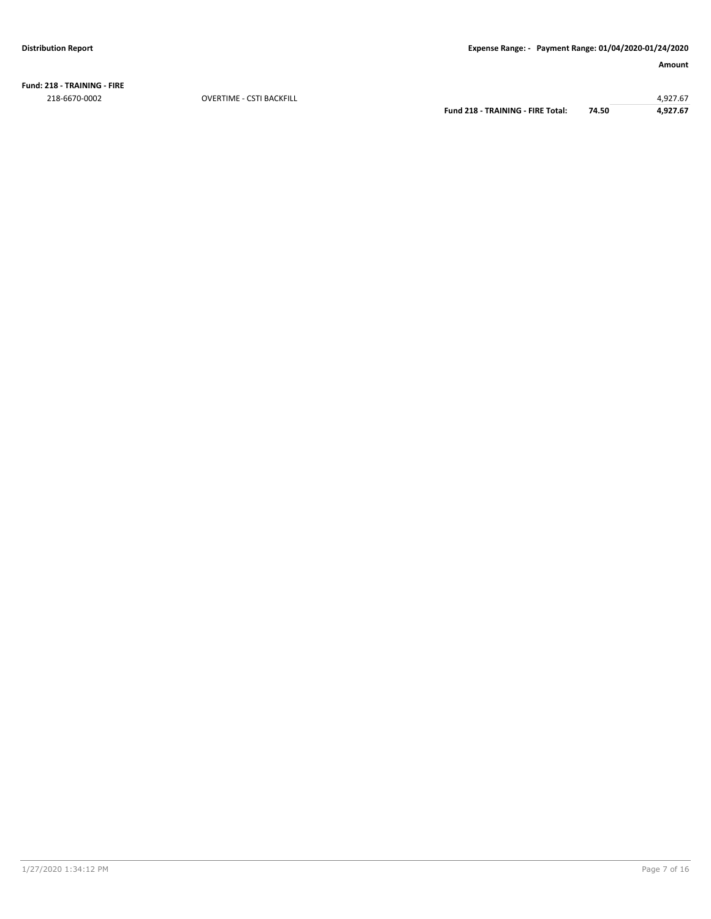**Fund: 218 - TRAINING - FIRE** 218-6670-0002 OVERTIME - CSTI BACKFILL 4,927.67

**Fund 218 - TRAINING - FIRE Total: 74.50 4,927.67**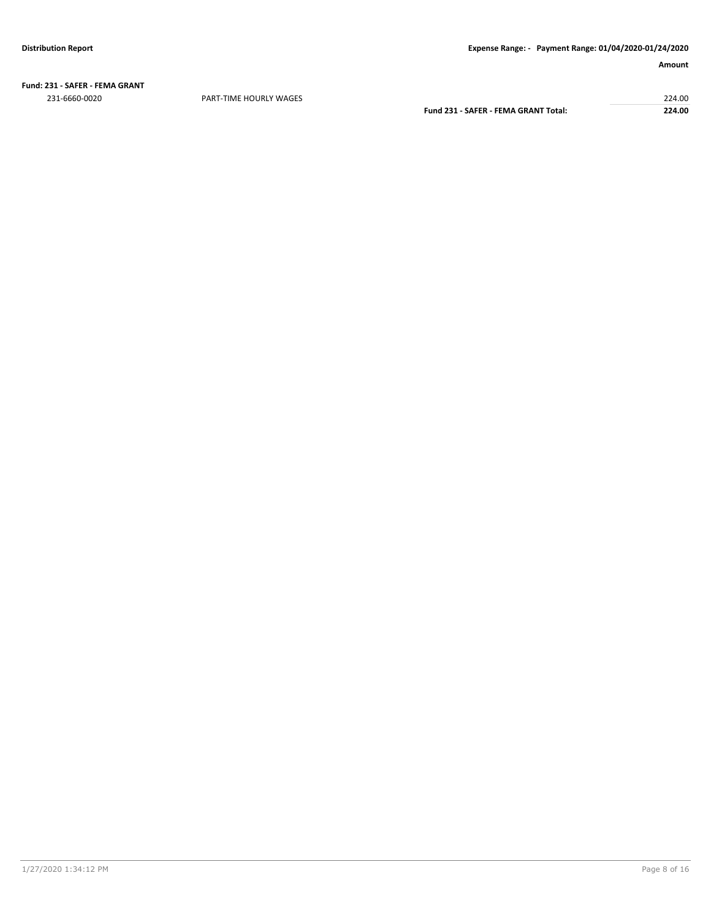**Fund: 231 - SAFER - FEMA GRANT** 231-6660-0020 PART-TIME HOURLY WAGES 224.00

**Fund 231 - SAFER - FEMA GRANT Total: 224.00**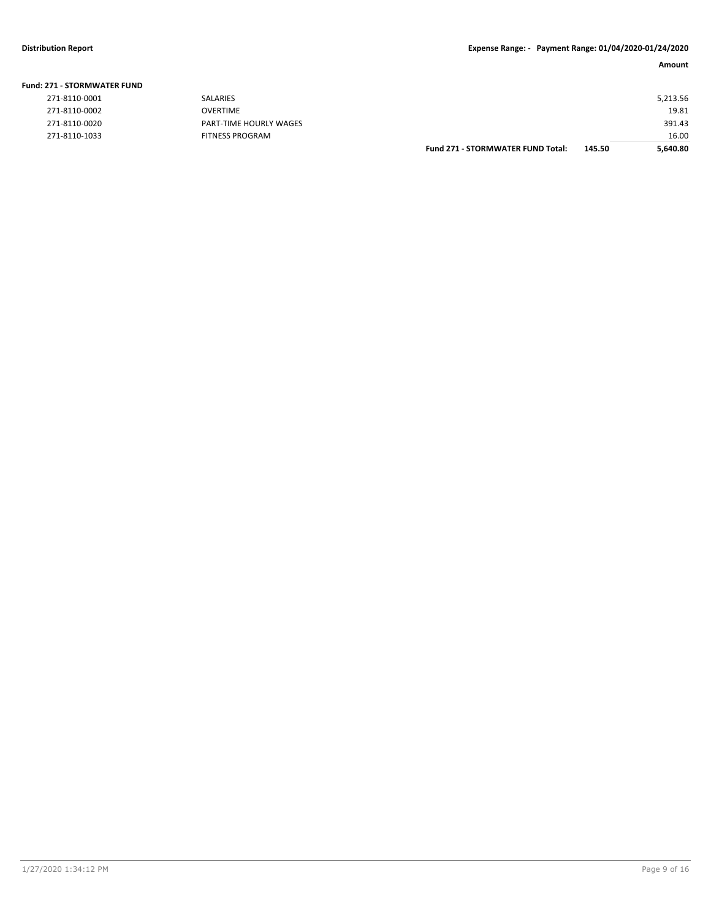| 271 - STORMWATER FUND |                        |                                          |        |          |
|-----------------------|------------------------|------------------------------------------|--------|----------|
| 271-8110-0001         | SALARIES               |                                          |        | 5,213.56 |
| 271-8110-0002         | <b>OVERTIME</b>        |                                          |        | 19.81    |
| 271-8110-0020         | PART-TIME HOURLY WAGES |                                          |        | 391.43   |
| 271-8110-1033         | <b>FITNESS PROGRAM</b> |                                          |        | 16.00    |
|                       |                        | <b>Fund 271 - STORMWATER FUND Total:</b> | 145.50 | 5,640.80 |
|                       |                        |                                          |        |          |

## **Fund: 271 - STORMWATER FUND**

| 271-8110-0002 |  |
|---------------|--|
| 271-8110-0020 |  |
| 271-8110-1033 |  |
|               |  |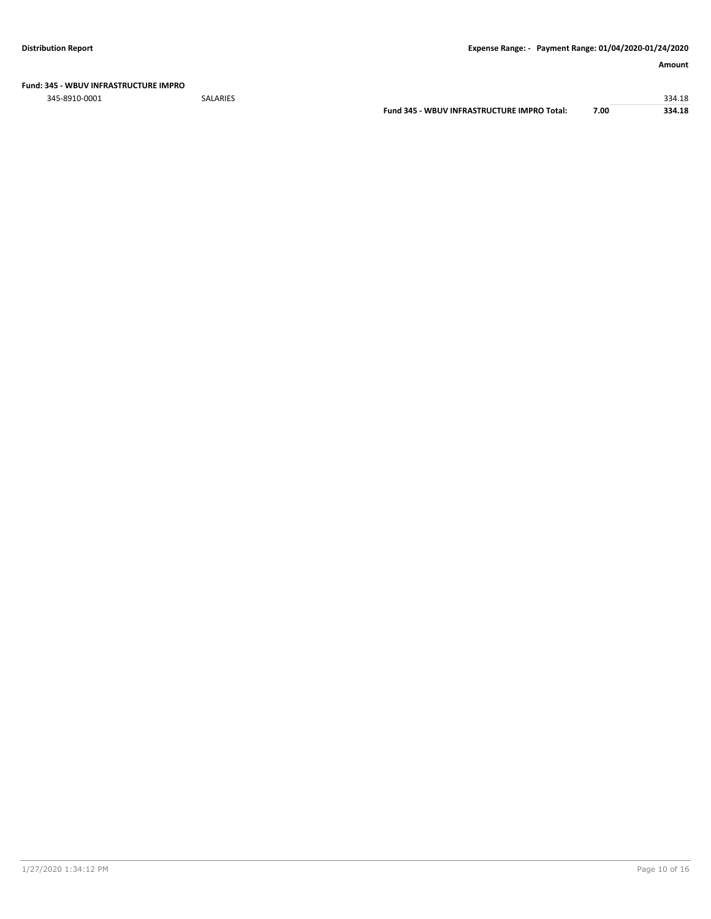**Fund: 345 - WBUV INFRASTRUCTURE IMPRO**

345-8910-0001 SALARIES 334.18

**Fund 345 - WBUV INFRASTRUCTURE IMPRO Total: 7.00 334.18**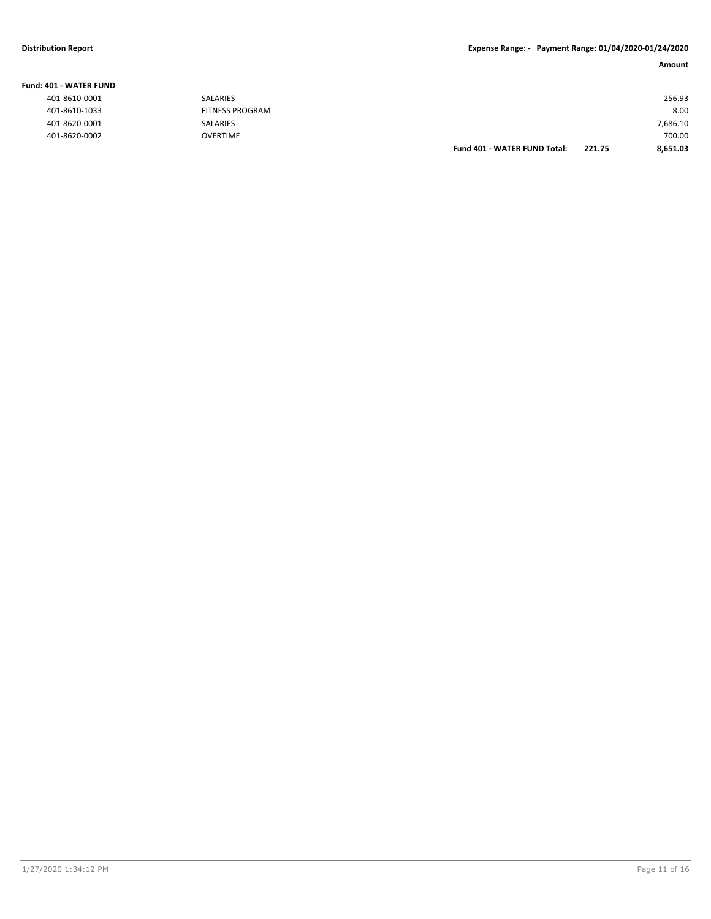### **Distribution Report Expense Range: - Payment Range: 01/04/2020-01/24/2020**

### **Amount**

| IO1 - WATER FUND |                        |                                     |        |          |
|------------------|------------------------|-------------------------------------|--------|----------|
| 401-8610-0001    | SALARIES               |                                     |        | 256.93   |
| 401-8610-1033    | <b>FITNESS PROGRAM</b> |                                     |        | 8.00     |
| 401-8620-0001    | SALARIES               |                                     |        | 7,686.10 |
| 401-8620-0002    | <b>OVERTIME</b>        |                                     |        | 700.00   |
|                  |                        | <b>Fund 401 - WATER FUND Total:</b> | 221.75 | 8,651.03 |

### **Fund: 401 - WATER FUND**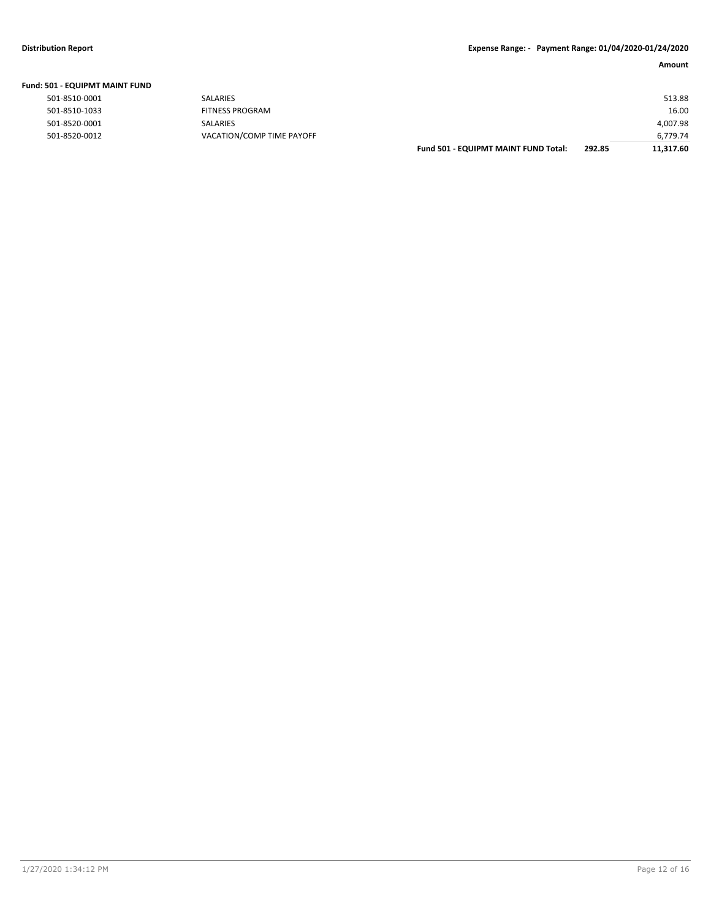| Fund: 501 - EQUIPMT MAINT FUND |  |
|--------------------------------|--|
|--------------------------------|--|

|               |                           | ------ | .        |
|---------------|---------------------------|--------|----------|
| 501-8520-0012 | VACATION/COMP TIME PAYOFF |        | 6,779.74 |
| 501-8520-0001 | <b>SALARIES</b>           |        | 4,007.98 |
| 501-8510-1033 | <b>FITNESS PROGRAM</b>    |        | 16.00    |
| 501-8510-0001 | <b>SALARIES</b>           |        | 513.88   |
|               |                           |        |          |

| Fund 501 - EQUIPMT MAINT FUND Total: | 292.85 | 11,317.60 |
|--------------------------------------|--------|-----------|
|                                      |        | 6,779.74  |
|                                      |        | 4,007.98  |
|                                      |        | 16.00     |
|                                      |        | 513.88    |
|                                      |        |           |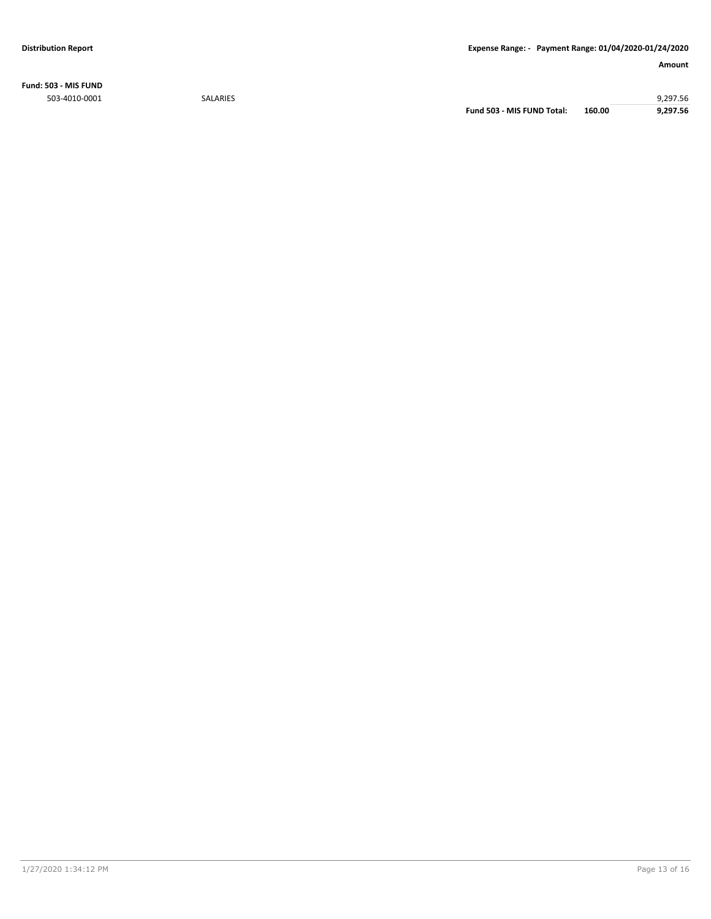**Fund: 503 - MIS FUND**

503-4010-0001 SALARIES 9,297.56 **Fund 503 - MIS FUND Total: 160.00 9,297.56**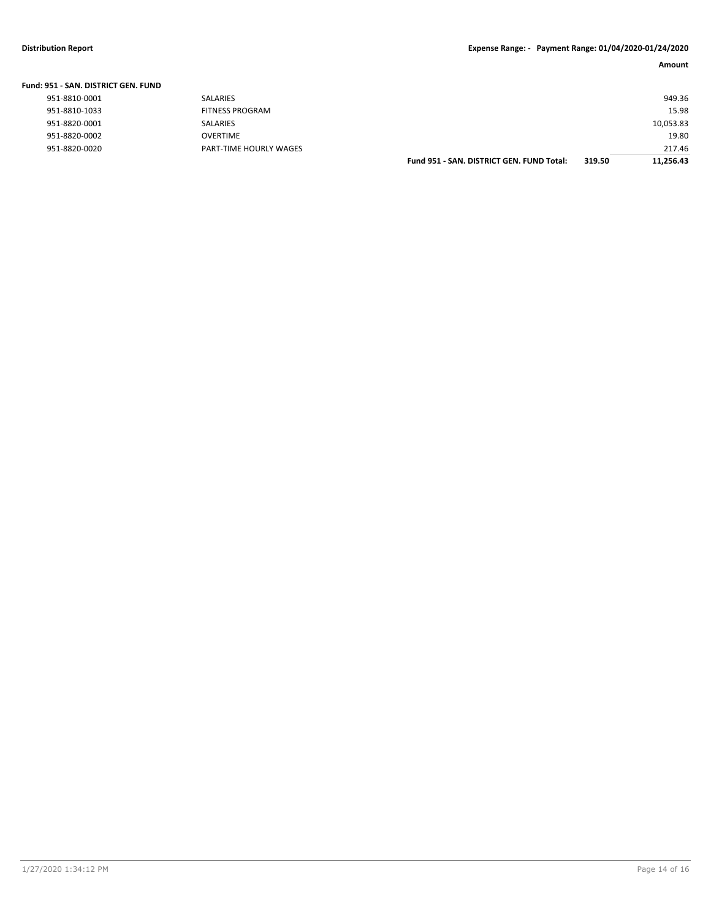|  | Fund: 951 - SAN. DISTRICT GEN. FUND |  |  |
|--|-------------------------------------|--|--|
|  |                                     |  |  |

|               |                        | Fund 951 - SAN, DISTRICT GEN, FUND Total: | 319.50 | 11.256.43 |
|---------------|------------------------|-------------------------------------------|--------|-----------|
| 951-8820-0020 | PART-TIME HOURLY WAGES |                                           |        | 217.46    |
| 951-8820-0002 | <b>OVERTIME</b>        |                                           |        | 19.80     |
| 951-8820-0001 | SALARIES               |                                           |        | 10,053.83 |
| 951-8810-1033 | FITNESS PROGRAM        |                                           |        | 15.98     |
| 951-8810-0001 | SALARIES               |                                           |        | 949.36    |
|               |                        |                                           |        |           |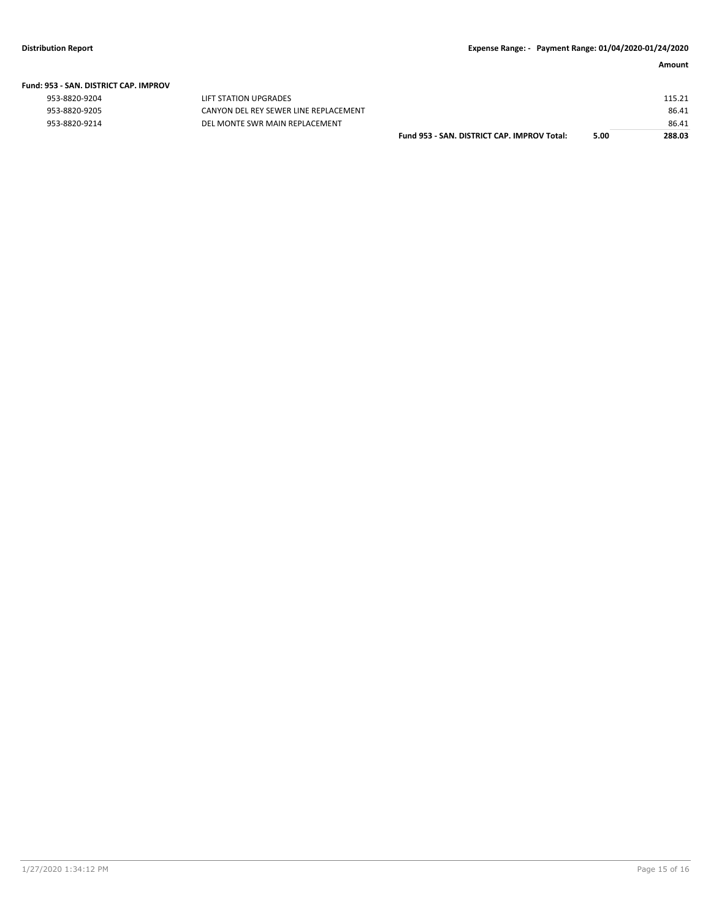#### **Fund: 953 - SAN. DISTRICT CAP. IMPROV**

| 953-8820-9204 |  |
|---------------|--|
| 953-8820-9205 |  |
| 953-8820-9214 |  |

LIFT STATION UPGRADES CANYON DEL REY SEWER LINE REPLACEMENT 953-8820-9214 **DEL MONTE SWR MAIN REPLACEMENT** 

| Fund 953 - SAN. DISTRICT CAP. IMPROV Total: | 5.00 | 288.03 |
|---------------------------------------------|------|--------|
|                                             |      | 86.41  |
|                                             |      | 86.41  |
|                                             |      | 115.21 |